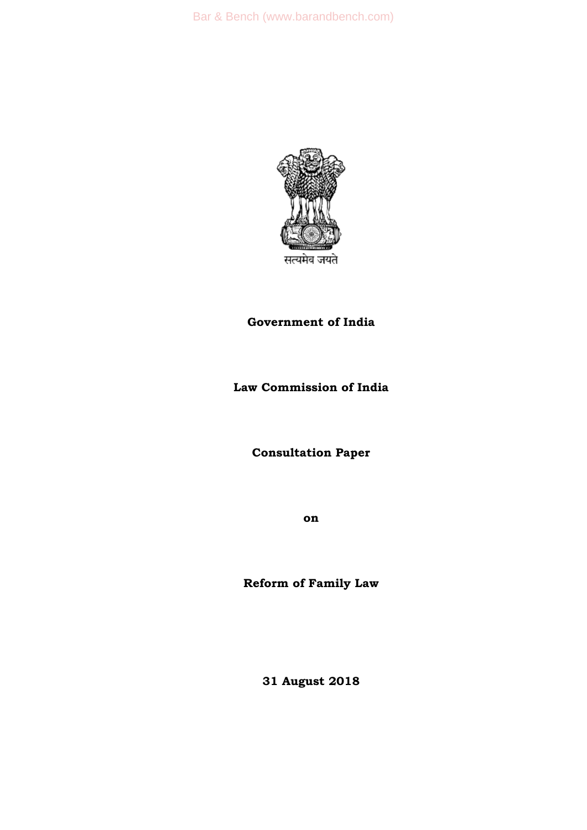

## **Government of India**

## **Law Commission of India**

**Consultation Paper** 

**on**

**Reform of Family Law**

**31 August 2018**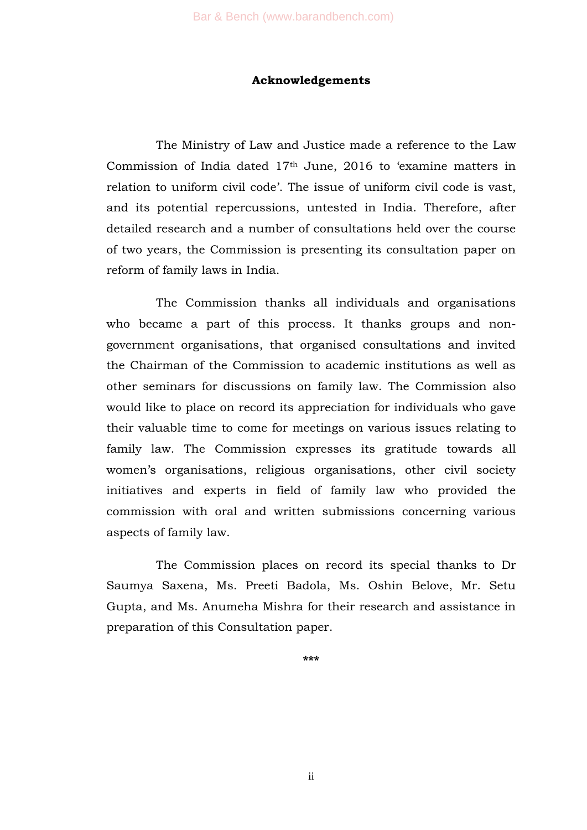#### **Acknowledgements**

The Ministry of Law and Justice made a reference to the Law Commission of India dated 17<sup>th</sup> June, 2016 to 'examine matters in relation to uniform civil code'. The issue of uniform civil code is vast, and its potential repercussions, untested in India. Therefore, after detailed research and a number of consultations held over the course of two years, the Commission is presenting its consultation paper on reform of family laws in India.

The Commission thanks all individuals and organisations who became a part of this process. It thanks groups and nongovernment organisations, that organised consultations and invited the Chairman of the Commission to academic institutions as well as other seminars for discussions on family law. The Commission also would like to place on record its appreciation for individuals who gave their valuable time to come for meetings on various issues relating to family law. The Commission expresses its gratitude towards all women's organisations, religious organisations, other civil society initiatives and experts in field of family law who provided the commission with oral and written submissions concerning various aspects of family law.

The Commission places on record its special thanks to Dr Saumya Saxena, Ms. Preeti Badola, Ms. Oshin Belove, Mr. Setu Gupta, and Ms. Anumeha Mishra for their research and assistance in preparation of this Consultation paper.

**\*\*\***

ii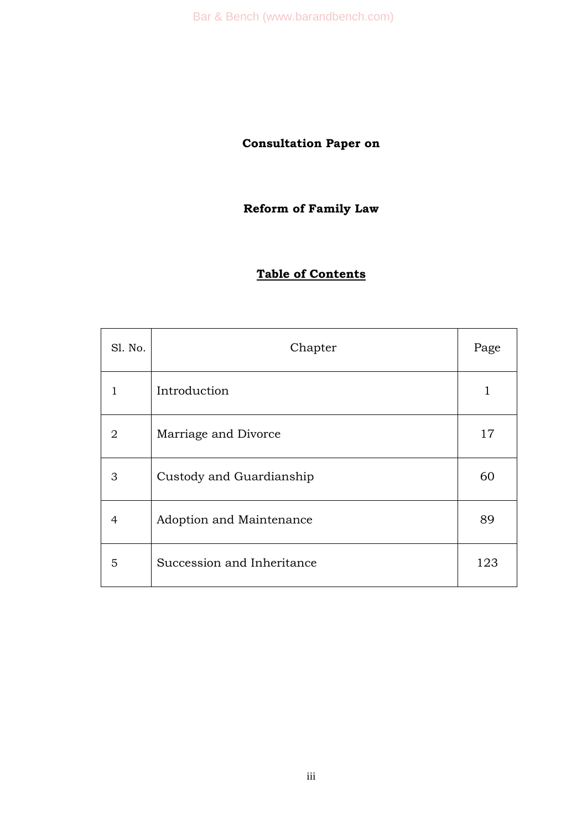Bar & Bench (www.barandbench.com)

# **Consultation Paper on**

## **Reform of Family Law**

## **Table of Contents**

| Sl. No. | Chapter                    | Page |
|---------|----------------------------|------|
| 1       | Introduction               | 1    |
| 2       | Marriage and Divorce       | 17   |
| 3       | Custody and Guardianship   | 60   |
| 4       | Adoption and Maintenance   | 89   |
| 5       | Succession and Inheritance | 123  |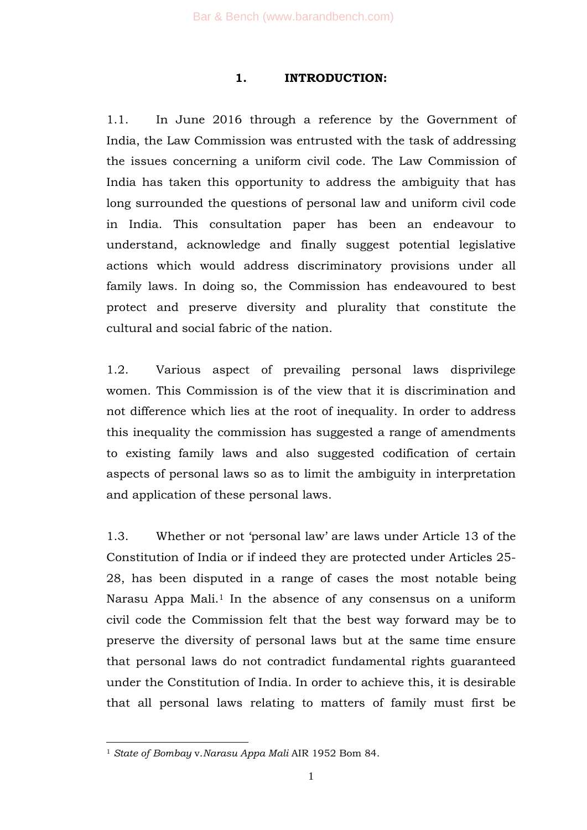#### **1. INTRODUCTION:**

1.1. In June 2016 through a reference by the Government of India, the Law Commission was entrusted with the task of addressing the issues concerning a uniform civil code. The Law Commission of India has taken this opportunity to address the ambiguity that has long surrounded the questions of personal law and uniform civil code in India. This consultation paper has been an endeavour to understand, acknowledge and finally suggest potential legislative actions which would address discriminatory provisions under all family laws. In doing so, the Commission has endeavoured to best protect and preserve diversity and plurality that constitute the cultural and social fabric of the nation.

1.2. Various aspect of prevailing personal laws disprivilege women. This Commission is of the view that it is discrimination and not difference which lies at the root of inequality. In order to address this inequality the commission has suggested a range of amendments to existing family laws and also suggested codification of certain aspects of personal laws so as to limit the ambiguity in interpretation and application of these personal laws.

1.3. Whether or not 'personal law' are laws under Article 13 of the Constitution of India or if indeed they are protected under Articles 25- 28, has been disputed in a range of cases the most notable being Narasu Appa Mali.<sup>1</sup> In the absence of any consensus on a uniform civil code the Commission felt that the best way forward may be to preserve the diversity of personal laws but at the same time ensure that personal laws do not contradict fundamental rights guaranteed under the Constitution of India. In order to achieve this, it is desirable that all personal laws relating to matters of family must first be

<sup>1</sup> *State of Bombay* v.*Narasu Appa Mali* AIR 1952 Bom 84.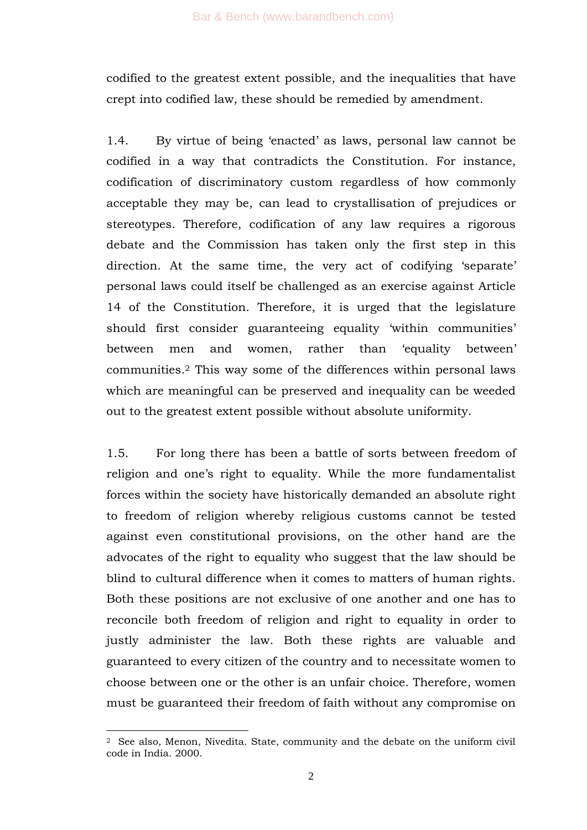codified to the greatest extent possible, and the inequalities that have crept into codified law, these should be remedied by amendment.

1.4. By virtue of being ‗enacted' as laws, personal law cannot be codified in a way that contradicts the Constitution. For instance, codification of discriminatory custom regardless of how commonly acceptable they may be, can lead to crystallisation of prejudices or stereotypes. Therefore, codification of any law requires a rigorous debate and the Commission has taken only the first step in this direction. At the same time, the very act of codifying 'separate' personal laws could itself be challenged as an exercise against Article 14 of the Constitution. Therefore, it is urged that the legislature should first consider guaranteeing equality 'within communities' between men and women, rather than 'equality between' communities.<sup>2</sup> This way some of the differences within personal laws which are meaningful can be preserved and inequality can be weeded out to the greatest extent possible without absolute uniformity.

1.5. For long there has been a battle of sorts between freedom of religion and one's right to equality. While the more fundamentalist forces within the society have historically demanded an absolute right to freedom of religion whereby religious customs cannot be tested against even constitutional provisions, on the other hand are the advocates of the right to equality who suggest that the law should be blind to cultural difference when it comes to matters of human rights. Both these positions are not exclusive of one another and one has to reconcile both freedom of religion and right to equality in order to justly administer the law. Both these rights are valuable and guaranteed to every citizen of the country and to necessitate women to choose between one or the other is an unfair choice. Therefore, women must be guaranteed their freedom of faith without any compromise on

<sup>-</sup><sup>2</sup> See also, Menon, Nivedita. State, community and the debate on the uniform civil code in India. 2000.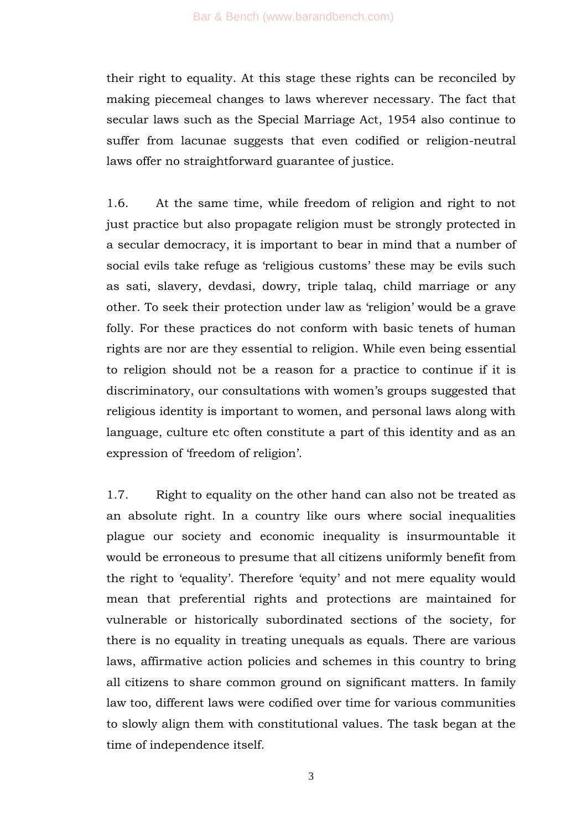their right to equality. At this stage these rights can be reconciled by making piecemeal changes to laws wherever necessary. The fact that secular laws such as the Special Marriage Act, 1954 also continue to suffer from lacunae suggests that even codified or religion-neutral laws offer no straightforward guarantee of justice.

1.6. At the same time, while freedom of religion and right to not just practice but also propagate religion must be strongly protected in a secular democracy, it is important to bear in mind that a number of social evils take refuge as 'religious customs' these may be evils such as sati, slavery, devdasi, dowry, triple talaq, child marriage or any other. To seek their protection under law as 'religion' would be a grave folly. For these practices do not conform with basic tenets of human rights are nor are they essential to religion. While even being essential to religion should not be a reason for a practice to continue if it is discriminatory, our consultations with women's groups suggested that religious identity is important to women, and personal laws along with language, culture etc often constitute a part of this identity and as an expression of 'freedom of religion'.

1.7. Right to equality on the other hand can also not be treated as an absolute right. In a country like ours where social inequalities plague our society and economic inequality is insurmountable it would be erroneous to presume that all citizens uniformly benefit from the right to 'equality'. Therefore 'equity' and not mere equality would mean that preferential rights and protections are maintained for vulnerable or historically subordinated sections of the society, for there is no equality in treating unequals as equals. There are various laws, affirmative action policies and schemes in this country to bring all citizens to share common ground on significant matters. In family law too, different laws were codified over time for various communities to slowly align them with constitutional values. The task began at the time of independence itself.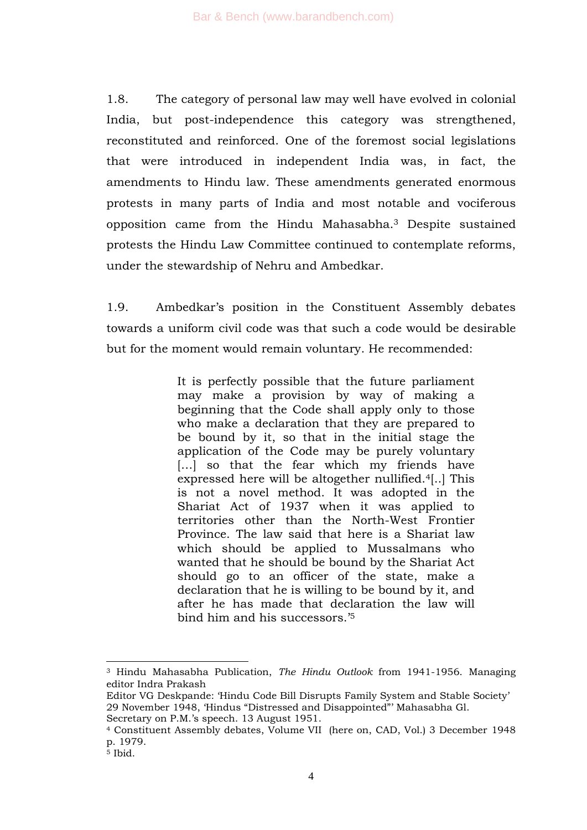1.8. The category of personal law may well have evolved in colonial India, but post-independence this category was strengthened, reconstituted and reinforced. One of the foremost social legislations that were introduced in independent India was, in fact, the amendments to Hindu law. These amendments generated enormous protests in many parts of India and most notable and vociferous opposition came from the Hindu Mahasabha.<sup>3</sup> Despite sustained protests the Hindu Law Committee continued to contemplate reforms, under the stewardship of Nehru and Ambedkar.

1.9. Ambedkar's position in the Constituent Assembly debates towards a uniform civil code was that such a code would be desirable but for the moment would remain voluntary. He recommended:

> It is perfectly possible that the future parliament may make a provision by way of making a beginning that the Code shall apply only to those who make a declaration that they are prepared to be bound by it, so that in the initial stage the application of the Code may be purely voluntary [...] so that the fear which my friends have expressed here will be altogether nullified.4[..] This is not a novel method. It was adopted in the Shariat Act of 1937 when it was applied to territories other than the North-West Frontier Province. The law said that here is a Shariat law which should be applied to Mussalmans who wanted that he should be bound by the Shariat Act should go to an officer of the state, make a declaration that he is willing to be bound by it, and after he has made that declaration the law will bind him and his successors.'<sup>5</sup>

<sup>-</sup><sup>3</sup> Hindu Mahasabha Publication, *The Hindu Outlook* from 1941-1956. Managing editor Indra Prakash

Editor VG Deskpande: 'Hindu Code Bill Disrupts Family System and Stable Society' 29 November 1948, 'Hindus "Distressed and Disappointed"' Mahasabha Gl. Secretary on P.M.'s speech. 13 August 1951.

<sup>4</sup> Constituent Assembly debates, Volume VII (here on, CAD, Vol.) 3 December 1948 p. 1979.

 $\overline{5}$  Ibid.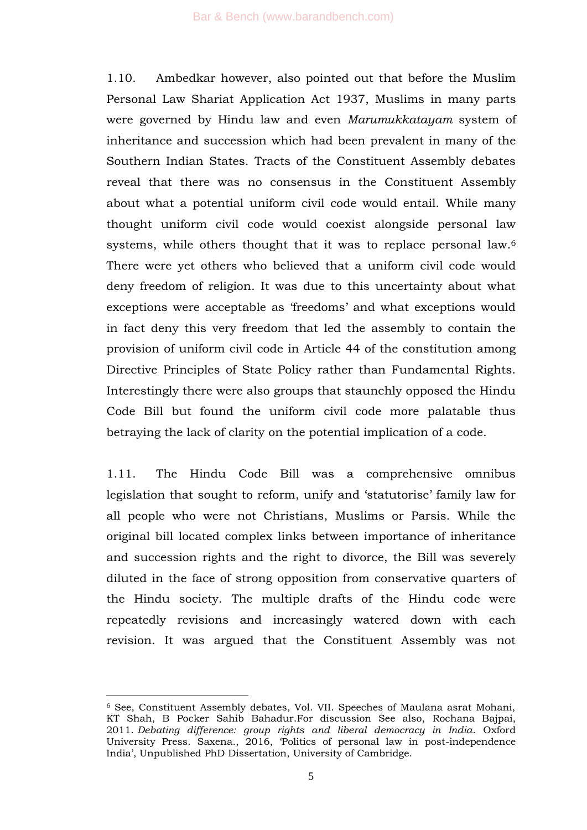1.10. Ambedkar however, also pointed out that before the Muslim Personal Law Shariat Application Act 1937, Muslims in many parts were governed by Hindu law and even *Marumukkatayam* system of inheritance and succession which had been prevalent in many of the Southern Indian States. Tracts of the Constituent Assembly debates reveal that there was no consensus in the Constituent Assembly about what a potential uniform civil code would entail. While many thought uniform civil code would coexist alongside personal law systems, while others thought that it was to replace personal law.<sup>6</sup> There were yet others who believed that a uniform civil code would deny freedom of religion. It was due to this uncertainty about what exceptions were acceptable as 'freedoms' and what exceptions would in fact deny this very freedom that led the assembly to contain the provision of uniform civil code in Article 44 of the constitution among Directive Principles of State Policy rather than Fundamental Rights. Interestingly there were also groups that staunchly opposed the Hindu Code Bill but found the uniform civil code more palatable thus betraying the lack of clarity on the potential implication of a code.

1.11. The Hindu Code Bill was a comprehensive omnibus legislation that sought to reform, unify and 'statutorise' family law for all people who were not Christians, Muslims or Parsis. While the original bill located complex links between importance of inheritance and succession rights and the right to divorce, the Bill was severely diluted in the face of strong opposition from conservative quarters of the Hindu society. The multiple drafts of the Hindu code were repeatedly revisions and increasingly watered down with each revision. It was argued that the Constituent Assembly was not

-

<sup>6</sup> See, Constituent Assembly debates, Vol. VII. Speeches of Maulana asrat Mohani, KT Shah, B Pocker Sahib Bahadur.For discussion See also, Rochana Bajpai, 2011. *Debating difference: group rights and liberal democracy in India*. Oxford University Press. Saxena., 2016, ‗Politics of personal law in post-independence India', Unpublished PhD Dissertation, University of Cambridge.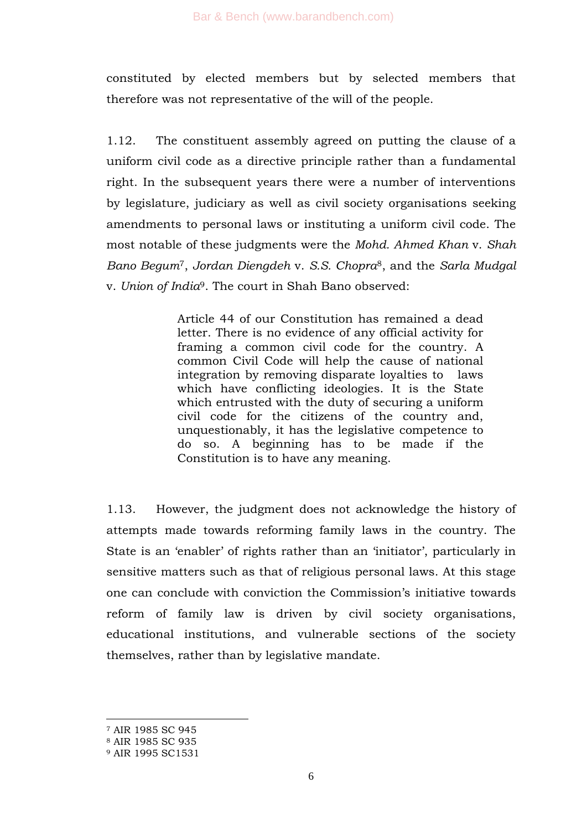constituted by elected members but by selected members that therefore was not representative of the will of the people.

1.12. The constituent assembly agreed on putting the clause of a uniform civil code as a directive principle rather than a fundamental right. In the subsequent years there were a number of interventions by legislature, judiciary as well as civil society organisations seeking amendments to personal laws or instituting a uniform civil code. The most notable of these judgments were the *Mohd. Ahmed Khan* v. *Shah Bano Begum*7, *Jordan Diengdeh* v. *S.S. Chopra*8, and the *Sarla Mudgal* v. *Union of India*9. The court in Shah Bano observed:

> Article 44 of our Constitution has remained a dead letter. There is no evidence of any official activity for framing a common civil code for the country. A common Civil Code will help the cause of national integration by removing disparate loyalties to laws which have conflicting ideologies. It is the State which entrusted with the duty of securing a uniform civil code for the citizens of the country and, unquestionably, it has the legislative competence to do so. A beginning has to be made if the Constitution is to have any meaning.

1.13. However, the judgment does not acknowledge the history of attempts made towards reforming family laws in the country. The State is an 'enabler' of rights rather than an 'initiator', particularly in sensitive matters such as that of religious personal laws. At this stage one can conclude with conviction the Commission's initiative towards reform of family law is driven by civil society organisations, educational institutions, and vulnerable sections of the society themselves, rather than by legislative mandate.

<sup>7</sup> AIR 1985 SC 945

<sup>8</sup> AIR 1985 SC 935

<sup>9</sup> AIR 1995 SC1531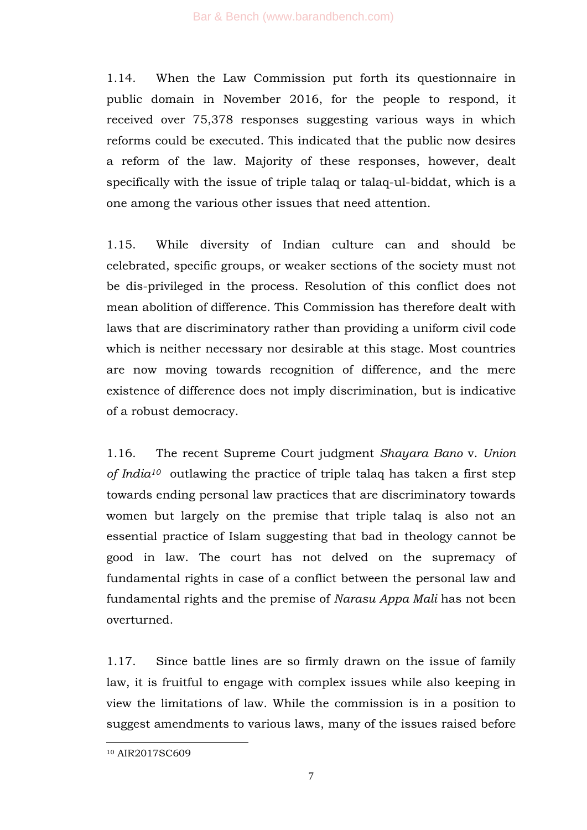1.14. When the Law Commission put forth its questionnaire in public domain in November 2016, for the people to respond, it received over 75,378 responses suggesting various ways in which reforms could be executed. This indicated that the public now desires a reform of the law. Majority of these responses, however, dealt specifically with the issue of triple talaq or talaq-ul-biddat, which is a one among the various other issues that need attention.

1.15. While diversity of Indian culture can and should be celebrated, specific groups, or weaker sections of the society must not be dis-privileged in the process. Resolution of this conflict does not mean abolition of difference. This Commission has therefore dealt with laws that are discriminatory rather than providing a uniform civil code which is neither necessary nor desirable at this stage. Most countries are now moving towards recognition of difference, and the mere existence of difference does not imply discrimination, but is indicative of a robust democracy.

1.16. The recent Supreme Court judgment *Shayara Bano* v. *Union of India<sup>10</sup>* outlawing the practice of triple talaq has taken a first step towards ending personal law practices that are discriminatory towards women but largely on the premise that triple talaq is also not an essential practice of Islam suggesting that bad in theology cannot be good in law. The court has not delved on the supremacy of fundamental rights in case of a conflict between the personal law and fundamental rights and the premise of *Narasu Appa Mali* has not been overturned.

1.17. Since battle lines are so firmly drawn on the issue of family law, it is fruitful to engage with complex issues while also keeping in view the limitations of law. While the commission is in a position to suggest amendments to various laws, many of the issues raised before

<sup>10</sup> AIR2017SC609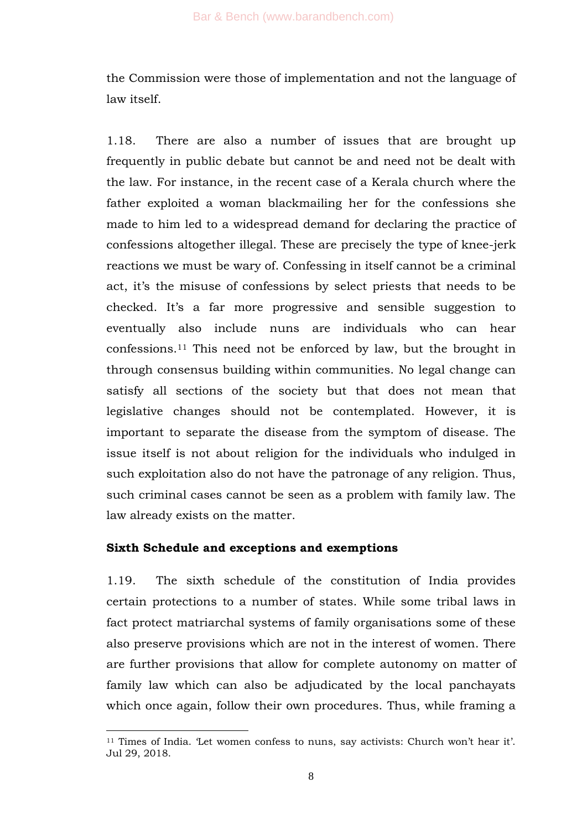the Commission were those of implementation and not the language of law itself.

1.18. There are also a number of issues that are brought up frequently in public debate but cannot be and need not be dealt with the law. For instance, in the recent case of a Kerala church where the father exploited a woman blackmailing her for the confessions she made to him led to a widespread demand for declaring the practice of confessions altogether illegal. These are precisely the type of knee-jerk reactions we must be wary of. Confessing in itself cannot be a criminal act, it's the misuse of confessions by select priests that needs to be checked. It's a far more progressive and sensible suggestion to eventually also include nuns are individuals who can hear confessions.<sup>11</sup> This need not be enforced by law, but the brought in through consensus building within communities. No legal change can satisfy all sections of the society but that does not mean that legislative changes should not be contemplated. However, it is important to separate the disease from the symptom of disease. The issue itself is not about religion for the individuals who indulged in such exploitation also do not have the patronage of any religion. Thus, such criminal cases cannot be seen as a problem with family law. The law already exists on the matter.

#### **Sixth Schedule and exceptions and exemptions**

-

1.19. The sixth schedule of the constitution of India provides certain protections to a number of states. While some tribal laws in fact protect matriarchal systems of family organisations some of these also preserve provisions which are not in the interest of women. There are further provisions that allow for complete autonomy on matter of family law which can also be adjudicated by the local panchayats which once again, follow their own procedures. Thus, while framing a

<sup>&</sup>lt;sup>11</sup> Times of India. Let women confess to nuns, say activists: Church won't hear it'. Jul 29, 2018.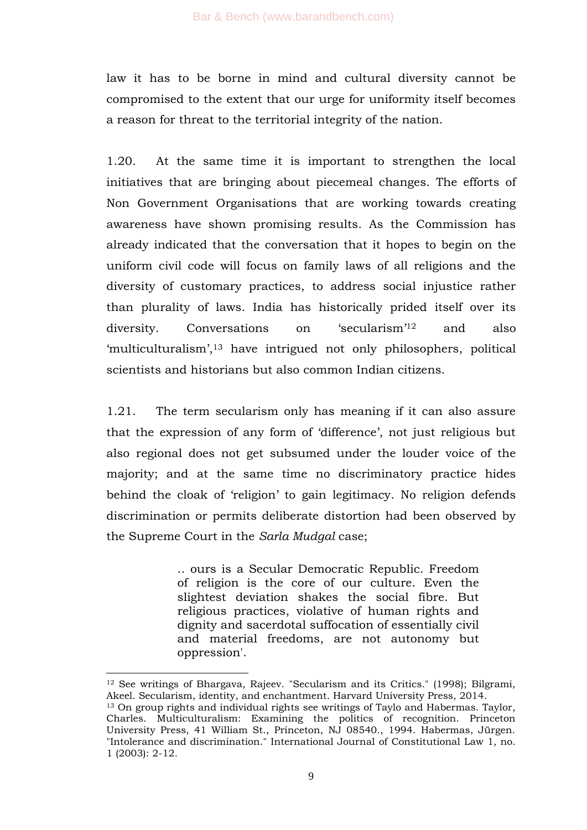law it has to be borne in mind and cultural diversity cannot be compromised to the extent that our urge for uniformity itself becomes a reason for threat to the territorial integrity of the nation.

1.20. At the same time it is important to strengthen the local initiatives that are bringing about piecemeal changes. The efforts of Non Government Organisations that are working towards creating awareness have shown promising results. As the Commission has already indicated that the conversation that it hopes to begin on the uniform civil code will focus on family laws of all religions and the diversity of customary practices, to address social injustice rather than plurality of laws. India has historically prided itself over its diversity. Conversations on 'secularism'<sup>12</sup> and also ‗multiculturalism', <sup>13</sup> have intrigued not only philosophers, political scientists and historians but also common Indian citizens.

1.21. The term secularism only has meaning if it can also assure that the expression of any form of ‗difference', not just religious but also regional does not get subsumed under the louder voice of the majority; and at the same time no discriminatory practice hides behind the cloak of 'religion' to gain legitimacy. No religion defends discrimination or permits deliberate distortion had been observed by the Supreme Court in the *Sarla Mudgal* case;

> .. ours is a Secular Democratic Republic. Freedom of religion is the core of our culture. Even the slightest deviation shakes the social fibre. But religious practices, violative of human rights and dignity and sacerdotal suffocation of essentially civil and material freedoms, are not autonomy but oppression'.

<sup>12</sup> See writings of Bhargava, Rajeev. "Secularism and its Critics." (1998); Bilgrami, Akeel. Secularism, identity, and enchantment. Harvard University Press, 2014. <sup>13</sup> On group rights and individual rights see writings of Taylo and Habermas. Taylor, Charles. Multiculturalism: Examining the politics of recognition. Princeton University Press, 41 William St., Princeton, NJ 08540., 1994. Habermas, Jürgen. "Intolerance and discrimination." International Journal of Constitutional Law 1, no. 1 (2003): 2-12.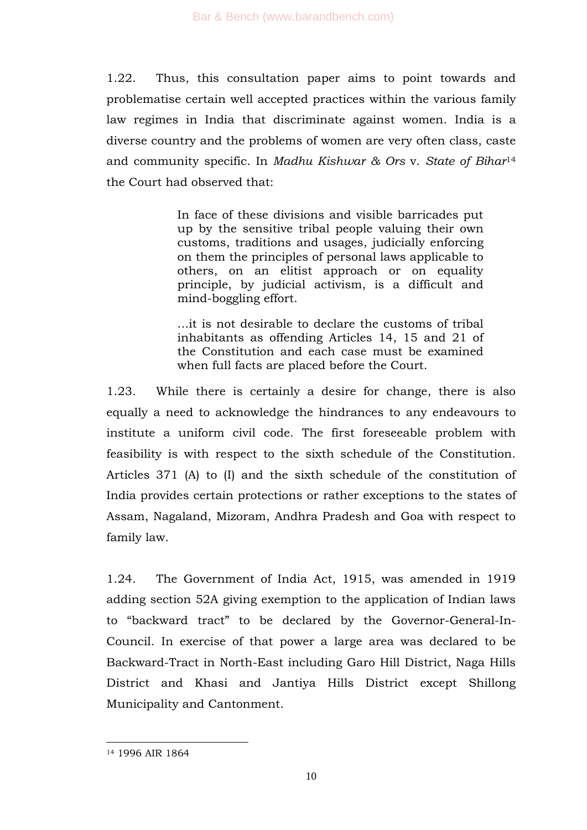1.22. Thus, this consultation paper aims to point towards and problematise certain well accepted practices within the various family law regimes in India that discriminate against women. India is a diverse country and the problems of women are very often class, caste and community specific. In *Madhu Kishwar & Ors* v. *State of Bihar*<sup>14</sup> the Court had observed that:

> In face of these divisions and visible barricades put up by the sensitive tribal people valuing their own customs, traditions and usages, judicially enforcing on them the principles of personal laws applicable to others, on an elitist approach or on equality principle, by judicial activism, is a difficult and mind-boggling effort.

> ...it is not desirable to declare the customs of tribal inhabitants as offending Articles 14, 15 and 21 of the Constitution and each case must be examined when full facts are placed before the Court.

1.23. While there is certainly a desire for change, there is also equally a need to acknowledge the hindrances to any endeavours to institute a uniform civil code. The first foreseeable problem with feasibility is with respect to the sixth schedule of the Constitution. Articles 371 (A) to (I) and the sixth schedule of the constitution of India provides certain protections or rather exceptions to the states of Assam, Nagaland, Mizoram, Andhra Pradesh and Goa with respect to family law.

1.24. The Government of India Act, 1915, was amended in 1919 adding section 52A giving exemption to the application of Indian laws to "backward tract" to be declared by the Governor-General-In-Council. In exercise of that power a large area was declared to be Backward-Tract in North-East including Garo Hill District, Naga Hills District and Khasi and Jantiya Hills District except Shillong Municipality and Cantonment.

<sup>14</sup> 1996 AIR 1864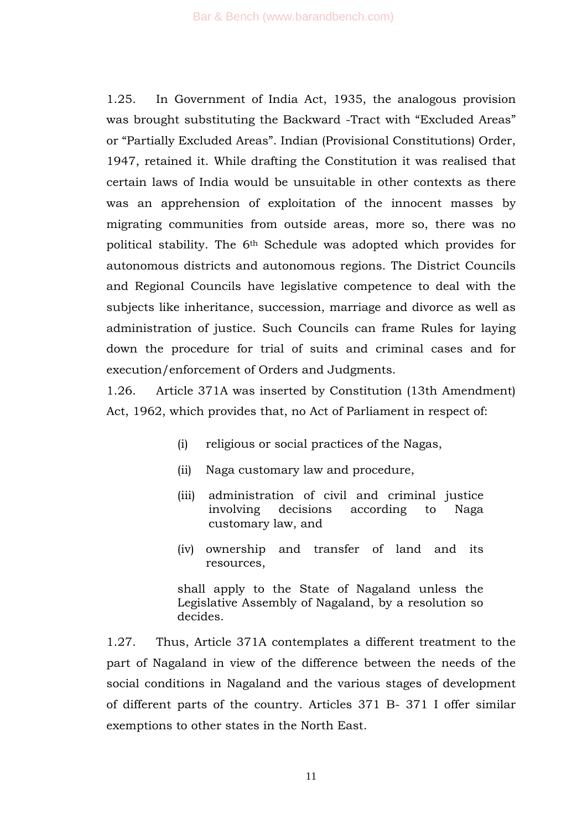1.25. In Government of India Act, 1935, the analogous provision was brought substituting the Backward -Tract with "Excluded Areas" or "Partially Excluded Areas". Indian (Provisional Constitutions) Order, 1947, retained it. While drafting the Constitution it was realised that certain laws of India would be unsuitable in other contexts as there was an apprehension of exploitation of the innocent masses by migrating communities from outside areas, more so, there was no political stability. The 6th Schedule was adopted which provides for autonomous districts and autonomous regions. The District Councils and Regional Councils have legislative competence to deal with the subjects like inheritance, succession, marriage and divorce as well as administration of justice. Such Councils can frame Rules for laying down the procedure for trial of suits and criminal cases and for execution/enforcement of Orders and Judgments.

1.26. Article 371A was inserted by Constitution (13th Amendment) Act, 1962, which provides that, no Act of Parliament in respect of:

- (i) religious or social practices of the Nagas,
- (ii) Naga customary law and procedure,
- (iii) administration of civil and criminal justice involving decisions according to Naga customary law, and
- (iv) ownership and transfer of land and its resources,

shall apply to the State of Nagaland unless the Legislative Assembly of Nagaland, by a resolution so decides.

1.27. Thus, Article 371A contemplates a different treatment to the part of Nagaland in view of the difference between the needs of the social conditions in Nagaland and the various stages of development of different parts of the country. Articles 371 B- 371 I offer similar exemptions to other states in the North East.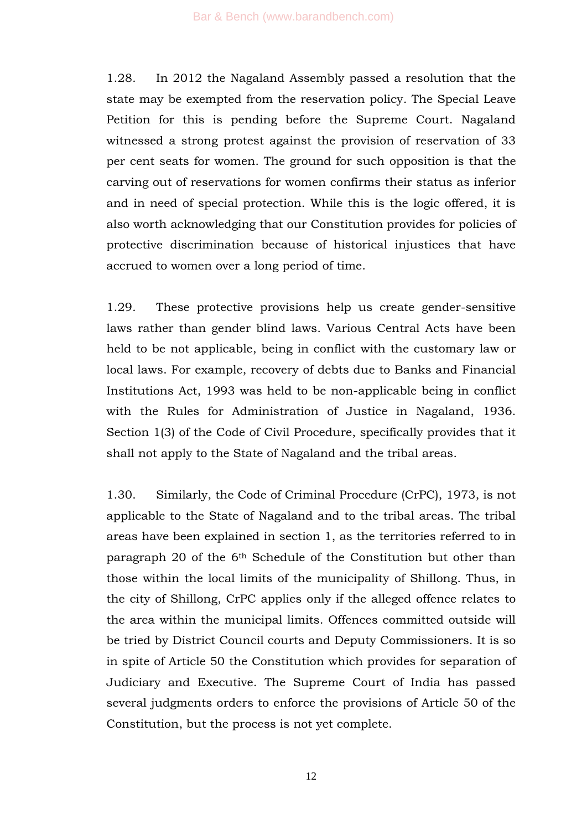1.28. In 2012 the Nagaland Assembly passed a resolution that the state may be exempted from the reservation policy. The Special Leave Petition for this is pending before the Supreme Court. Nagaland witnessed a strong protest against the provision of reservation of 33 per cent seats for women. The ground for such opposition is that the carving out of reservations for women confirms their status as inferior and in need of special protection. While this is the logic offered, it is also worth acknowledging that our Constitution provides for policies of protective discrimination because of historical injustices that have accrued to women over a long period of time.

1.29. These protective provisions help us create gender-sensitive laws rather than gender blind laws. Various Central Acts have been held to be not applicable, being in conflict with the customary law or local laws. For example, recovery of debts due to Banks and Financial Institutions Act, 1993 was held to be non-applicable being in conflict with the Rules for Administration of Justice in Nagaland, 1936. Section 1(3) of the Code of Civil Procedure, specifically provides that it shall not apply to the State of Nagaland and the tribal areas.

1.30. Similarly, the Code of Criminal Procedure (CrPC), 1973, is not applicable to the State of Nagaland and to the tribal areas. The tribal areas have been explained in section 1, as the territories referred to in paragraph 20 of the 6th Schedule of the Constitution but other than those within the local limits of the municipality of Shillong. Thus, in the city of Shillong, CrPC applies only if the alleged offence relates to the area within the municipal limits. Offences committed outside will be tried by District Council courts and Deputy Commissioners. It is so in spite of Article 50 the Constitution which provides for separation of Judiciary and Executive. The Supreme Court of India has passed several judgments orders to enforce the provisions of Article 50 of the Constitution, but the process is not yet complete.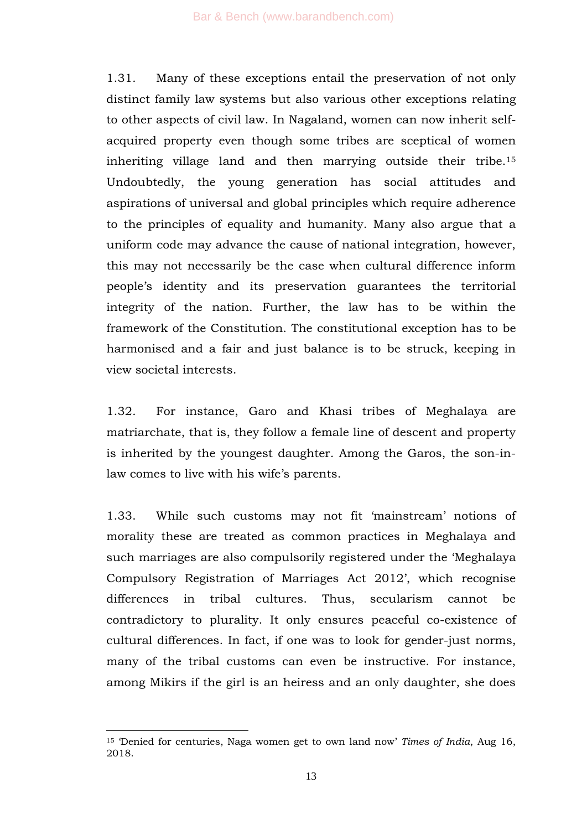1.31. Many of these exceptions entail the preservation of not only distinct family law systems but also various other exceptions relating to other aspects of civil law. In Nagaland, women can now inherit selfacquired property even though some tribes are sceptical of women inheriting village land and then marrying outside their tribe.<sup>15</sup> Undoubtedly, the young generation has social attitudes and aspirations of universal and global principles which require adherence to the principles of equality and humanity. Many also argue that a uniform code may advance the cause of national integration, however, this may not necessarily be the case when cultural difference inform people's identity and its preservation guarantees the territorial integrity of the nation. Further, the law has to be within the framework of the Constitution. The constitutional exception has to be harmonised and a fair and just balance is to be struck, keeping in view societal interests.

1.32. For instance, Garo and Khasi tribes of Meghalaya are matriarchate, that is, they follow a female line of descent and property is inherited by the youngest daughter. Among the Garos, the son-inlaw comes to live with his wife's parents.

1.33. While such customs may not fit 'mainstream' notions of morality these are treated as common practices in Meghalaya and such marriages are also compulsorily registered under the 'Meghalaya' Compulsory Registration of Marriages Act 2012', which recognise differences in tribal cultures. Thus, secularism cannot be contradictory to plurality. It only ensures peaceful co-existence of cultural differences. In fact, if one was to look for gender-just norms, many of the tribal customs can even be instructive. For instance, among Mikirs if the girl is an heiress and an only daughter, she does

-

<sup>&</sup>lt;sup>15</sup> Denied for centuries, Naga women get to own land now' *Times of India*, Aug 16, 2018.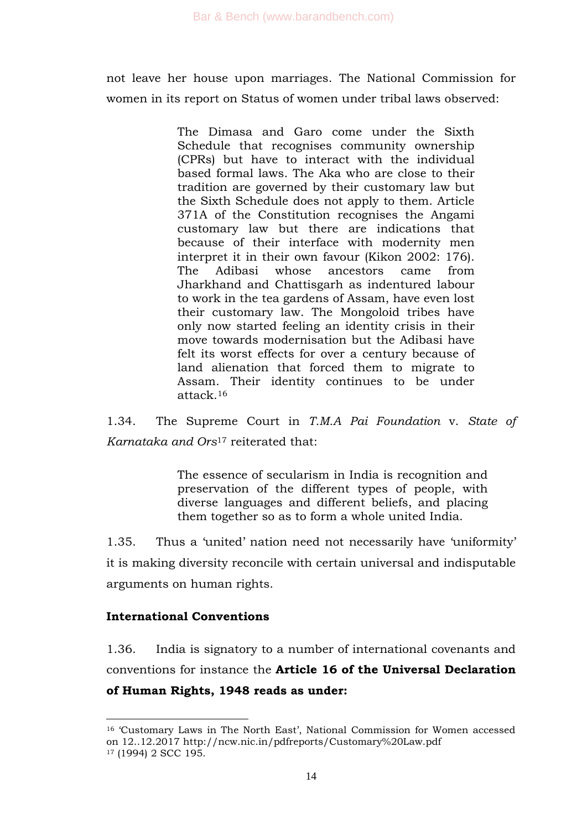not leave her house upon marriages. The National Commission for women in its report on Status of women under tribal laws observed:

> The Dimasa and Garo come under the Sixth Schedule that recognises community ownership (CPRs) but have to interact with the individual based formal laws. The Aka who are close to their tradition are governed by their customary law but the Sixth Schedule does not apply to them. Article 371A of the Constitution recognises the Angami customary law but there are indications that because of their interface with modernity men interpret it in their own favour (Kikon 2002: 176). The Adibasi whose ancestors came from Jharkhand and Chattisgarh as indentured labour to work in the tea gardens of Assam, have even lost their customary law. The Mongoloid tribes have only now started feeling an identity crisis in their move towards modernisation but the Adibasi have felt its worst effects for over a century because of land alienation that forced them to migrate to Assam. Their identity continues to be under attack.<sup>16</sup>

1.34. The Supreme Court in *T.M.A Pai Foundation* v. *State of Karnataka and Ors*<sup>17</sup> reiterated that:

> The essence of secularism in India is recognition and preservation of the different types of people, with diverse languages and different beliefs, and placing them together so as to form a whole united India.

1.35. Thus a 'united' nation need not necessarily have 'uniformity' it is making diversity reconcile with certain universal and indisputable arguments on human rights.

### **International Conventions**

1

1.36. India is signatory to a number of international covenants and conventions for instance the **Article 16 of the Universal Declaration of Human Rights, 1948 reads as under:**

<sup>&</sup>lt;sup>16</sup> 'Customary Laws in The North East', National Commission for Women accessed on 12..12.2017 http://ncw.nic.in/pdfreports/Customary%20Law.pdf <sup>17</sup> (1994) 2 SCC 195.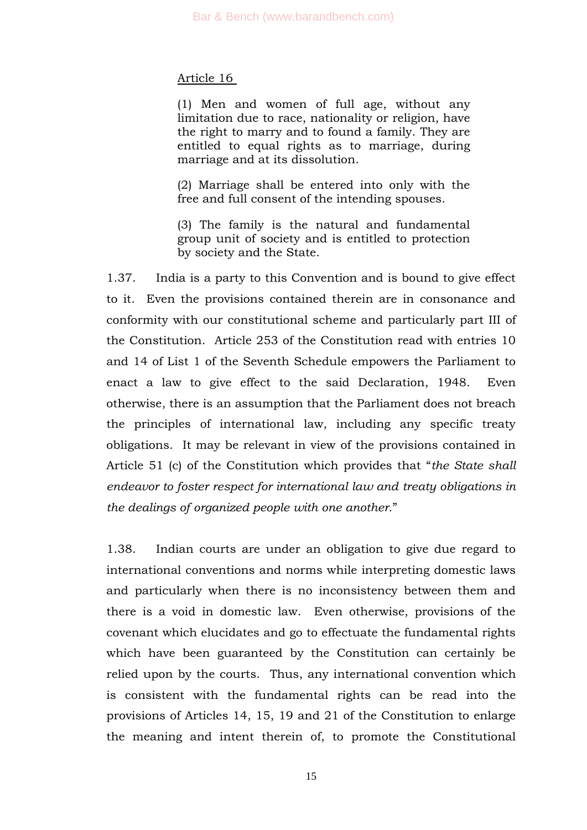#### Article 16

(1) Men and women of full age, without any limitation due to race, nationality or religion, have the right to marry and to found a family. They are entitled to equal rights as to marriage, during marriage and at its dissolution.

(2) Marriage shall be entered into only with the free and full consent of the intending spouses.

(3) The family is the natural and fundamental group unit of society and is entitled to protection by society and the State.

1.37. India is a party to this Convention and is bound to give effect to it. Even the provisions contained therein are in consonance and conformity with our constitutional scheme and particularly part III of the Constitution. Article 253 of the Constitution read with entries 10 and 14 of List 1 of the Seventh Schedule empowers the Parliament to enact a law to give effect to the said Declaration, 1948. Even otherwise, there is an assumption that the Parliament does not breach the principles of international law, including any specific treaty obligations. It may be relevant in view of the provisions contained in Article 51 (c) of the Constitution which provides that "*the State shall endeavor to foster respect for international law and treaty obligations in the dealings of organized people with one another.*‖

1.38. Indian courts are under an obligation to give due regard to international conventions and norms while interpreting domestic laws and particularly when there is no inconsistency between them and there is a void in domestic law. Even otherwise, provisions of the covenant which elucidates and go to effectuate the fundamental rights which have been guaranteed by the Constitution can certainly be relied upon by the courts. Thus, any international convention which is consistent with the fundamental rights can be read into the provisions of Articles 14, 15, 19 and 21 of the Constitution to enlarge the meaning and intent therein of, to promote the Constitutional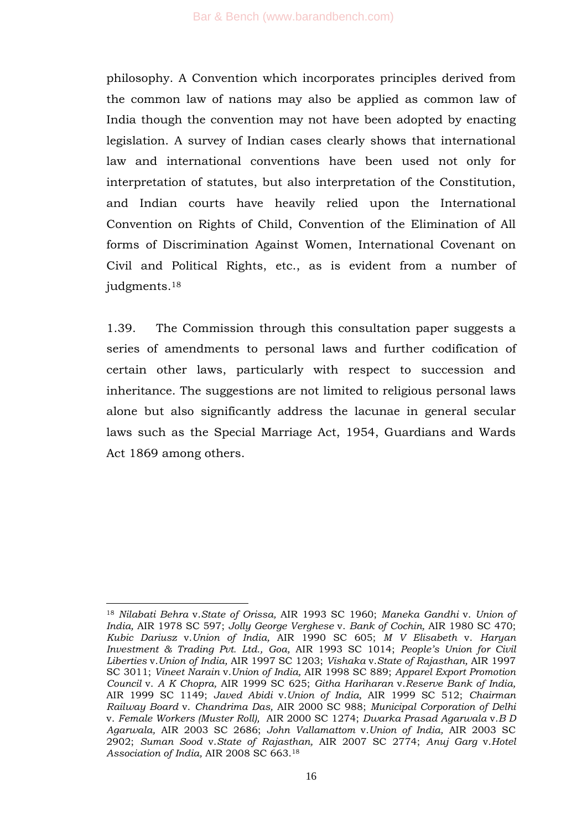philosophy. A Convention which incorporates principles derived from the common law of nations may also be applied as common law of India though the convention may not have been adopted by enacting legislation. A survey of Indian cases clearly shows that international law and international conventions have been used not only for interpretation of statutes, but also interpretation of the Constitution, and Indian courts have heavily relied upon the International Convention on Rights of Child, Convention of the Elimination of All forms of Discrimination Against Women, International Covenant on Civil and Political Rights, etc., as is evident from a number of judgments.<sup>18</sup>

1.39. The Commission through this consultation paper suggests a series of amendments to personal laws and further codification of certain other laws, particularly with respect to succession and inheritance. The suggestions are not limited to religious personal laws alone but also significantly address the lacunae in general secular laws such as the Special Marriage Act, 1954, Guardians and Wards Act 1869 among others.

<sup>-</sup><sup>18</sup> *Nilabati Behra* v.*State of Orissa,* AIR 1993 SC 1960; *Maneka Gandhi* v. *Union of India,* AIR 1978 SC 597; *Jolly George Verghese* v. *Bank of Cochin,* AIR 1980 SC 470; *Kubic Dariusz* v.*Union of India,* AIR 1990 SC 605; *M V Elisabeth* v. *Haryan Investment & Trading Pvt. Ltd., Goa,* AIR 1993 SC 1014; *People"s Union for Civil Liberties* v.*Union of India,* AIR 1997 SC 1203; *Vishaka* v.*State of Rajasthan,* AIR 1997 SC 3011; *Vineet Narain* v.*Union of India,* AIR 1998 SC 889; *Apparel Export Promotion Council* v. *A K Chopra,* AIR 1999 SC 625; *Githa Hariharan* v.*Reserve Bank of India,*  AIR 1999 SC 1149; *Javed Abidi* v.*Union of India,* AIR 1999 SC 512; *Chairman Railway Board* v. *Chandrima Das,* AIR 2000 SC 988; *Municipal Corporation of Delhi*  v. *Female Workers (Muster Roll),* AIR 2000 SC 1274; *Dwarka Prasad Agarwala* v.*B D Agarwala,* AIR 2003 SC 2686; *John Vallamattom* v.*Union of India,* AIR 2003 SC 2902; *Suman Sood* v.*State of Rajasthan,* AIR 2007 SC 2774; *Anuj Garg* v.*Hotel Association of India,* AIR 2008 SC 663.<sup>18</sup>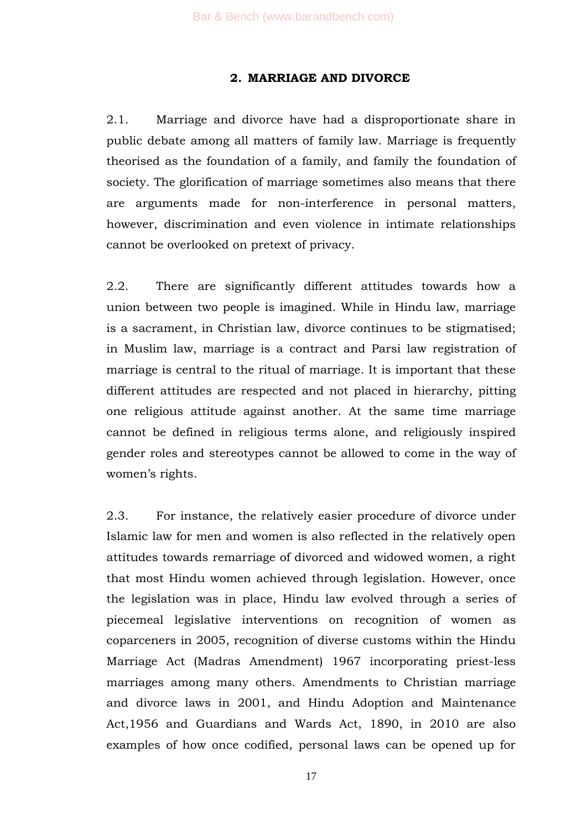#### **2. MARRIAGE AND DIVORCE**

2.1. Marriage and divorce have had a disproportionate share in public debate among all matters of family law. Marriage is frequently theorised as the foundation of a family, and family the foundation of society. The glorification of marriage sometimes also means that there are arguments made for non-interference in personal matters, however, discrimination and even violence in intimate relationships cannot be overlooked on pretext of privacy.

2.2. There are significantly different attitudes towards how a union between two people is imagined. While in Hindu law, marriage is a sacrament, in Christian law, divorce continues to be stigmatised; in Muslim law, marriage is a contract and Parsi law registration of marriage is central to the ritual of marriage. It is important that these different attitudes are respected and not placed in hierarchy, pitting one religious attitude against another. At the same time marriage cannot be defined in religious terms alone, and religiously inspired gender roles and stereotypes cannot be allowed to come in the way of women's rights.

2.3. For instance, the relatively easier procedure of divorce under Islamic law for men and women is also reflected in the relatively open attitudes towards remarriage of divorced and widowed women, a right that most Hindu women achieved through legislation. However, once the legislation was in place, Hindu law evolved through a series of piecemeal legislative interventions on recognition of women as coparceners in 2005, recognition of diverse customs within the Hindu Marriage Act (Madras Amendment) 1967 incorporating priest-less marriages among many others. Amendments to Christian marriage and divorce laws in 2001, and Hindu Adoption and Maintenance Act,1956 and Guardians and Wards Act, 1890, in 2010 are also examples of how once codified, personal laws can be opened up for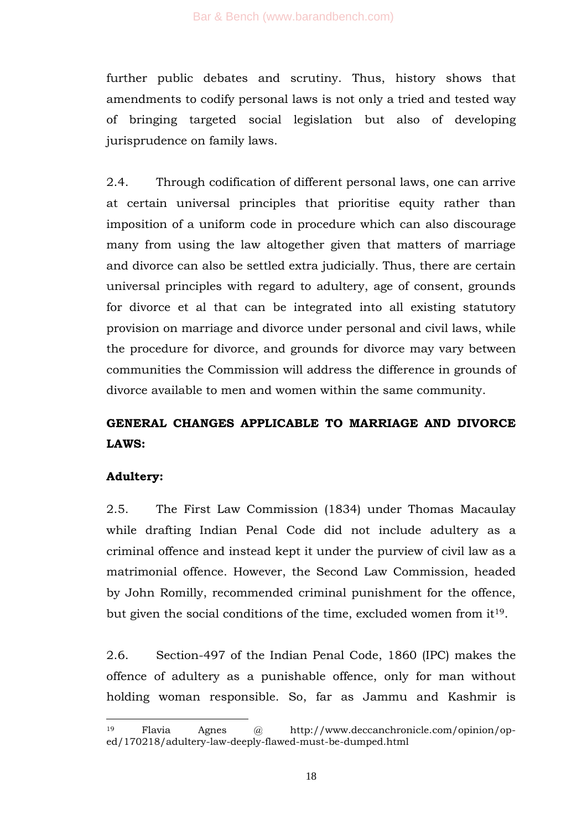further public debates and scrutiny. Thus, history shows that amendments to codify personal laws is not only a tried and tested way of bringing targeted social legislation but also of developing jurisprudence on family laws.

2.4. Through codification of different personal laws, one can arrive at certain universal principles that prioritise equity rather than imposition of a uniform code in procedure which can also discourage many from using the law altogether given that matters of marriage and divorce can also be settled extra judicially. Thus, there are certain universal principles with regard to adultery, age of consent, grounds for divorce et al that can be integrated into all existing statutory provision on marriage and divorce under personal and civil laws, while the procedure for divorce, and grounds for divorce may vary between communities the Commission will address the difference in grounds of divorce available to men and women within the same community.

# **GENERAL CHANGES APPLICABLE TO MARRIAGE AND DIVORCE LAWS:**

## **Adultery:**

1

2.5. The First Law Commission (1834) under Thomas Macaulay while drafting Indian Penal Code did not include adultery as a criminal offence and instead kept it under the purview of civil law as a matrimonial offence. However, the Second Law Commission, headed by John Romilly, recommended criminal punishment for the offence, but given the social conditions of the time, excluded women from  $it<sup>19</sup>$ .

2.6. Section-497 of the Indian Penal Code, 1860 (IPC) makes the offence of adultery as a punishable offence, only for man without holding woman responsible. So, far as Jammu and Kashmir is

<sup>19</sup> Flavia Agnes @ http://www.deccanchronicle.com/opinion/oped/170218/adultery-law-deeply-flawed-must-be-dumped.html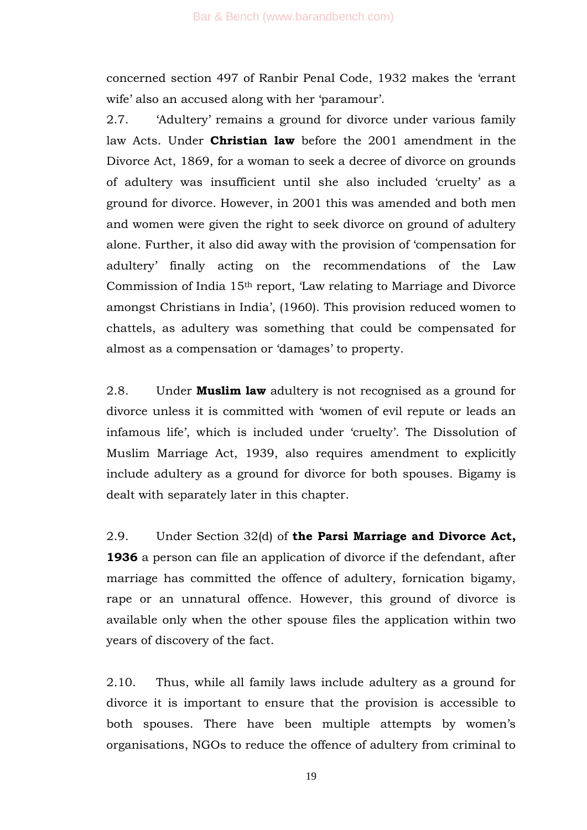concerned section 497 of Ranbir Penal Code, 1932 makes the 'errant wife' also an accused along with her 'paramour'.

2.7. 'Adultery' remains a ground for divorce under various family law Acts. Under **Christian law** before the 2001 amendment in the Divorce Act, 1869, for a woman to seek a decree of divorce on grounds of adultery was insufficient until she also included ‗cruelty' as a ground for divorce. However, in 2001 this was amended and both men and women were given the right to seek divorce on ground of adultery alone. Further, it also did away with the provision of ‗compensation for adultery' finally acting on the recommendations of the Law Commission of India 15<sup>th</sup> report, 'Law relating to Marriage and Divorce amongst Christians in India', (1960). This provision reduced women to chattels, as adultery was something that could be compensated for almost as a compensation or 'damages' to property.

2.8. Under **Muslim law** adultery is not recognised as a ground for divorce unless it is committed with 'women of evil repute or leads an infamous life', which is included under 'cruelty'. The Dissolution of Muslim Marriage Act, 1939, also requires amendment to explicitly include adultery as a ground for divorce for both spouses. Bigamy is dealt with separately later in this chapter.

2.9. Under Section 32(d) of **the Parsi Marriage and Divorce Act, 1936** a person can file an application of divorce if the defendant, after marriage has committed the offence of adultery, fornication bigamy, rape or an unnatural offence. However, this ground of divorce is available only when the other spouse files the application within two years of discovery of the fact.

2.10. Thus, while all family laws include adultery as a ground for divorce it is important to ensure that the provision is accessible to both spouses. There have been multiple attempts by women's organisations, NGOs to reduce the offence of adultery from criminal to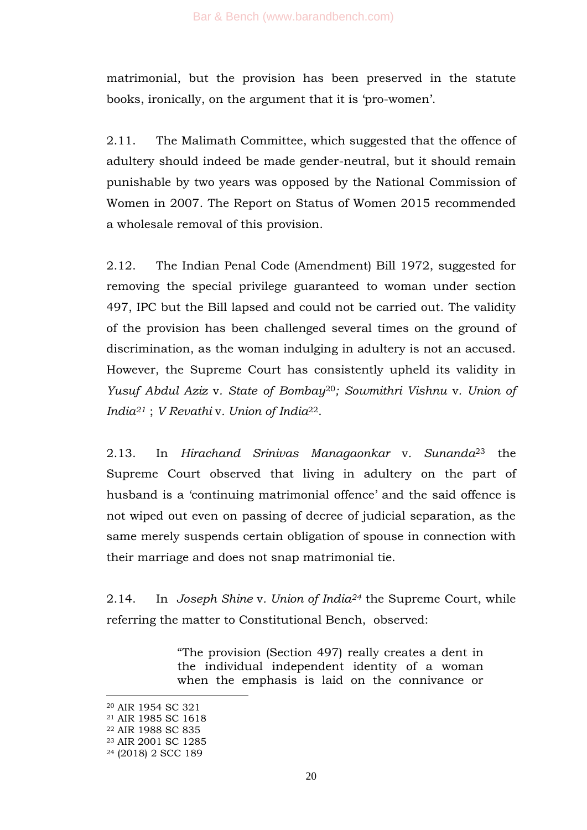matrimonial, but the provision has been preserved in the statute books, ironically, on the argument that it is 'pro-women'.

2.11. The Malimath Committee, which suggested that the offence of adultery should indeed be made gender-neutral, but it should remain punishable by two years was opposed by the National Commission of Women in 2007. The Report on Status of Women 2015 recommended a wholesale removal of this provision.

2.12. The Indian Penal Code (Amendment) Bill 1972, suggested for removing the special privilege guaranteed to woman under section 497, IPC but the Bill lapsed and could not be carried out. The validity of the provision has been challenged several times on the ground of discrimination, as the woman indulging in adultery is not an accused. However, the Supreme Court has consistently upheld its validity in *Yusuf Abdul Aziz* v*. State of Bombay*20*; Sowmithri Vishnu* v*. Union of India<sup>21</sup>* ; *V Revathi* v*. Union of India*22.

2.13. In *Hirachand Srinivas Managaonkar* v*. Sunanda*<sup>23</sup> the Supreme Court observed that living in adultery on the part of husband is a 'continuing matrimonial offence' and the said offence is not wiped out even on passing of decree of judicial separation, as the same merely suspends certain obligation of spouse in connection with their marriage and does not snap matrimonial tie.

2.14. In *Joseph Shine* v*. Union of India<sup>24</sup>* the Supreme Court, while referring the matter to Constitutional Bench, observed:

> ―The provision (Section 497) really creates a dent in the individual independent identity of a woman when the emphasis is laid on the connivance or

-

<sup>20</sup> AIR 1954 SC 321

<sup>21</sup> AIR 1985 SC 1618

<sup>22</sup> AIR 1988 SC 835

<sup>23</sup> AIR 2001 SC 1285

<sup>24</sup> (2018) 2 SCC 189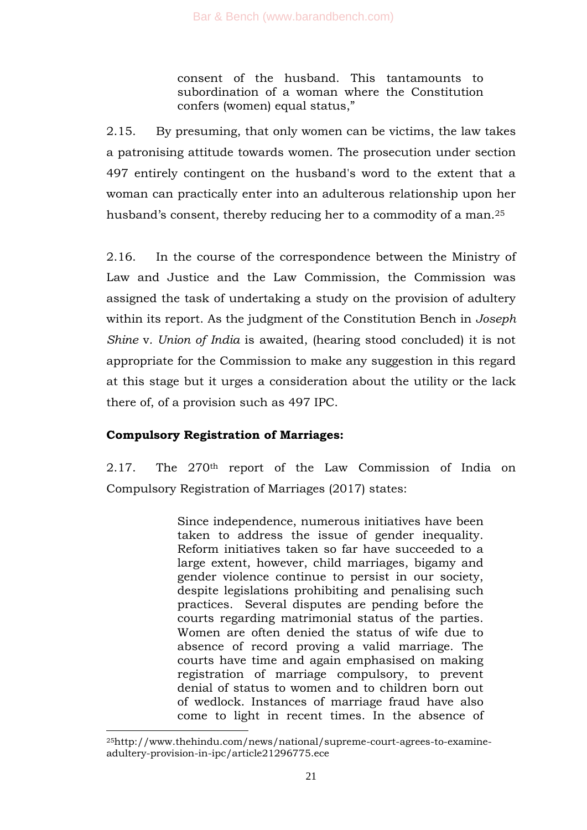consent of the husband. This tantamounts to subordination of a woman where the Constitution confers (women) equal status,"

2.15. By presuming, that only women can be victims, the law takes a patronising attitude towards women. The prosecution under section 497 entirely contingent on the husband's word to the extent that a woman can practically enter into an adulterous relationship upon her husband's consent, thereby reducing her to a commodity of a man.<sup>25</sup>

2.16. In the course of the correspondence between the Ministry of Law and Justice and the Law Commission, the Commission was assigned the task of undertaking a study on the provision of adultery within its report. As the judgment of the Constitution Bench in *Joseph Shine* v*. Union of India* is awaited, (hearing stood concluded) it is not appropriate for the Commission to make any suggestion in this regard at this stage but it urges a consideration about the utility or the lack there of, of a provision such as 497 IPC.

## **Compulsory Registration of Marriages:**

-

2.17. The 270th report of the Law Commission of India on Compulsory Registration of Marriages (2017) states:

> Since independence, numerous initiatives have been taken to address the issue of gender inequality. Reform initiatives taken so far have succeeded to a large extent, however, child marriages, bigamy and gender violence continue to persist in our society, despite legislations prohibiting and penalising such practices. Several disputes are pending before the courts regarding matrimonial status of the parties. Women are often denied the status of wife due to absence of record proving a valid marriage. The courts have time and again emphasised on making registration of marriage compulsory, to prevent denial of status to women and to children born out of wedlock. Instances of marriage fraud have also come to light in recent times. In the absence of

<sup>25</sup>http://www.thehindu.com/news/national/supreme-court-agrees-to-examineadultery-provision-in-ipc/article21296775.ece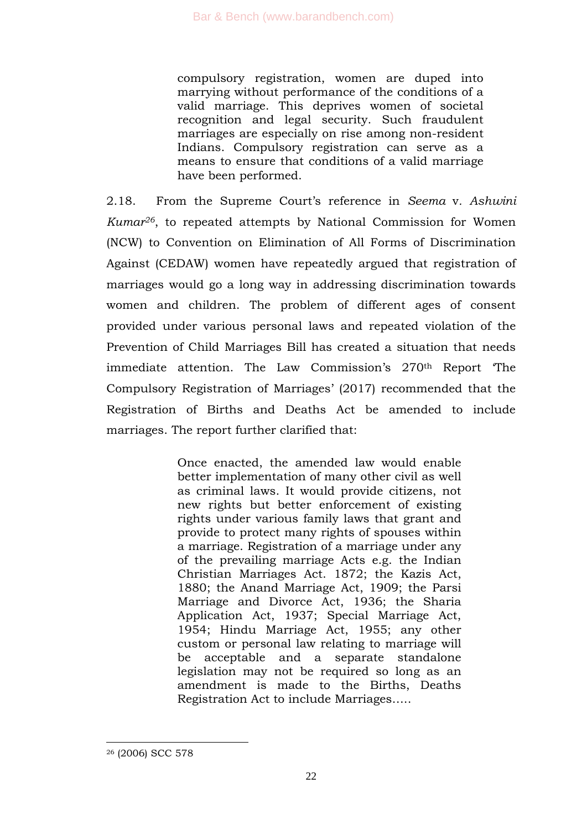compulsory registration, women are duped into marrying without performance of the conditions of a valid marriage. This deprives women of societal recognition and legal security. Such fraudulent marriages are especially on rise among non-resident Indians. Compulsory registration can serve as a means to ensure that conditions of a valid marriage have been performed.

2.18. From the Supreme Court's reference in *Seema* v*. Ashwini Kumar26*, to repeated attempts by National Commission for Women (NCW) to Convention on Elimination of All Forms of Discrimination Against (CEDAW) women have repeatedly argued that registration of marriages would go a long way in addressing discrimination towards women and children. The problem of different ages of consent provided under various personal laws and repeated violation of the Prevention of Child Marriages Bill has created a situation that needs immediate attention. The Law Commission's 270<sup>th</sup> Report The Compulsory Registration of Marriages' (2017) recommended that the Registration of Births and Deaths Act be amended to include marriages. The report further clarified that:

> Once enacted, the amended law would enable better implementation of many other civil as well as criminal laws. It would provide citizens, not new rights but better enforcement of existing rights under various family laws that grant and provide to protect many rights of spouses within a marriage. Registration of a marriage under any of the prevailing marriage Acts e.g. the Indian Christian Marriages Act. 1872; the Kazis Act, 1880; the Anand Marriage Act, 1909; the Parsi Marriage and Divorce Act, 1936; the Sharia Application Act, 1937; Special Marriage Act, 1954; Hindu Marriage Act, 1955; any other custom or personal law relating to marriage will be acceptable and a separate standalone legislation may not be required so long as an amendment is made to the Births, Deaths Registration Act to include Marriages…..

<sup>26</sup> (2006) SCC 578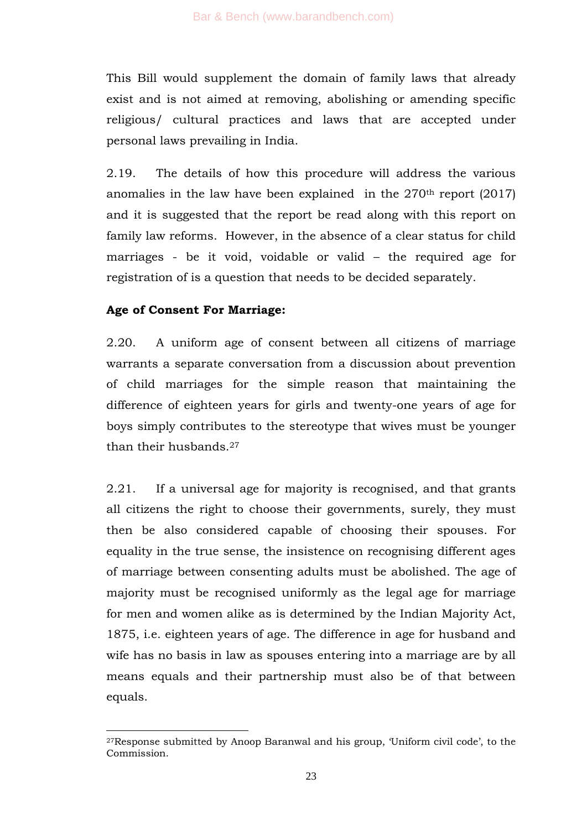This Bill would supplement the domain of family laws that already exist and is not aimed at removing, abolishing or amending specific religious/ cultural practices and laws that are accepted under personal laws prevailing in India.

2.19. The details of how this procedure will address the various anomalies in the law have been explained in the  $270<sup>th</sup>$  report (2017) and it is suggested that the report be read along with this report on family law reforms. However, in the absence of a clear status for child marriages - be it void, voidable or valid – the required age for registration of is a question that needs to be decided separately.

#### **Age of Consent For Marriage:**

-

2.20. A uniform age of consent between all citizens of marriage warrants a separate conversation from a discussion about prevention of child marriages for the simple reason that maintaining the difference of eighteen years for girls and twenty-one years of age for boys simply contributes to the stereotype that wives must be younger than their husbands.<sup>27</sup>

2.21. If a universal age for majority is recognised, and that grants all citizens the right to choose their governments, surely, they must then be also considered capable of choosing their spouses. For equality in the true sense, the insistence on recognising different ages of marriage between consenting adults must be abolished. The age of majority must be recognised uniformly as the legal age for marriage for men and women alike as is determined by the Indian Majority Act, 1875, i.e. eighteen years of age. The difference in age for husband and wife has no basis in law as spouses entering into a marriage are by all means equals and their partnership must also be of that between equals.

<sup>27</sup>Response submitted by Anoop Baranwal and his group, ‗Uniform civil code', to the Commission.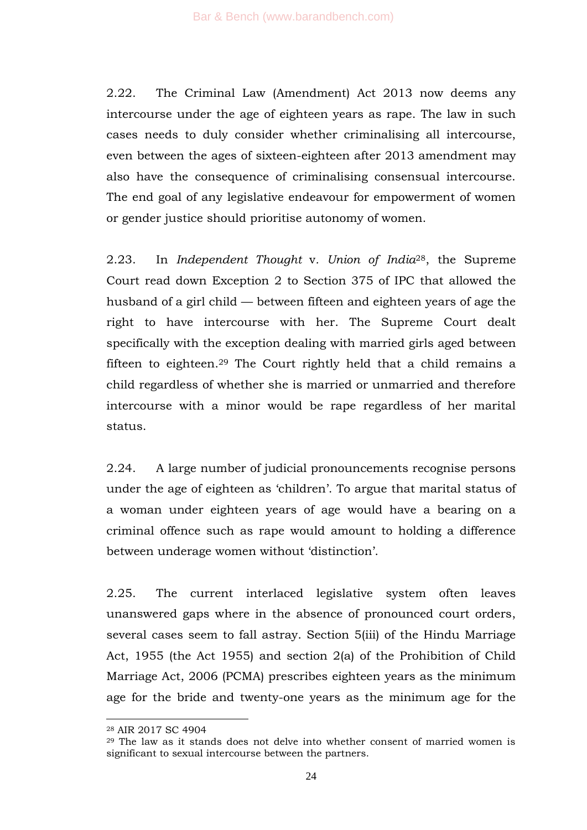2.22. The Criminal Law (Amendment) Act 2013 now deems any intercourse under the age of eighteen years as rape. The law in such cases needs to duly consider whether criminalising all intercourse, even between the ages of sixteen-eighteen after 2013 amendment may also have the consequence of criminalising consensual intercourse. The end goal of any legislative endeavour for empowerment of women or gender justice should prioritise autonomy of women.

2.23. In *Independent Thought* v*. Union of India*28, the Supreme Court read down Exception 2 to Section 375 of IPC that allowed the husband of a girl child — between fifteen and eighteen years of age the right to have intercourse with her. The Supreme Court dealt specifically with the exception dealing with married girls aged between fifteen to eighteen. <sup>29</sup> The Court rightly held that a child remains a child regardless of whether she is married or unmarried and therefore intercourse with a minor would be rape regardless of her marital status.

2.24. A large number of judicial pronouncements recognise persons under the age of eighteen as 'children'. To argue that marital status of a woman under eighteen years of age would have a bearing on a criminal offence such as rape would amount to holding a difference between underage women without 'distinction'.

2.25. The current interlaced legislative system often leaves unanswered gaps where in the absence of pronounced court orders, several cases seem to fall astray. Section 5(iii) of the Hindu Marriage Act, 1955 (the Act 1955) and section 2(a) of the Prohibition of Child Marriage Act, 2006 (PCMA) prescribes eighteen years as the minimum age for the bride and twenty-one years as the minimum age for the

<sup>28</sup> AIR 2017 SC 4904

<sup>29</sup> The law as it stands does not delve into whether consent of married women is significant to sexual intercourse between the partners.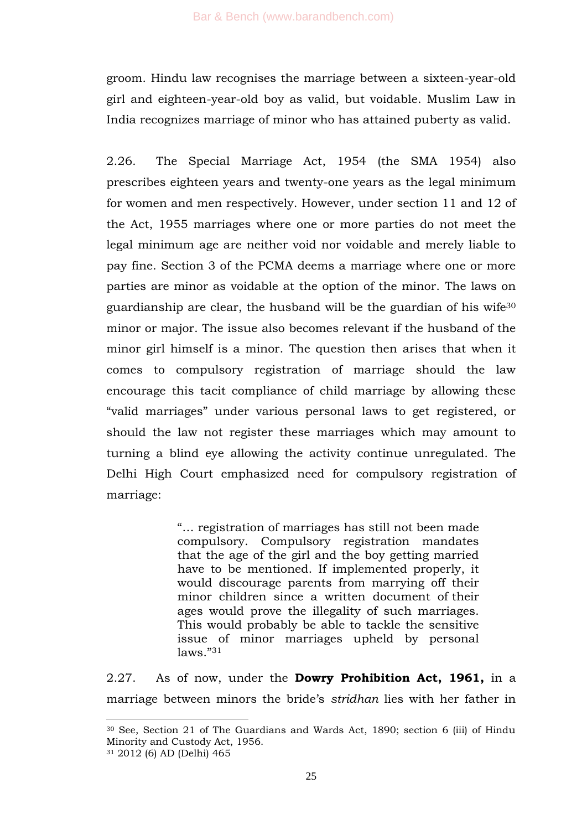groom. Hindu law recognises the marriage between a sixteen-year-old girl and eighteen-year-old boy as valid, but voidable. Muslim Law in India recognizes marriage of minor who has attained puberty as valid.

2.26. The Special Marriage Act, 1954 (the SMA 1954) also prescribes eighteen years and twenty-one years as the legal minimum for women and men respectively. However, under section 11 and 12 of the Act, 1955 marriages where one or more parties do not meet the legal minimum age are neither void nor voidable and merely liable to pay fine. Section 3 of the PCMA deems a marriage where one or more parties are minor as voidable at the option of the minor. The laws on guardianship are clear, the husband will be the guardian of his wife<sup>30</sup> minor or major. The issue also becomes relevant if the husband of the minor girl himself is a minor. The question then arises that when it comes to compulsory registration of marriage should the law encourage this tacit compliance of child marriage by allowing these ―valid marriages‖ under various personal laws to get registered, or should the law not register these marriages which may amount to turning a blind eye allowing the activity continue unregulated. The Delhi High Court emphasized need for compulsory registration of marriage:

> ―… registration of marriages has still not been made compulsory. Compulsory registration mandates that the age of the girl and the boy getting married have to be mentioned. If implemented properly, it would discourage parents from marrying off their minor children since a written document of their ages would prove the illegality of such marriages. This would probably be able to tackle the sensitive issue of minor marriages upheld by personal  $l$ aws." $31$

2.27. As of now, under the **Dowry Prohibition Act, 1961,** in a marriage between minors the bride's *stridhan* lies with her father in

<sup>30</sup> See, Section 21 of The Guardians and Wards Act, 1890; section 6 (iii) of Hindu Minority and Custody Act, 1956.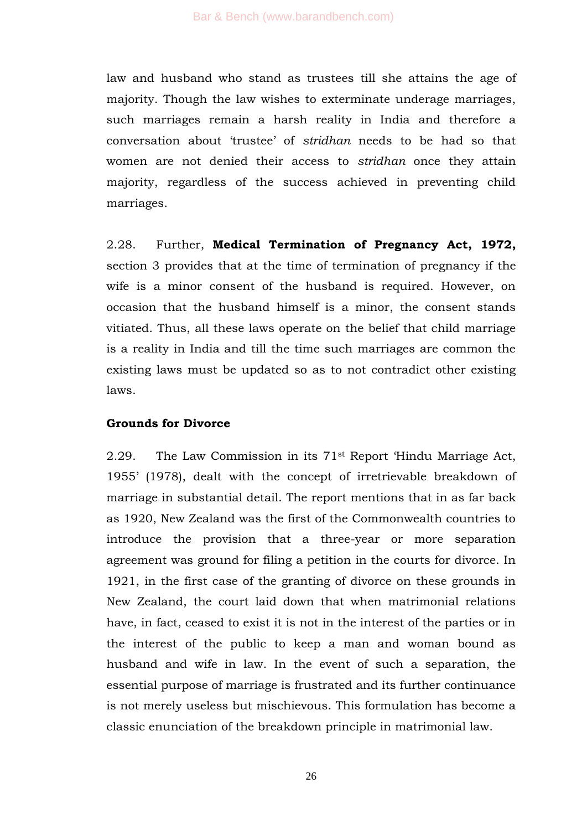law and husband who stand as trustees till she attains the age of majority. Though the law wishes to exterminate underage marriages, such marriages remain a harsh reality in India and therefore a conversation about ‗trustee' of *stridhan* needs to be had so that women are not denied their access to *stridhan* once they attain majority, regardless of the success achieved in preventing child marriages.

2.28. Further, **Medical Termination of Pregnancy Act, 1972,** section 3 provides that at the time of termination of pregnancy if the wife is a minor consent of the husband is required. However, on occasion that the husband himself is a minor, the consent stands vitiated. Thus, all these laws operate on the belief that child marriage is a reality in India and till the time such marriages are common the existing laws must be updated so as to not contradict other existing laws.

#### **Grounds for Divorce**

2.29. The Law Commission in its  $71<sup>st</sup>$  Report 'Hindu Marriage Act, 1955' (1978), dealt with the concept of irretrievable breakdown of marriage in substantial detail. The report mentions that in as far back as 1920, New Zealand was the first of the Commonwealth countries to introduce the provision that a three-year or more separation agreement was ground for filing a petition in the courts for divorce. In 1921, in the first case of the granting of divorce on these grounds in New Zealand, the court laid down that when matrimonial relations have, in fact, ceased to exist it is not in the interest of the parties or in the interest of the public to keep a man and woman bound as husband and wife in law. In the event of such a separation, the essential purpose of marriage is frustrated and its further continuance is not merely useless but mischievous. This formulation has become a classic enunciation of the breakdown principle in matrimonial law.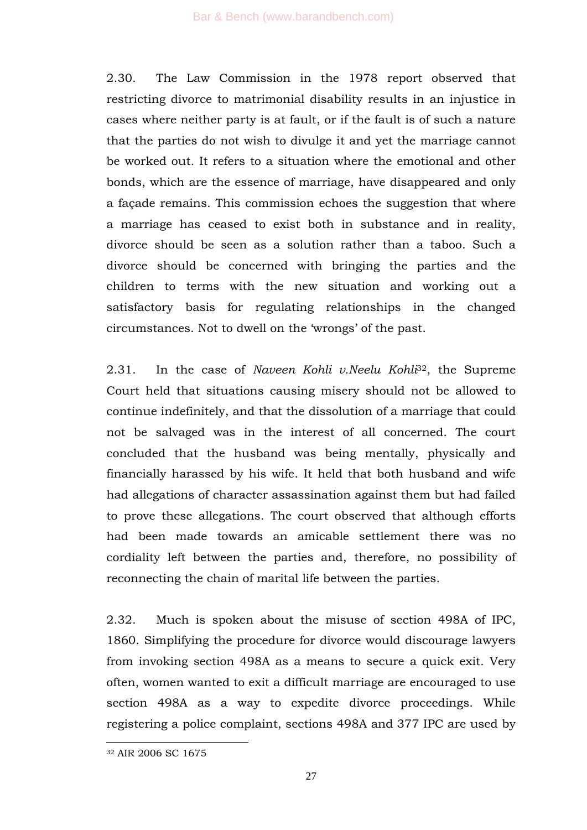2.30. The Law Commission in the 1978 report observed that restricting divorce to matrimonial disability results in an injustice in cases where neither party is at fault, or if the fault is of such a nature that the parties do not wish to divulge it and yet the marriage cannot be worked out. It refers to a situation where the emotional and other bonds, which are the essence of marriage, have disappeared and only a façade remains. This commission echoes the suggestion that where a marriage has ceased to exist both in substance and in reality, divorce should be seen as a solution rather than a taboo. Such a divorce should be concerned with bringing the parties and the children to terms with the new situation and working out a satisfactory basis for regulating relationships in the changed circumstances. Not to dwell on the 'wrongs' of the past.

2.31. In the case of *Naveen Kohli v.Neelu Kohli*32, the Supreme Court held that situations causing misery should not be allowed to continue indefinitely, and that the dissolution of a marriage that could not be salvaged was in the interest of all concerned. The court concluded that the husband was being mentally, physically and financially harassed by his wife. It held that both husband and wife had allegations of character assassination against them but had failed to prove these allegations. The court observed that although efforts had been made towards an amicable settlement there was no cordiality left between the parties and, therefore, no possibility of reconnecting the chain of marital life between the parties.

2.32. Much is spoken about the misuse of section 498A of IPC, 1860. Simplifying the procedure for divorce would discourage lawyers from invoking section 498A as a means to secure a quick exit. Very often, women wanted to exit a difficult marriage are encouraged to use section 498A as a way to expedite divorce proceedings. While registering a police complaint, sections 498A and 377 IPC are used by

<sup>32</sup> AIR 2006 SC 1675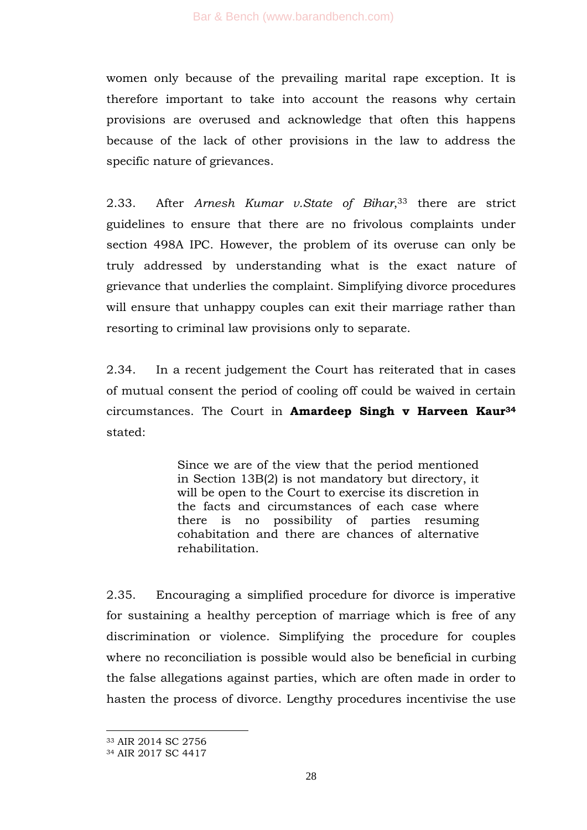women only because of the prevailing marital rape exception. It is therefore important to take into account the reasons why certain provisions are overused and acknowledge that often this happens because of the lack of other provisions in the law to address the specific nature of grievances.

2.33. After *Arnesh Kumar v.State of Bihar*, <sup>33</sup> there are strict guidelines to ensure that there are no frivolous complaints under section 498A IPC. However, the problem of its overuse can only be truly addressed by understanding what is the exact nature of grievance that underlies the complaint. Simplifying divorce procedures will ensure that unhappy couples can exit their marriage rather than resorting to criminal law provisions only to separate.

2.34. In a recent judgement the Court has reiterated that in cases of mutual consent the period of cooling off could be waived in certain circumstances. The Court in **Amardeep Singh v Harveen Kaur<sup>34</sup>** stated:

> Since we are of the view that the period mentioned in Section 13B(2) is not mandatory but directory, it will be open to the Court to exercise its discretion in the facts and circumstances of each case where there is no possibility of parties resuming cohabitation and there are chances of alternative rehabilitation.

2.35. Encouraging a simplified procedure for divorce is imperative for sustaining a healthy perception of marriage which is free of any discrimination or violence. Simplifying the procedure for couples where no reconciliation is possible would also be beneficial in curbing the false allegations against parties, which are often made in order to hasten the process of divorce. Lengthy procedures incentivise the use

-

<sup>33</sup> AIR 2014 SC 2756

<sup>34</sup> AIR 2017 SC 4417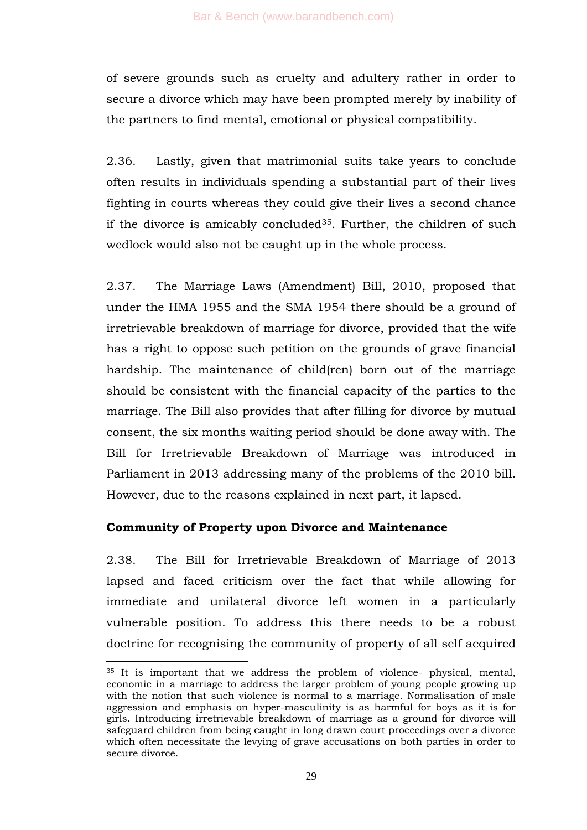of severe grounds such as cruelty and adultery rather in order to secure a divorce which may have been prompted merely by inability of the partners to find mental, emotional or physical compatibility.

2.36. Lastly, given that matrimonial suits take years to conclude often results in individuals spending a substantial part of their lives fighting in courts whereas they could give their lives a second chance if the divorce is amicably concluded35. Further, the children of such wedlock would also not be caught up in the whole process.

2.37. The Marriage Laws (Amendment) Bill, 2010, proposed that under the HMA 1955 and the SMA 1954 there should be a ground of irretrievable breakdown of marriage for divorce, provided that the wife has a right to oppose such petition on the grounds of grave financial hardship. The maintenance of child(ren) born out of the marriage should be consistent with the financial capacity of the parties to the marriage. The Bill also provides that after filling for divorce by mutual consent, the six months waiting period should be done away with. The Bill for Irretrievable Breakdown of Marriage was introduced in Parliament in 2013 addressing many of the problems of the 2010 bill. However, due to the reasons explained in next part, it lapsed.

## **Community of Property upon Divorce and Maintenance**

-

2.38. The Bill for Irretrievable Breakdown of Marriage of 2013 lapsed and faced criticism over the fact that while allowing for immediate and unilateral divorce left women in a particularly vulnerable position. To address this there needs to be a robust doctrine for recognising the community of property of all self acquired

<sup>35</sup> It is important that we address the problem of violence- physical, mental, economic in a marriage to address the larger problem of young people growing up with the notion that such violence is normal to a marriage. Normalisation of male aggression and emphasis on hyper-masculinity is as harmful for boys as it is for girls. Introducing irretrievable breakdown of marriage as a ground for divorce will safeguard children from being caught in long drawn court proceedings over a divorce which often necessitate the levying of grave accusations on both parties in order to secure divorce.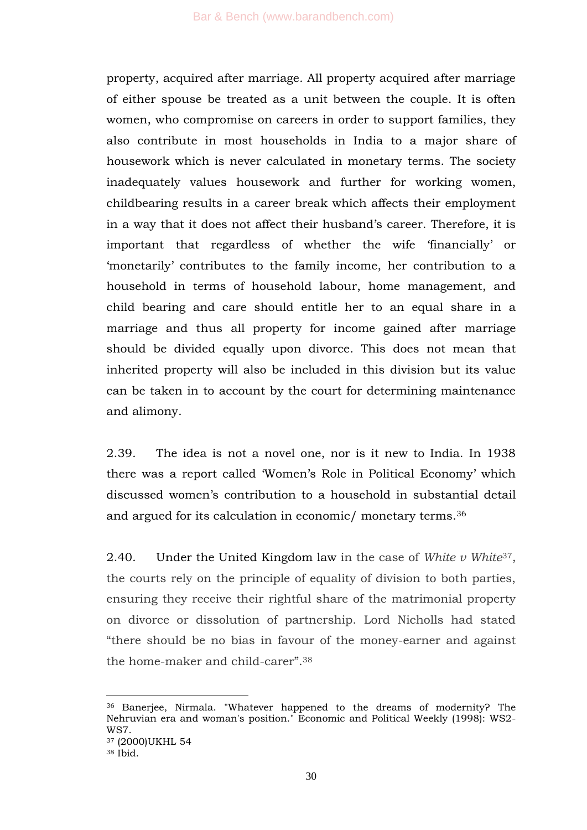property, acquired after marriage. All property acquired after marriage of either spouse be treated as a unit between the couple. It is often women, who compromise on careers in order to support families, they also contribute in most households in India to a major share of housework which is never calculated in monetary terms. The society inadequately values housework and further for working women, childbearing results in a career break which affects their employment in a way that it does not affect their husband's career. Therefore, it is important that regardless of whether the wife 'financially' or ‗monetarily' contributes to the family income, her contribution to a household in terms of household labour, home management, and child bearing and care should entitle her to an equal share in a marriage and thus all property for income gained after marriage should be divided equally upon divorce. This does not mean that inherited property will also be included in this division but its value can be taken in to account by the court for determining maintenance and alimony.

2.39. The idea is not a novel one, nor is it new to India. In 1938 there was a report called 'Women's Role in Political Economy' which discussed women's contribution to a household in substantial detail and argued for its calculation in economic/ monetary terms.<sup>36</sup>

2.40. Under the United Kingdom law in the case of *White v White*37, the courts rely on the principle of equality of division to both parties, ensuring they receive their rightful share of the matrimonial property on divorce or dissolution of partnership. Lord Nicholls had stated ―there should be no bias in favour of the money-earner and against the home-maker and child-carer".<sup>38</sup>

-

<sup>36</sup> Banerjee, Nirmala. "Whatever happened to the dreams of modernity? The Nehruvian era and woman's position." Economic and Political Weekly (1998): WS2- WS7. <sup>37</sup> (2000)UKHL 54

<sup>38</sup> Ibid.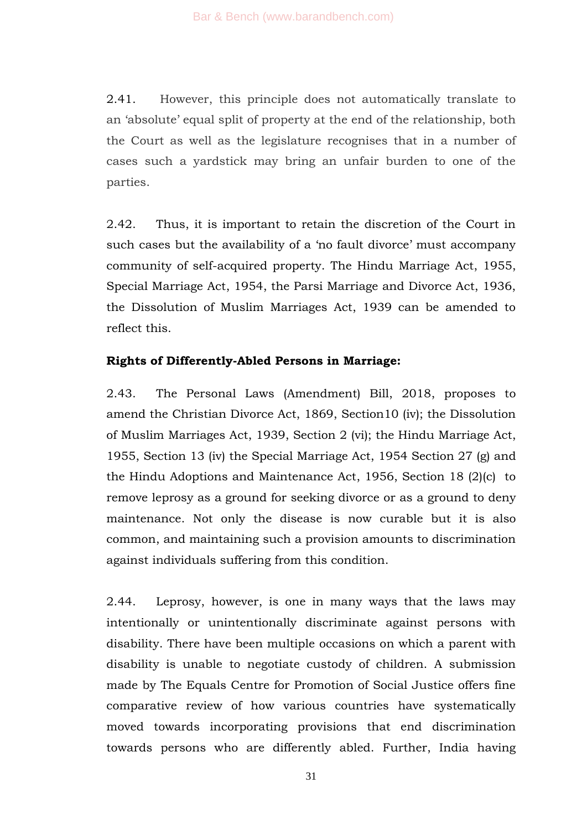2.41. However, this principle does not automatically translate to an 'absolute' equal split of property at the end of the relationship, both the Court as well as the legislature recognises that in a number of cases such a yardstick may bring an unfair burden to one of the parties.

2.42. Thus, it is important to retain the discretion of the Court in such cases but the availability of a 'no fault divorce' must accompany community of self-acquired property. The Hindu Marriage Act, 1955, Special Marriage Act, 1954, the Parsi Marriage and Divorce Act, 1936, the Dissolution of Muslim Marriages Act, 1939 can be amended to reflect this.

### **Rights of Differently-Abled Persons in Marriage:**

2.43. The Personal Laws (Amendment) Bill, 2018, proposes to amend the Christian Divorce Act, 1869, Section10 (iv); the Dissolution of Muslim Marriages Act, 1939, Section 2 (vi); the Hindu Marriage Act, 1955, Section 13 (iv) the Special Marriage Act, 1954 Section 27 (g) and the Hindu Adoptions and Maintenance Act, 1956, Section 18 (2)(c) to remove leprosy as a ground for seeking divorce or as a ground to deny maintenance. Not only the disease is now curable but it is also common, and maintaining such a provision amounts to discrimination against individuals suffering from this condition.

2.44. Leprosy, however, is one in many ways that the laws may intentionally or unintentionally discriminate against persons with disability. There have been multiple occasions on which a parent with disability is unable to negotiate custody of children. A submission made by The Equals Centre for Promotion of Social Justice offers fine comparative review of how various countries have systematically moved towards incorporating provisions that end discrimination towards persons who are differently abled. Further, India having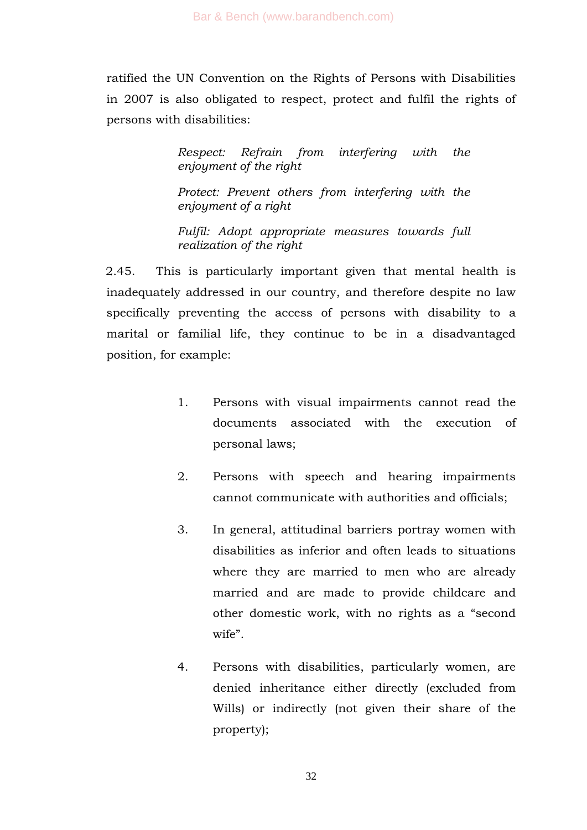ratified the UN Convention on the Rights of Persons with Disabilities in 2007 is also obligated to respect, protect and fulfil the rights of persons with disabilities:

> *Respect: Refrain from interfering with the enjoyment of the right*

> *Protect: Prevent others from interfering with the enjoyment of a right*

> *Fulfil: Adopt appropriate measures towards full realization of the right*

2.45. This is particularly important given that mental health is inadequately addressed in our country, and therefore despite no law specifically preventing the access of persons with disability to a marital or familial life, they continue to be in a disadvantaged position, for example:

- 1. Persons with visual impairments cannot read the documents associated with the execution of personal laws;
- 2. Persons with speech and hearing impairments cannot communicate with authorities and officials;
- 3. In general, attitudinal barriers portray women with disabilities as inferior and often leads to situations where they are married to men who are already married and are made to provide childcare and other domestic work, with no rights as a "second wife".
- 4. Persons with disabilities, particularly women, are denied inheritance either directly (excluded from Wills) or indirectly (not given their share of the property);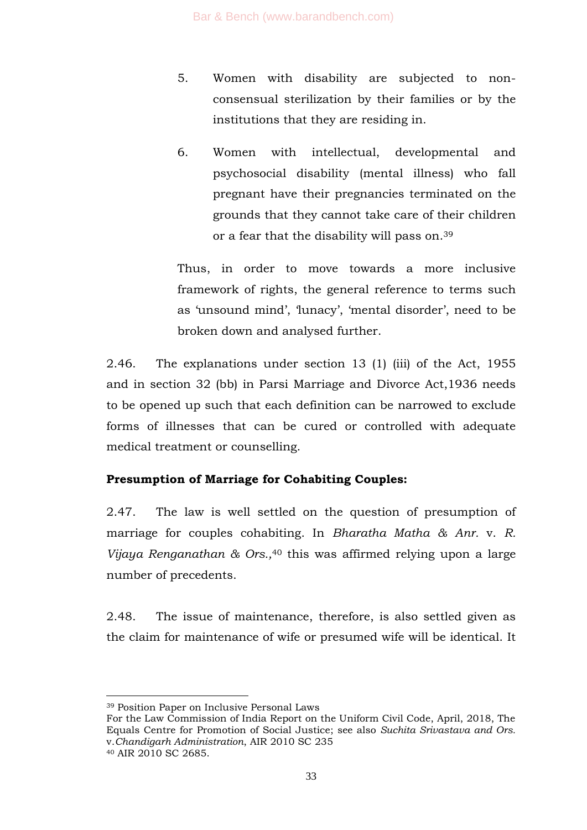- 5. Women with disability are subjected to nonconsensual sterilization by their families or by the institutions that they are residing in.
- 6. Women with intellectual, developmental and psychosocial disability (mental illness) who fall pregnant have their pregnancies terminated on the grounds that they cannot take care of their children or a fear that the disability will pass on.<sup>39</sup>

Thus, in order to move towards a more inclusive framework of rights, the general reference to terms such as 'unsound mind', 'lunacy', 'mental disorder', need to be broken down and analysed further.

2.46. The explanations under section 13 (1) (iii) of the Act, 1955 and in section 32 (bb) in Parsi Marriage and Divorce Act,1936 needs to be opened up such that each definition can be narrowed to exclude forms of illnesses that can be cured or controlled with adequate medical treatment or counselling.

## **Presumption of Marriage for Cohabiting Couples:**

2.47. The law is well settled on the question of presumption of marriage for couples cohabiting. In *Bharatha Matha & Anr.* v. *R. Vijaya Renganathan & Ors.,*<sup>40</sup> this was affirmed relying upon a large number of precedents.

2.48. The issue of maintenance, therefore, is also settled given as the claim for maintenance of wife or presumed wife will be identical. It

-

<sup>39</sup> Position Paper on Inclusive Personal Laws

For the Law Commission of India Report on the Uniform Civil Code, April, 2018, The Equals Centre for Promotion of Social Justice; see also *Suchita Srivastava and Ors.*  v.*Chandigarh Administration*, AIR 2010 SC 235 <sup>40</sup> AIR 2010 SC 2685.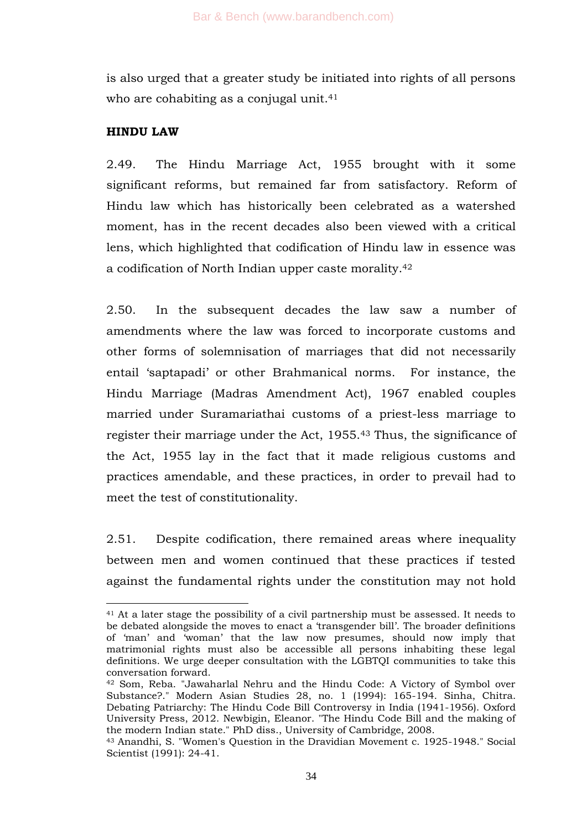is also urged that a greater study be initiated into rights of all persons who are cohabiting as a conjugal unit.<sup>41</sup>

## **HINDU LAW**

1

2.49. The Hindu Marriage Act, 1955 brought with it some significant reforms, but remained far from satisfactory. Reform of Hindu law which has historically been celebrated as a watershed moment, has in the recent decades also been viewed with a critical lens, which highlighted that codification of Hindu law in essence was a codification of North Indian upper caste morality.<sup>42</sup>

2.50. In the subsequent decades the law saw a number of amendments where the law was forced to incorporate customs and other forms of solemnisation of marriages that did not necessarily entail 'saptapadi' or other Brahmanical norms. For instance, the Hindu Marriage (Madras Amendment Act), 1967 enabled couples married under Suramariathai customs of a priest-less marriage to register their marriage under the Act, 1955.<sup>43</sup> Thus, the significance of the Act, 1955 lay in the fact that it made religious customs and practices amendable, and these practices, in order to prevail had to meet the test of constitutionality.

2.51. Despite codification, there remained areas where inequality between men and women continued that these practices if tested against the fundamental rights under the constitution may not hold

<sup>41</sup> At a later stage the possibility of a civil partnership must be assessed. It needs to be debated alongside the moves to enact a 'transgender bill'. The broader definitions of 'man' and 'woman' that the law now presumes, should now imply that matrimonial rights must also be accessible all persons inhabiting these legal definitions. We urge deeper consultation with the LGBTQI communities to take this conversation forward.

<sup>42</sup> Som, Reba. "Jawaharlal Nehru and the Hindu Code: A Victory of Symbol over Substance?." Modern Asian Studies 28, no. 1 (1994): 165-194. Sinha, Chitra. Debating Patriarchy: The Hindu Code Bill Controversy in India (1941-1956). Oxford University Press, 2012. Newbigin, Eleanor. "The Hindu Code Bill and the making of the modern Indian state." PhD diss., University of Cambridge, 2008.

<sup>43</sup> Anandhi, S. "Women's Question in the Dravidian Movement c. 1925-1948." Social Scientist (1991): 24-41.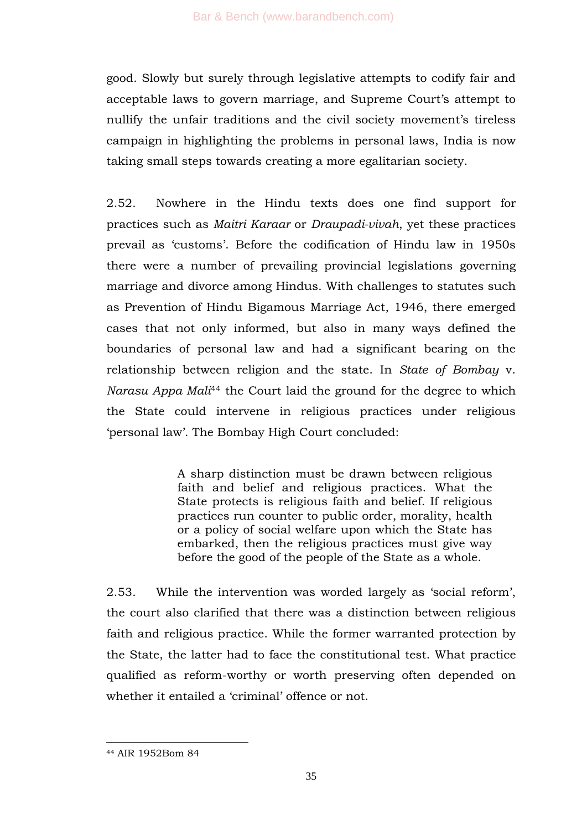good. Slowly but surely through legislative attempts to codify fair and acceptable laws to govern marriage, and Supreme Court's attempt to nullify the unfair traditions and the civil society movement's tireless campaign in highlighting the problems in personal laws, India is now taking small steps towards creating a more egalitarian society.

2.52. Nowhere in the Hindu texts does one find support for practices such as *Maitri Karaar* or *Draupadi-vivah*, yet these practices prevail as 'customs'. Before the codification of Hindu law in 1950s there were a number of prevailing provincial legislations governing marriage and divorce among Hindus. With challenges to statutes such as Prevention of Hindu Bigamous Marriage Act, 1946, there emerged cases that not only informed, but also in many ways defined the boundaries of personal law and had a significant bearing on the relationship between religion and the state. In *State of Bombay* v. *Narasu Appa Mali*<sup>44</sup> the Court laid the ground for the degree to which the State could intervene in religious practices under religious ‗personal law'. The Bombay High Court concluded:

> A sharp distinction must be drawn between religious faith and belief and religious practices. What the State protects is religious faith and belief. If religious practices run counter to public order, morality, health or a policy of social welfare upon which the State has embarked, then the religious practices must give way before the good of the people of the State as a whole.

2.53. While the intervention was worded largely as 'social reform', the court also clarified that there was a distinction between religious faith and religious practice. While the former warranted protection by the State, the latter had to face the constitutional test. What practice qualified as reform-worthy or worth preserving often depended on whether it entailed a 'criminal' offence or not.

<sup>44</sup> AIR 1952Bom 84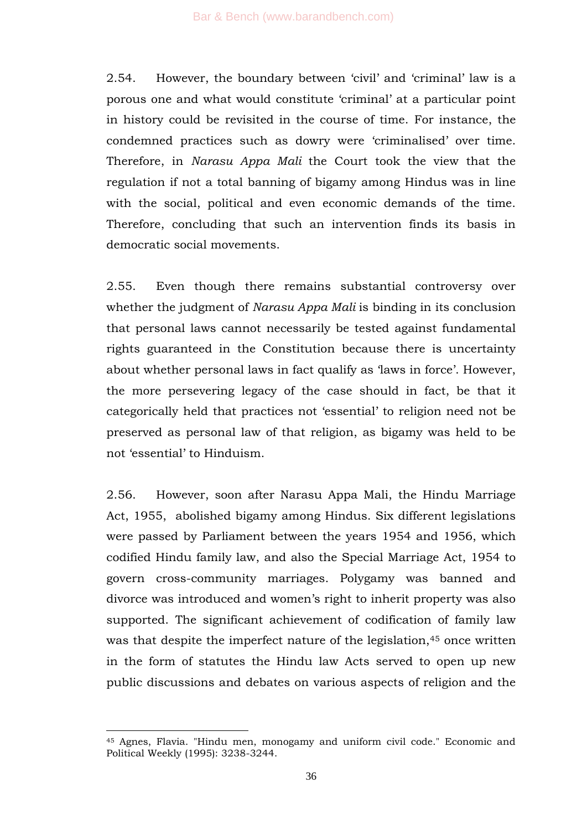2.54. However, the boundary between 'civil' and 'criminal' law is a porous one and what would constitute 'criminal' at a particular point in history could be revisited in the course of time. For instance, the condemned practices such as dowry were ‗criminalised' over time. Therefore, in *Narasu Appa Mali* the Court took the view that the regulation if not a total banning of bigamy among Hindus was in line with the social, political and even economic demands of the time. Therefore, concluding that such an intervention finds its basis in democratic social movements.

2.55. Even though there remains substantial controversy over whether the judgment of *Narasu Appa Mali* is binding in its conclusion that personal laws cannot necessarily be tested against fundamental rights guaranteed in the Constitution because there is uncertainty about whether personal laws in fact qualify as 'laws in force'. However, the more persevering legacy of the case should in fact, be that it categorically held that practices not 'essential' to religion need not be preserved as personal law of that religion, as bigamy was held to be not 'essential' to Hinduism.

2.56. However, soon after Narasu Appa Mali, the Hindu Marriage Act, 1955, abolished bigamy among Hindus. Six different legislations were passed by Parliament between the years 1954 and 1956, which codified Hindu family law, and also the Special Marriage Act, 1954 to govern cross-community marriages. Polygamy was banned and divorce was introduced and women's right to inherit property was also supported. The significant achievement of codification of family law was that despite the imperfect nature of the legislation,<sup>45</sup> once written in the form of statutes the Hindu law Acts served to open up new public discussions and debates on various aspects of religion and the

<sup>45</sup> Agnes, Flavia. "Hindu men, monogamy and uniform civil code." Economic and Political Weekly (1995): 3238-3244.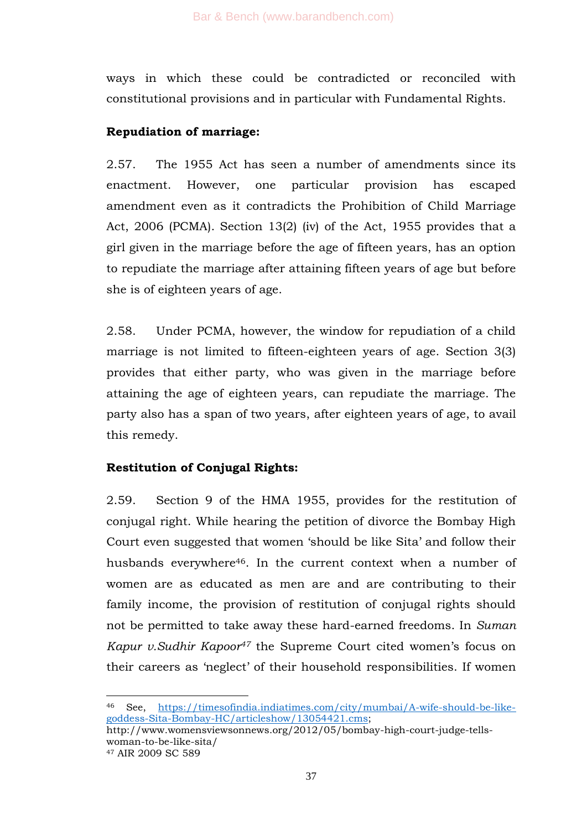ways in which these could be contradicted or reconciled with constitutional provisions and in particular with Fundamental Rights.

## **Repudiation of marriage:**

2.57. The 1955 Act has seen a number of amendments since its enactment. However, one particular provision has escaped amendment even as it contradicts the Prohibition of Child Marriage Act, 2006 (PCMA). Section 13(2) (iv) of the Act, 1955 provides that a girl given in the marriage before the age of fifteen years, has an option to repudiate the marriage after attaining fifteen years of age but before she is of eighteen years of age.

2.58. Under PCMA, however, the window for repudiation of a child marriage is not limited to fifteen-eighteen years of age. Section 3(3) provides that either party, who was given in the marriage before attaining the age of eighteen years, can repudiate the marriage. The party also has a span of two years, after eighteen years of age, to avail this remedy.

# **Restitution of Conjugal Rights:**

2.59. Section 9 of the HMA 1955, provides for the restitution of conjugal right. While hearing the petition of divorce the Bombay High Court even suggested that women 'should be like Sita' and follow their husbands everywhere<sup>46</sup>. In the current context when a number of women are as educated as men are and are contributing to their family income, the provision of restitution of conjugal rights should not be permitted to take away these hard-earned freedoms. In *Suman Kapur v.Sudhir Kapoor<sup>47</sup>* the Supreme Court cited women's focus on their careers as 'neglect' of their household responsibilities. If women

<sup>46</sup> See, [https://timesofindia.indiatimes.com/city/mumbai/A-wife-should-be-like](https://timesofindia.indiatimes.com/city/mumbai/A-wife-should-be-like-goddess-Sita-Bombay-HC/articleshow/13054421.cms)[goddess-Sita-Bombay-HC/articleshow/13054421.cms;](https://timesofindia.indiatimes.com/city/mumbai/A-wife-should-be-like-goddess-Sita-Bombay-HC/articleshow/13054421.cms)

http://www.womensviewsonnews.org/2012/05/bombay-high-court-judge-tellswoman-to-be-like-sita/

<sup>47</sup> AIR 2009 SC 589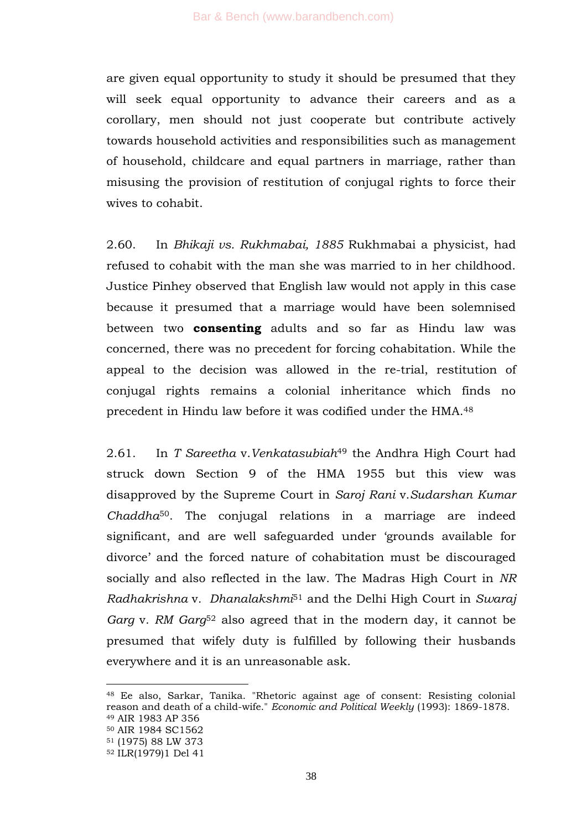are given equal opportunity to study it should be presumed that they will seek equal opportunity to advance their careers and as a corollary, men should not just cooperate but contribute actively towards household activities and responsibilities such as management of household, childcare and equal partners in marriage, rather than misusing the provision of restitution of conjugal rights to force their wives to cohabit.

2.60. In *Bhikaji vs. Rukhmabai, 1885* Rukhmabai a physicist, had refused to cohabit with the man she was married to in her childhood. Justice Pinhey observed that English law would not apply in this case because it presumed that a marriage would have been solemnised between two **consenting** adults and so far as Hindu law was concerned, there was no precedent for forcing cohabitation. While the appeal to the decision was allowed in the re-trial, restitution of conjugal rights remains a colonial inheritance which finds no precedent in Hindu law before it was codified under the HMA.<sup>48</sup>

2.61. In *T Sareetha* v.*Venkatasubiah*<sup>49</sup> the Andhra High Court had struck down Section 9 of the HMA 1955 but this view was disapproved by the Supreme Court in *Saroj Rani* v.*Sudarshan Kumar Chaddha*50. The conjugal relations in a marriage are indeed significant, and are well safeguarded under 'grounds available for divorce' and the forced nature of cohabitation must be discouraged socially and also reflected in the law. The Madras High Court in *NR Radhakrishna* v*. Dhanalakshmi*<sup>51</sup> and the Delhi High Court in *Swaraj Garg* v*. RM Garg*<sup>52</sup> also agreed that in the modern day, it cannot be presumed that wifely duty is fulfilled by following their husbands everywhere and it is an unreasonable ask.

<sup>48</sup> Ee also, Sarkar, Tanika. "Rhetoric against age of consent: Resisting colonial reason and death of a child-wife." *Economic and Political Weekly* (1993): 1869-1878. <sup>49</sup> AIR 1983 AP 356

<sup>50</sup> AIR 1984 SC1562

<sup>51</sup> (1975) 88 LW 373

<sup>52</sup> ILR(1979)1 Del 41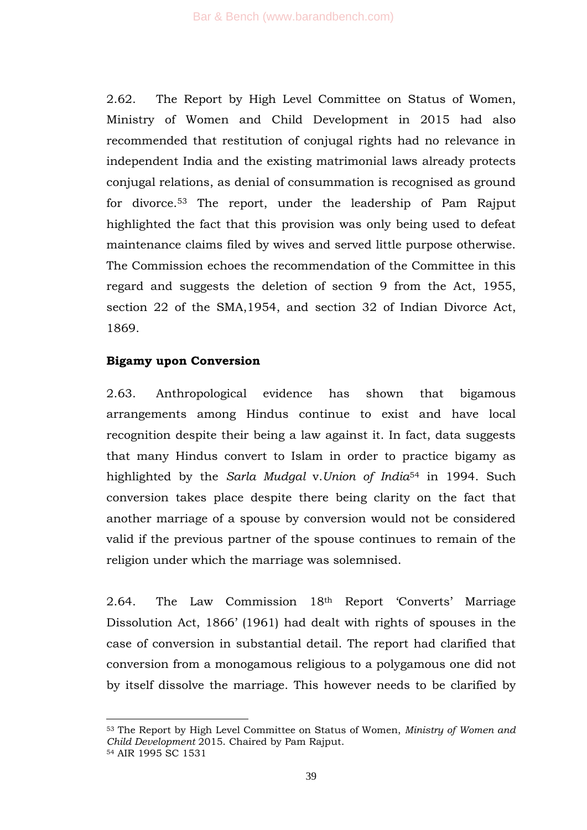2.62. The Report by High Level Committee on Status of Women, Ministry of Women and Child Development in 2015 had also recommended that restitution of conjugal rights had no relevance in independent India and the existing matrimonial laws already protects conjugal relations, as denial of consummation is recognised as ground for divorce.<sup>53</sup> The report, under the leadership of Pam Rajput highlighted the fact that this provision was only being used to defeat maintenance claims filed by wives and served little purpose otherwise. The Commission echoes the recommendation of the Committee in this regard and suggests the deletion of section 9 from the Act, 1955, section 22 of the SMA,1954, and section 32 of Indian Divorce Act, 1869.

## **Bigamy upon Conversion**

1

2.63. Anthropological evidence has shown that bigamous arrangements among Hindus continue to exist and have local recognition despite their being a law against it. In fact, data suggests that many Hindus convert to Islam in order to practice bigamy as highlighted by the *Sarla Mudgal* v.*Union of India*<sup>54</sup> in 1994. Such conversion takes place despite there being clarity on the fact that another marriage of a spouse by conversion would not be considered valid if the previous partner of the spouse continues to remain of the religion under which the marriage was solemnised.

2.64. The Law Commission 18th Report 'Converts' Marriage Dissolution Act, 1866' (1961) had dealt with rights of spouses in the case of conversion in substantial detail. The report had clarified that conversion from a monogamous religious to a polygamous one did not by itself dissolve the marriage. This however needs to be clarified by

<sup>53</sup> The Report by High Level Committee on Status of Women, *Ministry of Women and Child Development* 2015. Chaired by Pam Rajput. <sup>54</sup> AIR 1995 SC 1531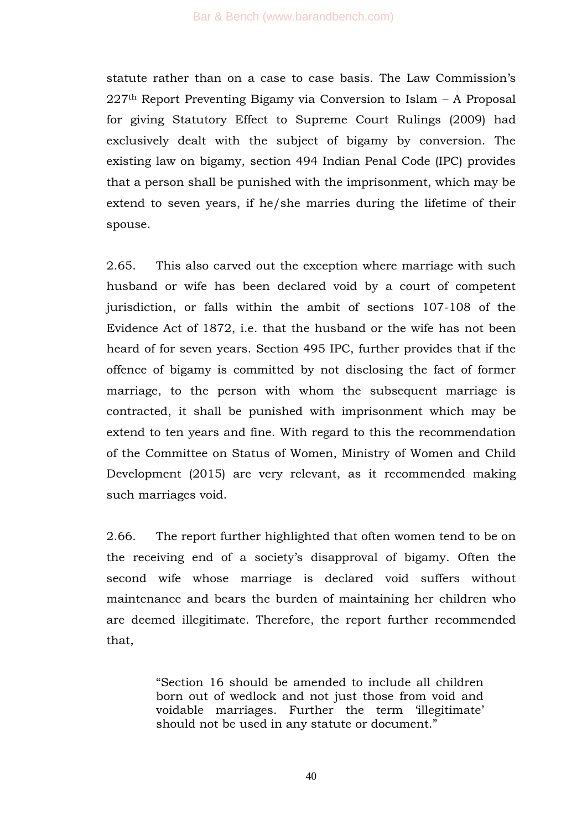statute rather than on a case to case basis. The Law Commission's 227th Report Preventing Bigamy via Conversion to Islam – A Proposal for giving Statutory Effect to Supreme Court Rulings (2009) had exclusively dealt with the subject of bigamy by conversion. The existing law on bigamy, section 494 Indian Penal Code (IPC) provides that a person shall be punished with the imprisonment, which may be extend to seven years, if he/she marries during the lifetime of their spouse.

2.65. This also carved out the exception where marriage with such husband or wife has been declared void by a court of competent jurisdiction, or falls within the ambit of sections 107-108 of the Evidence Act of 1872, i.e. that the husband or the wife has not been heard of for seven years. Section 495 IPC, further provides that if the offence of bigamy is committed by not disclosing the fact of former marriage, to the person with whom the subsequent marriage is contracted, it shall be punished with imprisonment which may be extend to ten years and fine. With regard to this the recommendation of the Committee on Status of Women, Ministry of Women and Child Development (2015) are very relevant, as it recommended making such marriages void.

2.66. The report further highlighted that often women tend to be on the receiving end of a society's disapproval of bigamy. Often the second wife whose marriage is declared void suffers without maintenance and bears the burden of maintaining her children who are deemed illegitimate. Therefore, the report further recommended that,

> ―Section 16 should be amended to include all children born out of wedlock and not just those from void and voidable marriages. Further the term 'illegitimate' should not be used in any statute or document."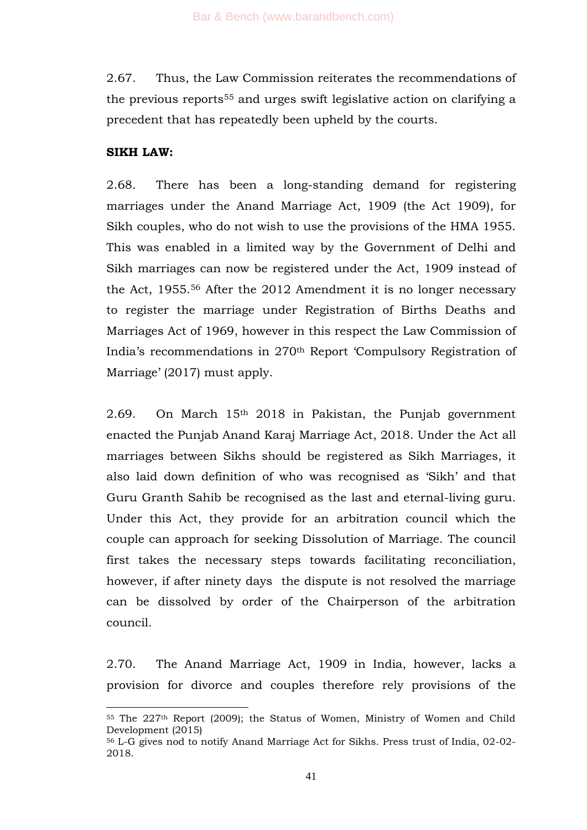2.67. Thus, the Law Commission reiterates the recommendations of the previous reports<sup>55</sup> and urges swift legislative action on clarifying a precedent that has repeatedly been upheld by the courts.

#### **SIKH LAW:**

-

2.68. There has been a long-standing demand for registering marriages under the Anand Marriage Act, 1909 (the Act 1909), for Sikh couples, who do not wish to use the provisions of the HMA 1955. This was enabled in a limited way by the Government of Delhi and Sikh marriages can now be registered under the Act, 1909 instead of the Act, 1955. <sup>56</sup> After the 2012 Amendment it is no longer necessary to register the marriage under Registration of Births Deaths and Marriages Act of 1969, however in this respect the Law Commission of India's recommendations in 270th Report ‗Compulsory Registration of Marriage' (2017) must apply.

2.69. On March 15th 2018 in Pakistan, the Punjab government enacted the Punjab Anand Karaj Marriage Act, 2018. Under the Act all marriages between Sikhs should be registered as Sikh Marriages, it also laid down definition of who was recognised as 'Sikh' and that Guru Granth Sahib be recognised as the last and eternal-living guru. Under this Act, they provide for an arbitration council which the couple can approach for seeking Dissolution of Marriage. The council first takes the necessary steps towards facilitating reconciliation, however, if after ninety days the dispute is not resolved the marriage can be dissolved by order of the Chairperson of the arbitration council.

2.70. The Anand Marriage Act, 1909 in India, however, lacks a provision for divorce and couples therefore rely provisions of the

<sup>55</sup> The 227th Report (2009); the Status of Women, Ministry of Women and Child Development (2015)

<sup>56</sup> L-G gives nod to notify Anand Marriage Act for Sikhs. Press trust of India, 02-02- 2018.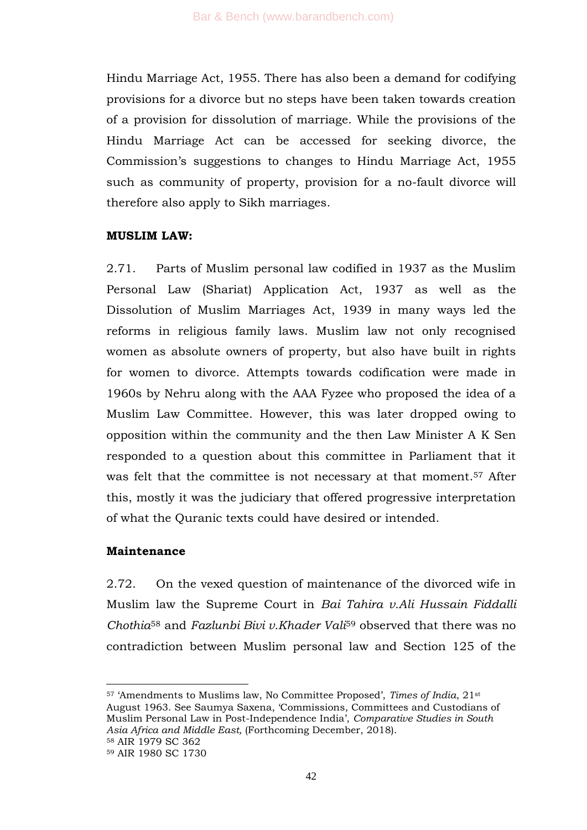Hindu Marriage Act, 1955. There has also been a demand for codifying provisions for a divorce but no steps have been taken towards creation of a provision for dissolution of marriage. While the provisions of the Hindu Marriage Act can be accessed for seeking divorce, the Commission's suggestions to changes to Hindu Marriage Act, 1955 such as community of property, provision for a no-fault divorce will therefore also apply to Sikh marriages.

## **MUSLIM LAW:**

2.71. Parts of Muslim personal law codified in 1937 as the Muslim Personal Law (Shariat) Application Act, 1937 as well as the Dissolution of Muslim Marriages Act, 1939 in many ways led the reforms in religious family laws. Muslim law not only recognised women as absolute owners of property, but also have built in rights for women to divorce. Attempts towards codification were made in 1960s by Nehru along with the AAA Fyzee who proposed the idea of a Muslim Law Committee. However, this was later dropped owing to opposition within the community and the then Law Minister A K Sen responded to a question about this committee in Parliament that it was felt that the committee is not necessary at that moment. <sup>57</sup> After this, mostly it was the judiciary that offered progressive interpretation of what the Quranic texts could have desired or intended.

# **Maintenance**

2.72. On the vexed question of maintenance of the divorced wife in Muslim law the Supreme Court in *Bai Tahira v.Ali Hussain Fiddalli Chothia*<sup>58</sup> and *Fazlunbi Bivi v.Khader Vali*<sup>59</sup> observed that there was no contradiction between Muslim personal law and Section 125 of the

<sup>1</sup> <sup>57</sup> ‗Amendments to Muslims law, No Committee Proposed', *Times of India*, 21st August 1963. See Saumya Saxena, ‗Commissions, Committees and Custodians of Muslim Personal Law in Post-Independence India', *Comparative Studies in South Asia Africa and Middle East,* (Forthcoming December, 2018). <sup>58</sup> AIR 1979 SC 362

<sup>59</sup> AIR 1980 SC 1730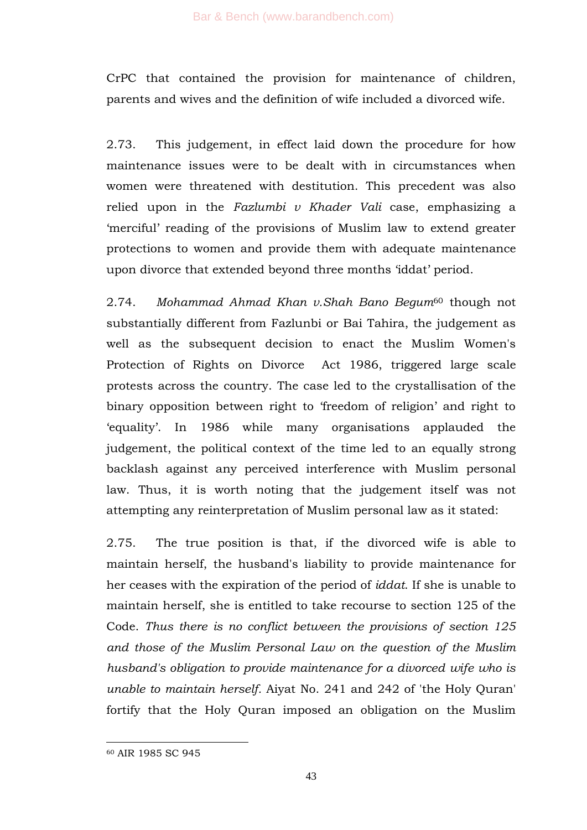CrPC that contained the provision for maintenance of children, parents and wives and the definition of wife included a divorced wife.

2.73. This judgement, in effect laid down the procedure for how maintenance issues were to be dealt with in circumstances when women were threatened with destitution. This precedent was also relied upon in the *Fazlumbi v Khader Vali* case, emphasizing a ‗merciful' reading of the provisions of Muslim law to extend greater protections to women and provide them with adequate maintenance upon divorce that extended beyond three months ‗iddat' period.

2.74. *Mohammad Ahmad Khan v.Shah Bano Begum*<sup>60</sup> though not substantially different from Fazlunbi or Bai Tahira, the judgement as well as the subsequent decision to enact the Muslim Women's Protection of Rights on Divorce Act 1986, triggered large scale protests across the country. The case led to the crystallisation of the binary opposition between right to 'freedom of religion' and right to ‗equality'. In 1986 while many organisations applauded the judgement, the political context of the time led to an equally strong backlash against any perceived interference with Muslim personal law. Thus, it is worth noting that the judgement itself was not attempting any reinterpretation of Muslim personal law as it stated:

2.75. The true position is that, if the divorced wife is able to maintain herself, the husband's liability to provide maintenance for her ceases with the expiration of the period of *iddat*. If she is unable to maintain herself, she is entitled to take recourse to section 125 of the Code. *Thus there is no conflict between the provisions of section 125 and those of the Muslim Personal Law on the question of the Muslim husband's obligation to provide maintenance for a divorced wife who is unable to maintain herself.* Aiyat No. 241 and 242 of 'the Holy Quran' fortify that the Holy Quran imposed an obligation on the Muslim

<sup>60</sup> AIR 1985 SC 945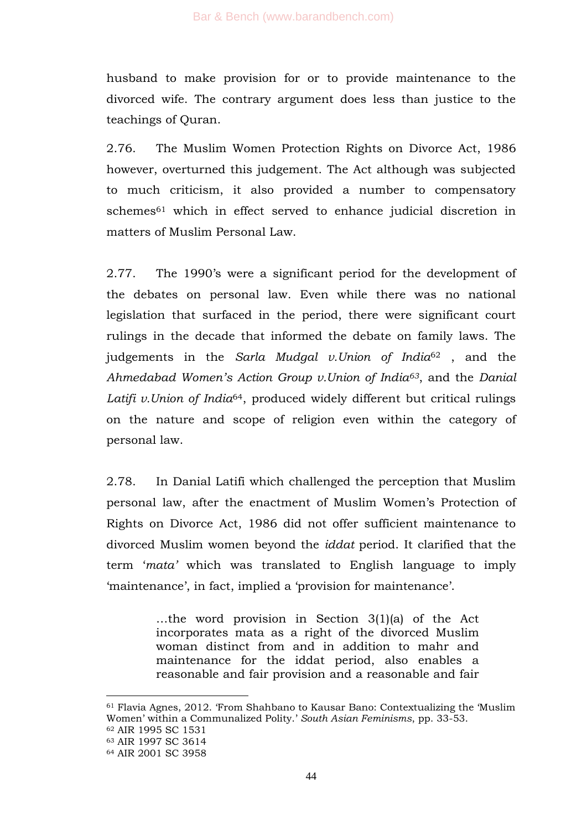husband to make provision for or to provide maintenance to the divorced wife. The contrary argument does less than justice to the teachings of Quran.

2.76. The Muslim Women Protection Rights on Divorce Act, 1986 however, overturned this judgement. The Act although was subjected to much criticism, it also provided a number to compensatory schemes<sup>61</sup> which in effect served to enhance judicial discretion in matters of Muslim Personal Law.

2.77. The 1990's were a significant period for the development of the debates on personal law. Even while there was no national legislation that surfaced in the period, there were significant court rulings in the decade that informed the debate on family laws. The judgements in the *Sarla Mudgal v.Union of India*<sup>62</sup> , and the *Ahmedabad Women"s Action Group v.Union of India63*, and the *Danial Latifi v.Union of India*64, produced widely different but critical rulings on the nature and scope of religion even within the category of personal law.

2.78. In Danial Latifi which challenged the perception that Muslim personal law, after the enactment of Muslim Women's Protection of Rights on Divorce Act, 1986 did not offer sufficient maintenance to divorced Muslim women beyond the *iddat* period. It clarified that the term ‗*mata"* which was translated to English language to imply ‗maintenance', in fact, implied a ‗provision for maintenance'.

> …the word provision in Section 3(1)(a) of the Act incorporates mata as a right of the divorced Muslim woman distinct from and in addition to mahr and maintenance for the iddat period, also enables a reasonable and fair provision and a reasonable and fair

 $61$  Flavia Agnes, 2012. From Shahbano to Kausar Bano: Contextualizing the 'Muslim Women' within a Communalized Polity.' *South Asian Feminisms*, pp. 33-53. <sup>62</sup> AIR 1995 SC 1531 <sup>63</sup> AIR 1997 SC 3614 <sup>64</sup> AIR 2001 SC 3958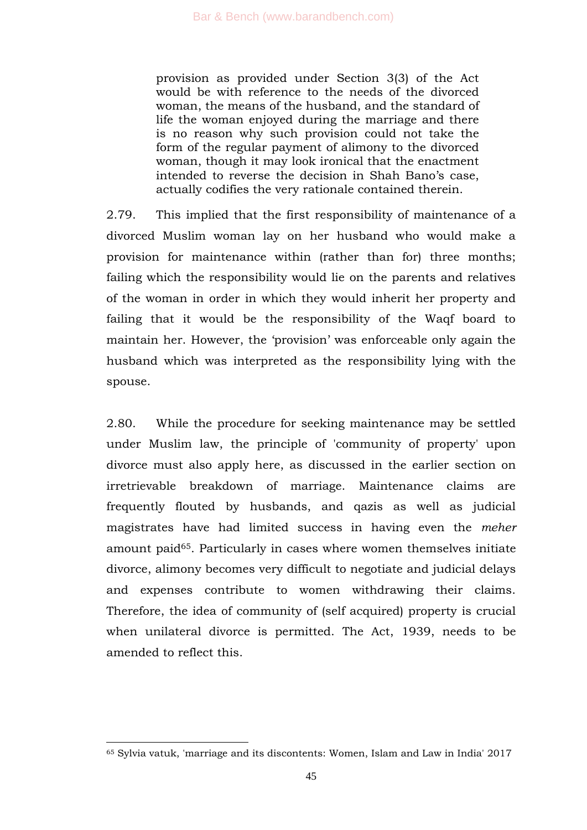provision as provided under Section 3(3) of the Act would be with reference to the needs of the divorced woman, the means of the husband, and the standard of life the woman enjoyed during the marriage and there is no reason why such provision could not take the form of the regular payment of alimony to the divorced woman, though it may look ironical that the enactment intended to reverse the decision in Shah Bano's case, actually codifies the very rationale contained therein.

2.79. This implied that the first responsibility of maintenance of a divorced Muslim woman lay on her husband who would make a provision for maintenance within (rather than for) three months; failing which the responsibility would lie on the parents and relatives of the woman in order in which they would inherit her property and failing that it would be the responsibility of the Waqf board to maintain her. However, the 'provision' was enforceable only again the husband which was interpreted as the responsibility lying with the spouse.

2.80. While the procedure for seeking maintenance may be settled under Muslim law, the principle of 'community of property' upon divorce must also apply here, as discussed in the earlier section on irretrievable breakdown of marriage. Maintenance claims are frequently flouted by husbands, and qazis as well as judicial magistrates have had limited success in having even the *meher* amount paid65. Particularly in cases where women themselves initiate divorce, alimony becomes very difficult to negotiate and judicial delays and expenses contribute to women withdrawing their claims. Therefore, the idea of community of (self acquired) property is crucial when unilateral divorce is permitted. The Act, 1939, needs to be amended to reflect this.

<sup>65</sup> Sylvia vatuk, 'marriage and its discontents: Women, Islam and Law in India' 2017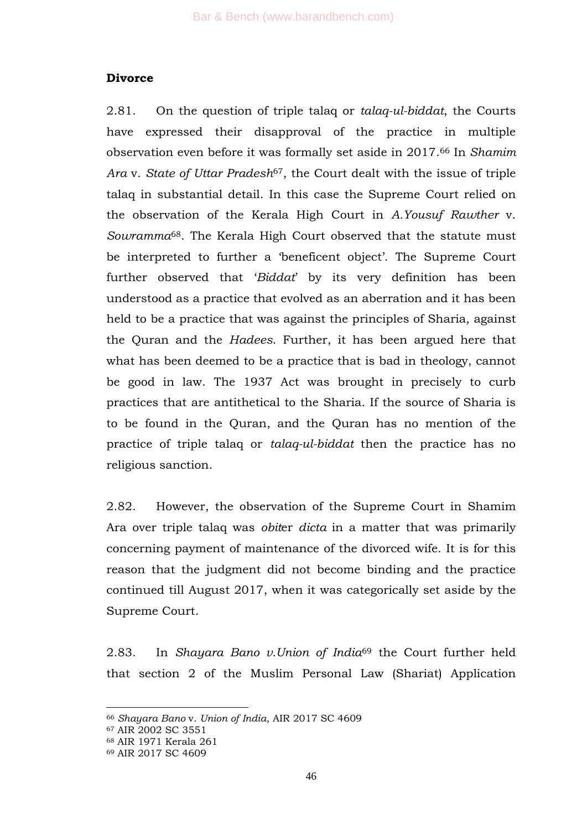## **Divorce**

2.81. On the question of triple talaq or *talaq-ul-biddat*, the Courts have expressed their disapproval of the practice in multiple observation even before it was formally set aside in 2017. <sup>66</sup> In *Shamim Ara* v. *State of Uttar Pradesh*67, the Court dealt with the issue of triple talaq in substantial detail. In this case the Supreme Court relied on the observation of the Kerala High Court in *A.Yousuf Rawther* v. *Sowramma*68. The Kerala High Court observed that the statute must be interpreted to further a 'beneficent object'. The Supreme Court further observed that '*Biddat*' by its very definition has been understood as a practice that evolved as an aberration and it has been held to be a practice that was against the principles of Sharia, against the Quran and the *Hadees*. Further, it has been argued here that what has been deemed to be a practice that is bad in theology, cannot be good in law. The 1937 Act was brought in precisely to curb practices that are antithetical to the Sharia. If the source of Sharia is to be found in the Quran, and the Quran has no mention of the practice of triple talaq or *talaq-ul-biddat* then the practice has no religious sanction.

2.82. However, the observation of the Supreme Court in Shamim Ara over triple talaq was *obit*er *dicta* in a matter that was primarily concerning payment of maintenance of the divorced wife. It is for this reason that the judgment did not become binding and the practice continued till August 2017, when it was categorically set aside by the Supreme Court.

2.83. In *Shayara Bano v.Union of India*<sup>69</sup> the Court further held that section 2 of the Muslim Personal Law (Shariat) Application

<sup>66</sup> *Shayara Bano* v. *Union of India*, AIR 2017 SC 4609

<sup>67</sup> AIR 2002 SC 3551

<sup>68</sup> AIR 1971 Kerala 261

<sup>69</sup> AIR 2017 SC 4609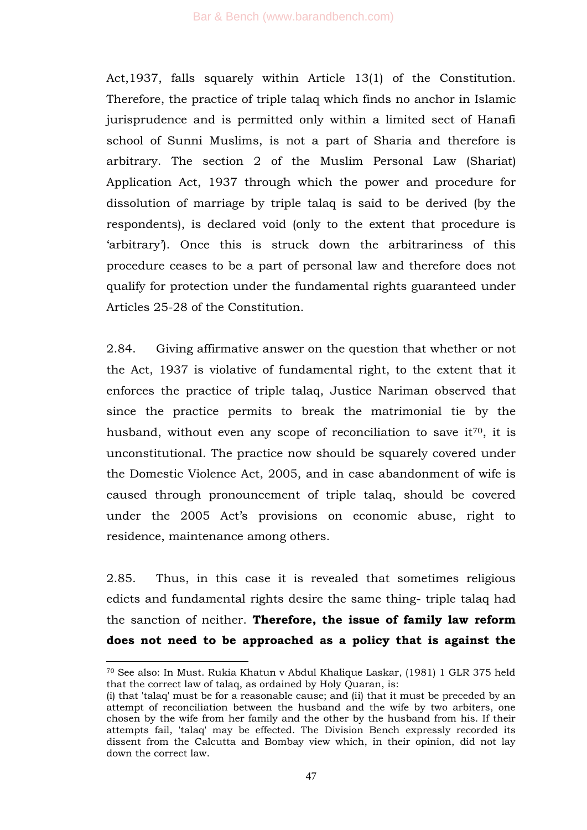Act,1937, falls squarely within Article 13(1) of the Constitution. Therefore, the practice of triple talaq which finds no anchor in Islamic jurisprudence and is permitted only within a limited sect of Hanafi school of Sunni Muslims, is not a part of Sharia and therefore is arbitrary. The section 2 of the Muslim Personal Law (Shariat) Application Act, 1937 through which the power and procedure for dissolution of marriage by triple talaq is said to be derived (by the respondents), is declared void (only to the extent that procedure is 'arbitrary'). Once this is struck down the arbitrariness of this procedure ceases to be a part of personal law and therefore does not qualify for protection under the fundamental rights guaranteed under Articles 25-28 of the Constitution.

2.84. Giving affirmative answer on the question that whether or not the Act, 1937 is violative of fundamental right, to the extent that it enforces the practice of triple talaq, Justice Nariman observed that since the practice permits to break the matrimonial tie by the husband, without even any scope of reconciliation to save it<sup>70</sup>, it is unconstitutional. The practice now should be squarely covered under the Domestic Violence Act, 2005, and in case abandonment of wife is caused through pronouncement of triple talaq, should be covered under the 2005 Act's provisions on economic abuse, right to residence, maintenance among others.

2.85. Thus, in this case it is revealed that sometimes religious edicts and fundamental rights desire the same thing- triple talaq had the sanction of neither. **Therefore, the issue of family law reform does not need to be approached as a policy that is against the** 

<sup>70</sup> See also: In Must. Rukia Khatun v Abdul Khalique Laskar, (1981) 1 GLR 375 held that the correct law of talaq, as ordained by Holy Quaran, is:

<sup>(</sup>i) that 'talaq' must be for a reasonable cause; and (ii) that it must be preceded by an attempt of reconciliation between the husband and the wife by two arbiters, one chosen by the wife from her family and the other by the husband from his. If their attempts fail, 'talaq' may be effected. The Division Bench expressly recorded its dissent from the Calcutta and Bombay view which, in their opinion, did not lay down the correct law.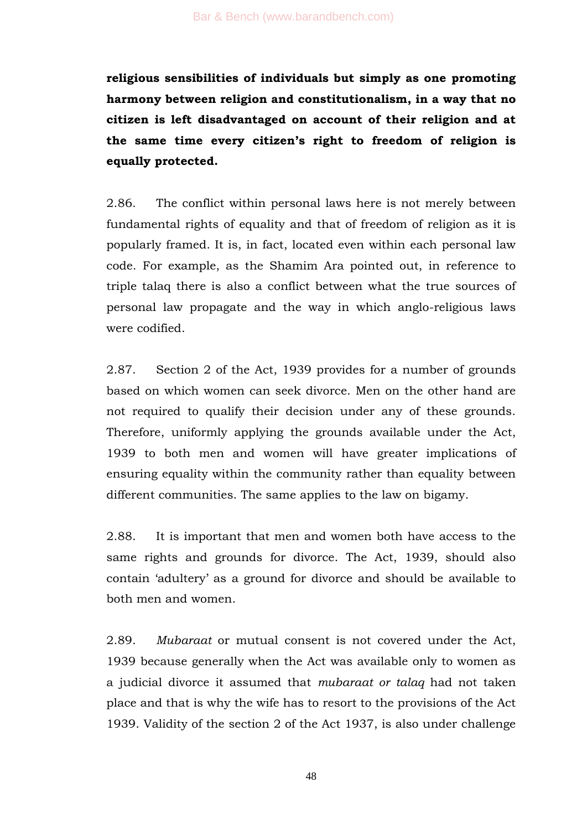**religious sensibilities of individuals but simply as one promoting harmony between religion and constitutionalism, in a way that no citizen is left disadvantaged on account of their religion and at the same time every citizen"s right to freedom of religion is equally protected.** 

2.86. The conflict within personal laws here is not merely between fundamental rights of equality and that of freedom of religion as it is popularly framed. It is, in fact, located even within each personal law code. For example, as the Shamim Ara pointed out, in reference to triple talaq there is also a conflict between what the true sources of personal law propagate and the way in which anglo-religious laws were codified.

2.87. Section 2 of the Act, 1939 provides for a number of grounds based on which women can seek divorce. Men on the other hand are not required to qualify their decision under any of these grounds. Therefore, uniformly applying the grounds available under the Act, 1939 to both men and women will have greater implications of ensuring equality within the community rather than equality between different communities. The same applies to the law on bigamy.

2.88. It is important that men and women both have access to the same rights and grounds for divorce. The Act, 1939, should also contain ‗adultery' as a ground for divorce and should be available to both men and women.

2.89. *Mubaraat* or mutual consent is not covered under the Act, 1939 because generally when the Act was available only to women as a judicial divorce it assumed that *mubaraat or talaq* had not taken place and that is why the wife has to resort to the provisions of the Act 1939. Validity of the section 2 of the Act 1937, is also under challenge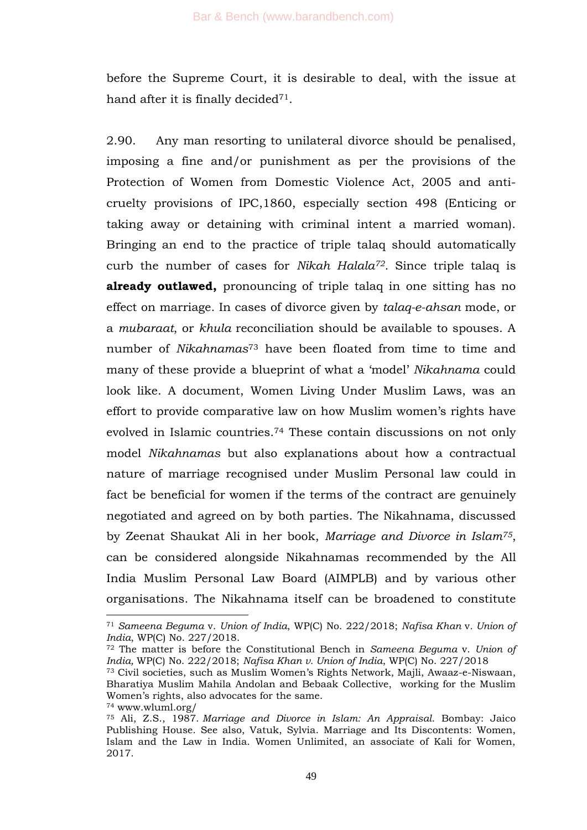before the Supreme Court, it is desirable to deal, with the issue at hand after it is finally decided<sup>71</sup>.

2.90. Any man resorting to unilateral divorce should be penalised, imposing a fine and/or punishment as per the provisions of the Protection of Women from Domestic Violence Act, 2005 and anticruelty provisions of IPC,1860, especially section 498 (Enticing or taking away or detaining with criminal intent a married woman). Bringing an end to the practice of triple talaq should automatically curb the number of cases for *Nikah Halala72.* Since triple talaq is **already outlawed,** pronouncing of triple talaq in one sitting has no effect on marriage. In cases of divorce given by *talaq-e-ahsan* mode, or a *mubaraat*, or *khula* reconciliation should be available to spouses. A number of *Nikahnamas*<sup>73</sup> have been floated from time to time and many of these provide a blueprint of what a 'model' *Nikahnama* could look like. A document, Women Living Under Muslim Laws, was an effort to provide comparative law on how Muslim women's rights have evolved in Islamic countries.<sup>74</sup> These contain discussions on not only model *Nikahnamas* but also explanations about how a contractual nature of marriage recognised under Muslim Personal law could in fact be beneficial for women if the terms of the contract are genuinely negotiated and agreed on by both parties. The Nikahnama, discussed by Zeenat Shaukat Ali in her book, *Marriage and Divorce in Islam75*, can be considered alongside Nikahnamas recommended by the All India Muslim Personal Law Board (AIMPLB) and by various other organisations. The Nikahnama itself can be broadened to constitute

<sup>71</sup> *Sameena Beguma* v. *Union of India*, WP(C) No. 222/2018; *Nafisa Khan* v*. Union of India*, WP(C) No. 227/2018.

<sup>72</sup> The matter is before the Constitutional Bench in *Sameena Beguma* v. *Union of India,* WP(C) No. 222/2018; *Nafisa Khan v. Union of India*, WP(C) No. 227/2018

<sup>73</sup> Civil societies, such as Muslim Women's Rights Network, Majli, Awaaz-e-Niswaan, Bharatiya Muslim Mahila Andolan and Bebaak Collective, working for the Muslim Women's rights, also advocates for the same. <sup>74</sup> www.wluml.org/

<sup>75</sup> Ali, Z.S., 1987. *Marriage and Divorce in Islam: An Appraisal*. Bombay: Jaico Publishing House. See also, Vatuk, Sylvia. Marriage and Its Discontents: Women, Islam and the Law in India. Women Unlimited, an associate of Kali for Women, 2017.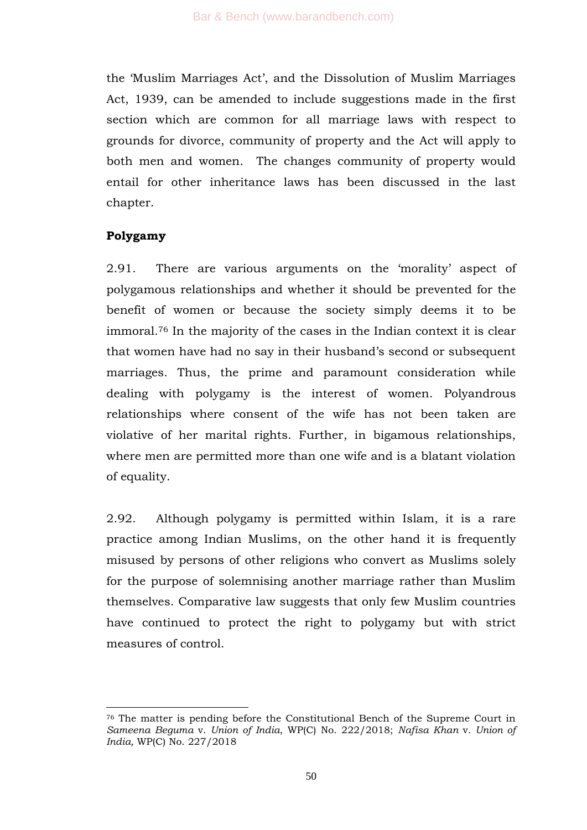the ‗Muslim Marriages Act', and the Dissolution of Muslim Marriages Act, 1939, can be amended to include suggestions made in the first section which are common for all marriage laws with respect to grounds for divorce, community of property and the Act will apply to both men and women. The changes community of property would entail for other inheritance laws has been discussed in the last chapter.

# **Polygamy**

-

2.91. There are various arguments on the 'morality' aspect of polygamous relationships and whether it should be prevented for the benefit of women or because the society simply deems it to be immoral. <sup>76</sup> In the majority of the cases in the Indian context it is clear that women have had no say in their husband's second or subsequent marriages. Thus, the prime and paramount consideration while dealing with polygamy is the interest of women. Polyandrous relationships where consent of the wife has not been taken are violative of her marital rights. Further, in bigamous relationships, where men are permitted more than one wife and is a blatant violation of equality.

2.92. Although polygamy is permitted within Islam, it is a rare practice among Indian Muslims, on the other hand it is frequently misused by persons of other religions who convert as Muslims solely for the purpose of solemnising another marriage rather than Muslim themselves. Comparative law suggests that only few Muslim countries have continued to protect the right to polygamy but with strict measures of control.

<sup>76</sup> The matter is pending before the Constitutional Bench of the Supreme Court in *Sameena Beguma* v. *Union of India*, WP(C) No. 222/2018; *Nafisa Khan* v. *Union of India,* WP(C) No. 227/2018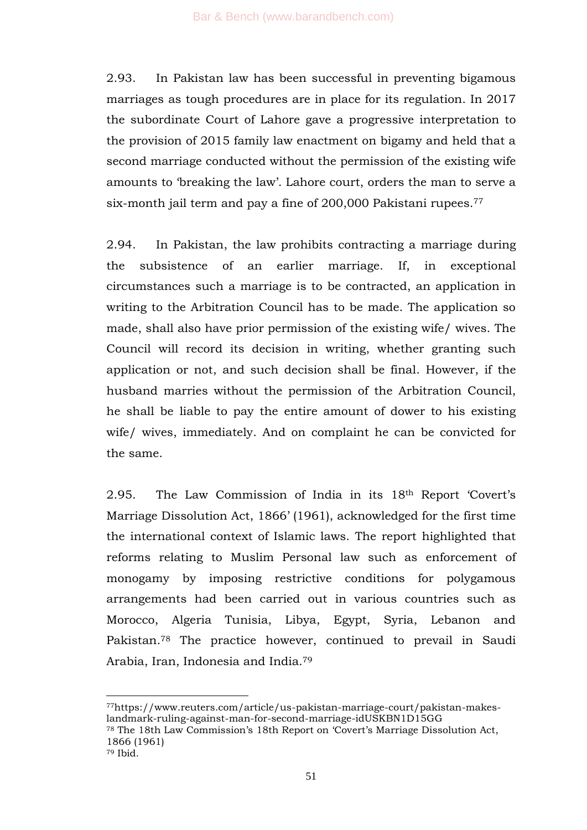2.93. In Pakistan law has been successful in preventing bigamous marriages as tough procedures are in place for its regulation. In 2017 the subordinate Court of Lahore gave a progressive interpretation to the provision of 2015 family law enactment on bigamy and held that a second marriage conducted without the permission of the existing wife amounts to 'breaking the law'. Lahore court, orders the man to serve a six-month jail term and pay a fine of 200,000 Pakistani rupees. 77

2.94. In Pakistan, the law prohibits contracting a marriage during the subsistence of an earlier marriage. If, in exceptional circumstances such a marriage is to be contracted, an application in writing to the Arbitration Council has to be made. The application so made, shall also have prior permission of the existing wife/ wives. The Council will record its decision in writing, whether granting such application or not, and such decision shall be final. However, if the husband marries without the permission of the Arbitration Council, he shall be liable to pay the entire amount of dower to his existing wife/ wives, immediately. And on complaint he can be convicted for the same.

2.95. The Law Commission of India in its 18<sup>th</sup> Report 'Covert's Marriage Dissolution Act, 1866' (1961), acknowledged for the first time the international context of Islamic laws. The report highlighted that reforms relating to Muslim Personal law such as enforcement of monogamy by imposing restrictive conditions for polygamous arrangements had been carried out in various countries such as Morocco, Algeria Tunisia, Libya, Egypt, Syria, Lebanon and Pakistan.<sup>78</sup> The practice however, continued to prevail in Saudi Arabia, Iran, Indonesia and India.<sup>79</sup>

<sup>77</sup>https://www.reuters.com/article/us-pakistan-marriage-court/pakistan-makeslandmark-ruling-against-man-for-second-marriage-idUSKBN1D15GG

<sup>&</sup>lt;sup>78</sup> The 18th Law Commission's 18th Report on 'Covert's Marriage Dissolution Act, 1866 (1961)

<sup>79</sup> Ibid.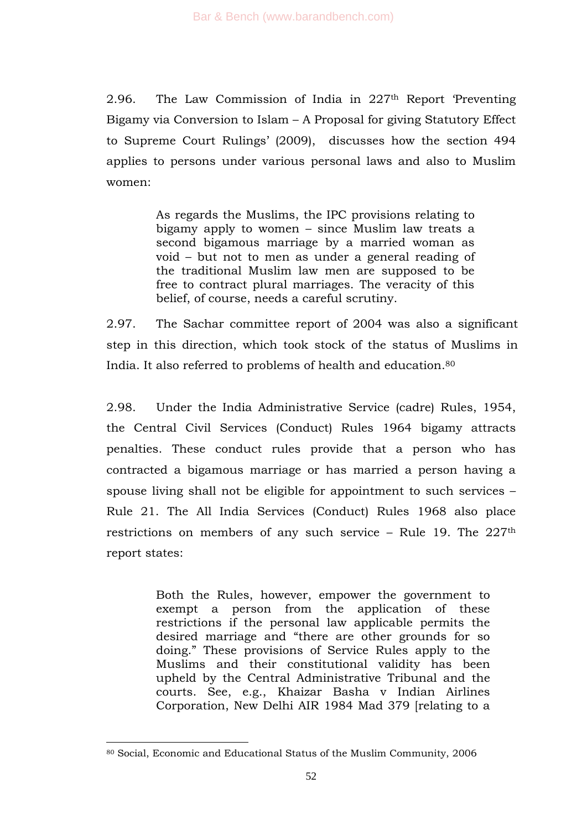2.96. The Law Commission of India in  $227<sup>th</sup>$  Report Preventing Bigamy via Conversion to Islam – A Proposal for giving Statutory Effect to Supreme Court Rulings' (2009), discusses how the section 494 applies to persons under various personal laws and also to Muslim women:

> As regards the Muslims, the IPC provisions relating to bigamy apply to women – since Muslim law treats a second bigamous marriage by a married woman as void – but not to men as under a general reading of the traditional Muslim law men are supposed to be free to contract plural marriages. The veracity of this belief, of course, needs a careful scrutiny.

2.97. The Sachar committee report of 2004 was also a significant step in this direction, which took stock of the status of Muslims in India. It also referred to problems of health and education. 80

2.98. Under the India Administrative Service (cadre) Rules, 1954, the Central Civil Services (Conduct) Rules 1964 bigamy attracts penalties. These conduct rules provide that a person who has contracted a bigamous marriage or has married a person having a spouse living shall not be eligible for appointment to such services – Rule 21. The All India Services (Conduct) Rules 1968 also place restrictions on members of any such service – Rule 19. The  $227<sup>th</sup>$ report states:

> Both the Rules, however, empower the government to exempt a person from the application of these restrictions if the personal law applicable permits the desired marriage and "there are other grounds for so doing.‖ These provisions of Service Rules apply to the Muslims and their constitutional validity has been upheld by the Central Administrative Tribunal and the courts. See, e.g., Khaizar Basha v Indian Airlines Corporation, New Delhi AIR 1984 Mad 379 [relating to a

<sup>80</sup> Social, Economic and Educational Status of the Muslim Community, 2006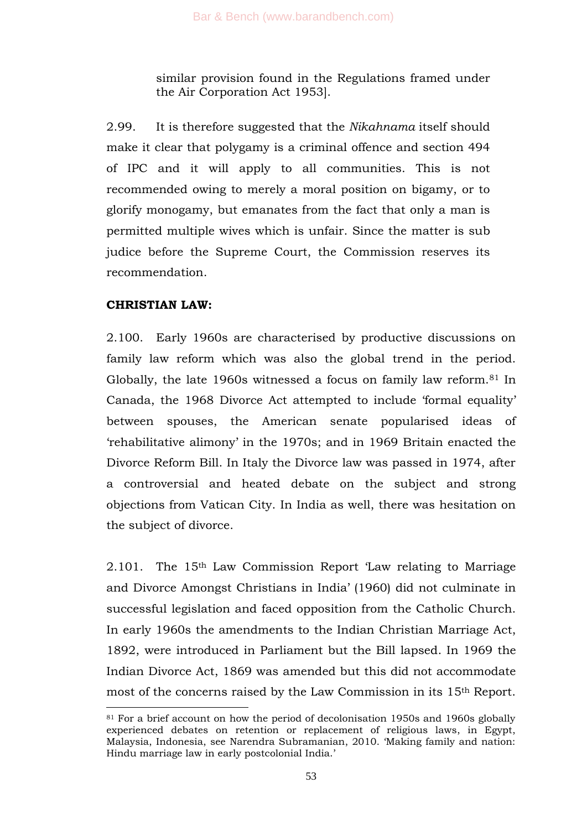similar provision found in the Regulations framed under the Air Corporation Act 1953].

2.99. It is therefore suggested that the *Nikahnama* itself should make it clear that polygamy is a criminal offence and section 494 of IPC and it will apply to all communities. This is not recommended owing to merely a moral position on bigamy, or to glorify monogamy, but emanates from the fact that only a man is permitted multiple wives which is unfair. Since the matter is sub judice before the Supreme Court, the Commission reserves its recommendation.

## **CHRISTIAN LAW:**

-

2.100. Early 1960s are characterised by productive discussions on family law reform which was also the global trend in the period. Globally, the late 1960s witnessed a focus on family law reform.<sup>81</sup> In Canada, the 1968 Divorce Act attempted to include 'formal equality' between spouses, the American senate popularised ideas of ‗rehabilitative alimony' in the 1970s; and in 1969 Britain enacted the Divorce Reform Bill. In Italy the Divorce law was passed in 1974, after a controversial and heated debate on the subject and strong objections from Vatican City. In India as well, there was hesitation on the subject of divorce.

 $2.101$ . The 15<sup>th</sup> Law Commission Report 'Law relating to Marriage and Divorce Amongst Christians in India' (1960) did not culminate in successful legislation and faced opposition from the Catholic Church. In early 1960s the amendments to the Indian Christian Marriage Act, 1892, were introduced in Parliament but the Bill lapsed. In 1969 the Indian Divorce Act, 1869 was amended but this did not accommodate most of the concerns raised by the Law Commission in its 15th Report.

<sup>81</sup> For a brief account on how the period of decolonisation 1950s and 1960s globally experienced debates on retention or replacement of religious laws, in Egypt, Malaysia, Indonesia, see Narendra Subramanian, 2010. ‗Making family and nation: Hindu marriage law in early postcolonial India.'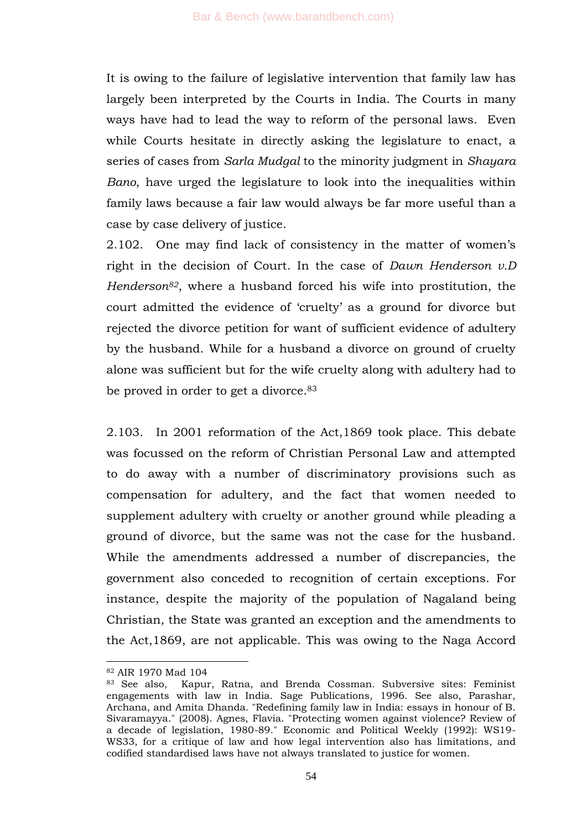It is owing to the failure of legislative intervention that family law has largely been interpreted by the Courts in India. The Courts in many ways have had to lead the way to reform of the personal laws. Even while Courts hesitate in directly asking the legislature to enact, a series of cases from *Sarla Mudgal* to the minority judgment in *Shayara Bano*, have urged the legislature to look into the inequalities within family laws because a fair law would always be far more useful than a case by case delivery of justice.

2.102. One may find lack of consistency in the matter of women's right in the decision of Court. In the case of *Dawn Henderson v.D Henderson82*, where a husband forced his wife into prostitution, the court admitted the evidence of 'cruelty' as a ground for divorce but rejected the divorce petition for want of sufficient evidence of adultery by the husband. While for a husband a divorce on ground of cruelty alone was sufficient but for the wife cruelty along with adultery had to be proved in order to get a divorce. 83

2.103. In 2001 reformation of the Act,1869 took place. This debate was focussed on the reform of Christian Personal Law and attempted to do away with a number of discriminatory provisions such as compensation for adultery, and the fact that women needed to supplement adultery with cruelty or another ground while pleading a ground of divorce, but the same was not the case for the husband. While the amendments addressed a number of discrepancies, the government also conceded to recognition of certain exceptions. For instance, despite the majority of the population of Nagaland being Christian, the State was granted an exception and the amendments to the Act,1869, are not applicable. This was owing to the Naga Accord

<sup>82</sup> AIR 1970 Mad 104

<sup>83</sup> See also, Kapur, Ratna, and Brenda Cossman. Subversive sites: Feminist engagements with law in India. Sage Publications, 1996. See also, Parashar, Archana, and Amita Dhanda. "Redefining family law in India: essays in honour of B. Sivaramayya." (2008). Agnes, Flavia. "Protecting women against violence? Review of a decade of legislation, 1980-89." Economic and Political Weekly (1992): WS19- WS33, for a critique of law and how legal intervention also has limitations, and codified standardised laws have not always translated to justice for women.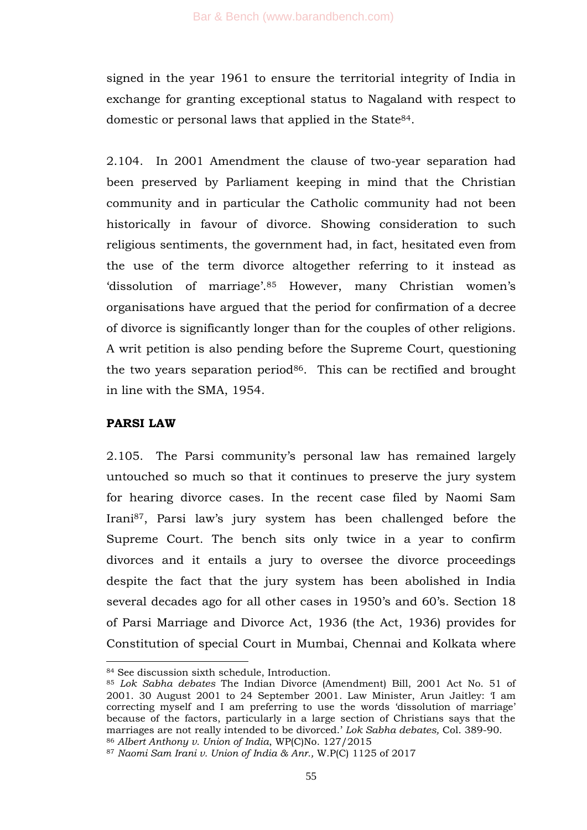signed in the year 1961 to ensure the territorial integrity of India in exchange for granting exceptional status to Nagaland with respect to domestic or personal laws that applied in the State84.

2.104. In 2001 Amendment the clause of two-year separation had been preserved by Parliament keeping in mind that the Christian community and in particular the Catholic community had not been historically in favour of divorce. Showing consideration to such religious sentiments, the government had, in fact, hesitated even from the use of the term divorce altogether referring to it instead as 'dissolution of marriage'.<sup>85</sup> However, many Christian women's organisations have argued that the period for confirmation of a decree of divorce is significantly longer than for the couples of other religions. A writ petition is also pending before the Supreme Court, questioning the two years separation period $86$ . This can be rectified and brought in line with the SMA, 1954.

## **PARSI LAW**

-

2.105. The Parsi community's personal law has remained largely untouched so much so that it continues to preserve the jury system for hearing divorce cases. In the recent case filed by Naomi Sam Irani87, Parsi law's jury system has been challenged before the Supreme Court. The bench sits only twice in a year to confirm divorces and it entails a jury to oversee the divorce proceedings despite the fact that the jury system has been abolished in India several decades ago for all other cases in 1950's and 60's. Section 18 of Parsi Marriage and Divorce Act, 1936 (the Act, 1936) provides for Constitution of special Court in Mumbai, Chennai and Kolkata where

<sup>84</sup> See discussion sixth schedule, Introduction.

<sup>85</sup> *Lok Sabha debates* The Indian Divorce (Amendment) Bill, 2001 Act No. 51 of 2001. 30 August 2001 to 24 September 2001. Law Minister, Arun Jaitley: 'I am correcting myself and I am preferring to use the words 'dissolution of marriage' because of the factors, particularly in a large section of Christians says that the marriages are not really intended to be divorced.' *Lok Sabha debates,* Col. 389-90. <sup>86</sup> *Albert Anthony v. Union of India*, WP(C)No. 127/2015

<sup>87</sup> *Naomi Sam Irani v. Union of India & Anr.,* W.P(C) 1125 of 2017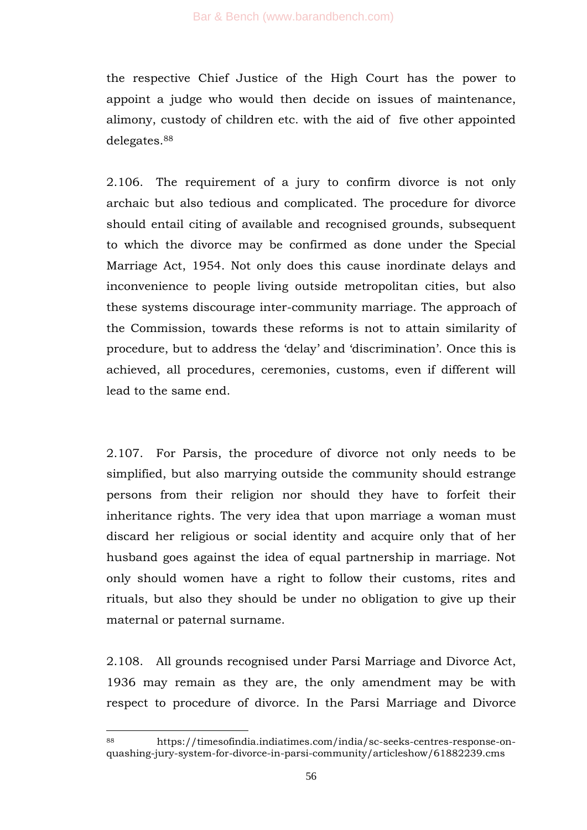the respective Chief Justice of the High Court has the power to appoint a judge who would then decide on issues of maintenance, alimony, custody of children etc. with the aid of five other appointed delegates.<sup>88</sup>

2.106. The requirement of a jury to confirm divorce is not only archaic but also tedious and complicated. The procedure for divorce should entail citing of available and recognised grounds, subsequent to which the divorce may be confirmed as done under the Special Marriage Act, 1954. Not only does this cause inordinate delays and inconvenience to people living outside metropolitan cities, but also these systems discourage inter-community marriage. The approach of the Commission, towards these reforms is not to attain similarity of procedure, but to address the 'delay' and 'discrimination'. Once this is achieved, all procedures, ceremonies, customs, even if different will lead to the same end.

2.107. For Parsis, the procedure of divorce not only needs to be simplified, but also marrying outside the community should estrange persons from their religion nor should they have to forfeit their inheritance rights. The very idea that upon marriage a woman must discard her religious or social identity and acquire only that of her husband goes against the idea of equal partnership in marriage. Not only should women have a right to follow their customs, rites and rituals, but also they should be under no obligation to give up their maternal or paternal surname.

2.108. All grounds recognised under Parsi Marriage and Divorce Act, 1936 may remain as they are, the only amendment may be with respect to procedure of divorce. In the Parsi Marriage and Divorce

<sup>88</sup> https://timesofindia.indiatimes.com/india/sc-seeks-centres-response-onquashing-jury-system-for-divorce-in-parsi-community/articleshow/61882239.cms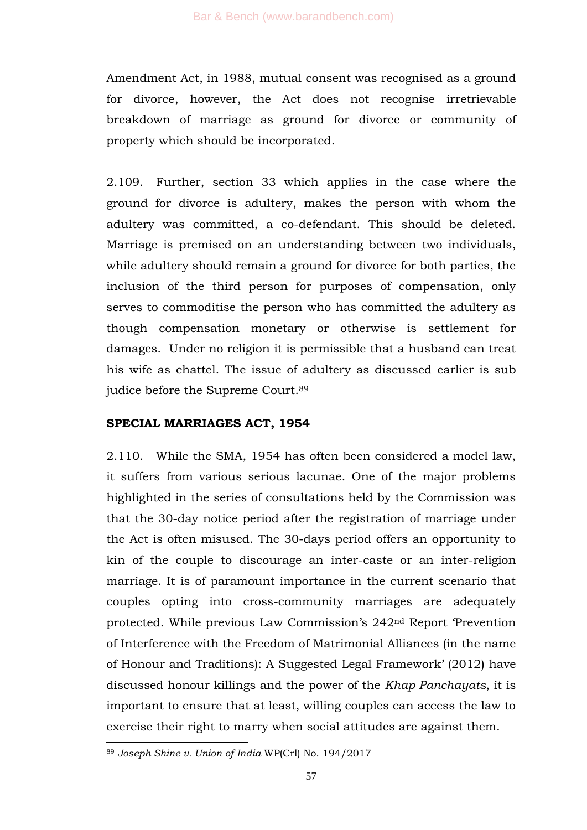Amendment Act, in 1988, mutual consent was recognised as a ground for divorce, however, the Act does not recognise irretrievable breakdown of marriage as ground for divorce or community of property which should be incorporated.

2.109. Further, section 33 which applies in the case where the ground for divorce is adultery, makes the person with whom the adultery was committed, a co-defendant. This should be deleted. Marriage is premised on an understanding between two individuals, while adultery should remain a ground for divorce for both parties, the inclusion of the third person for purposes of compensation, only serves to commoditise the person who has committed the adultery as though compensation monetary or otherwise is settlement for damages. Under no religion it is permissible that a husband can treat his wife as chattel. The issue of adultery as discussed earlier is sub judice before the Supreme Court. 89

## **SPECIAL MARRIAGES ACT, 1954**

2.110. While the SMA, 1954 has often been considered a model law, it suffers from various serious lacunae. One of the major problems highlighted in the series of consultations held by the Commission was that the 30-day notice period after the registration of marriage under the Act is often misused. The 30-days period offers an opportunity to kin of the couple to discourage an inter-caste or an inter-religion marriage. It is of paramount importance in the current scenario that couples opting into cross-community marriages are adequately protected. While previous Law Commission's 242nd Report ‗Prevention of Interference with the Freedom of Matrimonial Alliances (in the name of Honour and Traditions): A Suggested Legal Framework' (2012) have discussed honour killings and the power of the *Khap Panchayats*, it is important to ensure that at least, willing couples can access the law to exercise their right to marry when social attitudes are against them.

<sup>89</sup> *Joseph Shine v. Union of India* WP(Crl) No. 194/2017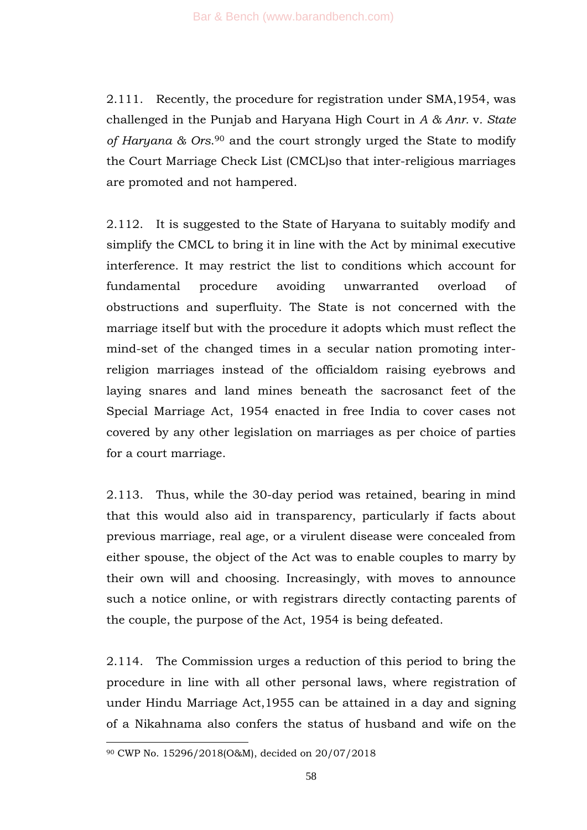2.111. Recently, the procedure for registration under SMA,1954, was challenged in the Punjab and Haryana High Court in *A & Anr.* v*. State of Haryana & Ors*. <sup>90</sup> and the court strongly urged the State to modify the Court Marriage Check List (CMCL)so that inter-religious marriages are promoted and not hampered.

2.112. It is suggested to the State of Haryana to suitably modify and simplify the CMCL to bring it in line with the Act by minimal executive interference. It may restrict the list to conditions which account for fundamental procedure avoiding unwarranted overload of obstructions and superfluity. The State is not concerned with the marriage itself but with the procedure it adopts which must reflect the mind-set of the changed times in a secular nation promoting interreligion marriages instead of the officialdom raising eyebrows and laying snares and land mines beneath the sacrosanct feet of the Special Marriage Act, 1954 enacted in free India to cover cases not covered by any other legislation on marriages as per choice of parties for a court marriage.

2.113. Thus, while the 30-day period was retained, bearing in mind that this would also aid in transparency, particularly if facts about previous marriage, real age, or a virulent disease were concealed from either spouse, the object of the Act was to enable couples to marry by their own will and choosing. Increasingly, with moves to announce such a notice online, or with registrars directly contacting parents of the couple, the purpose of the Act, 1954 is being defeated.

2.114. The Commission urges a reduction of this period to bring the procedure in line with all other personal laws, where registration of under Hindu Marriage Act,1955 can be attained in a day and signing of a Nikahnama also confers the status of husband and wife on the

<sup>90</sup> CWP No. 15296/2018(O&M), decided on 20/07/2018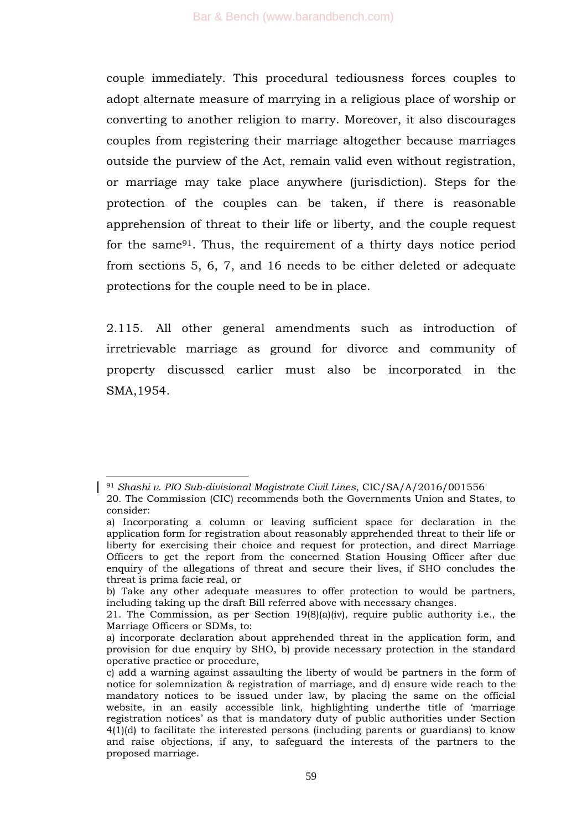couple immediately. This procedural tediousness forces couples to adopt alternate measure of marrying in a religious place of worship or converting to another religion to marry. Moreover, it also discourages couples from registering their marriage altogether because marriages outside the purview of the Act, remain valid even without registration, or marriage may take place anywhere (jurisdiction). Steps for the protection of the couples can be taken, if there is reasonable apprehension of threat to their life or liberty, and the couple request for the same91. Thus, the requirement of a thirty days notice period from sections 5, 6, 7, and 16 needs to be either deleted or adequate protections for the couple need to be in place.

2.115. All other general amendments such as introduction of irretrievable marriage as ground for divorce and community of property discussed earlier must also be incorporated in the SMA,1954.

<sup>91</sup> *Shashi v. PIO Sub-divisional Magistrate Civil Lines*, CIC/SA/A/2016/001556 20. The Commission (CIC) recommends both the Governments Union and States, to consider:

a) Incorporating a column or leaving sufficient space for declaration in the application form for registration about reasonably apprehended threat to their life or liberty for exercising their choice and request for protection, and direct Marriage Officers to get the report from the concerned Station Housing Officer after due enquiry of the allegations of threat and secure their lives, if SHO concludes the threat is prima facie real, or

b) Take any other adequate measures to offer protection to would be partners, including taking up the draft Bill referred above with necessary changes.

<sup>21.</sup> The Commission, as per Section  $19(8)(a)(iv)$ , require public authority i.e., the Marriage Officers or SDMs, to:

a) incorporate declaration about apprehended threat in the application form, and provision for due enquiry by SHO, b) provide necessary protection in the standard operative practice or procedure,

c) add a warning against assaulting the liberty of would be partners in the form of notice for solemnization & registration of marriage, and d) ensure wide reach to the mandatory notices to be issued under law, by placing the same on the official website, in an easily accessible link, highlighting underthe title of 'marriage registration notices' as that is mandatory duty of public authorities under Section 4(1)(d) to facilitate the interested persons (including parents or guardians) to know and raise objections, if any, to safeguard the interests of the partners to the proposed marriage.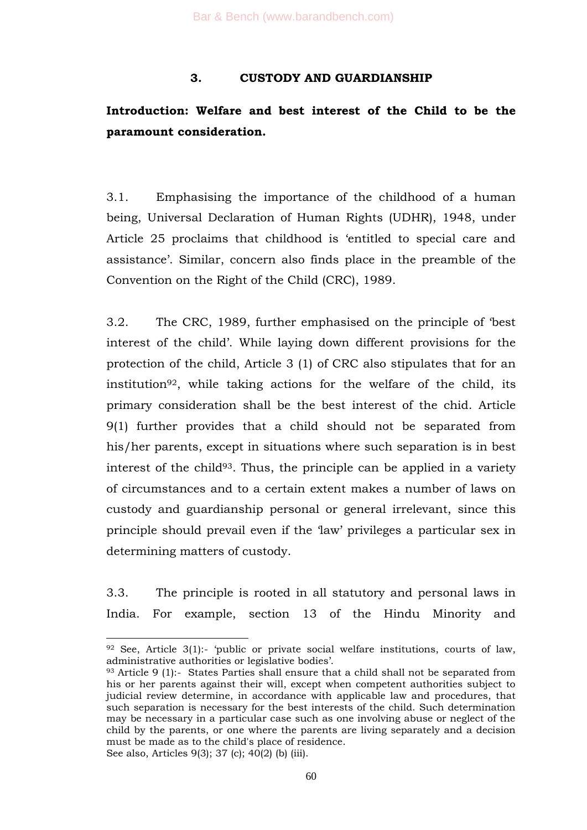## **3. CUSTODY AND GUARDIANSHIP**

# **Introduction: Welfare and best interest of the Child to be the paramount consideration.**

3.1. Emphasising the importance of the childhood of a human being, Universal Declaration of Human Rights (UDHR), 1948, under Article 25 proclaims that childhood is 'entitled to special care and assistance'. Similar, concern also finds place in the preamble of the Convention on the Right of the Child (CRC), 1989.

3.2. The CRC, 1989, further emphasised on the principle of 'best interest of the child'. While laying down different provisions for the protection of the child, Article 3 (1) of CRC also stipulates that for an institution<sup>92</sup>, while taking actions for the welfare of the child, its primary consideration shall be the best interest of the chid. Article 9(1) further provides that a child should not be separated from his/her parents, except in situations where such separation is in best interest of the child<sup>93</sup>. Thus, the principle can be applied in a variety of circumstances and to a certain extent makes a number of laws on custody and guardianship personal or general irrelevant, since this principle should prevail even if the 'law' privileges a particular sex in determining matters of custody.

3.3. The principle is rooted in all statutory and personal laws in India. For example, section 13 of the Hindu Minority and

 $92$  See, Article 3(1):- 'public or private social welfare institutions, courts of law, administrative authorities or legislative bodies'.

<sup>93</sup> Article 9 (1):- States Parties shall ensure that a child shall not be separated from his or her parents against their will, except when competent authorities subject to judicial review determine, in accordance with applicable law and procedures, that such separation is necessary for the best interests of the child. Such determination may be necessary in a particular case such as one involving abuse or neglect of the child by the parents, or one where the parents are living separately and a decision must be made as to the child's place of residence. See also, Articles 9(3); 37 (c); 40(2) (b) (iii).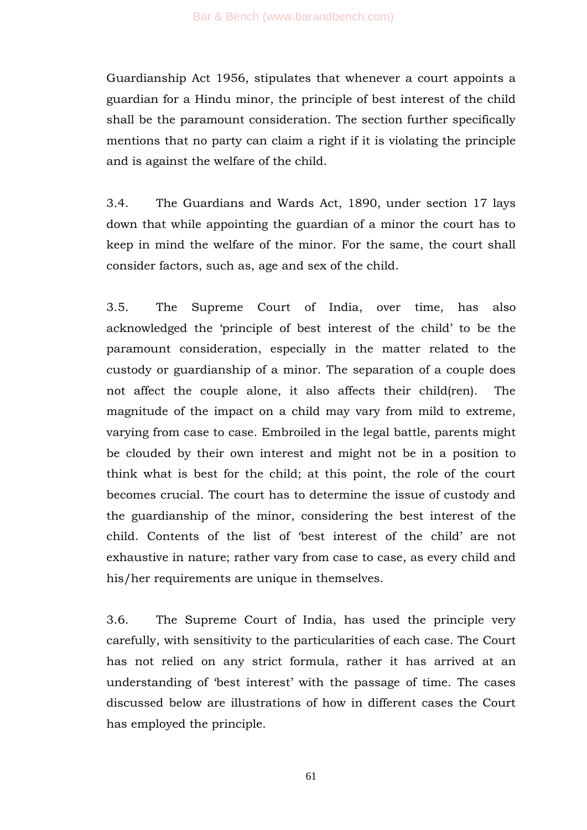Guardianship Act 1956, stipulates that whenever a court appoints a guardian for a Hindu minor, the principle of best interest of the child shall be the paramount consideration. The section further specifically mentions that no party can claim a right if it is violating the principle and is against the welfare of the child.

3.4. The Guardians and Wards Act, 1890, under section 17 lays down that while appointing the guardian of a minor the court has to keep in mind the welfare of the minor. For the same, the court shall consider factors, such as, age and sex of the child.

3.5. The Supreme Court of India, over time, has also acknowledged the 'principle of best interest of the child' to be the paramount consideration, especially in the matter related to the custody or guardianship of a minor. The separation of a couple does not affect the couple alone, it also affects their child(ren). The magnitude of the impact on a child may vary from mild to extreme, varying from case to case. Embroiled in the legal battle, parents might be clouded by their own interest and might not be in a position to think what is best for the child; at this point, the role of the court becomes crucial. The court has to determine the issue of custody and the guardianship of the minor, considering the best interest of the child. Contents of the list of 'best interest of the child' are not exhaustive in nature; rather vary from case to case, as every child and his/her requirements are unique in themselves.

3.6. The Supreme Court of India, has used the principle very carefully, with sensitivity to the particularities of each case. The Court has not relied on any strict formula, rather it has arrived at an understanding of 'best interest' with the passage of time. The cases discussed below are illustrations of how in different cases the Court has employed the principle.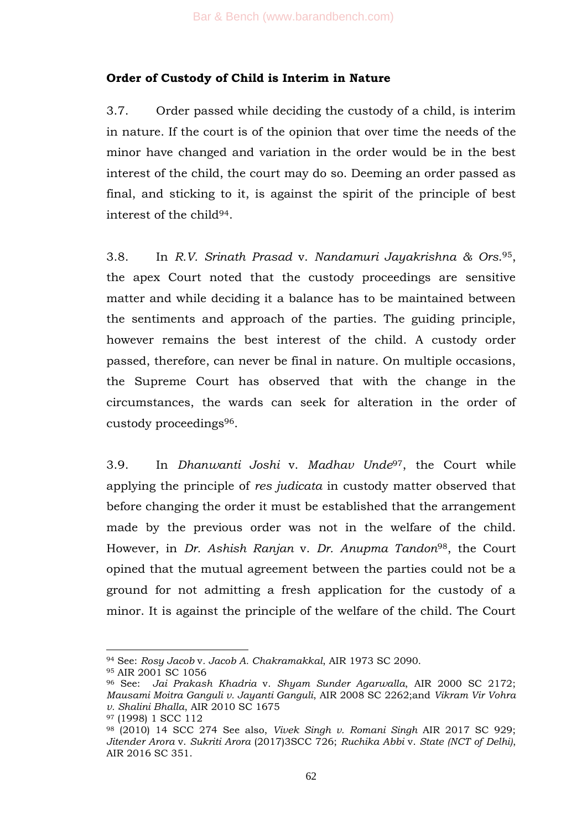## **Order of Custody of Child is Interim in Nature**

3.7. Order passed while deciding the custody of a child, is interim in nature. If the court is of the opinion that over time the needs of the minor have changed and variation in the order would be in the best interest of the child, the court may do so. Deeming an order passed as final, and sticking to it, is against the spirit of the principle of best interest of the child94.

3.8. In *R.V. Srinath Prasad* v. *Nandamuri Jayakrishna & Ors*. <sup>95</sup>, the apex Court noted that the custody proceedings are sensitive matter and while deciding it a balance has to be maintained between the sentiments and approach of the parties. The guiding principle, however remains the best interest of the child. A custody order passed, therefore, can never be final in nature. On multiple occasions, the Supreme Court has observed that with the change in the circumstances, the wards can seek for alteration in the order of custody proceedings96.

3.9. In *Dhanwanti Joshi* v. *Madhav Unde*97, the Court while applying the principle of *res judicata* in custody matter observed that before changing the order it must be established that the arrangement made by the previous order was not in the welfare of the child. However, in *Dr. Ashish Ranjan* v. *Dr. Anupma Tandon*98, the Court opined that the mutual agreement between the parties could not be a ground for not admitting a fresh application for the custody of a minor. It is against the principle of the welfare of the child. The Court

<sup>94</sup> See: *Rosy Jacob* v*. Jacob A. Chakramakkal*, AIR 1973 SC 2090.

<sup>95</sup> AIR 2001 SC 1056

<sup>96</sup> See: *Jai Prakash Khadria* v. *Shyam Sunder Agarwalla*, AIR 2000 SC 2172; *Mausami Moitra Ganguli v. Jayanti Ganguli*, AIR 2008 SC 2262;and *Vikram Vir Vohra v. Shalini Bhalla*, AIR 2010 SC 1675

<sup>97</sup> (1998) 1 SCC 112

<sup>98</sup> (2010) 14 SCC 274 See also, *Vivek Singh v. Romani Singh* AIR 2017 SC 929; *Jitender Arora* v. *Sukriti Arora* (2017)3SCC 726; *Ruchika Abbi* v. *State (NCT of Delhi)*, AIR 2016 SC 351.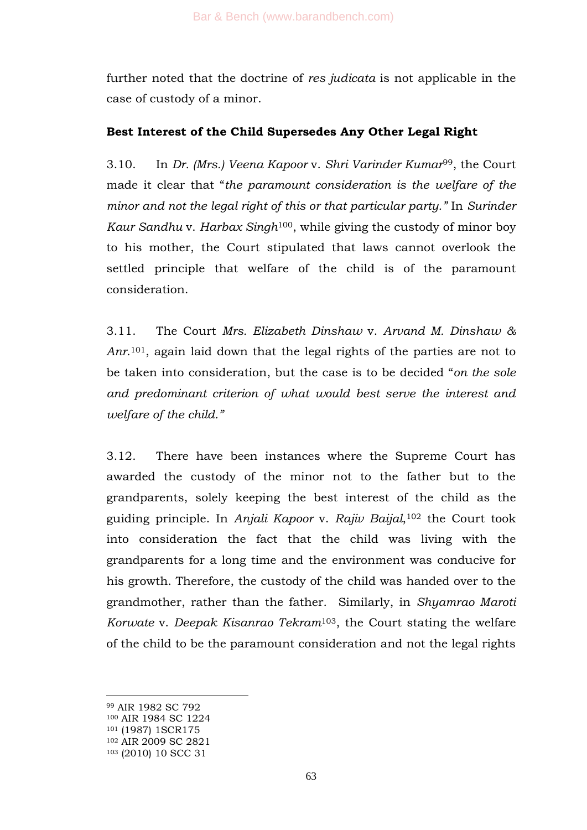further noted that the doctrine of *res judicata* is not applicable in the case of custody of a minor.

## **Best Interest of the Child Supersedes Any Other Legal Right**

3.10. In *Dr. (Mrs.) Veena Kapoor* v. *Shri Varinder Kumar*99, the Court made it clear that "*the paramount consideration is the welfare of the minor and not the legal right of this or that particular party."* In *Surinder Kaur Sandhu* v. *Harbax Singh*100, while giving the custody of minor boy to his mother, the Court stipulated that laws cannot overlook the settled principle that welfare of the child is of the paramount consideration.

3.11. The Court *Mrs. Elizabeth Dinshaw* v. *Arvand M. Dinshaw & Anr*. <sup>101</sup>, again laid down that the legal rights of the parties are not to be taken into consideration, but the case is to be decided "on the sole *and predominant criterion of what would best serve the interest and welfare of the child."*

3.12. There have been instances where the Supreme Court has awarded the custody of the minor not to the father but to the grandparents, solely keeping the best interest of the child as the guiding principle. In *Anjali Kapoor* v. *Rajiv Baijal*, <sup>102</sup> the Court took into consideration the fact that the child was living with the grandparents for a long time and the environment was conducive for his growth. Therefore, the custody of the child was handed over to the grandmother, rather than the father. Similarly, in *Shyamrao Maroti Korwate* v. *Deepak Kisanrao Tekram*103, the Court stating the welfare of the child to be the paramount consideration and not the legal rights

<sup>99</sup> AIR 1982 SC 792

<sup>100</sup> AIR 1984 SC 1224

<sup>101</sup> (1987) 1SCR175

<sup>102</sup> AIR 2009 SC 2821

<sup>103</sup> (2010) 10 SCC 31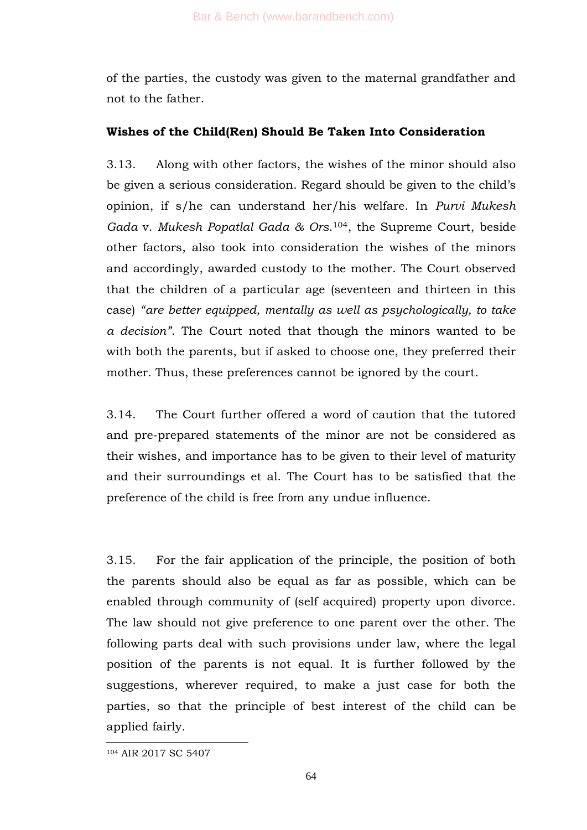of the parties, the custody was given to the maternal grandfather and not to the father.

## **Wishes of the Child(Ren) Should Be Taken Into Consideration**

3.13. Along with other factors, the wishes of the minor should also be given a serious consideration. Regard should be given to the child's opinion, if s/he can understand her/his welfare. In *Purvi Mukesh Gada* v. *Mukesh Popatlal Gada & Ors*. <sup>104</sup>, the Supreme Court, beside other factors, also took into consideration the wishes of the minors and accordingly, awarded custody to the mother. The Court observed that the children of a particular age (seventeen and thirteen in this case) *"are better equipped, mentally as well as psychologically, to take a decision"*. The Court noted that though the minors wanted to be with both the parents, but if asked to choose one, they preferred their mother. Thus, these preferences cannot be ignored by the court.

3.14. The Court further offered a word of caution that the tutored and pre-prepared statements of the minor are not be considered as their wishes, and importance has to be given to their level of maturity and their surroundings et al. The Court has to be satisfied that the preference of the child is free from any undue influence.

3.15. For the fair application of the principle, the position of both the parents should also be equal as far as possible, which can be enabled through community of (self acquired) property upon divorce. The law should not give preference to one parent over the other. The following parts deal with such provisions under law, where the legal position of the parents is not equal. It is further followed by the suggestions, wherever required, to make a just case for both the parties, so that the principle of best interest of the child can be applied fairly.

<sup>104</sup> AIR 2017 SC 5407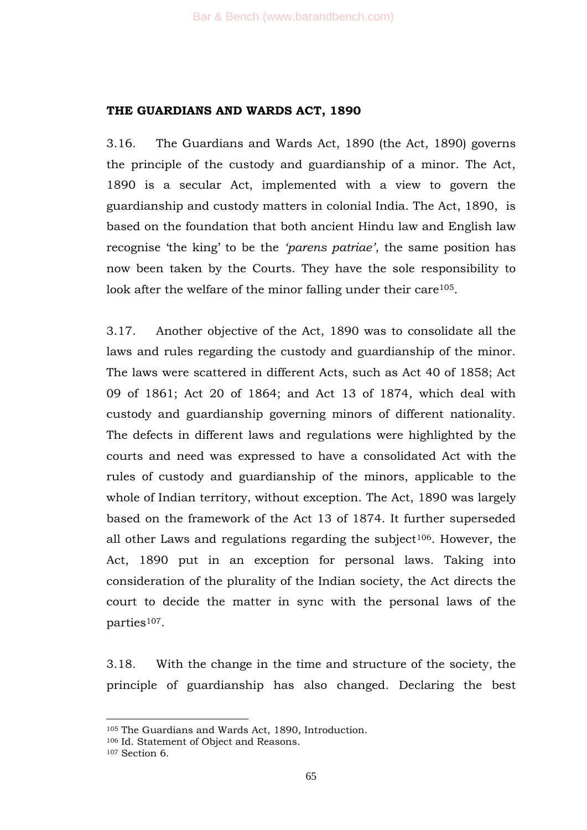#### **THE GUARDIANS AND WARDS ACT, 1890**

3.16. The Guardians and Wards Act, 1890 (the Act, 1890) governs the principle of the custody and guardianship of a minor. The Act, 1890 is a secular Act, implemented with a view to govern the guardianship and custody matters in colonial India. The Act, 1890, is based on the foundation that both ancient Hindu law and English law recognise 'the king' to be the 'parens patriae', the same position has now been taken by the Courts. They have the sole responsibility to look after the welfare of the minor falling under their care<sup>105</sup>.

3.17. Another objective of the Act, 1890 was to consolidate all the laws and rules regarding the custody and guardianship of the minor. The laws were scattered in different Acts, such as Act 40 of 1858; Act 09 of 1861; Act 20 of 1864; and Act 13 of 1874, which deal with custody and guardianship governing minors of different nationality. The defects in different laws and regulations were highlighted by the courts and need was expressed to have a consolidated Act with the rules of custody and guardianship of the minors, applicable to the whole of Indian territory, without exception. The Act, 1890 was largely based on the framework of the Act 13 of 1874. It further superseded all other Laws and regulations regarding the subject<sup>106</sup>. However, the Act, 1890 put in an exception for personal laws. Taking into consideration of the plurality of the Indian society, the Act directs the court to decide the matter in sync with the personal laws of the parties<sup>107</sup>.

3.18. With the change in the time and structure of the society, the principle of guardianship has also changed. Declaring the best

<sup>105</sup> The Guardians and Wards Act, 1890, Introduction.

<sup>106</sup> Id. Statement of Object and Reasons.

<sup>107</sup> Section 6.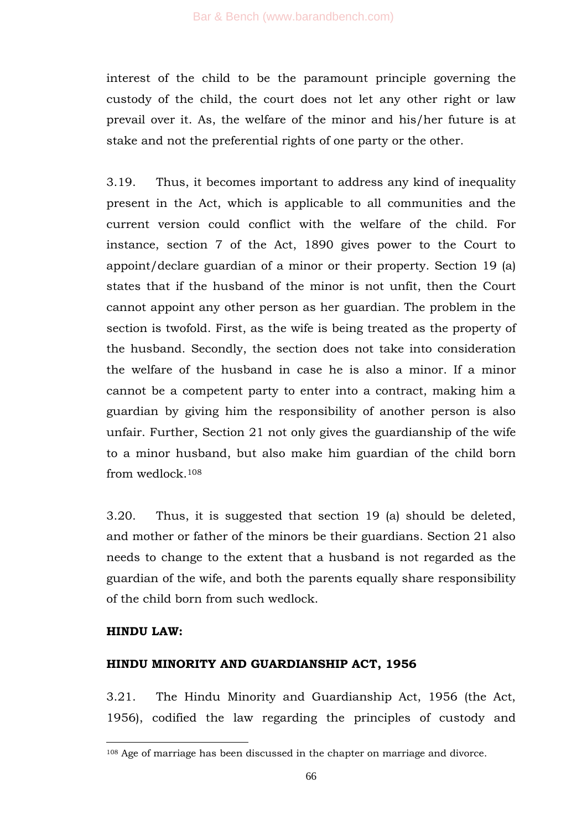interest of the child to be the paramount principle governing the custody of the child, the court does not let any other right or law prevail over it. As, the welfare of the minor and his/her future is at stake and not the preferential rights of one party or the other.

3.19. Thus, it becomes important to address any kind of inequality present in the Act, which is applicable to all communities and the current version could conflict with the welfare of the child. For instance, section 7 of the Act, 1890 gives power to the Court to appoint/declare guardian of a minor or their property. Section 19 (a) states that if the husband of the minor is not unfit, then the Court cannot appoint any other person as her guardian. The problem in the section is twofold. First, as the wife is being treated as the property of the husband. Secondly, the section does not take into consideration the welfare of the husband in case he is also a minor. If a minor cannot be a competent party to enter into a contract, making him a guardian by giving him the responsibility of another person is also unfair. Further, Section 21 not only gives the guardianship of the wife to a minor husband, but also make him guardian of the child born from wedlock.<sup>108</sup>

3.20. Thus, it is suggested that section 19 (a) should be deleted, and mother or father of the minors be their guardians. Section 21 also needs to change to the extent that a husband is not regarded as the guardian of the wife, and both the parents equally share responsibility of the child born from such wedlock.

#### **HINDU LAW:**

1

#### **HINDU MINORITY AND GUARDIANSHIP ACT, 1956**

3.21. The Hindu Minority and Guardianship Act, 1956 (the Act, 1956), codified the law regarding the principles of custody and

<sup>108</sup> Age of marriage has been discussed in the chapter on marriage and divorce.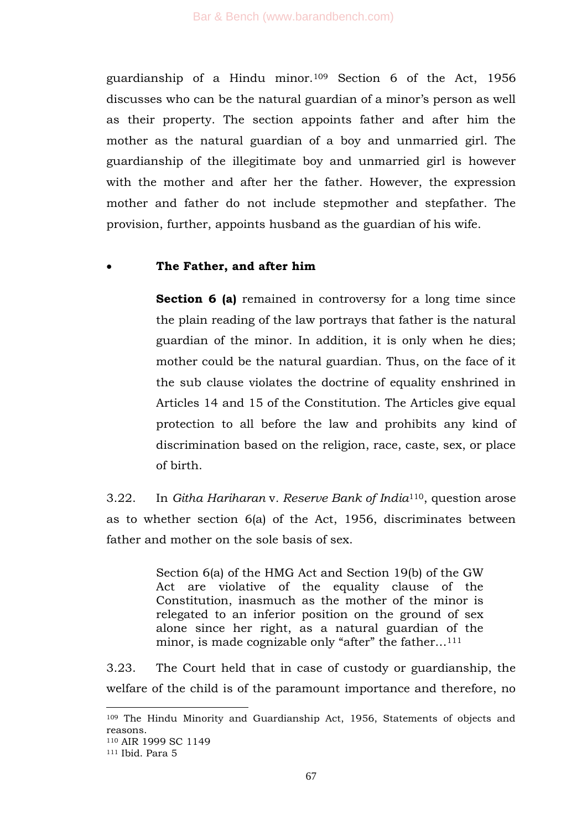guardianship of a Hindu minor.<sup>109</sup> Section 6 of the Act, 1956 discusses who can be the natural guardian of a minor's person as well as their property. The section appoints father and after him the mother as the natural guardian of a boy and unmarried girl. The guardianship of the illegitimate boy and unmarried girl is however with the mother and after her the father. However, the expression mother and father do not include stepmother and stepfather. The provision, further, appoints husband as the guardian of his wife.

## **The Father, and after him**

**Section 6 (a)** remained in controversy for a long time since the plain reading of the law portrays that father is the natural guardian of the minor. In addition, it is only when he dies; mother could be the natural guardian. Thus, on the face of it the sub clause violates the doctrine of equality enshrined in Articles 14 and 15 of the Constitution. The Articles give equal protection to all before the law and prohibits any kind of discrimination based on the religion, race, caste, sex, or place of birth.

3.22. In *Githa Hariharan* v*. Reserve Bank of India*110, question arose as to whether section 6(a) of the Act, 1956, discriminates between father and mother on the sole basis of sex.

> Section 6(a) of the HMG Act and Section 19(b) of the GW Act are violative of the equality clause of the Constitution, inasmuch as the mother of the minor is relegated to an inferior position on the ground of sex alone since her right, as a natural guardian of the minor, is made cognizable only "after" the father... $^{111}$

3.23. The Court held that in case of custody or guardianship, the welfare of the child is of the paramount importance and therefore, no

<sup>109</sup> The Hindu Minority and Guardianship Act, 1956, Statements of objects and reasons. <sup>110</sup> AIR 1999 SC 1149

<sup>111</sup> Ibid. Para 5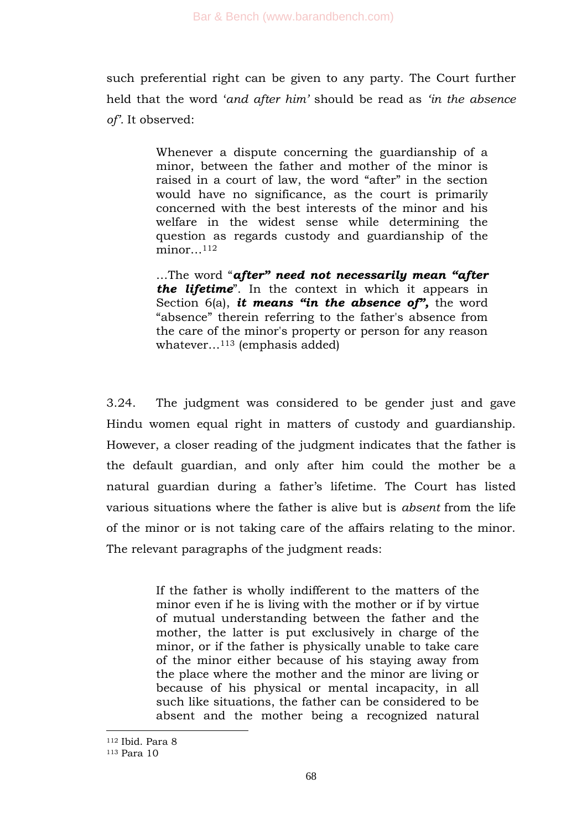such preferential right can be given to any party. The Court further held that the word ‗*and after him"* should be read as *"in the absence of".* It observed:

> Whenever a dispute concerning the guardianship of a minor, between the father and mother of the minor is raised in a court of law, the word "after" in the section would have no significance, as the court is primarily concerned with the best interests of the minor and his welfare in the widest sense while determining the question as regards custody and guardianship of the  $minor...$ <sup>112</sup>

> …The word ―*after" need not necessarily mean "after the lifetime*. In the context in which it appears in Section 6(a), *it means "in the absence of",* the word "absence" therein referring to the father's absence from the care of the minor's property or person for any reason whatever…<sup>113</sup> (emphasis added)

3.24. The judgment was considered to be gender just and gave Hindu women equal right in matters of custody and guardianship. However, a closer reading of the judgment indicates that the father is the default guardian, and only after him could the mother be a natural guardian during a father's lifetime. The Court has listed various situations where the father is alive but is *absent* from the life of the minor or is not taking care of the affairs relating to the minor. The relevant paragraphs of the judgment reads:

> If the father is wholly indifferent to the matters of the minor even if he is living with the mother or if by virtue of mutual understanding between the father and the mother, the latter is put exclusively in charge of the minor, or if the father is physically unable to take care of the minor either because of his staying away from the place where the mother and the minor are living or because of his physical or mental incapacity, in all such like situations, the father can be considered to be absent and the mother being a recognized natural

<sup>112</sup> Ibid. Para 8

<sup>113</sup> Para 10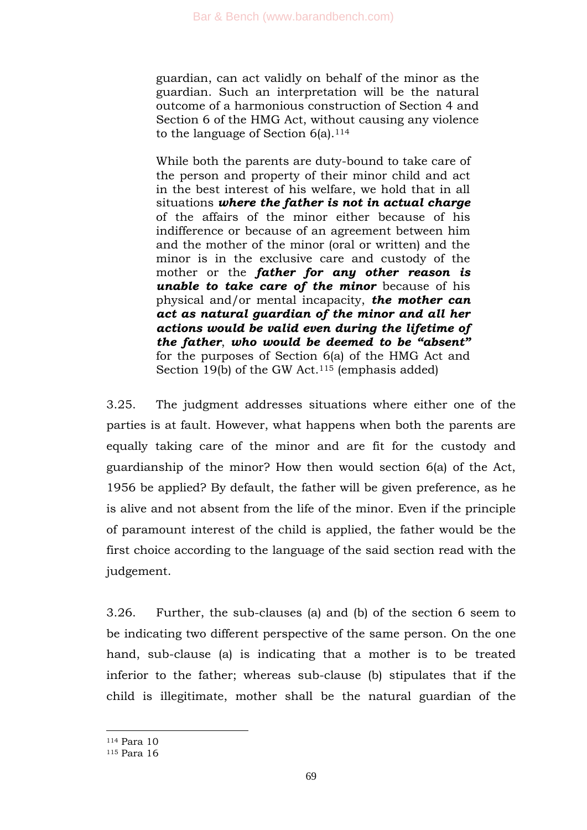guardian, can act validly on behalf of the minor as the guardian. Such an interpretation will be the natural outcome of a harmonious construction of Section 4 and Section 6 of the HMG Act, without causing any violence to the language of Section  $6(a)$ .<sup>114</sup>

While both the parents are duty-bound to take care of the person and property of their minor child and act in the best interest of his welfare, we hold that in all situations *where the father is not in actual charge* of the affairs of the minor either because of his indifference or because of an agreement between him and the mother of the minor (oral or written) and the minor is in the exclusive care and custody of the mother or the *father for any other reason is unable to take care of the minor* because of his physical and/or mental incapacity, *the mother can act as natural guardian of the minor and all her actions would be valid even during the lifetime of the father*, *who would be deemed to be "absent"*  for the purposes of Section 6(a) of the HMG Act and Section 19(b) of the GW Act.<sup>115</sup> (emphasis added)

3.25. The judgment addresses situations where either one of the parties is at fault. However, what happens when both the parents are equally taking care of the minor and are fit for the custody and guardianship of the minor? How then would section 6(a) of the Act, 1956 be applied? By default, the father will be given preference, as he is alive and not absent from the life of the minor. Even if the principle of paramount interest of the child is applied, the father would be the first choice according to the language of the said section read with the judgement.

3.26. Further, the sub-clauses (a) and (b) of the section 6 seem to be indicating two different perspective of the same person. On the one hand, sub-clause (a) is indicating that a mother is to be treated inferior to the father; whereas sub-clause (b) stipulates that if the child is illegitimate, mother shall be the natural guardian of the

<sup>114</sup> Para 10

<sup>115</sup> Para 16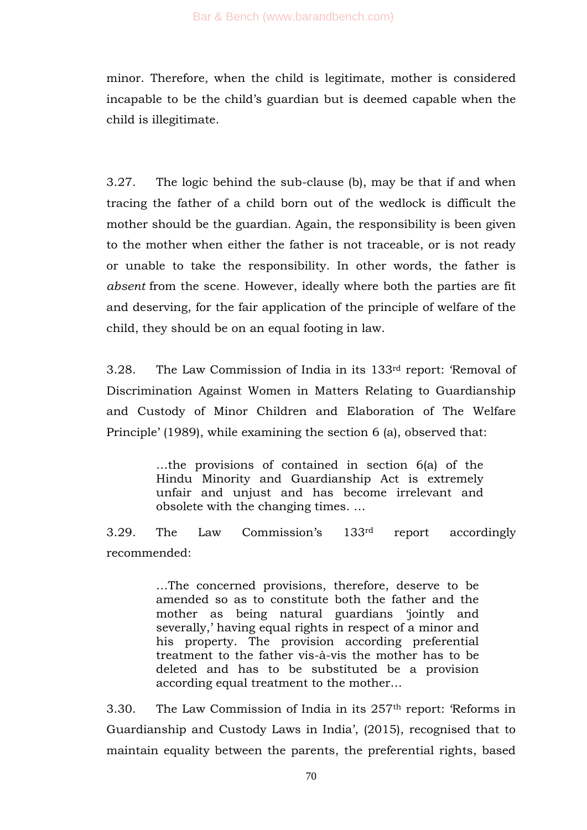minor. Therefore, when the child is legitimate, mother is considered incapable to be the child's guardian but is deemed capable when the child is illegitimate.

3.27. The logic behind the sub-clause (b), may be that if and when tracing the father of a child born out of the wedlock is difficult the mother should be the guardian. Again, the responsibility is been given to the mother when either the father is not traceable, or is not ready or unable to take the responsibility. In other words, the father is *absent* from the scene. However, ideally where both the parties are fit and deserving, for the fair application of the principle of welfare of the child, they should be on an equal footing in law.

3.28. The Law Commission of India in its 133<sup>rd</sup> report: 'Removal of Discrimination Against Women in Matters Relating to Guardianship and Custody of Minor Children and Elaboration of The Welfare Principle' (1989), while examining the section 6 (a), observed that:

> …the provisions of contained in section 6(a) of the Hindu Minority and Guardianship Act is extremely unfair and unjust and has become irrelevant and obsolete with the changing times. …

3.29. The Law Commission's 133rd report accordingly recommended:

> …The concerned provisions, therefore, deserve to be amended so as to constitute both the father and the mother as being natural guardians 'jointly and severally,' having equal rights in respect of a minor and his property. The provision according preferential treatment to the father vis-à-vis the mother has to be deleted and has to be substituted be a provision according equal treatment to the mother…

3.30. The Law Commission of India in its  $257<sup>th</sup>$  report: 'Reforms in Guardianship and Custody Laws in India', (2015), recognised that to maintain equality between the parents, the preferential rights, based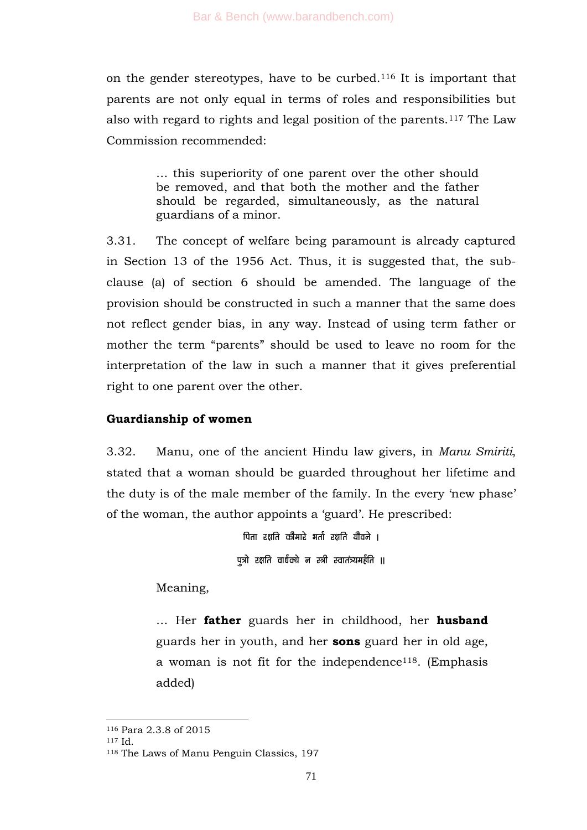on the gender stereotypes, have to be curbed.<sup>116</sup> It is important that parents are not only equal in terms of roles and responsibilities but also with regard to rights and legal position of the parents.<sup>117</sup> The Law Commission recommended:

> … this superiority of one parent over the other should be removed, and that both the mother and the father should be regarded, simultaneously, as the natural guardians of a minor.

3.31. The concept of welfare being paramount is already captured in Section 13 of the 1956 Act. Thus, it is suggested that, the subclause (a) of section 6 should be amended. The language of the provision should be constructed in such a manner that the same does not reflect gender bias, in any way. Instead of using term father or mother the term "parents" should be used to leave no room for the interpretation of the law in such a manner that it gives preferential right to one parent over the other.

## **Guardianship of women**

3.32. Manu, one of the ancient Hindu law givers, in *Manu Smiriti*, stated that a woman should be guarded throughout her lifetime and the duty is of the male member of the family. In the every 'new phase' of the woman, the author appoints a 'guard'. He prescribed:

> पिता रक्षति कौमारे भर्ता रक्षति यौवने । पत्रो रक्षति वार्धक्ये न स्त्री स्वातंत्र्यमर्हति ॥

Meaning,

… Her **father** guards her in childhood, her **husband** guards her in youth, and her **sons** guard her in old age, a woman is not fit for the independence118. (Emphasis added)

<sup>116</sup> Para 2.3.8 of 2015

<sup>117</sup> Id.

<sup>118</sup> The Laws of Manu Penguin Classics, 197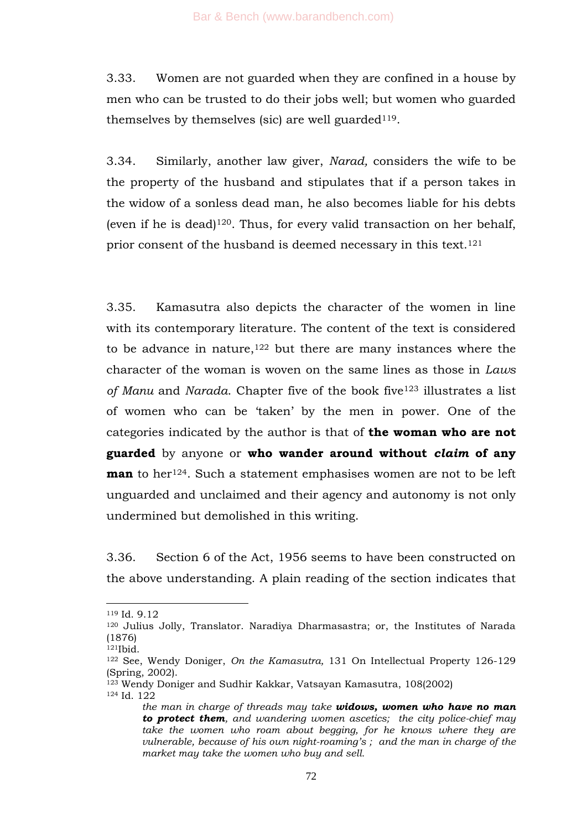3.33. Women are not guarded when they are confined in a house by men who can be trusted to do their jobs well; but women who guarded themselves by themselves (sic) are well guarded<sup>119</sup>.

3.34. Similarly, another law giver, *Narad,* considers the wife to be the property of the husband and stipulates that if a person takes in the widow of a sonless dead man, he also becomes liable for his debts (even if he is dead) $120$ . Thus, for every valid transaction on her behalf, prior consent of the husband is deemed necessary in this text.<sup>121</sup>

3.35. Kamasutra also depicts the character of the women in line with its contemporary literature. The content of the text is considered to be advance in nature, $122$  but there are many instances where the character of the woman is woven on the same lines as those in *Laws of Manu* and *Narada*. Chapter five of the book five<sup>123</sup> illustrates a list of women who can be ‗taken' by the men in power. One of the categories indicated by the author is that of **the woman who are not guarded** by anyone or **who wander around without** *claim* **of any man** to her<sup>124</sup>. Such a statement emphasises women are not to be left unguarded and unclaimed and their agency and autonomy is not only undermined but demolished in this writing.

3.36. Section 6 of the Act, 1956 seems to have been constructed on the above understanding. A plain reading of the section indicates that

1

<sup>123</sup> Wendy Doniger and Sudhir Kakkar, Vatsayan Kamasutra, 108(2002)

<sup>119</sup> Id. 9.12

<sup>120</sup> Julius Jolly, Translator. Naradiya Dharmasastra; or, the Institutes of Narada (1876)

<sup>121</sup>Ibid.

<sup>122</sup> See, Wendy Doniger, *On the Kamasutra,* 131 On Intellectual Property 126-129 (Spring, 2002).

<sup>124</sup> Id. 122

*the man in charge of threads may take widows, women who have no man to protect them, and wandering women ascetics; the city police-chief may*  take the women who roam about begging, for he knows where they are *vulnerable, because of his own night-roaming"s ; and the man in charge of the market may take the women who buy and sell.*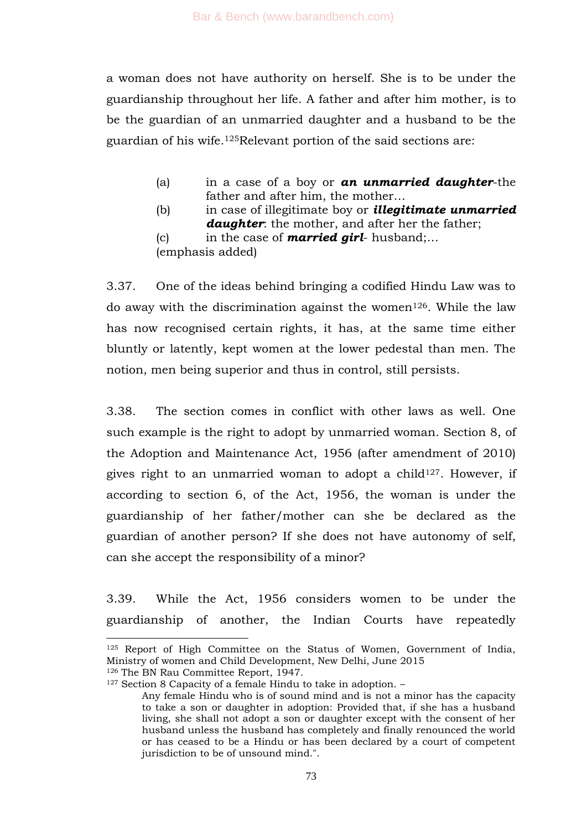a woman does not have authority on herself. She is to be under the guardianship throughout her life. A father and after him mother, is to be the guardian of an unmarried daughter and a husband to be the guardian of his wife.125Relevant portion of the said sections are:

- (a) in a case of a boy or *an unmarried daughter*-the father and after him, the mother…
- (b) in case of illegitimate boy or *illegitimate unmarried daughter*: the mother, and after her the father;
- (c) in the case of *married girl* husband;… (emphasis added)

3.37. One of the ideas behind bringing a codified Hindu Law was to do away with the discrimination against the women<sup>126</sup>. While the law has now recognised certain rights, it has, at the same time either bluntly or latently, kept women at the lower pedestal than men. The notion, men being superior and thus in control, still persists.

3.38. The section comes in conflict with other laws as well. One such example is the right to adopt by unmarried woman. Section 8, of the Adoption and Maintenance Act, 1956 (after amendment of 2010) gives right to an unmarried woman to adopt a child<sup>127</sup>. However, if according to section 6, of the Act, 1956, the woman is under the guardianship of her father/mother can she be declared as the guardian of another person? If she does not have autonomy of self, can she accept the responsibility of a minor?

3.39. While the Act, 1956 considers women to be under the guardianship of another, the Indian Courts have repeatedly

<sup>127</sup> Section 8 Capacity of a female Hindu to take in adoption. -

<sup>125</sup> Report of High Committee on the Status of Women, Government of India, Ministry of women and Child Development, New Delhi, June 2015 <sup>126</sup> The BN Rau Committee Report, 1947.

Any female Hindu who is of sound mind and is not a minor has the capacity to take a son or daughter in adoption: Provided that, if she has a husband living, she shall not adopt a son or daughter except with the consent of her husband unless the husband has completely and finally renounced the world or has ceased to be a Hindu or has been declared by a court of competent jurisdiction to be of unsound mind.".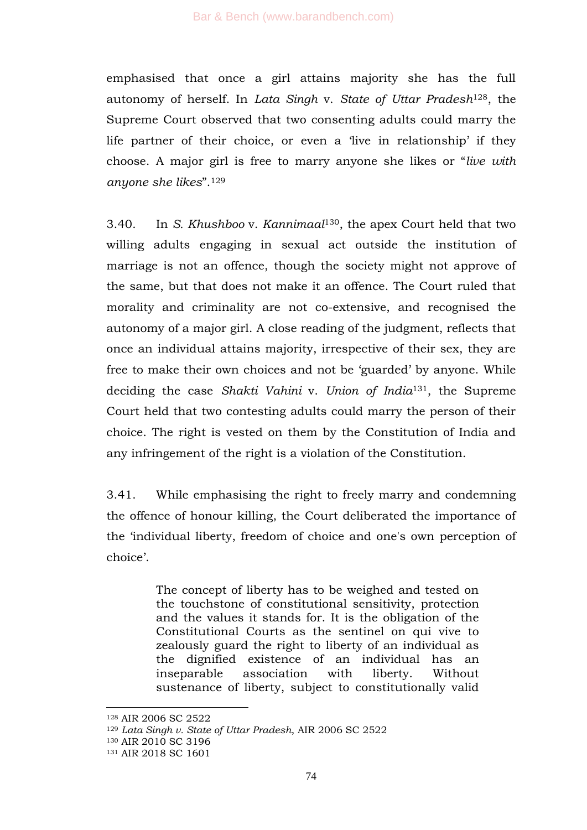emphasised that once a girl attains majority she has the full autonomy of herself. In *Lata Singh* v. *State of Uttar Pradesh*128, the Supreme Court observed that two consenting adults could marry the life partner of their choice, or even a 'live in relationship' if they choose. A major girl is free to marry anyone she likes or ―*live with*  anyone she likes".<sup>129</sup>

3.40. In *S. Khushboo* v. *Kannimaal*130, the apex Court held that two willing adults engaging in sexual act outside the institution of marriage is not an offence, though the society might not approve of the same, but that does not make it an offence. The Court ruled that morality and criminality are not co-extensive, and recognised the autonomy of a major girl. A close reading of the judgment, reflects that once an individual attains majority, irrespective of their sex, they are free to make their own choices and not be 'guarded' by anyone. While deciding the case *Shakti Vahini* v. *Union of India*131, the Supreme Court held that two contesting adults could marry the person of their choice. The right is vested on them by the Constitution of India and any infringement of the right is a violation of the Constitution.

3.41. While emphasising the right to freely marry and condemning the offence of honour killing, the Court deliberated the importance of the ‗individual liberty, freedom of choice and one's own perception of choice'.

> The concept of liberty has to be weighed and tested on the touchstone of constitutional sensitivity, protection and the values it stands for. It is the obligation of the Constitutional Courts as the sentinel on qui vive to zealously guard the right to liberty of an individual as the dignified existence of an individual has an inseparable association with liberty. Without sustenance of liberty, subject to constitutionally valid

<sup>128</sup> AIR 2006 SC 2522

<sup>129</sup> *Lata Singh v. State of Uttar Pradesh*, AIR 2006 SC 2522

<sup>130</sup> AIR 2010 SC 3196

<sup>131</sup> AIR 2018 SC 1601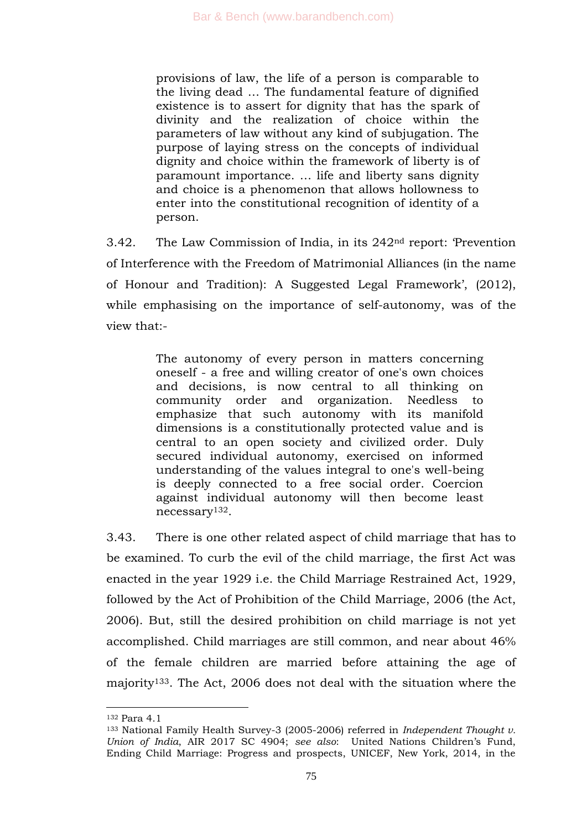provisions of law, the life of a person is comparable to the living dead … The fundamental feature of dignified existence is to assert for dignity that has the spark of divinity and the realization of choice within the parameters of law without any kind of subjugation. The purpose of laying stress on the concepts of individual dignity and choice within the framework of liberty is of paramount importance. … life and liberty sans dignity and choice is a phenomenon that allows hollowness to enter into the constitutional recognition of identity of a person.

3.42. The Law Commission of India, in its 242<sup>nd</sup> report: 'Prevention' of Interference with the Freedom of Matrimonial Alliances (in the name of Honour and Tradition): A Suggested Legal Framework', (2012), while emphasising on the importance of self-autonomy, was of the view that:-

> The autonomy of every person in matters concerning oneself - a free and willing creator of one's own choices and decisions, is now central to all thinking on community order and organization. Needless to emphasize that such autonomy with its manifold dimensions is a constitutionally protected value and is central to an open society and civilized order. Duly secured individual autonomy, exercised on informed understanding of the values integral to one's well-being is deeply connected to a free social order. Coercion against individual autonomy will then become least necessary132.

3.43. There is one other related aspect of child marriage that has to be examined. To curb the evil of the child marriage, the first Act was enacted in the year 1929 i.e. the Child Marriage Restrained Act, 1929, followed by the Act of Prohibition of the Child Marriage, 2006 (the Act, 2006). But, still the desired prohibition on child marriage is not yet accomplished. Child marriages are still common, and near about 46% of the female children are married before attaining the age of majority133. The Act, 2006 does not deal with the situation where the

<sup>132</sup> Para 4.1

<sup>133</sup> National Family Health Survey-3 (2005-2006) referred in *Independent Thought v. Union of India*, AIR 2017 SC 4904; *see also*: United Nations Children's Fund, Ending Child Marriage: Progress and prospects, UNICEF, New York, 2014, in the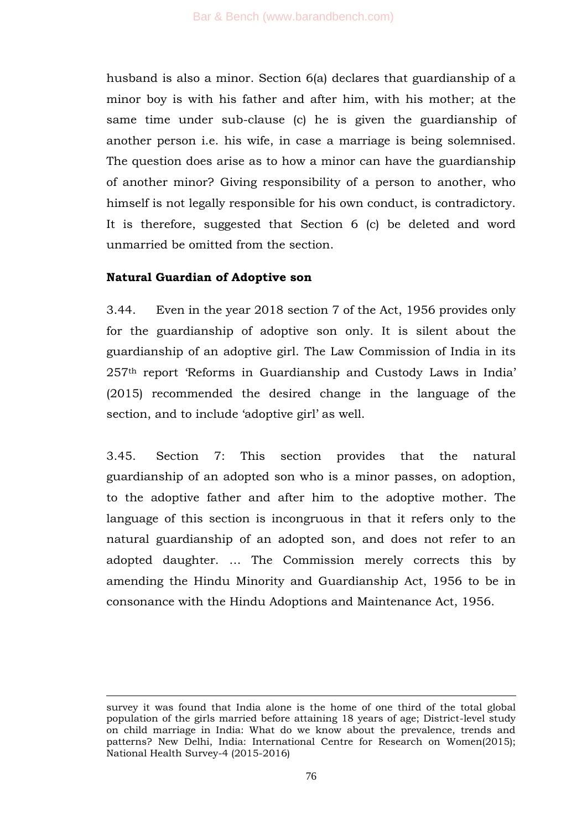husband is also a minor. Section 6(a) declares that guardianship of a minor boy is with his father and after him, with his mother; at the same time under sub-clause (c) he is given the guardianship of another person i.e. his wife, in case a marriage is being solemnised. The question does arise as to how a minor can have the guardianship of another minor? Giving responsibility of a person to another, who himself is not legally responsible for his own conduct, is contradictory. It is therefore, suggested that Section 6 (c) be deleted and word unmarried be omitted from the section.

## **Natural Guardian of Adoptive son**

-

3.44. Even in the year 2018 section 7 of the Act, 1956 provides only for the guardianship of adoptive son only. It is silent about the guardianship of an adoptive girl. The Law Commission of India in its 257th report ‗Reforms in Guardianship and Custody Laws in India' (2015) recommended the desired change in the language of the section, and to include 'adoptive girl' as well.

3.45. Section 7: This section provides that the natural guardianship of an adopted son who is a minor passes, on adoption, to the adoptive father and after him to the adoptive mother. The language of this section is incongruous in that it refers only to the natural guardianship of an adopted son, and does not refer to an adopted daughter. … The Commission merely corrects this by amending the Hindu Minority and Guardianship Act, 1956 to be in consonance with the Hindu Adoptions and Maintenance Act, 1956.

survey it was found that India alone is the home of one third of the total global population of the girls married before attaining 18 years of age; District-level study on child marriage in India: What do we know about the prevalence, trends and patterns? New Delhi, India: International Centre for Research on Women(2015); National Health Survey-4 (2015-2016)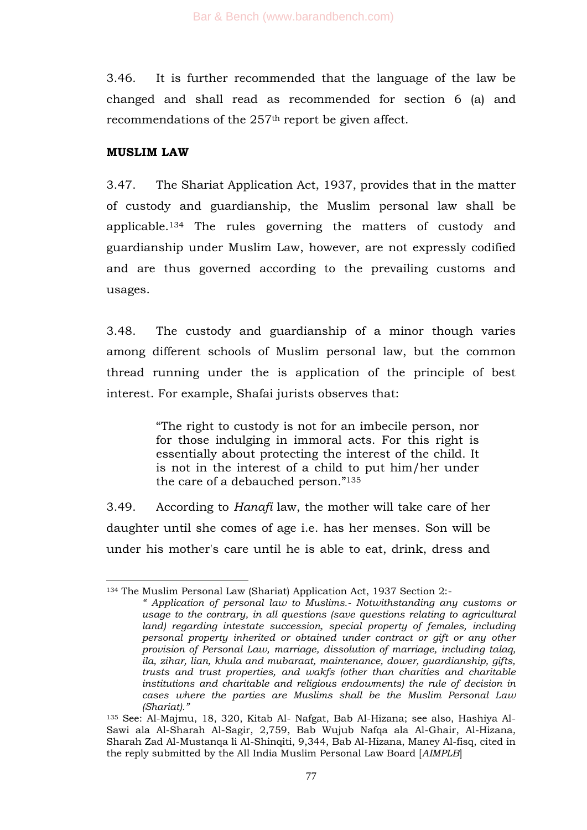3.46. It is further recommended that the language of the law be changed and shall read as recommended for section 6 (a) and recommendations of the 257<sup>th</sup> report be given affect.

## **MUSLIM LAW**

-

3.47. The Shariat Application Act, 1937, provides that in the matter of custody and guardianship, the Muslim personal law shall be applicable.<sup>134</sup> The rules governing the matters of custody and guardianship under Muslim Law, however, are not expressly codified and are thus governed according to the prevailing customs and usages.

3.48. The custody and guardianship of a minor though varies among different schools of Muslim personal law, but the common thread running under the is application of the principle of best interest. For example, Shafai jurists observes that:

> ―The right to custody is not for an imbecile person, nor for those indulging in immoral acts. For this right is essentially about protecting the interest of the child. It is not in the interest of a child to put him/her under the care of a debauched person." $135$

3.49. According to *Hanafi* law, the mother will take care of her daughter until she comes of age i.e. has her menses. Son will be under his mother's care until he is able to eat, drink, dress and

<sup>134</sup> The Muslim Personal Law (Shariat) Application Act, 1937 Section 2:-

*<sup>&</sup>quot; Application of personal law to Muslims.- Notwithstanding any customs or usage to the contrary, in all questions (save questions relating to agricultural land) regarding intestate succession, special property of females, including personal property inherited or obtained under contract or gift or any other provision of Personal Law, marriage, dissolution of marriage, including talaq, ila, zihar, lian, khula and mubaraat, maintenance, dower, guardianship, gifts, trusts and trust properties, and wakfs (other than charities and charitable institutions and charitable and religious endowments) the rule of decision in cases where the parties are Muslims shall be the Muslim Personal Law (Shariat)."*

<sup>135</sup> See: Al-Majmu, 18, 320, Kitab Al- Nafgat, Bab Al-Hizana; see also, Hashiya Al-Sawi ala Al-Sharah Al-Sagir, 2,759, Bab Wujub Nafqa ala Al-Ghair, Al-Hizana, Sharah Zad Al-Mustanqa li Al-Shinqiti, 9,344, Bab Al-Hizana, Maney Al-fisq, cited in the reply submitted by the All India Muslim Personal Law Board [*AIMPLB*]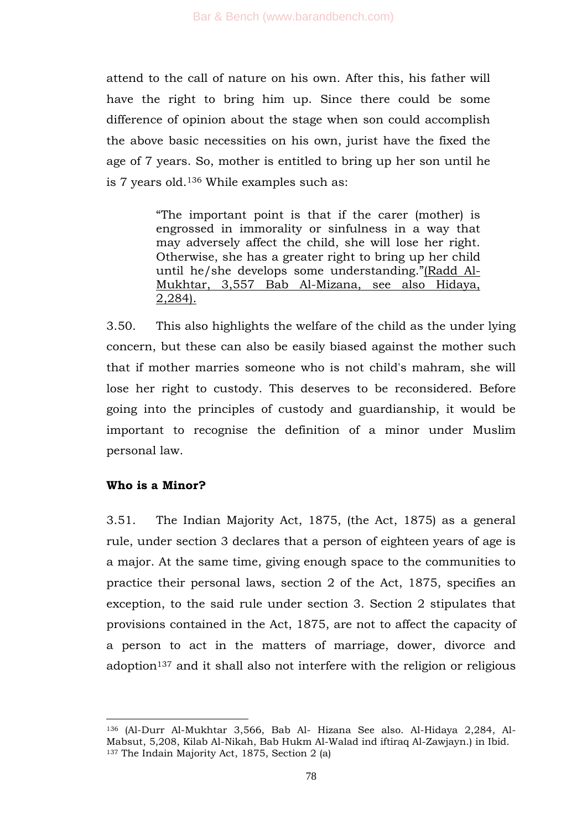attend to the call of nature on his own. After this, his father will have the right to bring him up. Since there could be some difference of opinion about the stage when son could accomplish the above basic necessities on his own, jurist have the fixed the age of 7 years. So, mother is entitled to bring up her son until he is 7 years old.<sup>136</sup> While examples such as:

> ―The important point is that if the carer (mother) is engrossed in immorality or sinfulness in a way that may adversely affect the child, she will lose her right. Otherwise, she has a greater right to bring up her child until he/she develops some understanding."(Radd Al-Mukhtar, 3,557 Bab Al-Mizana, see also Hidaya, 2,284).

3.50. This also highlights the welfare of the child as the under lying concern, but these can also be easily biased against the mother such that if mother marries someone who is not child's mahram, she will lose her right to custody. This deserves to be reconsidered. Before going into the principles of custody and guardianship, it would be important to recognise the definition of a minor under Muslim personal law.

#### **Who is a Minor?**

1

3.51. The Indian Majority Act, 1875, (the Act, 1875) as a general rule, under section 3 declares that a person of eighteen years of age is a major. At the same time, giving enough space to the communities to practice their personal laws, section 2 of the Act, 1875, specifies an exception, to the said rule under section 3. Section 2 stipulates that provisions contained in the Act, 1875, are not to affect the capacity of a person to act in the matters of marriage, dower, divorce and adoption<sup>137</sup> and it shall also not interfere with the religion or religious

<sup>136</sup> (Al-Durr Al-Mukhtar 3,566, Bab Al- Hizana See also. Al-Hidaya 2,284, Al-Mabsut, 5,208, Kilab Al-Nikah, Bab Hukm Al-Walad ind iftiraq Al-Zawjayn.) in Ibid. <sup>137</sup> The Indain Majority Act, 1875, Section 2 (a)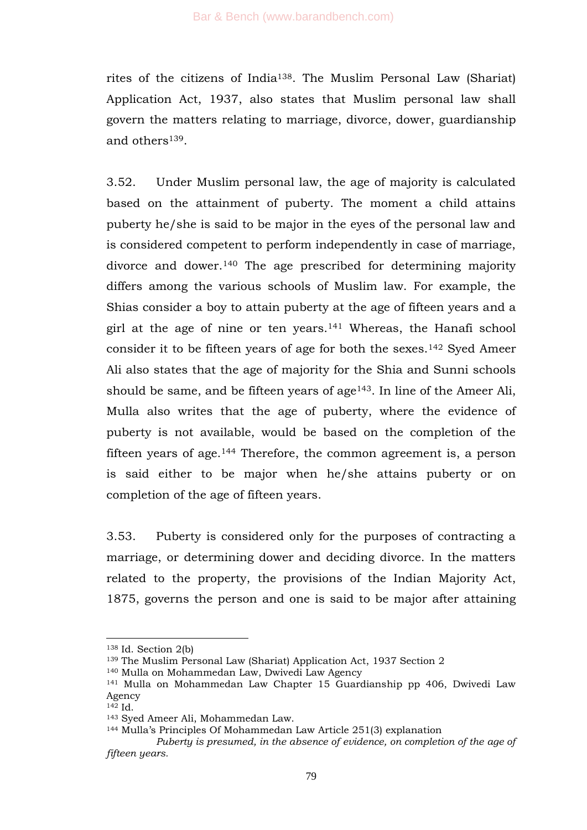rites of the citizens of India138. The Muslim Personal Law (Shariat) Application Act, 1937, also states that Muslim personal law shall govern the matters relating to marriage, divorce, dower, guardianship and others<sup>139</sup>.

3.52. Under Muslim personal law, the age of majority is calculated based on the attainment of puberty. The moment a child attains puberty he/she is said to be major in the eyes of the personal law and is considered competent to perform independently in case of marriage, divorce and dower.<sup>140</sup> The age prescribed for determining majority differs among the various schools of Muslim law. For example, the Shias consider a boy to attain puberty at the age of fifteen years and a girl at the age of nine or ten years.<sup>141</sup> Whereas, the Hanafi school consider it to be fifteen years of age for both the sexes.<sup>142</sup> Syed Ameer Ali also states that the age of majority for the Shia and Sunni schools should be same, and be fifteen years of age $143$ . In line of the Ameer Ali, Mulla also writes that the age of puberty, where the evidence of puberty is not available, would be based on the completion of the fifteen years of age.<sup>144</sup> Therefore, the common agreement is, a person is said either to be major when he/she attains puberty or on completion of the age of fifteen years.

3.53. Puberty is considered only for the purposes of contracting a marriage, or determining dower and deciding divorce. In the matters related to the property, the provisions of the Indian Majority Act, 1875, governs the person and one is said to be major after attaining

 $138$  Id. Section 2(b)

<sup>139</sup> The Muslim Personal Law (Shariat) Application Act, 1937 Section 2

<sup>140</sup> Mulla on Mohammedan Law, Dwivedi Law Agency

<sup>141</sup> Mulla on Mohammedan Law Chapter 15 Guardianship pp 406, Dwivedi Law Agency

 $142$  Id.

<sup>143</sup> Syed Ameer Ali, Mohammedan Law.

<sup>144</sup> Mulla's Principles Of Mohammedan Law Article 251(3) explanation

*Puberty is presumed, in the absence of evidence, on completion of the age of fifteen years.*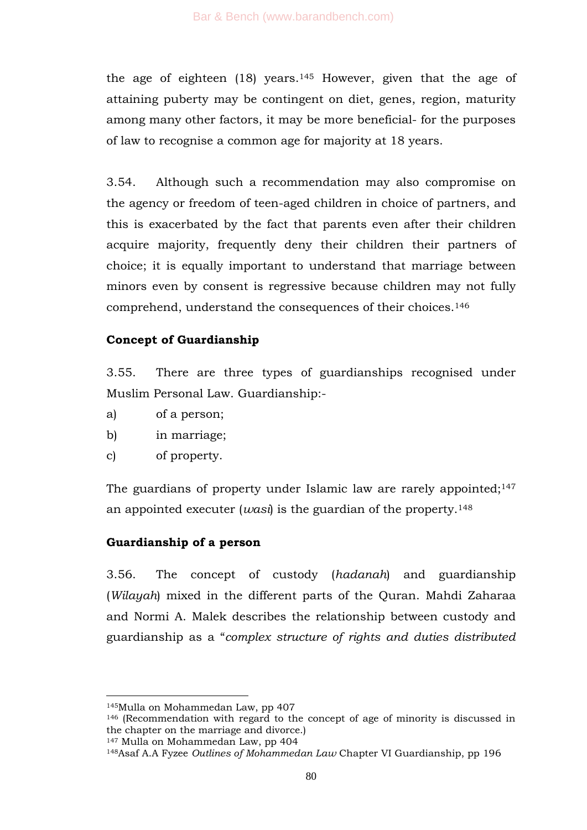the age of eighteen  $(18)$  years.<sup>145</sup> However, given that the age of attaining puberty may be contingent on diet, genes, region, maturity among many other factors, it may be more beneficial- for the purposes of law to recognise a common age for majority at 18 years.

3.54. Although such a recommendation may also compromise on the agency or freedom of teen-aged children in choice of partners, and this is exacerbated by the fact that parents even after their children acquire majority, frequently deny their children their partners of choice; it is equally important to understand that marriage between minors even by consent is regressive because children may not fully comprehend, understand the consequences of their choices.<sup>146</sup>

# **Concept of Guardianship**

3.55. There are three types of guardianships recognised under Muslim Personal Law. Guardianship:-

- a) of a person;
- b) in marriage;
- c) of property.

The guardians of property under Islamic law are rarely appointed;<sup>147</sup> an appointed executer (*wasi*) is the guardian of the property.<sup>148</sup>

# **Guardianship of a person**

3.56. The concept of custody (*hadanah*) and guardianship (*Wilayah*) mixed in the different parts of the Quran. Mahdi Zaharaa and Normi A. Malek describes the relationship between custody and guardianship as a ―*complex structure of rights and duties distributed* 

-

<sup>147</sup> Mulla on Mohammedan Law, pp 404

<sup>145</sup>Mulla on Mohammedan Law, pp 407

<sup>146</sup> (Recommendation with regard to the concept of age of minority is discussed in the chapter on the marriage and divorce.)

<sup>148</sup>Asaf A.A Fyzee *Outlines of Mohammedan Law* Chapter VI Guardianship, pp 196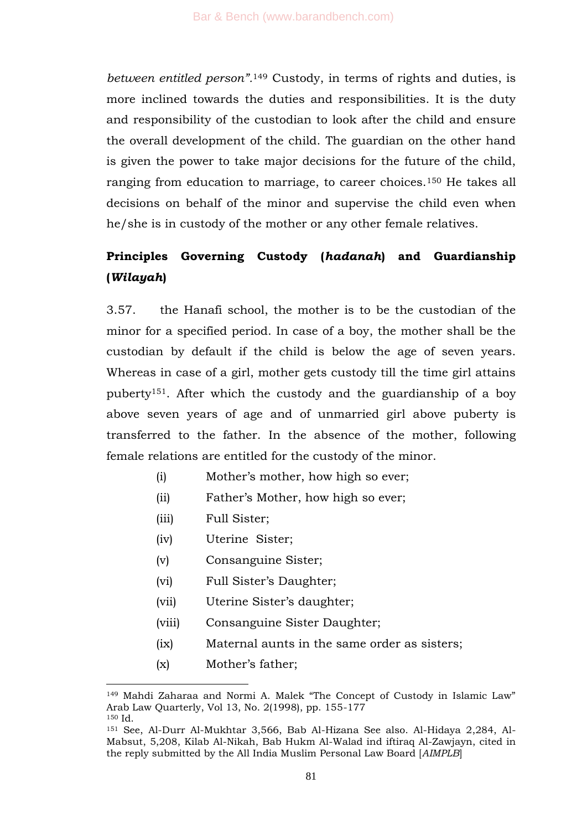*between entitled person".*<sup>149</sup> Custody, in terms of rights and duties, is more inclined towards the duties and responsibilities. It is the duty and responsibility of the custodian to look after the child and ensure the overall development of the child. The guardian on the other hand is given the power to take major decisions for the future of the child, ranging from education to marriage, to career choices.<sup>150</sup> He takes all decisions on behalf of the minor and supervise the child even when he/she is in custody of the mother or any other female relatives.

# **Principles Governing Custody (***hadanah***) and Guardianship (***Wilayah***)**

3.57. the Hanafi school, the mother is to be the custodian of the minor for a specified period. In case of a boy, the mother shall be the custodian by default if the child is below the age of seven years. Whereas in case of a girl, mother gets custody till the time girl attains puberty151. After which the custody and the guardianship of a boy above seven years of age and of unmarried girl above puberty is transferred to the father. In the absence of the mother, following female relations are entitled for the custody of the minor.

- (i) Mother's mother, how high so ever;
- (ii) Father's Mother, how high so ever;
- (iii) Full Sister;
- (iv) Uterine Sister;
- (v) Consanguine Sister;
- (vi) Full Sister's Daughter;
- (vii) Uterine Sister's daughter;
- (viii) Consanguine Sister Daughter;
- (ix) Maternal aunts in the same order as sisters;
- (x) Mother's father;

<sup>&</sup>lt;sup>149</sup> Mahdi Zaharaa and Normi A. Malek "The Concept of Custody in Islamic Law" Arab Law Quarterly, Vol 13, No. 2(1998), pp. 155-177 <sup>150</sup> Id.

<sup>151</sup> See, Al-Durr Al-Mukhtar 3,566, Bab Al-Hizana See also. Al-Hidaya 2,284, Al-Mabsut, 5,208, Kilab Al-Nikah, Bab Hukm Al-Walad ind iftiraq Al-Zawjayn, cited in the reply submitted by the All India Muslim Personal Law Board [*AIMPLB*]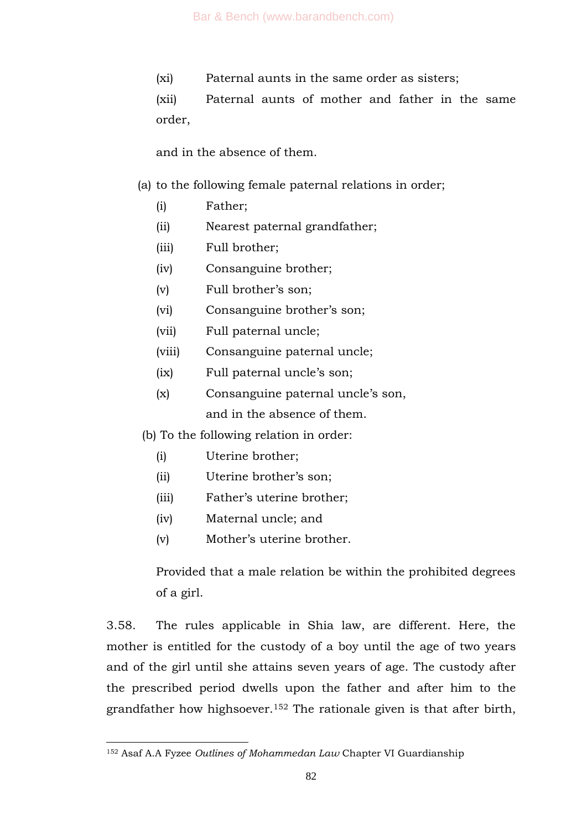(xi) Paternal aunts in the same order as sisters;

(xii) Paternal aunts of mother and father in the same order,

and in the absence of them.

## (a) to the following female paternal relations in order;

- (i) Father;
- (ii) Nearest paternal grandfather;
- (iii) Full brother;
- (iv) Consanguine brother;
- (v) Full brother's son;
- (vi) Consanguine brother's son;
- (vii) Full paternal uncle;
- (viii) Consanguine paternal uncle;
- (ix) Full paternal uncle's son;
- (x) Consanguine paternal uncle's son,

and in the absence of them.

- (b) To the following relation in order:
	- (i) Uterine brother;
	- (ii) Uterine brother's son;
	- (iii) Father's uterine brother;
	- (iv) Maternal uncle; and

1

(v) Mother's uterine brother.

Provided that a male relation be within the prohibited degrees of a girl.

3.58. The rules applicable in Shia law, are different. Here, the mother is entitled for the custody of a boy until the age of two years and of the girl until she attains seven years of age. The custody after the prescribed period dwells upon the father and after him to the grandfather how highsoever.<sup>152</sup> The rationale given is that after birth,

<sup>152</sup> Asaf A.A Fyzee *Outlines of Mohammedan Law* Chapter VI Guardianship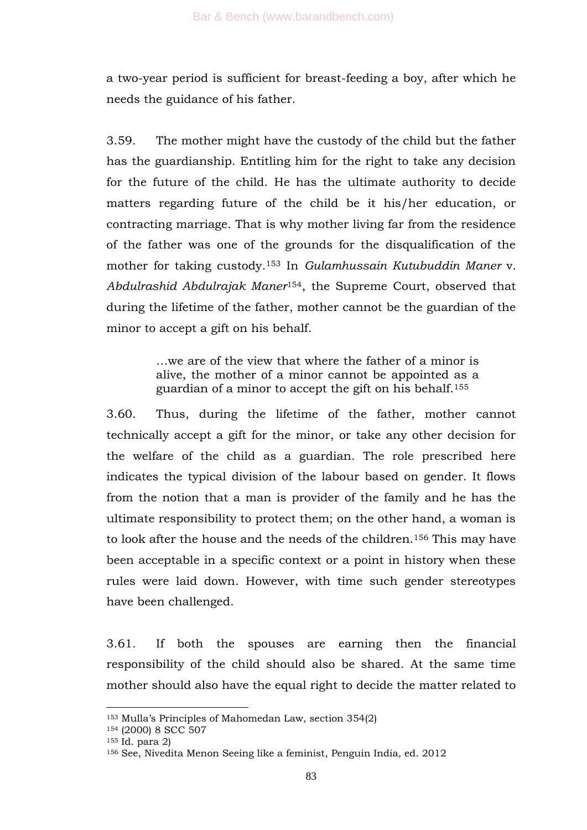a two-year period is sufficient for breast-feeding a boy, after which he needs the guidance of his father.

3.59. The mother might have the custody of the child but the father has the guardianship. Entitling him for the right to take any decision for the future of the child. He has the ultimate authority to decide matters regarding future of the child be it his/her education, or contracting marriage. That is why mother living far from the residence of the father was one of the grounds for the disqualification of the mother for taking custody.<sup>153</sup> In *Gulamhussain Kutubuddin Maner* v*. Abdulrashid Abdulrajak Maner*154, the Supreme Court, observed that during the lifetime of the father, mother cannot be the guardian of the minor to accept a gift on his behalf.

> …we are of the view that where the father of a minor is alive, the mother of a minor cannot be appointed as a guardian of a minor to accept the gift on his behalf.<sup>155</sup>

3.60. Thus, during the lifetime of the father, mother cannot technically accept a gift for the minor, or take any other decision for the welfare of the child as a guardian. The role prescribed here indicates the typical division of the labour based on gender. It flows from the notion that a man is provider of the family and he has the ultimate responsibility to protect them; on the other hand, a woman is to look after the house and the needs of the children.<sup>156</sup> This may have been acceptable in a specific context or a point in history when these rules were laid down. However, with time such gender stereotypes have been challenged.

3.61. If both the spouses are earning then the financial responsibility of the child should also be shared. At the same time mother should also have the equal right to decide the matter related to

<sup>153</sup> Mulla's Principles of Mahomedan Law, section 354(2)

<sup>154</sup> (2000) 8 SCC 507

<sup>155</sup> Id. para 2)

<sup>156</sup> See, Nivedita Menon Seeing like a feminist, Penguin India, ed. 2012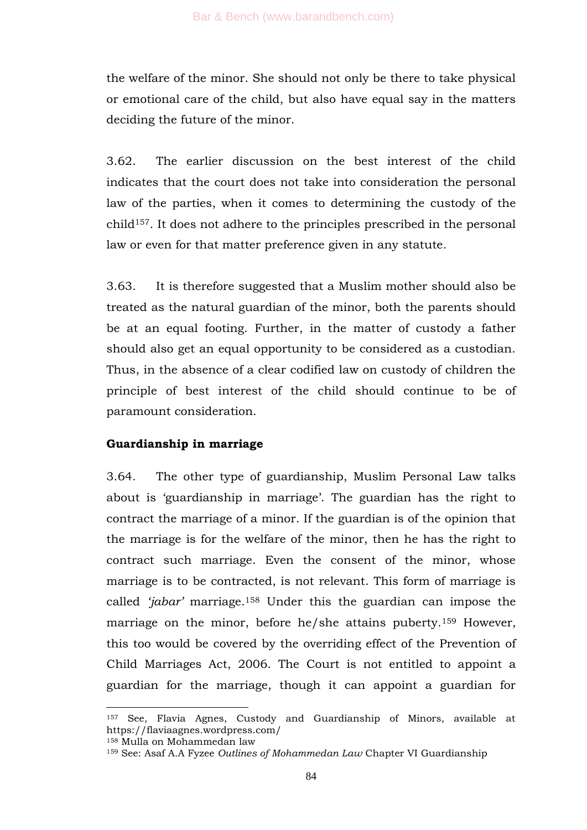the welfare of the minor. She should not only be there to take physical or emotional care of the child, but also have equal say in the matters deciding the future of the minor.

3.62. The earlier discussion on the best interest of the child indicates that the court does not take into consideration the personal law of the parties, when it comes to determining the custody of the child157. It does not adhere to the principles prescribed in the personal law or even for that matter preference given in any statute.

3.63. It is therefore suggested that a Muslim mother should also be treated as the natural guardian of the minor, both the parents should be at an equal footing. Further, in the matter of custody a father should also get an equal opportunity to be considered as a custodian. Thus, in the absence of a clear codified law on custody of children the principle of best interest of the child should continue to be of paramount consideration.

# **Guardianship in marriage**

3.64. The other type of guardianship, Muslim Personal Law talks about is 'guardianship in marriage'. The guardian has the right to contract the marriage of a minor. If the guardian is of the opinion that the marriage is for the welfare of the minor, then he has the right to contract such marriage. Even the consent of the minor, whose marriage is to be contracted, is not relevant. This form of marriage is called *"jabar"* marriage.<sup>158</sup> Under this the guardian can impose the marriage on the minor, before he/she attains puberty.<sup>159</sup> However, this too would be covered by the overriding effect of the Prevention of Child Marriages Act, 2006. The Court is not entitled to appoint a guardian for the marriage, though it can appoint a guardian for

<sup>157</sup> See, Flavia Agnes, Custody and Guardianship of Minors, available at https://flaviaagnes.wordpress.com/

<sup>158</sup> Mulla on Mohammedan law

<sup>159</sup> See: Asaf A.A Fyzee *Outlines of Mohammedan Law* Chapter VI Guardianship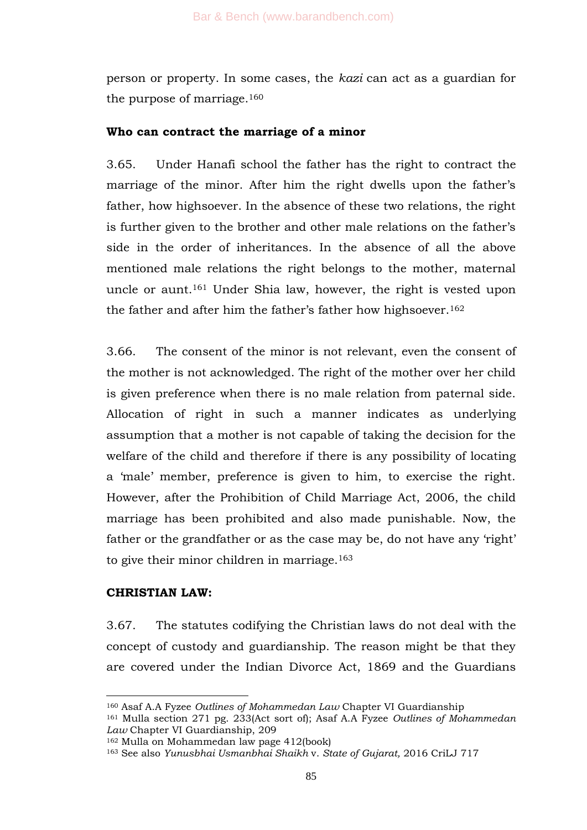person or property. In some cases, the *kazi* can act as a guardian for the purpose of marriage.<sup>160</sup>

### **Who can contract the marriage of a minor**

3.65. Under Hanafi school the father has the right to contract the marriage of the minor. After him the right dwells upon the father's father, how highsoever. In the absence of these two relations, the right is further given to the brother and other male relations on the father's side in the order of inheritances. In the absence of all the above mentioned male relations the right belongs to the mother, maternal uncle or aunt.<sup>161</sup> Under Shia law, however, the right is vested upon the father and after him the father's father how highsoever.<sup>162</sup>

3.66. The consent of the minor is not relevant, even the consent of the mother is not acknowledged. The right of the mother over her child is given preference when there is no male relation from paternal side. Allocation of right in such a manner indicates as underlying assumption that a mother is not capable of taking the decision for the welfare of the child and therefore if there is any possibility of locating a 'male' member, preference is given to him, to exercise the right. However, after the Prohibition of Child Marriage Act, 2006, the child marriage has been prohibited and also made punishable. Now, the father or the grandfather or as the case may be, do not have any 'right' to give their minor children in marriage.<sup>163</sup>

# **CHRISTIAN LAW:**

-

3.67. The statutes codifying the Christian laws do not deal with the concept of custody and guardianship. The reason might be that they are covered under the Indian Divorce Act, 1869 and the Guardians

<sup>160</sup> Asaf A.A Fyzee *Outlines of Mohammedan Law* Chapter VI Guardianship

<sup>161</sup> Mulla section 271 pg. 233(Act sort of); Asaf A.A Fyzee *Outlines of Mohammedan Law* Chapter VI Guardianship, 209

<sup>162</sup> Mulla on Mohammedan law page 412(book)

<sup>163</sup> See also *Yunusbhai Usmanbhai Shaikh* v. *State of Gujarat,* 2016 CriLJ 717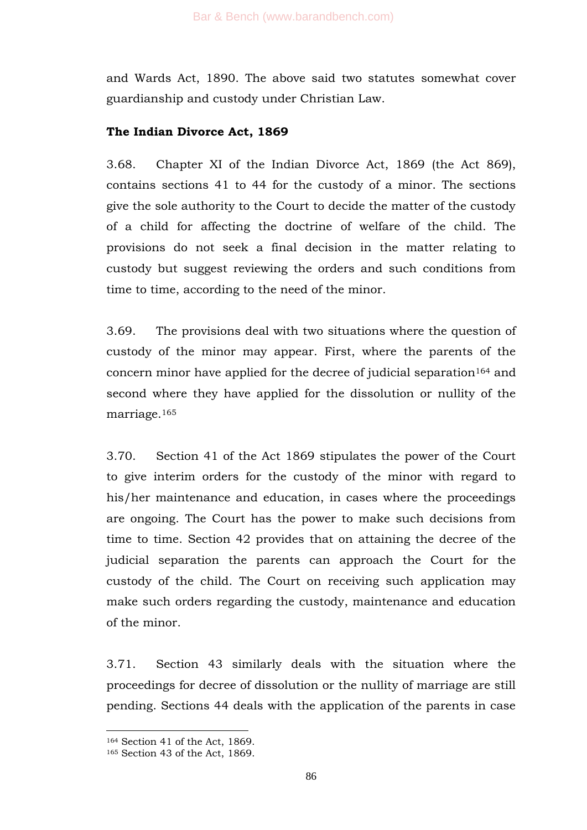and Wards Act, 1890. The above said two statutes somewhat cover guardianship and custody under Christian Law.

#### **The Indian Divorce Act, 1869**

3.68. Chapter XI of the Indian Divorce Act, 1869 (the Act 869), contains sections 41 to 44 for the custody of a minor. The sections give the sole authority to the Court to decide the matter of the custody of a child for affecting the doctrine of welfare of the child. The provisions do not seek a final decision in the matter relating to custody but suggest reviewing the orders and such conditions from time to time, according to the need of the minor.

3.69. The provisions deal with two situations where the question of custody of the minor may appear. First, where the parents of the concern minor have applied for the decree of judicial separation<sup>164</sup> and second where they have applied for the dissolution or nullity of the marriage.<sup>165</sup>

3.70. Section 41 of the Act 1869 stipulates the power of the Court to give interim orders for the custody of the minor with regard to his/her maintenance and education, in cases where the proceedings are ongoing. The Court has the power to make such decisions from time to time. Section 42 provides that on attaining the decree of the judicial separation the parents can approach the Court for the custody of the child. The Court on receiving such application may make such orders regarding the custody, maintenance and education of the minor.

3.71. Section 43 similarly deals with the situation where the proceedings for decree of dissolution or the nullity of marriage are still pending. Sections 44 deals with the application of the parents in case

<sup>164</sup> Section 41 of the Act, 1869.

<sup>165</sup> Section 43 of the Act, 1869.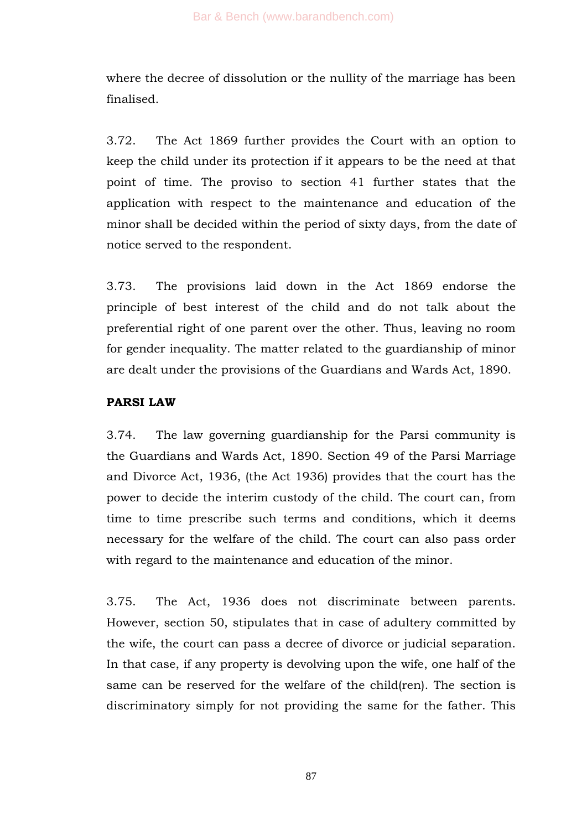where the decree of dissolution or the nullity of the marriage has been finalised.

3.72. The Act 1869 further provides the Court with an option to keep the child under its protection if it appears to be the need at that point of time. The proviso to section 41 further states that the application with respect to the maintenance and education of the minor shall be decided within the period of sixty days, from the date of notice served to the respondent.

3.73. The provisions laid down in the Act 1869 endorse the principle of best interest of the child and do not talk about the preferential right of one parent over the other. Thus, leaving no room for gender inequality. The matter related to the guardianship of minor are dealt under the provisions of the Guardians and Wards Act, 1890.

## **PARSI LAW**

3.74. The law governing guardianship for the Parsi community is the Guardians and Wards Act, 1890. Section 49 of the Parsi Marriage and Divorce Act, 1936, (the Act 1936) provides that the court has the power to decide the interim custody of the child. The court can, from time to time prescribe such terms and conditions, which it deems necessary for the welfare of the child. The court can also pass order with regard to the maintenance and education of the minor.

3.75. The Act, 1936 does not discriminate between parents. However, section 50, stipulates that in case of adultery committed by the wife, the court can pass a decree of divorce or judicial separation. In that case, if any property is devolving upon the wife, one half of the same can be reserved for the welfare of the child(ren). The section is discriminatory simply for not providing the same for the father. This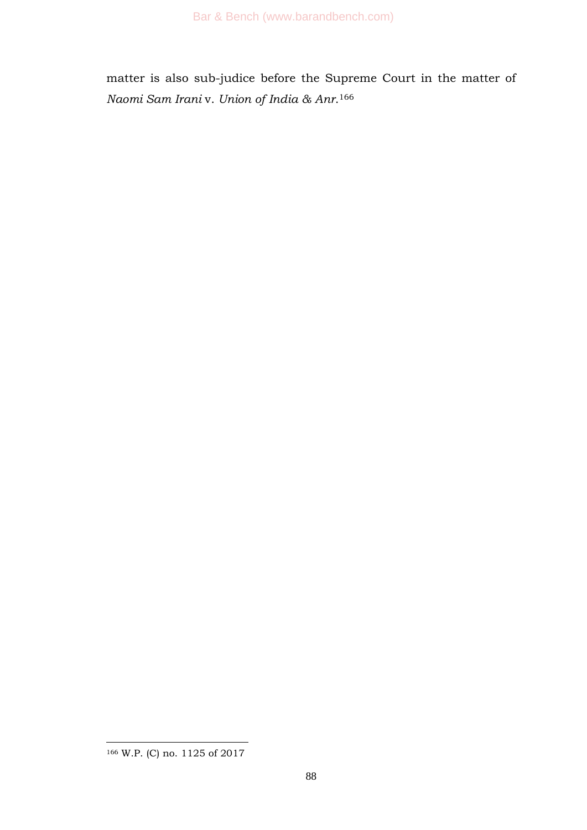matter is also sub-judice before the Supreme Court in the matter of *Naomi Sam Irani* v. *Union of India & Anr*. 166

<sup>1</sup> <sup>166</sup> W.P. (C) no. 1125 of 2017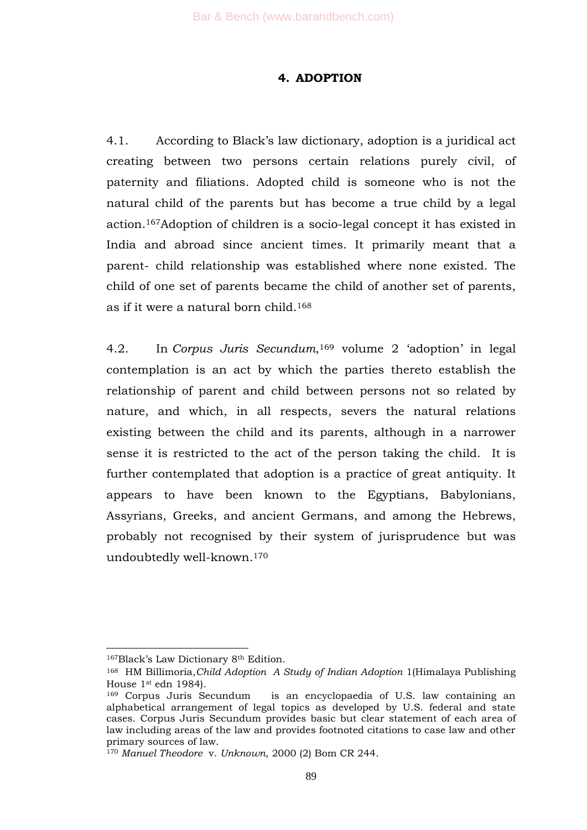#### **4. ADOPTION**

4.1. According to Black's law dictionary, adoption is a juridical act creating between two persons certain relations purely civil, of paternity and filiations. Adopted child is someone who is not the natural child of the parents but has become a true child by a legal action.167Adoption of children is a socio-legal concept it has existed in India and abroad since ancient times. It primarily meant that a parent- child relationship was established where none existed. The child of one set of parents became the child of another set of parents, as if it were a natural born child.<sup>168</sup>

4.2. In *Corpus Juris Secundum*, <sup>169</sup> volume 2 ‗adoption' in legal contemplation is an act by which the parties thereto establish the relationship of parent and child between persons not so related by nature, and which, in all respects, severs the natural relations existing between the child and its parents, although in a narrower sense it is restricted to the act of the person taking the child. It is further contemplated that adoption is a practice of great antiquity. It appears to have been known to the Egyptians, Babylonians, Assyrians, Greeks, and ancient Germans, and among the Hebrews, probably not recognised by their system of jurisprudence but was undoubtedly well-known.<sup>170</sup>

<sup>167</sup>Black's Law Dictionary 8th Edition.

<sup>168</sup> HM Billimoria,*Child Adoption A Study of Indian Adoption* 1(Himalaya Publishing House 1st edn 1984).

<sup>169</sup> Corpus Juris Secundum is an encyclopaedia of U.S. law containing an alphabetical arrangement of legal topics as developed by U.S. federal and state cases. Corpus Juris Secundum provides basic but clear statement of each area of law including areas of the law and provides footnoted citations to case law and other primary sources of law.

<sup>170</sup> *Manuel Theodore* v. *Unknown*, 2000 (2) Bom CR 244.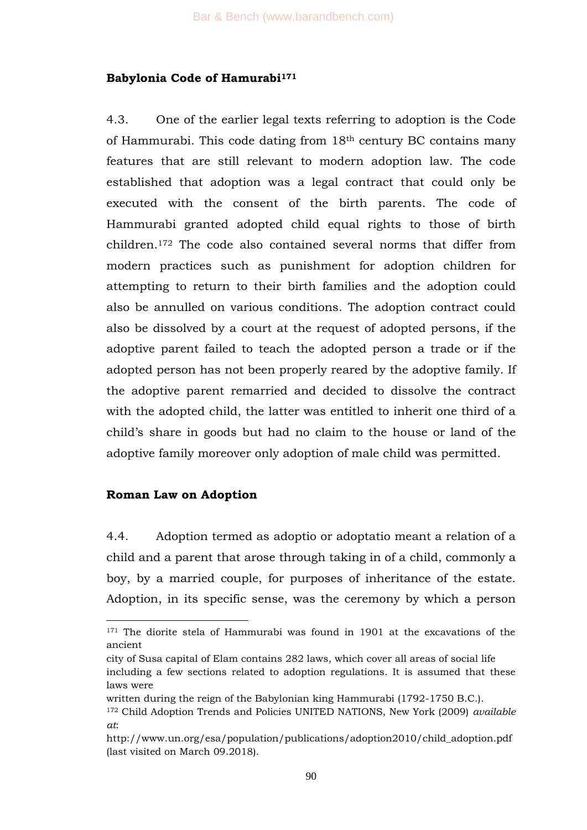#### **Babylonia Code of Hamurabi<sup>171</sup>**

4.3. One of the earlier legal texts referring to adoption is the Code of Hammurabi. This code dating from 18th century BC contains many features that are still relevant to modern adoption law. The code established that adoption was a legal contract that could only be executed with the consent of the birth parents. The code of Hammurabi granted adopted child equal rights to those of birth children.<sup>172</sup> The code also contained several norms that differ from modern practices such as punishment for adoption children for attempting to return to their birth families and the adoption could also be annulled on various conditions. The adoption contract could also be dissolved by a court at the request of adopted persons, if the adoptive parent failed to teach the adopted person a trade or if the adopted person has not been properly reared by the adoptive family. If the adoptive parent remarried and decided to dissolve the contract with the adopted child, the latter was entitled to inherit one third of a child's share in goods but had no claim to the house or land of the adoptive family moreover only adoption of male child was permitted.

#### **Roman Law on Adoption**

1

4.4. Adoption termed as adoptio or adoptatio meant a relation of a child and a parent that arose through taking in of a child, commonly a boy, by a married couple, for purposes of inheritance of the estate. Adoption, in its specific sense, was the ceremony by which a person

<sup>&</sup>lt;sup>171</sup> The diorite stela of Hammurabi was found in 1901 at the excavations of the ancient

city of Susa capital of Elam contains 282 laws, which cover all areas of social life including a few sections related to adoption regulations. It is assumed that these laws were

written during the reign of the Babylonian king Hammurabi (1792-1750 B.C.).

<sup>172</sup> Child Adoption Trends and Policies UNITED NATIONS, New York (2009) *available at*:

http://www.un.org/esa/population/publications/adoption2010/child\_adoption.pdf (last visited on March 09.2018).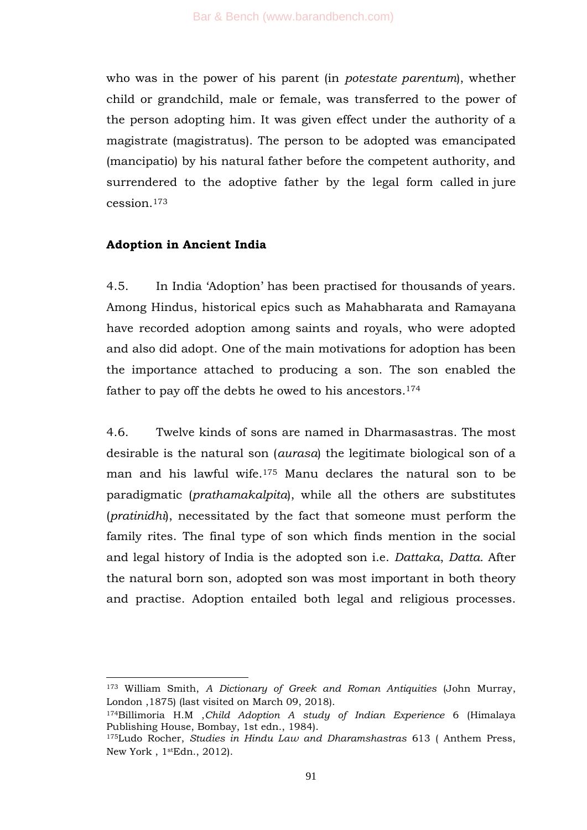who was in the power of his parent (in *potestate parentum*), whether child or grandchild, male or female, was transferred to the power of the person adopting him. It was given effect under the authority of a magistrate (magistratus). The person to be adopted was emancipated (mancipatio) by his natural father before the competent authority, and surrendered to the adoptive father by the legal form called in jure cession.<sup>173</sup>

#### **Adoption in Ancient India**

-

4.5. In India ‗Adoption' has been practised for thousands of years. Among Hindus, historical epics such as Mahabharata and Ramayana have recorded adoption among saints and royals, who were adopted and also did adopt. One of the main motivations for adoption has been the importance attached to producing a son. The son enabled the father to pay off the debts he owed to his ancestors.<sup>174</sup>

4.6. Twelve kinds of sons are named in Dharmasastras. The most desirable is the natural son (*aurasa*) the legitimate biological son of a man and his lawful wife.<sup>175</sup> Manu declares the natural son to be paradigmatic (*prathamakalpita*), while all the others are substitutes (*pratinidhi*), necessitated by the fact that someone must perform the family rites. The final type of son which finds mention in the social and legal history of India is the adopted son i.e. *Dattaka*, *Datta.* After the natural born son, adopted son was most important in both theory and practise. Adoption entailed both legal and religious processes.

<sup>173</sup> William Smith, *A Dictionary of Greek and Roman Antiquities* (John Murray, London ,1875) (last visited on March 09, 2018).

<sup>174</sup>Billimoria H.M ,*Child Adoption A study of Indian Experience* 6 (Himalaya Publishing House, Bombay, 1st edn., 1984).

<sup>175</sup>Ludo Rocher, *Studies in Hindu Law and Dharamshastras* 613 ( Anthem Press, New York , 1stEdn., 2012).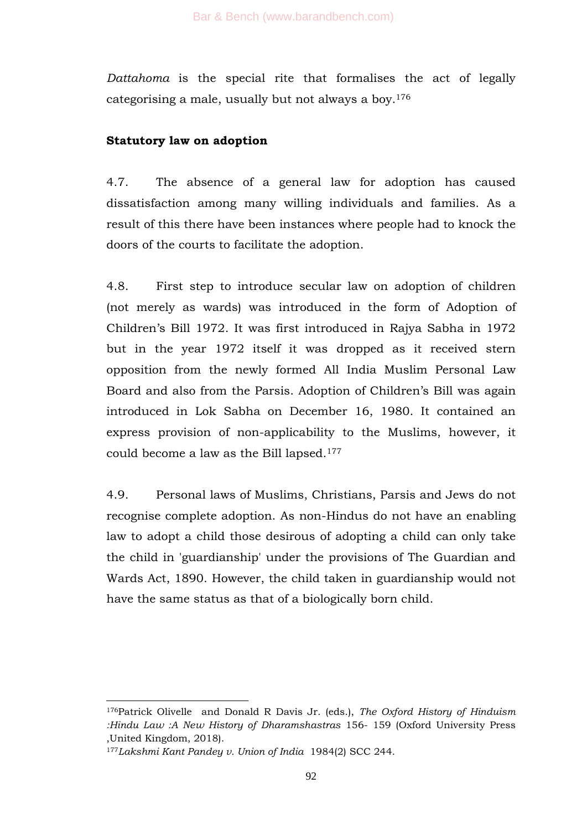*Dattahoma* is the special rite that formalises the act of legally categorising a male, usually but not always a boy.<sup>176</sup>

## **Statutory law on adoption**

4.7. The absence of a general law for adoption has caused dissatisfaction among many willing individuals and families. As a result of this there have been instances where people had to knock the doors of the courts to facilitate the adoption.

4.8. First step to introduce secular law on adoption of children (not merely as wards) was introduced in the form of Adoption of Children's Bill 1972. It was first introduced in Rajya Sabha in 1972 but in the year 1972 itself it was dropped as it received stern opposition from the newly formed All India Muslim Personal Law Board and also from the Parsis. Adoption of Children's Bill was again introduced in Lok Sabha on December 16, 1980. It contained an express provision of non-applicability to the Muslims, however, it could become a law as the Bill lapsed.<sup>177</sup>

4.9. Personal laws of Muslims, Christians, Parsis and Jews do not recognise complete adoption. As non-Hindus do not have an enabling law to adopt a child those desirous of adopting a child can only take the child in 'guardianship' under the provisions of The Guardian and Wards Act, 1890. However, the child taken in guardianship would not have the same status as that of a biologically born child.

<sup>1</sup> <sup>176</sup>Patrick Olivelle and Donald R Davis Jr. (eds.), *The Oxford History of Hinduism :Hindu Law :A New History of Dharamshastras* 156- 159 (Oxford University Press ,United Kingdom, 2018).

<sup>177</sup>*Lakshmi Kant Pandey v. Union of India* 1984(2) SCC 244.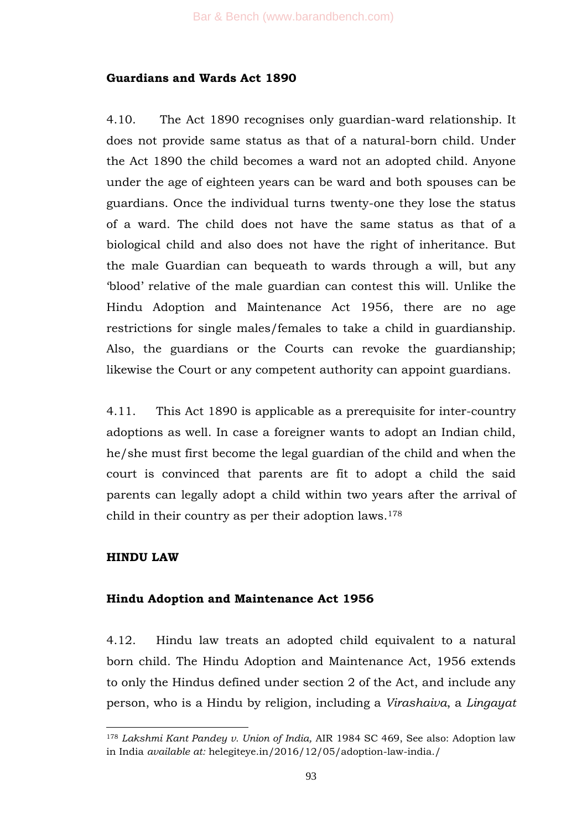# **Guardians and Wards Act 1890**

4.10. The Act 1890 recognises only guardian-ward relationship. It does not provide same status as that of a natural-born child. Under the Act 1890 the child becomes a ward not an adopted child. Anyone under the age of eighteen years can be ward and both spouses can be guardians. Once the individual turns twenty-one they lose the status of a ward. The child does not have the same status as that of a biological child and also does not have the right of inheritance. But the male Guardian can bequeath to wards through a will, but any ‗blood' relative of the male guardian can contest this will. Unlike the Hindu Adoption and Maintenance Act 1956, there are no age restrictions for single males/females to take a child in guardianship. Also, the guardians or the Courts can revoke the guardianship; likewise the Court or any competent authority can appoint guardians.

4.11. This Act 1890 is applicable as a prerequisite for inter-country adoptions as well. In case a foreigner wants to adopt an Indian child, he/she must first become the legal guardian of the child and when the court is convinced that parents are fit to adopt a child the said parents can legally adopt a child within two years after the arrival of child in their country as per their adoption laws.<sup>178</sup>

# **HINDU LAW**

# **Hindu Adoption and Maintenance Act 1956**

4.12. Hindu law treats an adopted child equivalent to a natural born child. The Hindu Adoption and Maintenance Act, 1956 extends to only the Hindus defined under section 2 of the Act, and include any person, who is a Hindu by religion, including a *Virashaiva*, a *Lingayat*

<sup>1</sup> <sup>178</sup> *Lakshmi Kant Pandey v. Union of India,* AIR 1984 SC 469, See also: Adoption law in India *available at:* helegiteye.in/2016/12/05/adoption-law-india./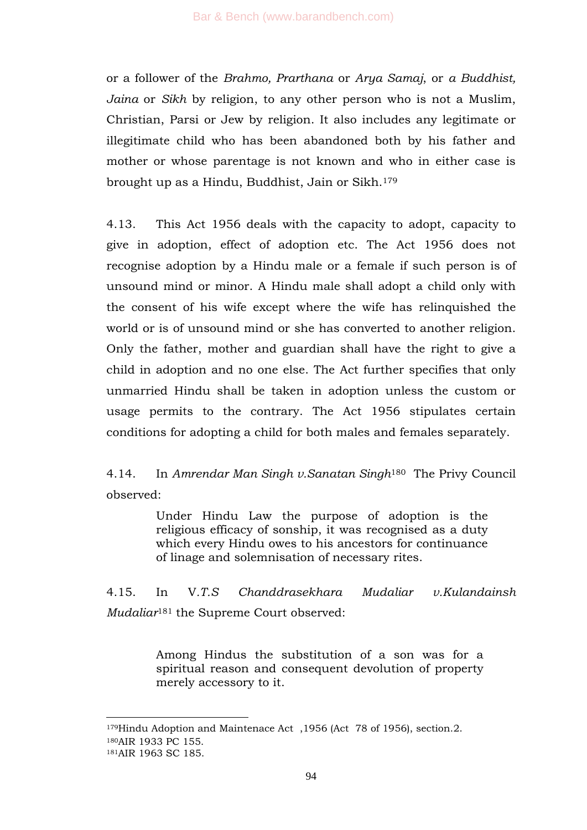or a follower of the *Brahmo, Prarthana* or *Arya Samaj*, or *a Buddhist, Jaina* or *Sikh* by religion, to any other person who is not a Muslim, Christian, Parsi or Jew by religion. It also includes any legitimate or illegitimate child who has been abandoned both by his father and mother or whose parentage is not known and who in either case is brought up as a Hindu, Buddhist, Jain or Sikh.<sup>179</sup>

4.13. This Act 1956 deals with the capacity to adopt, capacity to give in adoption, effect of adoption etc. The Act 1956 does not recognise adoption by a Hindu male or a female if such person is of unsound mind or minor. A Hindu male shall adopt a child only with the consent of his wife except where the wife has relinquished the world or is of unsound mind or she has converted to another religion. Only the father, mother and guardian shall have the right to give a child in adoption and no one else. The Act further specifies that only unmarried Hindu shall be taken in adoption unless the custom or usage permits to the contrary. The Act 1956 stipulates certain conditions for adopting a child for both males and females separately.

4.14. In *Amrendar Man Singh v.Sanatan Singh*180 The Privy Council observed:

> Under Hindu Law the purpose of adoption is the religious efficacy of sonship, it was recognised as a duty which every Hindu owes to his ancestors for continuance of linage and solemnisation of necessary rites.

4.15. In V*.T.S Chanddrasekhara Mudaliar v.Kulandainsh Mudaliar*<sup>181</sup> the Supreme Court observed:

> Among Hindus the substitution of a son was for a spiritual reason and consequent devolution of property merely accessory to it.

<sup>179</sup>Hindu Adoption and Maintenace Act ,1956 (Act 78 of 1956), section.2. <sup>180</sup>AIR 1933 PC 155. <sup>181</sup>AIR 1963 SC 185.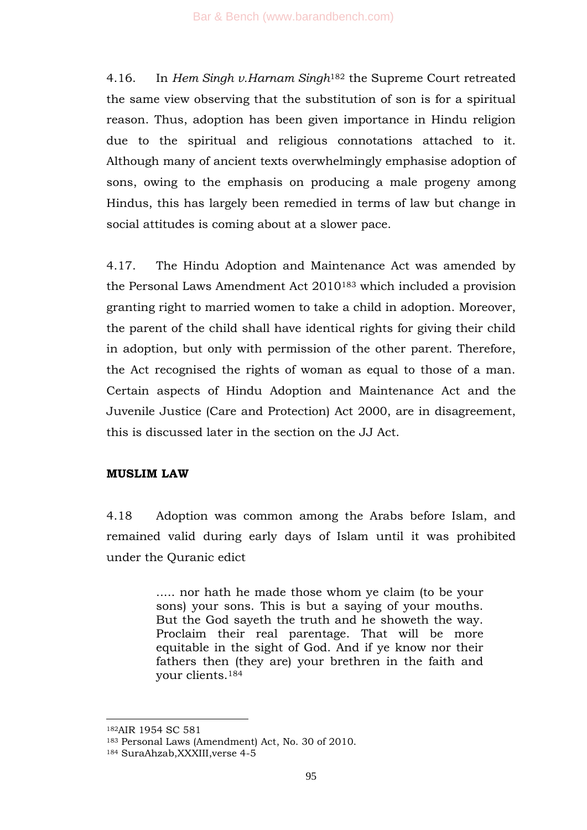4.16. In *Hem Singh v.Harnam Singh*<sup>182</sup> the Supreme Court retreated the same view observing that the substitution of son is for a spiritual reason. Thus, adoption has been given importance in Hindu religion due to the spiritual and religious connotations attached to it. Although many of ancient texts overwhelmingly emphasise adoption of sons, owing to the emphasis on producing a male progeny among Hindus, this has largely been remedied in terms of law but change in social attitudes is coming about at a slower pace.

4.17. The Hindu Adoption and Maintenance Act was amended by the Personal Laws Amendment Act 2010<sup>183</sup> which included a provision granting right to married women to take a child in adoption. Moreover, the parent of the child shall have identical rights for giving their child in adoption, but only with permission of the other parent. Therefore, the Act recognised the rights of woman as equal to those of a man. Certain aspects of Hindu Adoption and Maintenance Act and the Juvenile Justice (Care and Protection) Act 2000, are in disagreement, this is discussed later in the section on the JJ Act.

#### **MUSLIM LAW**

4.18 Adoption was common among the Arabs before Islam, and remained valid during early days of Islam until it was prohibited under the Quranic edict

> ..... nor hath he made those whom ye claim (to be your sons) your sons. This is but a saying of your mouths. But the God sayeth the truth and he showeth the way. Proclaim their real parentage. That will be more equitable in the sight of God. And if ye know nor their fathers then (they are) your brethren in the faith and your clients.<sup>184</sup>

<sup>182</sup>AIR 1954 SC 581

<sup>183</sup> Personal Laws (Amendment) Act, No. 30 of 2010.

<sup>184</sup> SuraAhzab,XXXIII,verse 4-5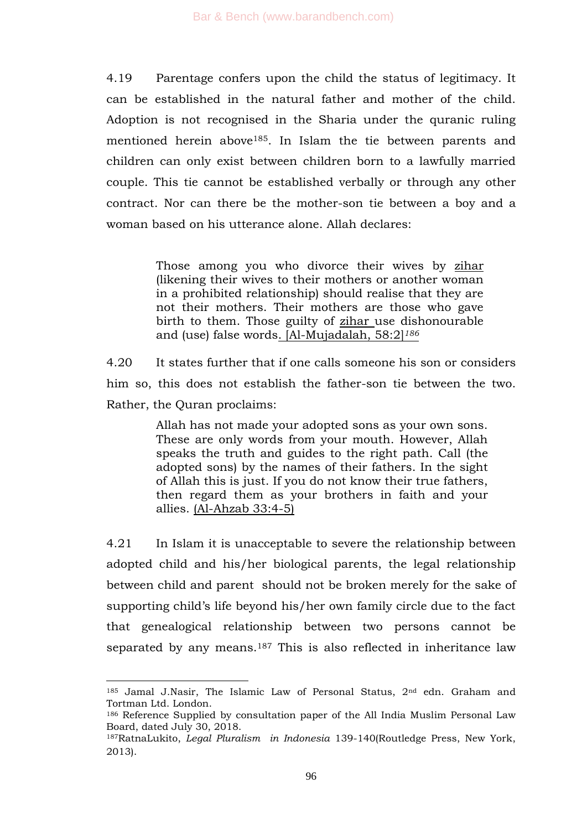4.19 Parentage confers upon the child the status of legitimacy. It can be established in the natural father and mother of the child. Adoption is not recognised in the Sharia under the quranic ruling mentioned herein above185. In Islam the tie between parents and children can only exist between children born to a lawfully married couple. This tie cannot be established verbally or through any other contract. Nor can there be the mother-son tie between a boy and a woman based on his utterance alone. Allah declares:

> Those among you who divorce their wives by zihar (likening their wives to their mothers or another woman in a prohibited relationship) should realise that they are not their mothers. Their mothers are those who gave birth to them. Those guilty of zihar use dishonourable and (use) false words. [Al-Mujadalah, 58:2]*<sup>186</sup>*

4.20 It states further that if one calls someone his son or considers him so, this does not establish the father-son tie between the two. Rather, the Quran proclaims:

> Allah has not made your adopted sons as your own sons. These are only words from your mouth. However, Allah speaks the truth and guides to the right path. Call (the adopted sons) by the names of their fathers. In the sight of Allah this is just. If you do not know their true fathers, then regard them as your brothers in faith and your allies. (Al-Ahzab 33:4-5)

4.21 In Islam it is unacceptable to severe the relationship between adopted child and his/her biological parents, the legal relationship between child and parent should not be broken merely for the sake of supporting child's life beyond his/her own family circle due to the fact that genealogical relationship between two persons cannot be separated by any means.<sup>187</sup> This is also reflected in inheritance law

 $185$  Jamal J.Nasir, The Islamic Law of Personal Status,  $2<sup>nd</sup>$  edn. Graham and Tortman Ltd. London.

<sup>186</sup> Reference Supplied by consultation paper of the All India Muslim Personal Law Board, dated July 30, 2018.

<sup>187</sup>RatnaLukito, *Legal Pluralism in Indonesia* 139-140(Routledge Press, New York, 2013).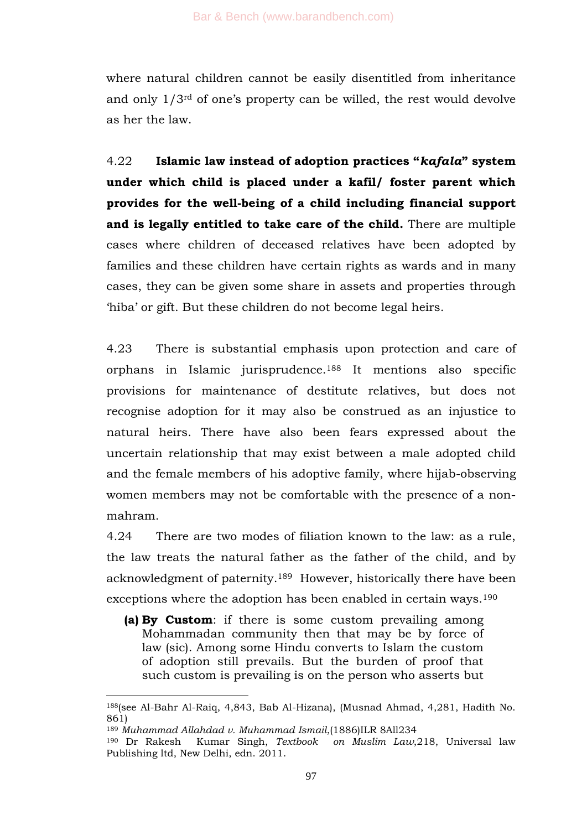where natural children cannot be easily disentitled from inheritance and only 1/3rd of one's property can be willed, the rest would devolve as her the law.

4.22 **Islamic law instead of adoption practices "***kafala***" system under which child is placed under a kafil/ foster parent which provides for the well-being of a child including financial support and is legally entitled to take care of the child.** There are multiple cases where children of deceased relatives have been adopted by families and these children have certain rights as wards and in many cases, they can be given some share in assets and properties through ‗hiba' or gift. But these children do not become legal heirs.

4.23 There is substantial emphasis upon protection and care of orphans in Islamic jurisprudence.<sup>188</sup> It mentions also specific provisions for maintenance of destitute relatives, but does not recognise adoption for it may also be construed as an injustice to natural heirs. There have also been fears expressed about the uncertain relationship that may exist between a male adopted child and the female members of his adoptive family, where hijab-observing women members may not be comfortable with the presence of a nonmahram.

4.24 There are two modes of filiation known to the law: as a rule, the law treats the natural father as the father of the child, and by acknowledgment of paternity.189 However, historically there have been exceptions where the adoption has been enabled in certain ways.<sup>190</sup>

**(a) By Custom**: if there is some custom prevailing among Mohammadan community then that may be by force of law (sic). Among some Hindu converts to Islam the custom of adoption still prevails. But the burden of proof that such custom is prevailing is on the person who asserts but

<sup>188</sup>(see Al-Bahr Al-Raiq, 4,843, Bab Al-Hizana), (Musnad Ahmad, 4,281, Hadith No. 861)

<sup>189</sup> *Muhammad Allahdad v. Muhammad Ismail*,(1886)ILR 8All234

<sup>&</sup>lt;sup>190</sup> Dr Rakesh Kumar Singh, *Textbook* on Muslim Law, 218, Universal law Publishing ltd, New Delhi, edn. 2011.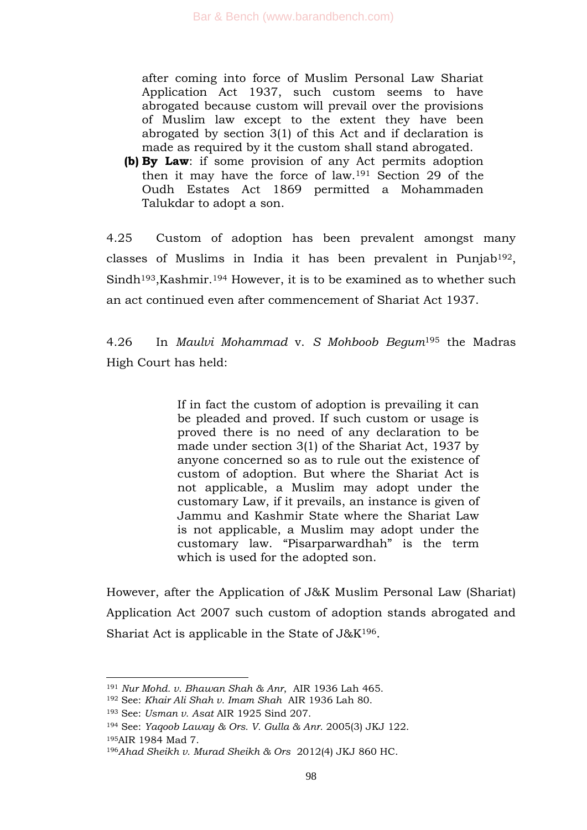after coming into force of Muslim Personal Law Shariat Application Act 1937, such custom seems to have abrogated because custom will prevail over the provisions of Muslim law except to the extent they have been abrogated by section 3(1) of this Act and if declaration is made as required by it the custom shall stand abrogated.

**(b) By Law**: if some provision of any Act permits adoption then it may have the force of law.<sup>191</sup> Section 29 of the Oudh Estates Act 1869 permitted a Mohammaden Talukdar to adopt a son.

4.25 Custom of adoption has been prevalent amongst many classes of Muslims in India it has been prevalent in Punjab192, Sindh<sup>193</sup>, Kashmir.<sup>194</sup> However, it is to be examined as to whether such an act continued even after commencement of Shariat Act 1937.

4.26 In *Maulvi Mohammad* v. *S Mohboob Begum*<sup>195</sup> the Madras High Court has held:

> If in fact the custom of adoption is prevailing it can be pleaded and proved. If such custom or usage is proved there is no need of any declaration to be made under section 3(1) of the Shariat Act, 1937 by anyone concerned so as to rule out the existence of custom of adoption. But where the Shariat Act is not applicable, a Muslim may adopt under the customary Law, if it prevails, an instance is given of Jammu and Kashmir State where the Shariat Law is not applicable, a Muslim may adopt under the customary law. "Pisarparwardhah" is the term which is used for the adopted son.

However, after the Application of J&K Muslim Personal Law (Shariat) Application Act 2007 such custom of adoption stands abrogated and Shariat Act is applicable in the State of  $J\&K^{196}$ .

<sup>191</sup> *Nur Mohd. v. Bhawan Shah & Anr*, AIR 1936 Lah 465.

<sup>192</sup> See: *Khair Ali Shah v. Imam Shah* AIR 1936 Lah 80.

<sup>193</sup> See: *Usman v. Asat* AIR 1925 Sind 207.

<sup>194</sup> See: *Yaqoob Laway & Ors. V. Gulla & Anr.* 2005(3) JKJ 122.

<sup>195</sup>AIR 1984 Mad 7.

<sup>196</sup>*Ahad Sheikh v. Murad Sheikh & Ors* 2012(4) JKJ 860 HC.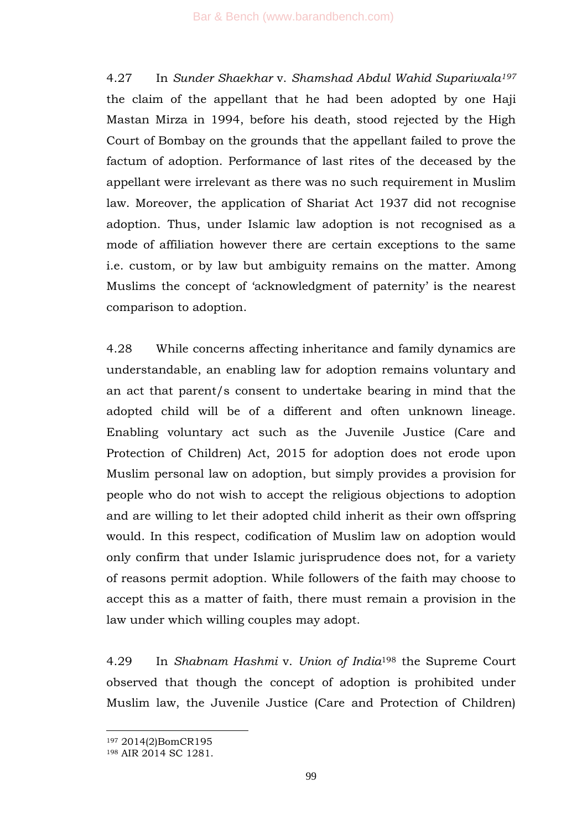4.27 In *Sunder Shaekhar* v. *Shamshad Abdul Wahid Supariwala<sup>197</sup>* the claim of the appellant that he had been adopted by one Haji Mastan Mirza in 1994, before his death, stood rejected by the High Court of Bombay on the grounds that the appellant failed to prove the factum of adoption. Performance of last rites of the deceased by the appellant were irrelevant as there was no such requirement in Muslim law. Moreover, the application of Shariat Act 1937 did not recognise adoption. Thus, under Islamic law adoption is not recognised as a mode of affiliation however there are certain exceptions to the same i.e. custom, or by law but ambiguity remains on the matter. Among Muslims the concept of 'acknowledgment of paternity' is the nearest comparison to adoption.

4.28 While concerns affecting inheritance and family dynamics are understandable, an enabling law for adoption remains voluntary and an act that parent/s consent to undertake bearing in mind that the adopted child will be of a different and often unknown lineage. Enabling voluntary act such as the Juvenile Justice (Care and Protection of Children) Act, 2015 for adoption does not erode upon Muslim personal law on adoption, but simply provides a provision for people who do not wish to accept the religious objections to adoption and are willing to let their adopted child inherit as their own offspring would. In this respect, codification of Muslim law on adoption would only confirm that under Islamic jurisprudence does not, for a variety of reasons permit adoption. While followers of the faith may choose to accept this as a matter of faith, there must remain a provision in the law under which willing couples may adopt.

4.29 In *Shabnam Hashmi* v. *Union of India*<sup>198</sup> the Supreme Court observed that though the concept of adoption is prohibited under Muslim law, the Juvenile Justice (Care and Protection of Children)

<sup>197</sup> 2014(2)BomCR195

<sup>198</sup> AIR 2014 SC 1281.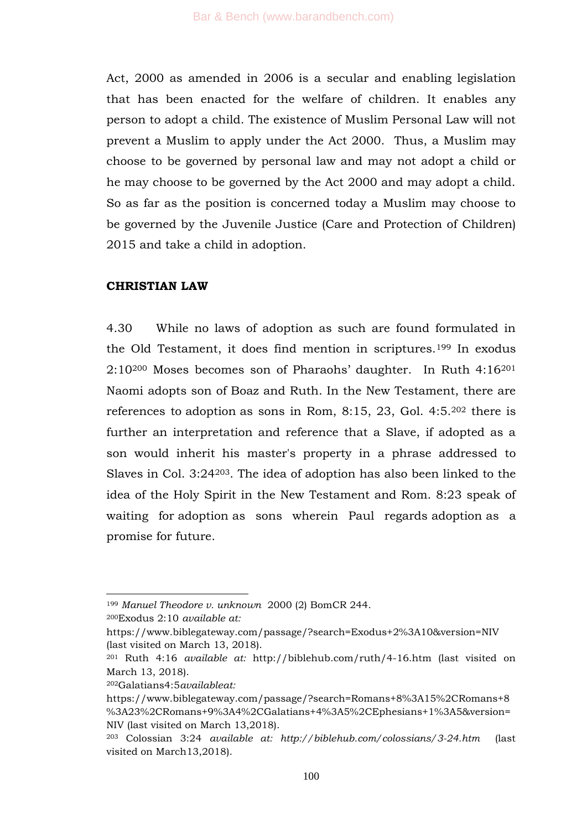Act, 2000 as amended in 2006 is a secular and enabling legislation that has been enacted for the welfare of children. It enables any person to adopt a child. The existence of Muslim Personal Law will not prevent a Muslim to apply under the Act 2000. Thus, a Muslim may choose to be governed by personal law and may not adopt a child or he may choose to be governed by the Act 2000 and may adopt a child. So as far as the position is concerned today a Muslim may choose to be governed by the Juvenile Justice (Care and Protection of Children) 2015 and take a child in adoption.

#### **CHRISTIAN LAW**

4.30 While no laws of adoption as such are found formulated in the Old Testament, it does find mention in scriptures.<sup>199</sup> In exodus 2:10<sup>200</sup> Moses becomes son of Pharaohs' daughter. In Ruth 4:16<sup>201</sup> Naomi adopts son of Boaz and Ruth. In the New Testament, there are references to adoption as sons in Rom, 8:15, 23, Gol. 4:5.<sup>202</sup> there is further an interpretation and reference that a Slave, if adopted as a son would inherit his master's property in a phrase addressed to Slaves in Col. 3:24203. The idea of adoption has also been linked to the idea of the Holy Spirit in the New Testament and Rom. 8:23 speak of waiting for adoption as sons wherein Paul regards adoption as a promise for future.

<sup>200</sup>Exodus 2:10 *available at:*

1

<sup>202</sup>Galatians4:5*availableat:*

<sup>199</sup> *Manuel Theodore v. unknown* 2000 (2) BomCR 244.

https://www.biblegateway.com/passage/?search=Exodus+2%3A10&version=NIV (last visited on March 13, 2018).

<sup>201</sup> Ruth 4:16 *available at:* http://biblehub.com/ruth/4-16.htm (last visited on March 13, 2018).

https://www.biblegateway.com/passage/?search=Romans+8%3A15%2CRomans+8 %3A23%2CRomans+9%3A4%2CGalatians+4%3A5%2CEphesians+1%3A5&version= NIV (last visited on March 13,2018).

<sup>203</sup> Colossian 3:24 *available at: http://biblehub.com/colossians/3-24.htm* (last visited on March13,2018).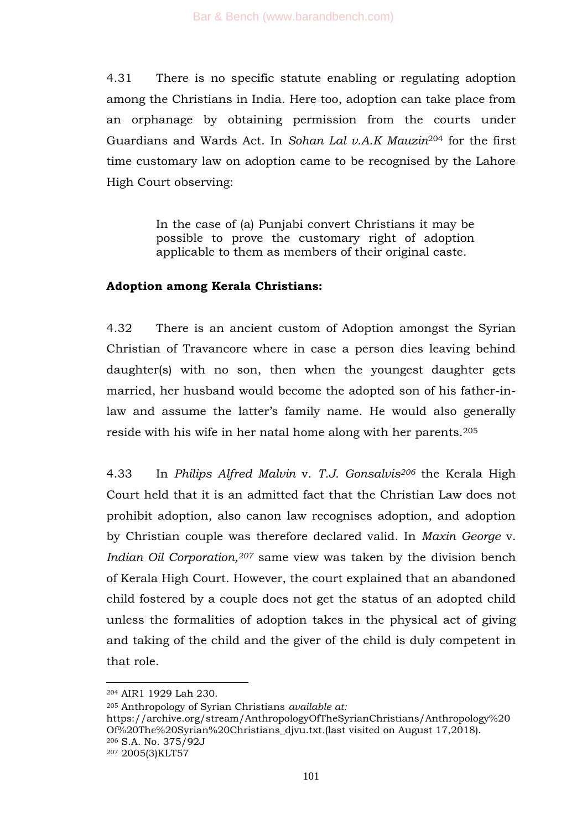4.31 There is no specific statute enabling or regulating adoption among the Christians in India. Here too, adoption can take place from an orphanage by obtaining permission from the courts under Guardians and Wards Act. In *Sohan Lal v.A.K Mauzin*<sup>204</sup> for the first time customary law on adoption came to be recognised by the Lahore High Court observing:

> In the case of (a) Punjabi convert Christians it may be possible to prove the customary right of adoption applicable to them as members of their original caste.

#### **Adoption among Kerala Christians:**

4.32 There is an ancient custom of Adoption amongst the Syrian Christian of Travancore where in case a person dies leaving behind daughter(s) with no son, then when the youngest daughter gets married, her husband would become the adopted son of his father-inlaw and assume the latter's family name. He would also generally reside with his wife in her natal home along with her parents.<sup>205</sup>

4.33 In *Philips Alfred Malvin* v. *T.J. Gonsalvis<sup>206</sup>* the Kerala High Court held that it is an admitted fact that the Christian Law does not prohibit adoption, also canon law recognises adoption, and adoption by Christian couple was therefore declared valid. In *Maxin George* v. *Indian Oil Corporation,<sup>207</sup>* same view was taken by the division bench of Kerala High Court. However, the court explained that an abandoned child fostered by a couple does not get the status of an adopted child unless the formalities of adoption takes in the physical act of giving and taking of the child and the giver of the child is duly competent in that role.

-

<sup>205</sup> Anthropology of Syrian Christians *available at:*

https://archive.org/stream/AnthropologyOfTheSyrianChristians/Anthropology%20 Of%20The%20Syrian%20Christians\_djvu.txt*.*(last visited on August 17,2018). <sup>206</sup> S.A. No. 375/92J <sup>207</sup> 2005(3)KLT57

<sup>204</sup> AIR1 1929 Lah 230.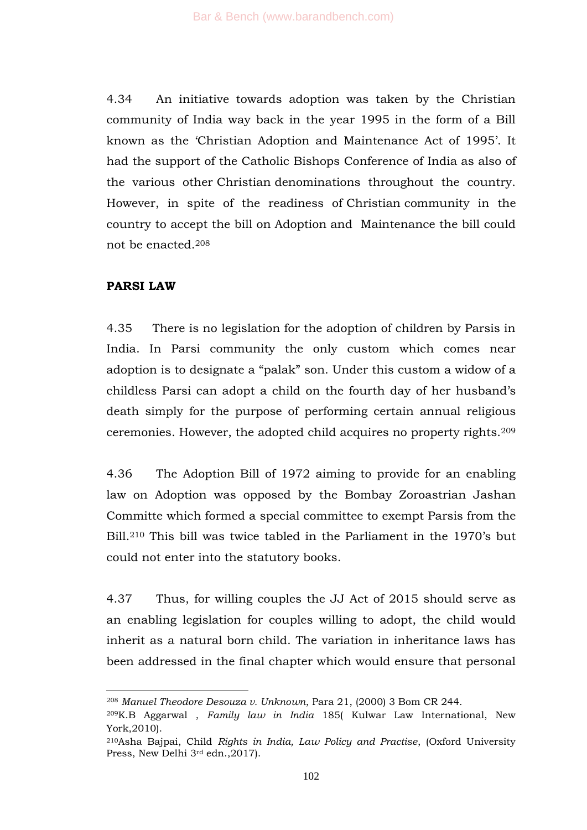4.34 An initiative towards adoption was taken by the Christian community of India way back in the year 1995 in the form of a Bill known as the 'Christian Adoption and Maintenance Act of 1995'. It had the support of the Catholic Bishops Conference of India as also of the various other Christian denominations throughout the country. However, in spite of the readiness of Christian community in the country to accept the bill on Adoption and Maintenance the bill could not be enacted.<sup>208</sup>

# **PARSI LAW**

1

4.35 There is no legislation for the adoption of children by Parsis in India. In Parsi community the only custom which comes near adoption is to designate a "palak" son. Under this custom a widow of a childless Parsi can adopt a child on the fourth day of her husband's death simply for the purpose of performing certain annual religious ceremonies. However, the adopted child acquires no property rights.<sup>209</sup>

4.36 The Adoption Bill of 1972 aiming to provide for an enabling law on Adoption was opposed by the Bombay Zoroastrian Jashan Committe which formed a special committee to exempt Parsis from the Bill.<sup>210</sup> This bill was twice tabled in the Parliament in the 1970's but could not enter into the statutory books.

4.37 Thus, for willing couples the JJ Act of 2015 should serve as an enabling legislation for couples willing to adopt, the child would inherit as a natural born child. The variation in inheritance laws has been addressed in the final chapter which would ensure that personal

<sup>208</sup> *Manuel Theodore Desouza v. Unknown*, Para 21, (2000) 3 Bom CR 244.

<sup>209</sup>K.B Aggarwal , *Family law in India* 185( Kulwar Law International, New York,2010).

<sup>210</sup>Asha Bajpai, Child *Rights in India, Law Policy and Practise*, (Oxford University Press, New Delhi 3<sup>rd</sup> edn., 2017).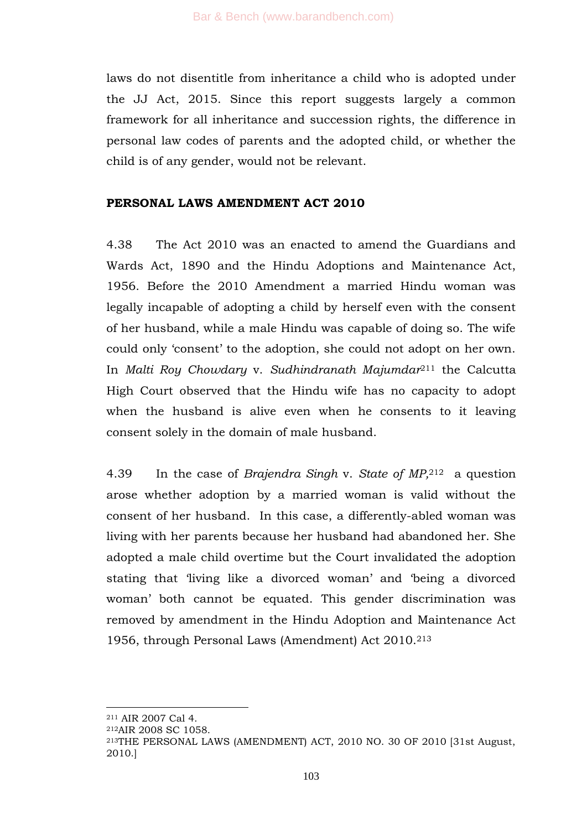laws do not disentitle from inheritance a child who is adopted under the JJ Act, 2015. Since this report suggests largely a common framework for all inheritance and succession rights, the difference in personal law codes of parents and the adopted child, or whether the child is of any gender, would not be relevant.

## **PERSONAL LAWS AMENDMENT ACT 2010**

4.38 The Act 2010 was an enacted to amend the Guardians and Wards Act, 1890 and the Hindu Adoptions and Maintenance Act, 1956. Before the 2010 Amendment a married Hindu woman was legally incapable of adopting a child by herself even with the consent of her husband, while a male Hindu was capable of doing so. The wife could only ‗consent' to the adoption, she could not adopt on her own. In *Malti Roy Chowdary* v. *Sudhindranath Majumdar*<sup>211</sup> the Calcutta High Court observed that the Hindu wife has no capacity to adopt when the husband is alive even when he consents to it leaving consent solely in the domain of male husband.

4.39 In the case of *Brajendra Singh* v. *State of MP,*212 a question arose whether adoption by a married woman is valid without the consent of her husband. In this case, a differently-abled woman was living with her parents because her husband had abandoned her. She adopted a male child overtime but the Court invalidated the adoption stating that 'living like a divorced woman' and 'being a divorced woman' both cannot be equated. This gender discrimination was removed by amendment in the Hindu Adoption and Maintenance Act 1956, through Personal Laws (Amendment) Act 2010.<sup>213</sup>

<sup>211</sup> AIR 2007 Cal 4.

<sup>212</sup>AIR 2008 SC 1058.

<sup>213</sup>THE PERSONAL LAWS (AMENDMENT) ACT, 2010 NO. 30 OF 2010 [31st August, 2010.]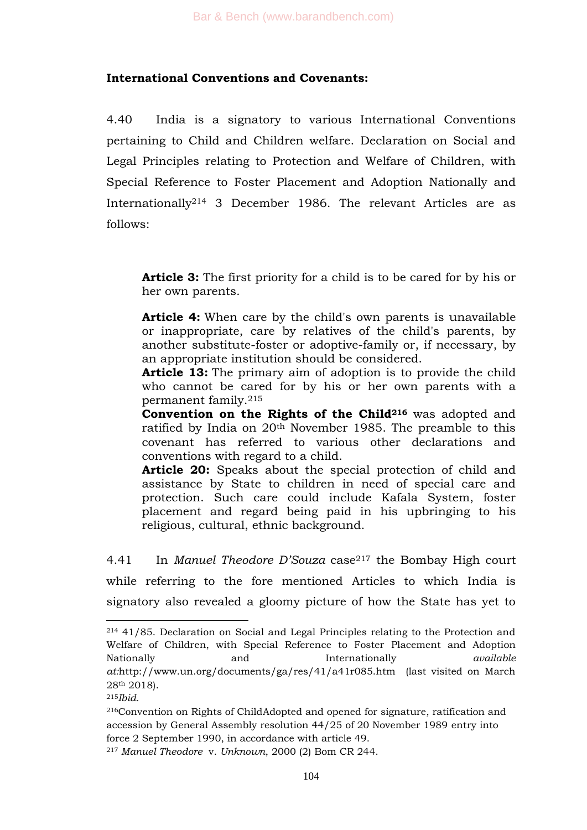## **International Conventions and Covenants:**

4.40 India is a signatory to various International Conventions pertaining to Child and Children welfare. Declaration on Social and Legal Principles relating to Protection and Welfare of Children, with Special Reference to Foster Placement and Adoption Nationally and Internationally<sup>214</sup> 3 December 1986. The relevant Articles are as follows:

**Article 3:** The first priority for a child is to be cared for by his or her own parents.

**Article 4:** When care by the child's own parents is unavailable or inappropriate, care by relatives of the child's parents, by another substitute-foster or adoptive-family or, if necessary, by an appropriate institution should be considered.

**Article 13:** The primary aim of adoption is to provide the child who cannot be cared for by his or her own parents with a permanent family.<sup>215</sup>

**Convention on the Rights of the Child<sup>216</sup>** was adopted and ratified by India on 20th November 1985. The preamble to this covenant has referred to various other declarations and conventions with regard to a child.

**Article 20:** Speaks about the special protection of child and assistance by State to children in need of special care and protection. Such care could include Kafala System, foster placement and regard being paid in his upbringing to his religious, cultural, ethnic background.

4.41 In *Manuel Theodore D"Souza* case<sup>217</sup> the Bombay High court while referring to the fore mentioned Articles to which India is signatory also revealed a gloomy picture of how the State has yet to

<sup>214</sup> 41/85. Declaration on Social and Legal Principles relating to the Protection and Welfare of Children, with Special Reference to Foster Placement and Adoption Nationally and Internationally *available at:*http://www.un.org/documents/ga/res/41/a41r085.htm (last visited on March 28th 2018).

<sup>215</sup>*Ibid.*

<sup>216</sup>Convention on Rights of ChildAdopted and opened for signature, ratification and accession by General Assembly resolution 44/25 of 20 November 1989 entry into force 2 September 1990, in accordance with article 49.

<sup>217</sup> *Manuel Theodore* v. *Unknown*, 2000 (2) Bom CR 244.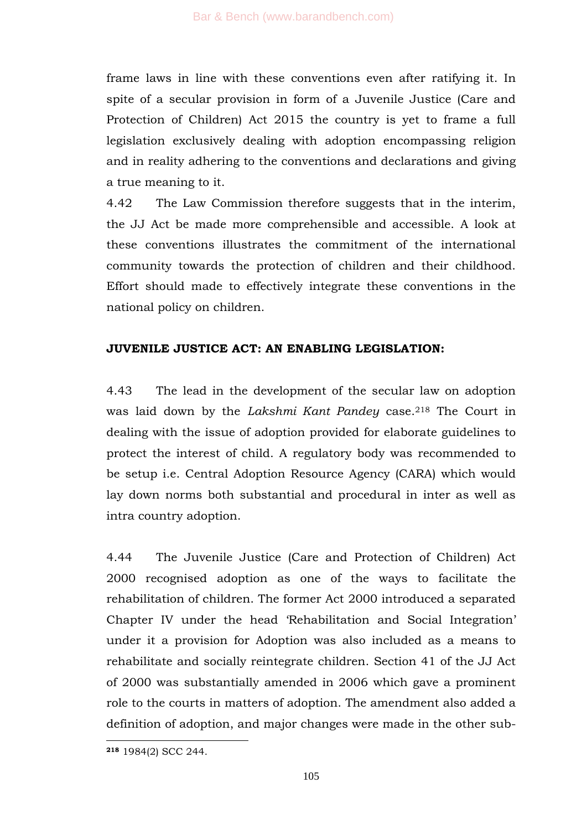frame laws in line with these conventions even after ratifying it. In spite of a secular provision in form of a Juvenile Justice (Care and Protection of Children) Act 2015 the country is yet to frame a full legislation exclusively dealing with adoption encompassing religion and in reality adhering to the conventions and declarations and giving a true meaning to it.

4.42 The Law Commission therefore suggests that in the interim, the JJ Act be made more comprehensible and accessible. A look at these conventions illustrates the commitment of the international community towards the protection of children and their childhood. Effort should made to effectively integrate these conventions in the national policy on children.

#### **JUVENILE JUSTICE ACT: AN ENABLING LEGISLATION:**

4.43 The lead in the development of the secular law on adoption was laid down by the *Lakshmi Kant Pandey* case.<sup>218</sup> The Court in dealing with the issue of adoption provided for elaborate guidelines to protect the interest of child. A regulatory body was recommended to be setup i.e. Central Adoption Resource Agency (CARA) which would lay down norms both substantial and procedural in inter as well as intra country adoption.

4.44 The Juvenile Justice (Care and Protection of Children) Act 2000 recognised adoption as one of the ways to facilitate the rehabilitation of children. The former Act 2000 introduced a separated Chapter IV under the head 'Rehabilitation and Social Integration' under it a provision for Adoption was also included as a means to rehabilitate and socially reintegrate children. Section 41 of the JJ Act of 2000 was substantially amended in 2006 which gave a prominent role to the courts in matters of adoption. The amendment also added a definition of adoption, and major changes were made in the other sub-

**<sup>218</sup>** 1984(2) SCC 244.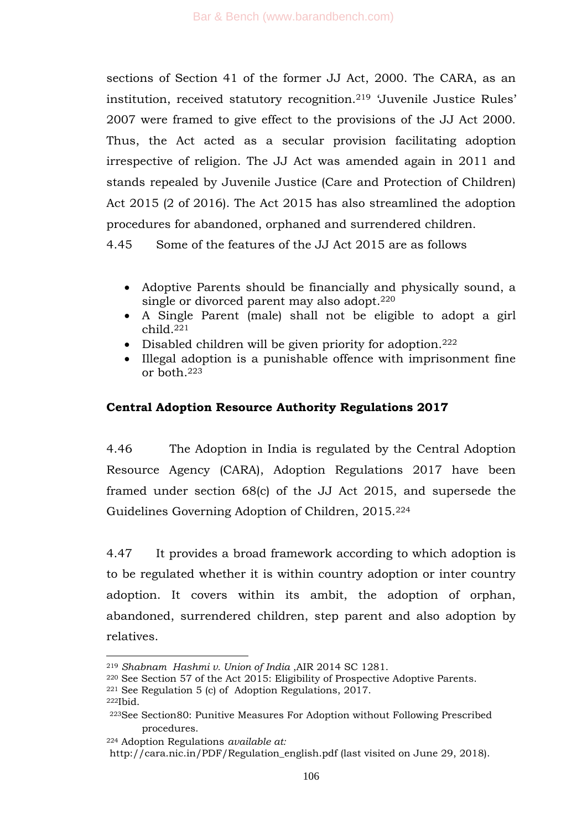sections of Section 41 of the former JJ Act, 2000. The CARA, as an institution, received statutory recognition.<sup>219</sup> ‗Juvenile Justice Rules' 2007 were framed to give effect to the provisions of the JJ Act 2000. Thus, the Act acted as a secular provision facilitating adoption irrespective of religion. The JJ Act was amended again in 2011 and stands repealed by Juvenile Justice (Care and Protection of Children) Act 2015 (2 of 2016). The Act 2015 has also streamlined the adoption procedures for abandoned, orphaned and surrendered children.

4.45 Some of the features of the JJ Act 2015 are as follows

- Adoptive Parents should be financially and physically sound, a single or divorced parent may also adopt.<sup>220</sup>
- A Single Parent (male) shall not be eligible to adopt a girl child.<sup>221</sup>
- $\bullet$  Disabled children will be given priority for adoption.<sup>222</sup>
- Illegal adoption is a punishable offence with imprisonment fine or both.<sup>223</sup>

# **Central Adoption Resource Authority Regulations 2017**

4.46 The Adoption in India is regulated by the Central Adoption Resource Agency (CARA), Adoption Regulations 2017 have been framed under section 68(c) of the JJ Act 2015, and supersede the Guidelines Governing Adoption of Children, 2015.<sup>224</sup>

4.47 It provides a broad framework according to which adoption is to be regulated whether it is within country adoption or inter country adoption. It covers within its ambit, the adoption of orphan, abandoned, surrendered children, step parent and also adoption by relatives.

- <sup>220</sup> See Section 57 of the Act 2015: Eligibility of Prospective Adoptive Parents.
- <sup>221</sup> See Regulation 5 (c) of Adoption Regulations, 2017.

<sup>222</sup>Ibid.

<sup>-</sup><sup>219</sup> *Shabnam Hashmi v. Union of India* ,AIR 2014 SC 1281.

<sup>223</sup>See Section80: Punitive Measures For Adoption without Following Prescribed procedures.

<sup>224</sup> Adoption Regulations *available at:*

http://cara.nic.in/PDF/Regulation\_english.pdf (last visited on June 29, 2018).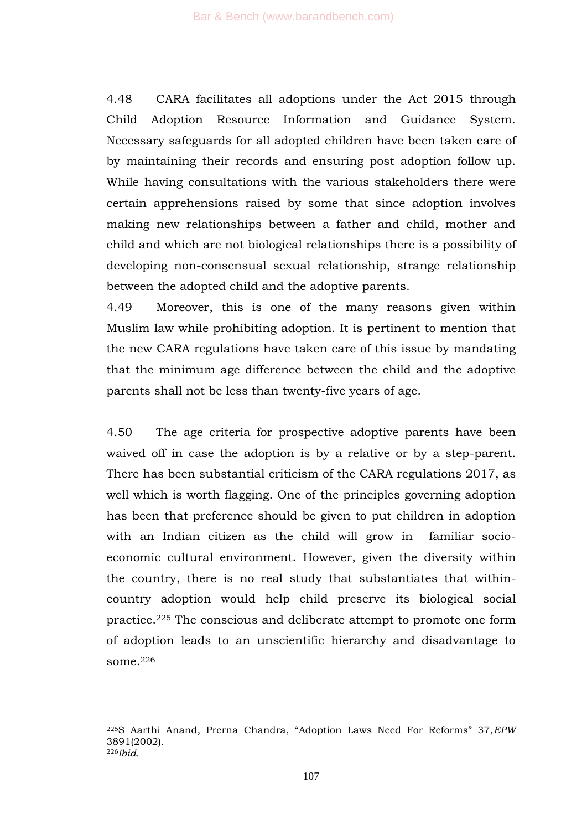4.48 CARA facilitates all adoptions under the Act 2015 through Child Adoption Resource Information and Guidance System. Necessary safeguards for all adopted children have been taken care of by maintaining their records and ensuring post adoption follow up. While having consultations with the various stakeholders there were certain apprehensions raised by some that since adoption involves making new relationships between a father and child, mother and child and which are not biological relationships there is a possibility of developing non-consensual sexual relationship, strange relationship between the adopted child and the adoptive parents.

4.49 Moreover, this is one of the many reasons given within Muslim law while prohibiting adoption. It is pertinent to mention that the new CARA regulations have taken care of this issue by mandating that the minimum age difference between the child and the adoptive parents shall not be less than twenty-five years of age.

4.50 The age criteria for prospective adoptive parents have been waived off in case the adoption is by a relative or by a step-parent. There has been substantial criticism of the CARA regulations 2017, as well which is worth flagging. One of the principles governing adoption has been that preference should be given to put children in adoption with an Indian citizen as the child will grow in familiar socioeconomic cultural environment. However, given the diversity within the country, there is no real study that substantiates that withincountry adoption would help child preserve its biological social practice.<sup>225</sup> The conscious and deliberate attempt to promote one form of adoption leads to an unscientific hierarchy and disadvantage to some.<sup>226</sup>

<sup>&</sup>lt;sup>225</sup>S Aarthi Anand, Prerna Chandra, "Adoption Laws Need For Reforms" 37, *EPW* 3891(2002). <sup>226</sup>*Ibid.*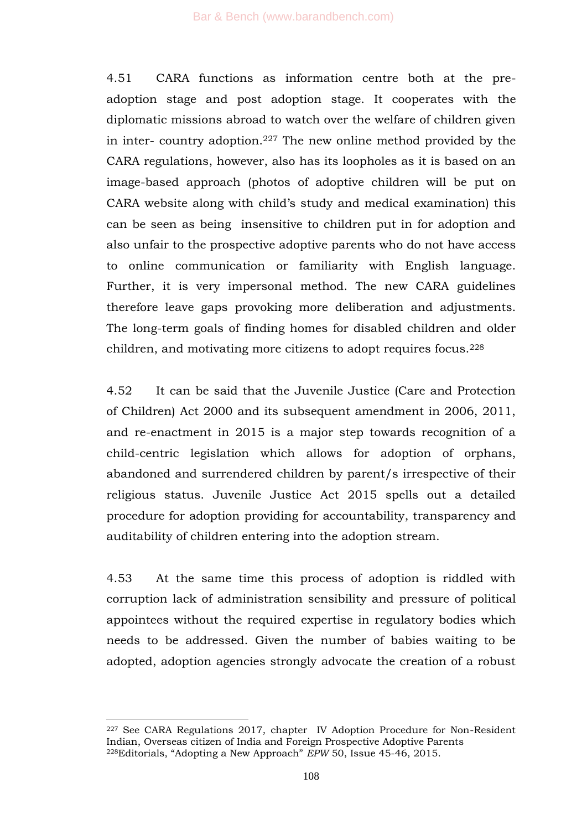4.51 CARA functions as information centre both at the preadoption stage and post adoption stage. It cooperates with the diplomatic missions abroad to watch over the welfare of children given in inter- country adoption.<sup>227</sup> The new online method provided by the CARA regulations, however, also has its loopholes as it is based on an image-based approach (photos of adoptive children will be put on CARA website along with child's study and medical examination) this can be seen as being insensitive to children put in for adoption and also unfair to the prospective adoptive parents who do not have access to online communication or familiarity with English language. Further, it is very impersonal method. The new CARA guidelines therefore leave gaps provoking more deliberation and adjustments. The long-term goals of finding homes for disabled children and older children, and motivating more citizens to adopt requires focus.<sup>228</sup>

4.52 It can be said that the Juvenile Justice (Care and Protection of Children) Act 2000 and its subsequent amendment in 2006, 2011, and re-enactment in 2015 is a major step towards recognition of a child-centric legislation which allows for adoption of orphans, abandoned and surrendered children by parent/s irrespective of their religious status. Juvenile Justice Act 2015 spells out a detailed procedure for adoption providing for accountability, transparency and auditability of children entering into the adoption stream.

4.53 At the same time this process of adoption is riddled with corruption lack of administration sensibility and pressure of political appointees without the required expertise in regulatory bodies which needs to be addressed. Given the number of babies waiting to be adopted, adoption agencies strongly advocate the creation of a robust

<sup>227</sup> See CARA Regulations 2017, chapter IV Adoption Procedure for Non-Resident Indian, Overseas citizen of India and Foreign Prospective Adoptive Parents <sup>228</sup>Editorials, "Adopting a New Approach" *EPW* 50, Issue 45-46, 2015.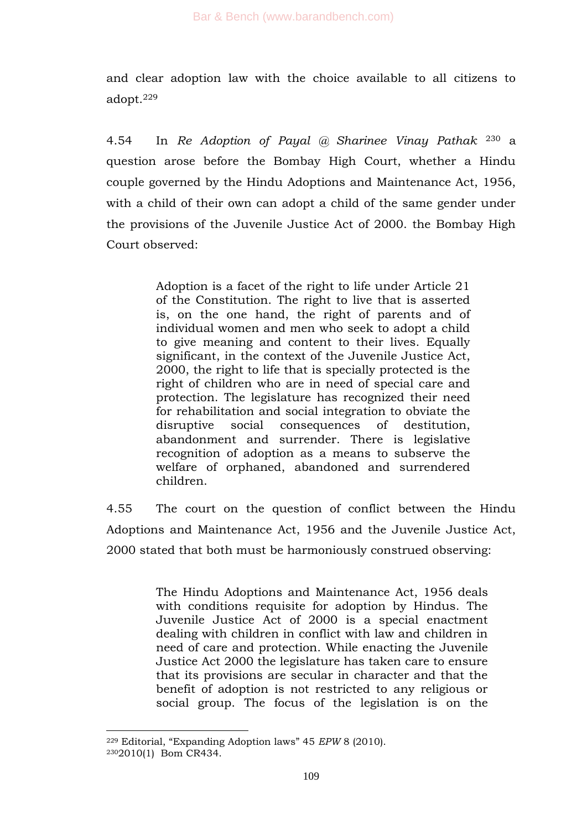and clear adoption law with the choice available to all citizens to adopt.<sup>229</sup>

4.54 In *Re Adoption of Payal @ Sharinee Vinay Pathak* <sup>230</sup> a question arose before the Bombay High Court, whether a Hindu couple governed by the Hindu Adoptions and Maintenance Act, 1956, with a child of their own can adopt a child of the same gender under the provisions of the Juvenile Justice Act of 2000. the Bombay High Court observed:

> Adoption is a facet of the right to life under Article 21 of the Constitution. The right to live that is asserted is, on the one hand, the right of parents and of individual women and men who seek to adopt a child to give meaning and content to their lives. Equally significant, in the context of the Juvenile Justice Act, 2000, the right to life that is specially protected is the right of children who are in need of special care and protection. The legislature has recognized their need for rehabilitation and social integration to obviate the disruptive social consequences of destitution, abandonment and surrender. There is legislative recognition of adoption as a means to subserve the welfare of orphaned, abandoned and surrendered children.

4.55 The court on the question of conflict between the Hindu Adoptions and Maintenance Act, 1956 and the Juvenile Justice Act, 2000 stated that both must be harmoniously construed observing:

> The Hindu Adoptions and Maintenance Act, 1956 deals with conditions requisite for adoption by Hindus. The Juvenile Justice Act of 2000 is a special enactment dealing with children in conflict with law and children in need of care and protection. While enacting the Juvenile Justice Act 2000 the legislature has taken care to ensure that its provisions are secular in character and that the benefit of adoption is not restricted to any religious or social group. The focus of the legislation is on the

<sup>&</sup>lt;sup>229</sup> Editorial, "Expanding Adoption laws" 45 *EPW* 8 (2010). <sup>230</sup>2010(1) Bom CR434.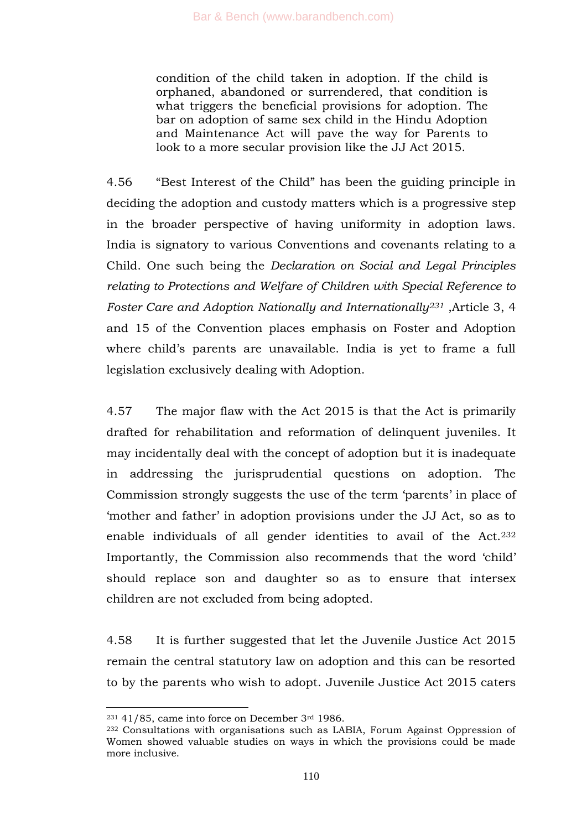condition of the child taken in adoption. If the child is orphaned, abandoned or surrendered, that condition is what triggers the beneficial provisions for adoption. The bar on adoption of same sex child in the Hindu Adoption and Maintenance Act will pave the way for Parents to look to a more secular provision like the JJ Act 2015.

4.56 ―Best Interest of the Child‖ has been the guiding principle in deciding the adoption and custody matters which is a progressive step in the broader perspective of having uniformity in adoption laws. India is signatory to various Conventions and covenants relating to a Child. One such being the *Declaration on Social and Legal Principles relating to Protections and Welfare of Children with Special Reference to Foster Care and Adoption Nationally and Internationally<sup>231</sup>* ,Article 3, 4 and 15 of the Convention places emphasis on Foster and Adoption where child's parents are unavailable. India is yet to frame a full legislation exclusively dealing with Adoption.

4.57 The major flaw with the Act 2015 is that the Act is primarily drafted for rehabilitation and reformation of delinquent juveniles. It may incidentally deal with the concept of adoption but it is inadequate in addressing the jurisprudential questions on adoption. The Commission strongly suggests the use of the term 'parents' in place of ‗mother and father' in adoption provisions under the JJ Act, so as to enable individuals of all gender identities to avail of the Act.<sup>232</sup> Importantly, the Commission also recommends that the word 'child' should replace son and daughter so as to ensure that intersex children are not excluded from being adopted.

4.58 It is further suggested that let the Juvenile Justice Act 2015 remain the central statutory law on adoption and this can be resorted to by the parents who wish to adopt. Juvenile Justice Act 2015 caters

 $231$  41/85, came into force on December  $3<sup>rd</sup>$  1986.

<sup>232</sup> Consultations with organisations such as LABIA, Forum Against Oppression of Women showed valuable studies on ways in which the provisions could be made more inclusive.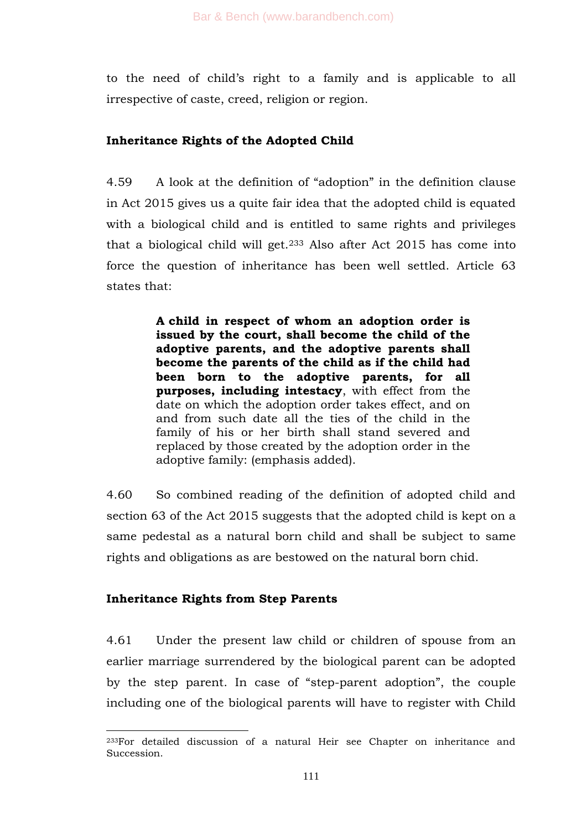to the need of child's right to a family and is applicable to all irrespective of caste, creed, religion or region.

# **Inheritance Rights of the Adopted Child**

4.59 A look at the definition of "adoption" in the definition clause in Act 2015 gives us a quite fair idea that the adopted child is equated with a biological child and is entitled to same rights and privileges that a biological child will get.<sup>233</sup> Also after Act 2015 has come into force the question of inheritance has been well settled. Article 63 states that:

> **A child in respect of whom an adoption order is issued by the court, shall become the child of the adoptive parents, and the adoptive parents shall become the parents of the child as if the child had been born to the adoptive parents, for all purposes, including intestacy**, with effect from the date on which the adoption order takes effect, and on and from such date all the ties of the child in the family of his or her birth shall stand severed and replaced by those created by the adoption order in the adoptive family: (emphasis added).

4.60 So combined reading of the definition of adopted child and section 63 of the Act 2015 suggests that the adopted child is kept on a same pedestal as a natural born child and shall be subject to same rights and obligations as are bestowed on the natural born chid.

# **Inheritance Rights from Step Parents**

4.61 Under the present law child or children of spouse from an earlier marriage surrendered by the biological parent can be adopted by the step parent. In case of "step-parent adoption", the couple including one of the biological parents will have to register with Child

<sup>-</sup><sup>233</sup>For detailed discussion of a natural Heir see Chapter on inheritance and Succession.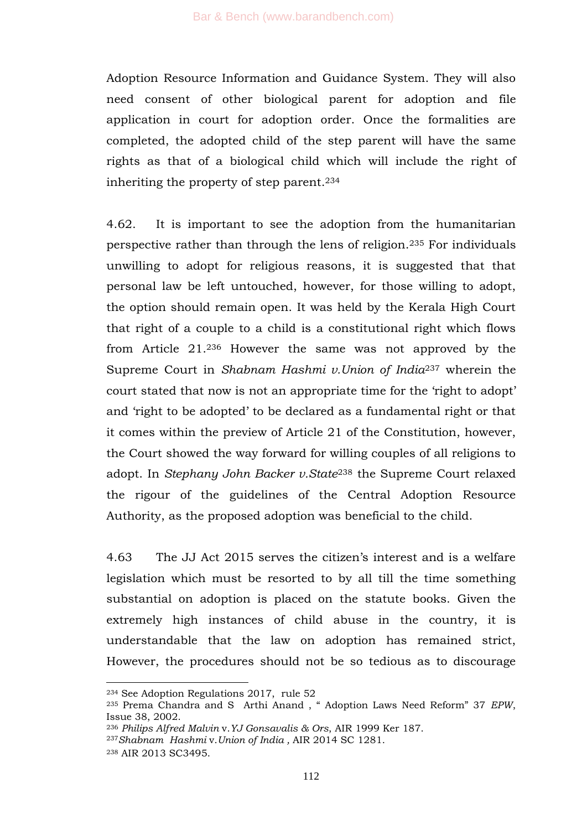Adoption Resource Information and Guidance System. They will also need consent of other biological parent for adoption and file application in court for adoption order. Once the formalities are completed, the adopted child of the step parent will have the same rights as that of a biological child which will include the right of inheriting the property of step parent.<sup>234</sup>

4.62. It is important to see the adoption from the humanitarian perspective rather than through the lens of religion.<sup>235</sup> For individuals unwilling to adopt for religious reasons, it is suggested that that personal law be left untouched, however, for those willing to adopt, the option should remain open. It was held by the Kerala High Court that right of a couple to a child is a constitutional right which flows from Article 21.<sup>236</sup> However the same was not approved by the Supreme Court in *Shabnam Hashmi v.Union of India*<sup>237</sup> wherein the court stated that now is not an appropriate time for the 'right to adopt' and 'right to be adopted' to be declared as a fundamental right or that it comes within the preview of Article 21 of the Constitution, however, the Court showed the way forward for willing couples of all religions to adopt. In *Stephany John Backer v.State*<sup>238</sup> the Supreme Court relaxed the rigour of the guidelines of the Central Adoption Resource Authority, as the proposed adoption was beneficial to the child.

4.63 The JJ Act 2015 serves the citizen's interest and is a welfare legislation which must be resorted to by all till the time something substantial on adoption is placed on the statute books. Given the extremely high instances of child abuse in the country, it is understandable that the law on adoption has remained strict, However, the procedures should not be so tedious as to discourage

<sup>234</sup> See Adoption Regulations 2017, rule 52

<sup>&</sup>lt;sup>235</sup> Prema Chandra and S Arthi Anand, "Adoption Laws Need Reform" 37 *EPW*, Issue 38, 2002.

<sup>236</sup> *Philips Alfred Malvin* v.*YJ Gonsavalis & Ors*, AIR 1999 Ker 187.

<sup>237</sup>*Shabnam Hashmi* v.*Union of India ,* AIR 2014 SC 1281.

<sup>238</sup> AIR 2013 SC3495.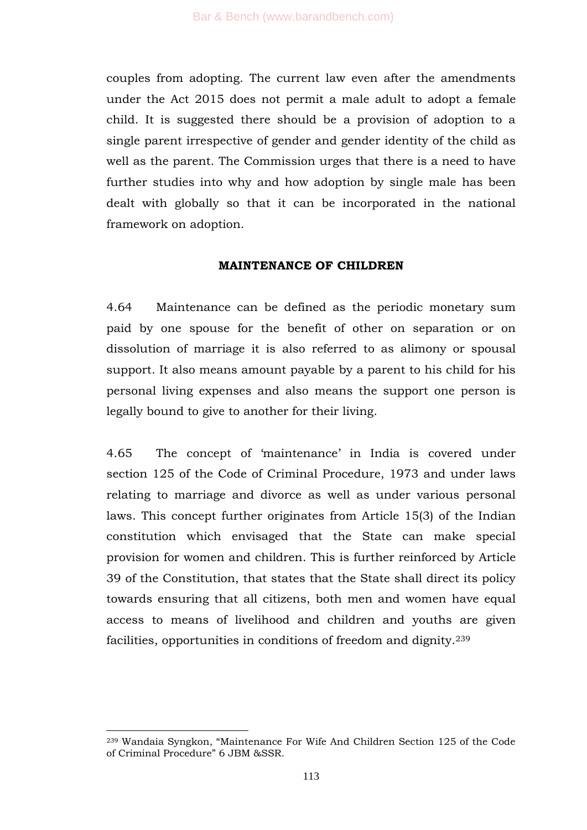couples from adopting. The current law even after the amendments under the Act 2015 does not permit a male adult to adopt a female child. It is suggested there should be a provision of adoption to a single parent irrespective of gender and gender identity of the child as well as the parent. The Commission urges that there is a need to have further studies into why and how adoption by single male has been dealt with globally so that it can be incorporated in the national framework on adoption.

#### **MAINTENANCE OF CHILDREN**

4.64 Maintenance can be defined as the periodic monetary sum paid by one spouse for the benefit of other on separation or on dissolution of marriage it is also referred to as alimony or spousal support. It also means amount payable by a parent to his child for his personal living expenses and also means the support one person is legally bound to give to another for their living.

4.65 The concept of 'maintenance' in India is covered under section 125 of the Code of Criminal Procedure, 1973 and under laws relating to marriage and divorce as well as under various personal laws. This concept further originates from Article 15(3) of the Indian constitution which envisaged that the State can make special provision for women and children. This is further reinforced by Article 39 of the Constitution, that states that the State shall direct its policy towards ensuring that all citizens, both men and women have equal access to means of livelihood and children and youths are given facilities, opportunities in conditions of freedom and dignity.<sup>239</sup>

<sup>&</sup>lt;sup>239</sup> Wandaia Syngkon, "Maintenance For Wife And Children Section 125 of the Code of Criminal Procedure" 6 JBM &SSR.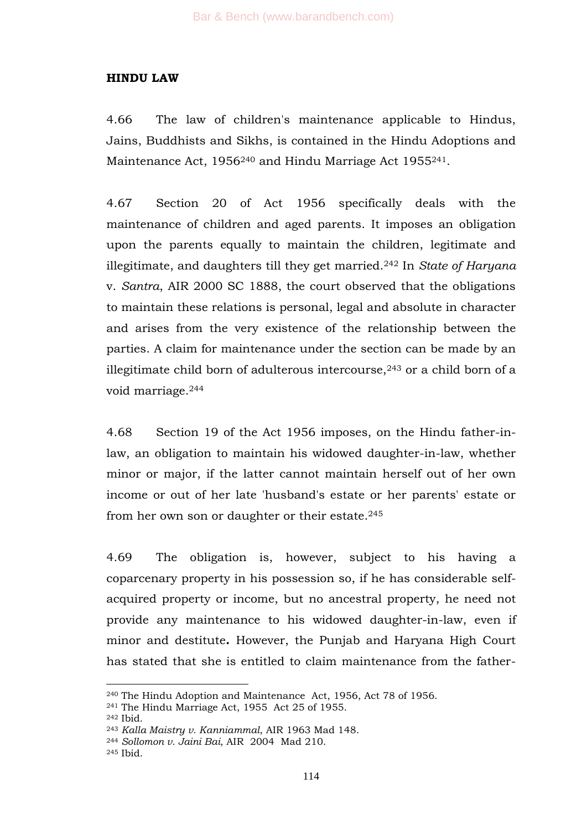#### **HINDU LAW**

4.66 The law of children's maintenance applicable to Hindus, Jains, Buddhists and Sikhs, is contained in the Hindu Adoptions and Maintenance Act, 1956<sup>240</sup> and Hindu Marriage Act 1955<sup>241</sup>.

4.67 Section 20 of Act 1956 specifically deals with the maintenance of children and aged parents. It imposes an obligation upon the parents equally to maintain the children, legitimate and illegitimate, and daughters till they get married.<sup>242</sup> In *State of Haryana*  v. *Santra*, AIR 2000 SC 1888, the court observed that the obligations to maintain these relations is personal, legal and absolute in character and arises from the very existence of the relationship between the parties. A claim for maintenance under the section can be made by an illegitimate child born of adulterous intercourse, $243$  or a child born of a void marriage.<sup>244</sup>

4.68 Section 19 of the Act 1956 imposes, on the Hindu father-inlaw, an obligation to maintain his widowed daughter-in-law, whether minor or major, if the latter cannot maintain herself out of her own income or out of her late 'husband's estate or her parents' estate or from her own son or daughter or their estate.<sup>245</sup>

4.69 The obligation is, however, subject to his having a coparcenary property in his possession so, if he has considerable selfacquired property or income, but no ancestral property, he need not provide any maintenance to his widowed daughter-in-law, even if minor and destitute**.** However, the Punjab and Haryana High Court has stated that she is entitled to claim maintenance from the father-

<sup>240</sup> The Hindu Adoption and Maintenance Act, 1956, Act 78 of 1956.

<sup>241</sup> The Hindu Marriage Act, 1955 Act 25 of 1955.

<sup>242</sup> Ibid.

<sup>243</sup> *Kalla Maistry v. Kanniammal*, AIR 1963 Mad 148.

<sup>244</sup> *Sollomon v. Jaini Bai*, AIR 2004 Mad 210.

<sup>245</sup> Ibid.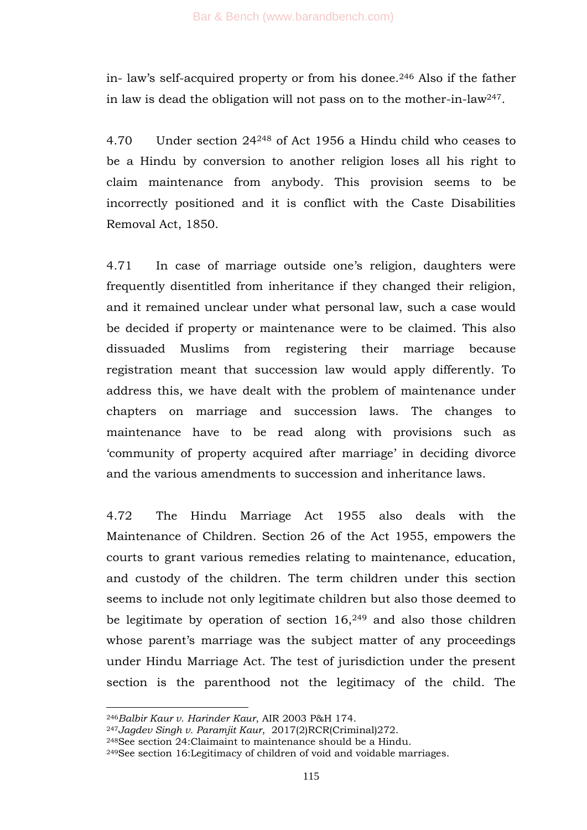in- law's self-acquired property or from his donee.<sup>246</sup> Also if the father in law is dead the obligation will not pass on to the mother-in-law247.

4.70 Under section 24<sup>248</sup> of Act 1956 a Hindu child who ceases to be a Hindu by conversion to another religion loses all his right to claim maintenance from anybody. This provision seems to be incorrectly positioned and it is conflict with the Caste Disabilities Removal Act, 1850.

4.71 In case of marriage outside one's religion, daughters were frequently disentitled from inheritance if they changed their religion, and it remained unclear under what personal law, such a case would be decided if property or maintenance were to be claimed. This also dissuaded Muslims from registering their marriage because registration meant that succession law would apply differently. To address this, we have dealt with the problem of maintenance under chapters on marriage and succession laws. The changes to maintenance have to be read along with provisions such as ‗community of property acquired after marriage' in deciding divorce and the various amendments to succession and inheritance laws.

4.72 The Hindu Marriage Act 1955 also deals with the Maintenance of Children. Section 26 of the Act 1955, empowers the courts to grant various remedies relating to maintenance, education, and custody of the children. The term children under this section seems to include not only legitimate children but also those deemed to be legitimate by operation of section  $16,249$  and also those children whose parent's marriage was the subject matter of any proceedings under Hindu Marriage Act. The test of jurisdiction under the present section is the parenthood not the legitimacy of the child. The

<sup>246</sup>*Balbir Kaur v. Harinder Kaur*, AIR 2003 P&H 174.

<sup>247</sup>*Jagdev Singh v. Paramjit Kaur*, 2017(2)RCR(Criminal)272.

<sup>248</sup>See section 24:Claimaint to maintenance should be a Hindu.

<sup>249</sup>See section 16:Legitimacy of children of void and voidable marriages.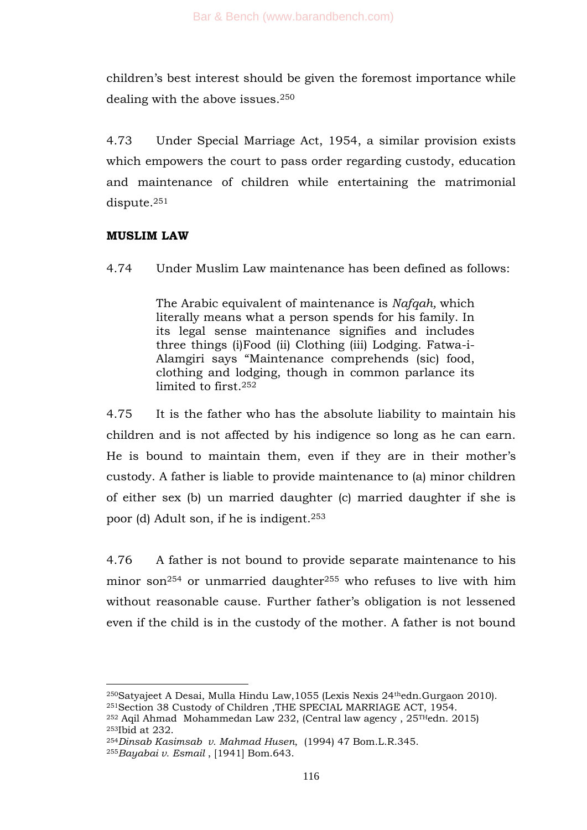children's best interest should be given the foremost importance while dealing with the above issues.<sup>250</sup>

4.73 Under Special Marriage Act, 1954, a similar provision exists which empowers the court to pass order regarding custody, education and maintenance of children while entertaining the matrimonial dispute.<sup>251</sup>

### **MUSLIM LAW**

4.74 Under Muslim Law maintenance has been defined as follows:

The Arabic equivalent of maintenance is *Nafqah,* which literally means what a person spends for his family. In its legal sense maintenance signifies and includes three things (i)Food (ii) Clothing (iii) Lodging. Fatwa-i-Alamgiri says "Maintenance comprehends (sic) food, clothing and lodging, though in common parlance its limited to first.<sup>252</sup>

4.75 It is the father who has the absolute liability to maintain his children and is not affected by his indigence so long as he can earn. He is bound to maintain them, even if they are in their mother's custody. A father is liable to provide maintenance to (a) minor children of either sex (b) un married daughter (c) married daughter if she is poor (d) Adult son, if he is indigent.<sup>253</sup>

4.76 A father is not bound to provide separate maintenance to his minor son<sup>254</sup> or unmarried daughter<sup>255</sup> who refuses to live with him without reasonable cause. Further father's obligation is not lessened even if the child is in the custody of the mother. A father is not bound

<sup>250</sup>Satyajeet A Desai, Mulla Hindu Law,1055 (Lexis Nexis 24thedn.Gurgaon 2010). <sup>251</sup>Section 38 Custody of Children , THE SPECIAL MARRIAGE ACT, 1954.

<sup>252</sup> Aqil Ahmad Mohammedan Law 232, (Central law agency , 25THedn. 2015) <sup>253</sup>Ibid at 232.

<sup>254</sup>*Dinsab Kasimsab v. Mahmad Husen*, (1994) 47 Bom.L.R.345.

<sup>255</sup>*Bayabai v. Esmail* , [1941] Bom.643.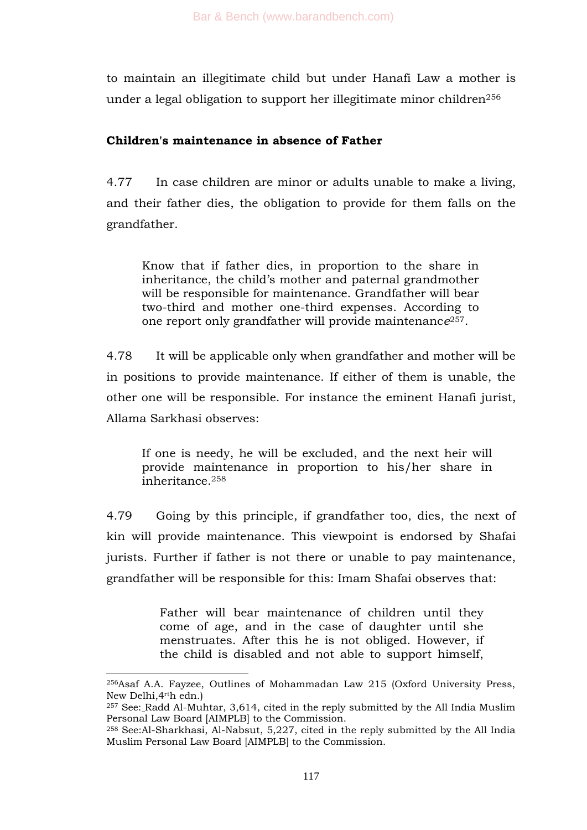to maintain an illegitimate child but under Hanafi Law a mother is under a legal obligation to support her illegitimate minor children<sup>256</sup>

# **Children's maintenance in absence of Father**

4.77 In case children are minor or adults unable to make a living, and their father dies, the obligation to provide for them falls on the grandfather.

Know that if father dies, in proportion to the share in inheritance, the child's mother and paternal grandmother will be responsible for maintenance. Grandfather will bear two-third and mother one-third expenses. According to one report only grandfather will provide maintenanc*e*257.

4.78 It will be applicable only when grandfather and mother will be in positions to provide maintenance. If either of them is unable, the other one will be responsible. For instance the eminent Hanafi jurist, Allama Sarkhasi observes:

If one is needy, he will be excluded, and the next heir will provide maintenance in proportion to his/her share in inheritance.<sup>258</sup>

4.79 Going by this principle, if grandfather too, dies, the next of kin will provide maintenance. This viewpoint is endorsed by Shafai jurists. Further if father is not there or unable to pay maintenance, grandfather will be responsible for this: Imam Shafai observes that:

> Father will bear maintenance of children until they come of age, and in the case of daughter until she menstruates. After this he is not obliged. However, if the child is disabled and not able to support himself,

<sup>256</sup>Asaf A.A. Fayzee, Outlines of Mohammadan Law 215 (Oxford University Press, New Delhi,4rth edn.)

<sup>257</sup> See: Radd Al-Muhtar, 3,614, cited in the reply submitted by the All India Muslim Personal Law Board [AIMPLB] to the Commission.

<sup>258</sup> See:Al-Sharkhasi, Al-Nabsut, 5,227, cited in the reply submitted by the All India Muslim Personal Law Board [AIMPLB] to the Commission.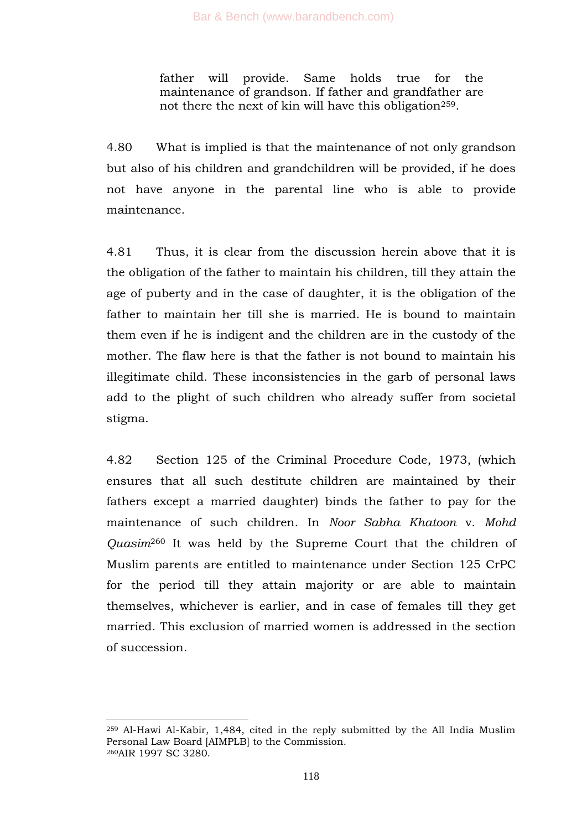father will provide. Same holds true for the maintenance of grandson. If father and grandfather are not there the next of kin will have this obligation<sup>259</sup>.

4.80 What is implied is that the maintenance of not only grandson but also of his children and grandchildren will be provided, if he does not have anyone in the parental line who is able to provide maintenance.

4.81 Thus, it is clear from the discussion herein above that it is the obligation of the father to maintain his children, till they attain the age of puberty and in the case of daughter, it is the obligation of the father to maintain her till she is married. He is bound to maintain them even if he is indigent and the children are in the custody of the mother. The flaw here is that the father is not bound to maintain his illegitimate child. These inconsistencies in the garb of personal laws add to the plight of such children who already suffer from societal stigma.

4.82 Section 125 of the Criminal Procedure Code, 1973, (which ensures that all such destitute children are maintained by their fathers except a married daughter) binds the father to pay for the maintenance of such children. In *Noor Sabha Khatoon* v. *Mohd Quasim*<sup>260</sup> It was held by the Supreme Court that the children of Muslim parents are entitled to maintenance under Section 125 CrPC for the period till they attain majority or are able to maintain themselves, whichever is earlier, and in case of females till they get married. This exclusion of married women is addressed in the section of succession.

<sup>259</sup> Al-Hawi Al-Kabir, 1,484, cited in the reply submitted by the All India Muslim Personal Law Board [AIMPLB] to the Commission. <sup>260</sup>AIR 1997 SC 3280.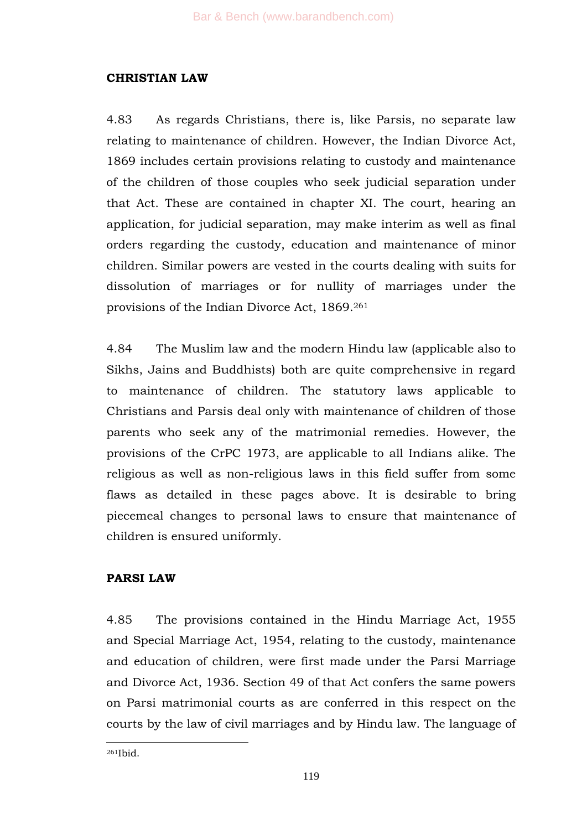### **CHRISTIAN LAW**

4.83 As regards Christians, there is, like Parsis, no separate law relating to maintenance of children. However, the Indian Divorce Act, 1869 includes certain provisions relating to custody and maintenance of the children of those couples who seek judicial separation under that Act. These are contained in chapter XI. The court, hearing an application, for judicial separation, may make interim as well as final orders regarding the custody, education and maintenance of minor children. Similar powers are vested in the courts dealing with suits for dissolution of marriages or for nullity of marriages under the provisions of the Indian Divorce Act, 1869.<sup>261</sup>

4.84 The Muslim law and the modern Hindu law (applicable also to Sikhs, Jains and Buddhists) both are quite comprehensive in regard to maintenance of children. The statutory laws applicable to Christians and Parsis deal only with maintenance of children of those parents who seek any of the matrimonial remedies. However, the provisions of the CrPC 1973, are applicable to all Indians alike. The religious as well as non-religious laws in this field suffer from some flaws as detailed in these pages above. It is desirable to bring piecemeal changes to personal laws to ensure that maintenance of children is ensured uniformly.

# **PARSI LAW**

4.85 The provisions contained in the Hindu Marriage Act, 1955 and Special Marriage Act, 1954, relating to the custody, maintenance and education of children, were first made under the Parsi Marriage and Divorce Act, 1936. Section 49 of that Act confers the same powers on Parsi matrimonial courts as are conferred in this respect on the courts by the law of civil marriages and by Hindu law. The language of

1 <sup>261</sup>Ibid.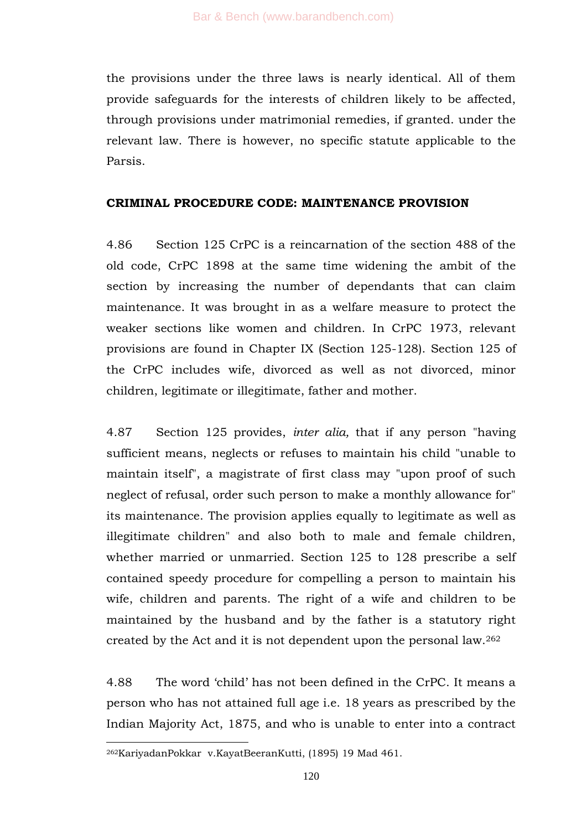the provisions under the three laws is nearly identical. All of them provide safeguards for the interests of children likely to be affected, through provisions under matrimonial remedies, if granted. under the relevant law. There is however, no specific statute applicable to the Parsis.

#### **CRIMINAL PROCEDURE CODE: MAINTENANCE PROVISION**

4.86 Section 125 CrPC is a reincarnation of the section 488 of the old code, CrPC 1898 at the same time widening the ambit of the section by increasing the number of dependants that can claim maintenance. It was brought in as a welfare measure to protect the weaker sections like women and children. In CrPC 1973, relevant provisions are found in Chapter IX (Section 125-128). Section 125 of the CrPC includes wife, divorced as well as not divorced, minor children, legitimate or illegitimate, father and mother.

4.87 Section 125 provides, *inter alia,* that if any person "having sufficient means, neglects or refuses to maintain his child "unable to maintain itself", a magistrate of first class may "upon proof of such neglect of refusal, order such person to make a monthly allowance for" its maintenance. The provision applies equally to legitimate as well as illegitimate children" and also both to male and female children, whether married or unmarried. Section 125 to 128 prescribe a self contained speedy procedure for compelling a person to maintain his wife, children and parents. The right of a wife and children to be maintained by the husband and by the father is a statutory right created by the Act and it is not dependent upon the personal law.<sup>262</sup>

4.88 The word ‗child' has not been defined in the CrPC. It means a person who has not attained full age i.e. 18 years as prescribed by the Indian Majority Act, 1875, and who is unable to enter into a contract

<sup>262</sup>KariyadanPokkar v.KayatBeeranKutti, (1895) 19 Mad 461.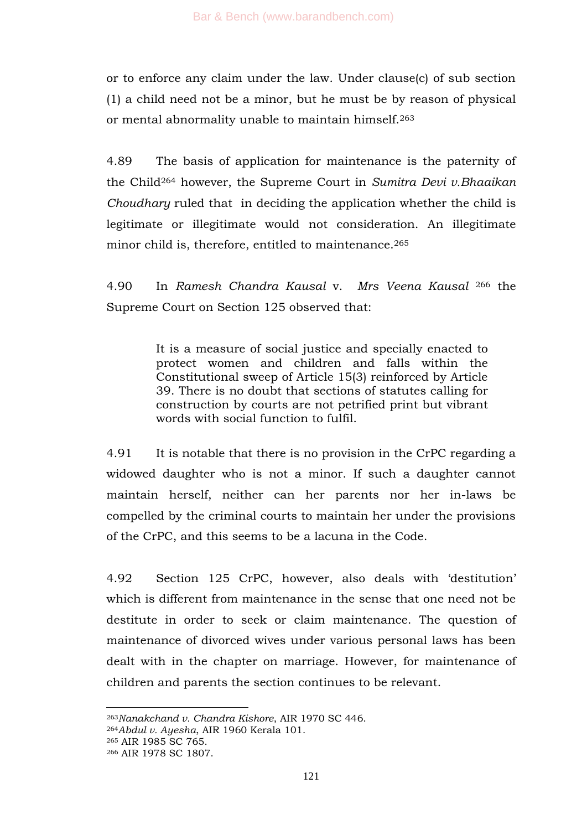or to enforce any claim under the law. Under clause(c) of sub section (1) a child need not be a minor, but he must be by reason of physical or mental abnormality unable to maintain himself.<sup>263</sup>

4.89 The basis of application for maintenance is the paternity of the Child<sup>264</sup> however, the Supreme Court in *Sumitra Devi v.Bhaaikan Choudhary* ruled that in deciding the application whether the child is legitimate or illegitimate would not consideration. An illegitimate minor child is, therefore, entitled to maintenance.<sup>265</sup>

4.90 In *Ramesh Chandra Kausal* v. *Mrs Veena Kausal* <sup>266</sup> the Supreme Court on Section 125 observed that:

> It is a measure of social justice and specially enacted to protect women and children and falls within the Constitutional sweep of Article 15(3) reinforced by Article 39. There is no doubt that sections of statutes calling for construction by courts are not petrified print but vibrant words with social function to fulfil.

4.91 It is notable that there is no provision in the CrPC regarding a widowed daughter who is not a minor. If such a daughter cannot maintain herself, neither can her parents nor her in-laws be compelled by the criminal courts to maintain her under the provisions of the CrPC, and this seems to be a lacuna in the Code.

4.92 Section 125 CrPC, however, also deals with ‗destitution' which is different from maintenance in the sense that one need not be destitute in order to seek or claim maintenance. The question of maintenance of divorced wives under various personal laws has been dealt with in the chapter on marriage. However, for maintenance of children and parents the section continues to be relevant.

<sup>265</sup> AIR 1985 SC 765.

<sup>263</sup>*Nanakchand v. Chandra Kishore*, AIR 1970 SC 446.

<sup>264</sup>*Abdul v. Ayesha*, AIR 1960 Kerala 101.

<sup>266</sup> AIR 1978 SC 1807.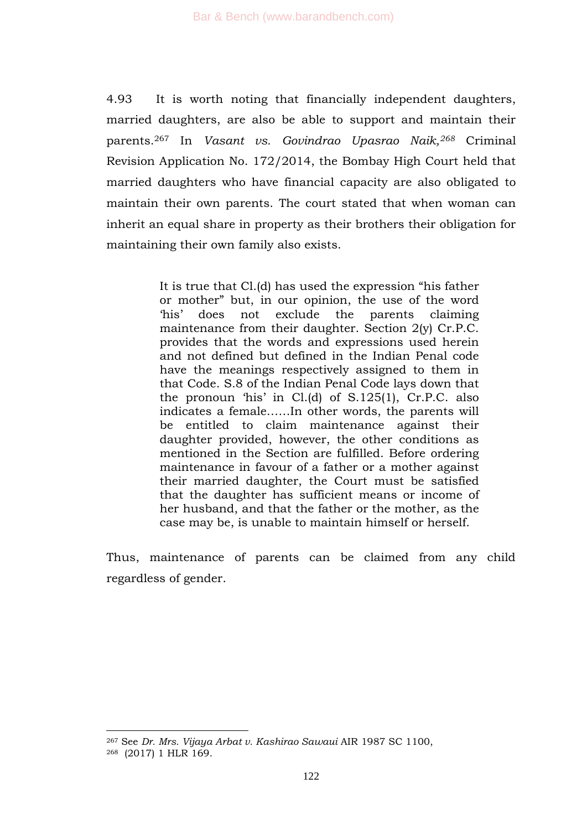4.93 It is worth noting that financially independent daughters, married daughters, are also be able to support and maintain their parents.<sup>267</sup> In *Vasant vs. Govindrao Upasrao Naik,<sup>268</sup>* Criminal Revision Application No. 172/2014, the Bombay High Court held that married daughters who have financial capacity are also obligated to maintain their own parents. The court stated that when woman can inherit an equal share in property as their brothers their obligation for maintaining their own family also exists.

> It is true that Cl.(d) has used the expression "his father or mother" but, in our opinion, the use of the word ‗his' does not exclude the parents claiming maintenance from their daughter. Section 2(y) Cr.P.C. provides that the words and expressions used herein and not defined but defined in the Indian Penal code have the meanings respectively assigned to them in that Code. S.8 of the Indian Penal Code lays down that the pronoun 'his' in  $Cl.(d)$  of  $S.125(1)$ ,  $Cr.P.C.$  also indicates a female……In other words, the parents will be entitled to claim maintenance against their daughter provided, however, the other conditions as mentioned in the Section are fulfilled. Before ordering maintenance in favour of a father or a mother against their married daughter, the Court must be satisfied that the daughter has sufficient means or income of her husband, and that the father or the mother, as the case may be, is unable to maintain himself or herself.

Thus, maintenance of parents can be claimed from any child regardless of gender.

<sup>267</sup> See *Dr. Mrs. Vijaya Arbat v. Kashirao Sawaui* AIR 1987 SC 1100, <sup>268</sup> (2017) 1 HLR 169.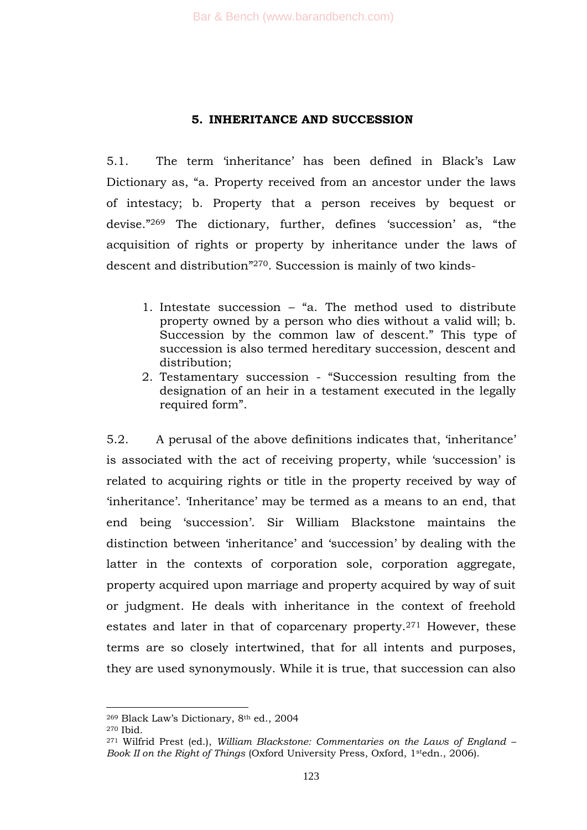#### **5. INHERITANCE AND SUCCESSION**

5.1. The term ‗inheritance' has been defined in Black's Law Dictionary as, "a. Property received from an ancestor under the laws of intestacy; b. Property that a person receives by bequest or devise."<sup>269</sup> The dictionary, further, defines 'succession' as, "the acquisition of rights or property by inheritance under the laws of descent and distribution"<sup>270</sup>. Succession is mainly of two kinds-

- 1. Intestate succession  $-$  "a. The method used to distribute property owned by a person who dies without a valid will; b. Succession by the common law of descent." This type of succession is also termed hereditary succession, descent and distribution:
- 2. Testamentary succession "Succession resulting from the designation of an heir in a testament executed in the legally required form".

5.2. A perusal of the above definitions indicates that, 'inheritance' is associated with the act of receiving property, while 'succession' is related to acquiring rights or title in the property received by way of 'inheritance'. The ritance' may be termed as a means to an end, that end being ‗succession'. Sir William Blackstone maintains the distinction between 'inheritance' and 'succession' by dealing with the latter in the contexts of corporation sole, corporation aggregate, property acquired upon marriage and property acquired by way of suit or judgment. He deals with inheritance in the context of freehold estates and later in that of coparcenary property.<sup>271</sup> However, these terms are so closely intertwined, that for all intents and purposes, they are used synonymously. While it is true, that succession can also

<sup>269</sup> Black Law's Dictionary, 8th ed., 2004

<sup>270</sup> Ibid.

<sup>271</sup> Wilfrid Prest (ed.), *William Blackstone: Commentaries on the Laws of England – Book II on the Right of Things* (Oxford University Press, Oxford, 1stedn., 2006).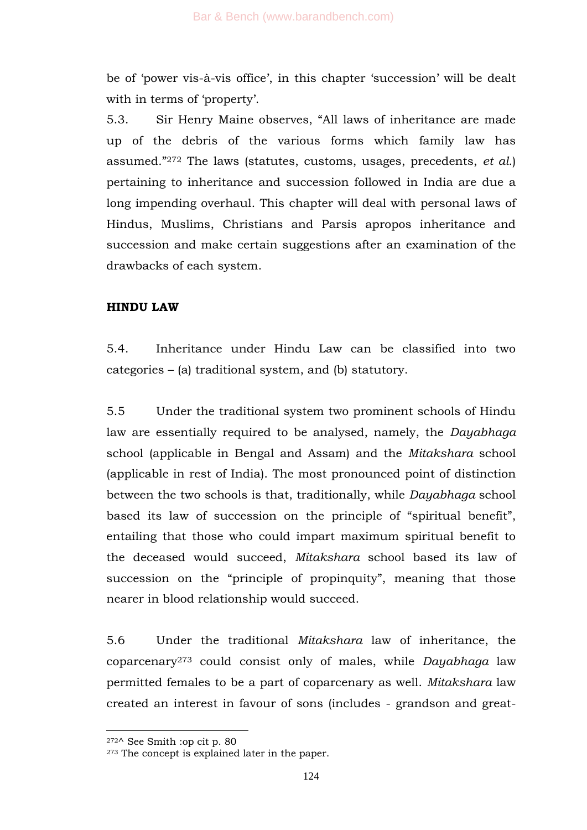be of 'power vis-à-vis office', in this chapter 'succession' will be dealt with in terms of 'property'.

5.3. Sir Henry Maine observes, "All laws of inheritance are made up of the debris of the various forms which family law has assumed.‖<sup>272</sup> The laws (statutes, customs, usages, precedents, *et al*.) pertaining to inheritance and succession followed in India are due a long impending overhaul. This chapter will deal with personal laws of Hindus, Muslims, Christians and Parsis apropos inheritance and succession and make certain suggestions after an examination of the drawbacks of each system.

# **HINDU LAW**

5.4. Inheritance under Hindu Law can be classified into two categories – (a) traditional system, and (b) statutory.

5.5 Under the traditional system two prominent schools of Hindu law are essentially required to be analysed, namely, the *Dayabhaga*  school (applicable in Bengal and Assam) and the *Mitakshara* school (applicable in rest of India). The most pronounced point of distinction between the two schools is that, traditionally, while *Dayabhaga* school based its law of succession on the principle of "spiritual benefit", entailing that those who could impart maximum spiritual benefit to the deceased would succeed, *Mitakshara* school based its law of succession on the "principle of propinquity", meaning that those nearer in blood relationship would succeed.

5.6 Under the traditional *Mitakshara* law of inheritance, the coparcenary<sup>273</sup> could consist only of males, while *Dayabhaga* law permitted females to be a part of coparcenary as well. *Mitakshara* law created an interest in favour of sons (includes - grandson and great-

<sup>272</sup>^ See Smith :op cit p. 80

<sup>&</sup>lt;sup>273</sup> The concept is explained later in the paper.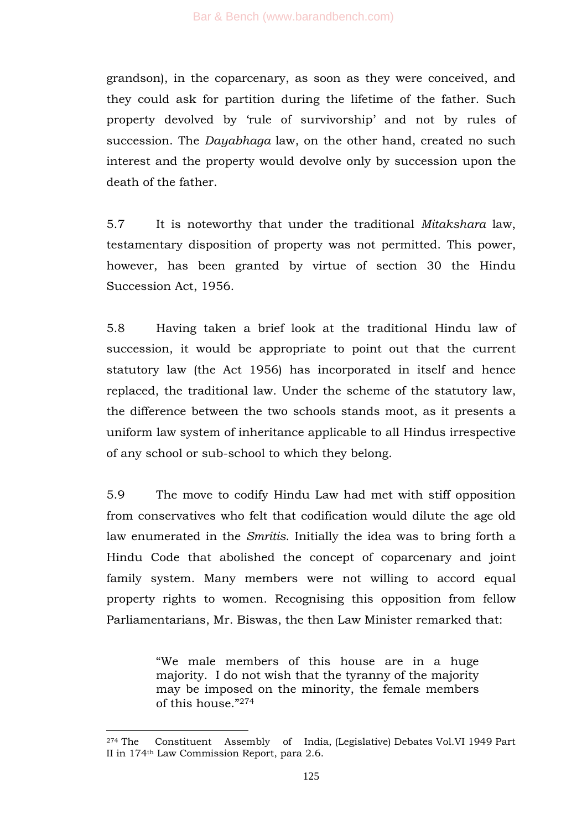grandson), in the coparcenary, as soon as they were conceived, and they could ask for partition during the lifetime of the father. Such property devolved by 'rule of survivorship' and not by rules of succession. The *Dayabhaga* law, on the other hand, created no such interest and the property would devolve only by succession upon the death of the father.

5.7 It is noteworthy that under the traditional *Mitakshara* law, testamentary disposition of property was not permitted. This power, however, has been granted by virtue of section 30 the Hindu Succession Act, 1956.

5.8 Having taken a brief look at the traditional Hindu law of succession, it would be appropriate to point out that the current statutory law (the Act 1956) has incorporated in itself and hence replaced, the traditional law. Under the scheme of the statutory law, the difference between the two schools stands moot, as it presents a uniform law system of inheritance applicable to all Hindus irrespective of any school or sub-school to which they belong.

5.9 The move to codify Hindu Law had met with stiff opposition from conservatives who felt that codification would dilute the age old law enumerated in the *Smritis*. Initially the idea was to bring forth a Hindu Code that abolished the concept of coparcenary and joint family system. Many members were not willing to accord equal property rights to women. Recognising this opposition from fellow Parliamentarians, Mr. Biswas, the then Law Minister remarked that:

> ―We male members of this house are in a huge majority. I do not wish that the tyranny of the majority may be imposed on the minority, the female members of this house."274

<sup>274</sup> The Constituent Assembly of India, (Legislative) Debates Vol.VI 1949 Part II in 174th Law Commission Report, para 2.6.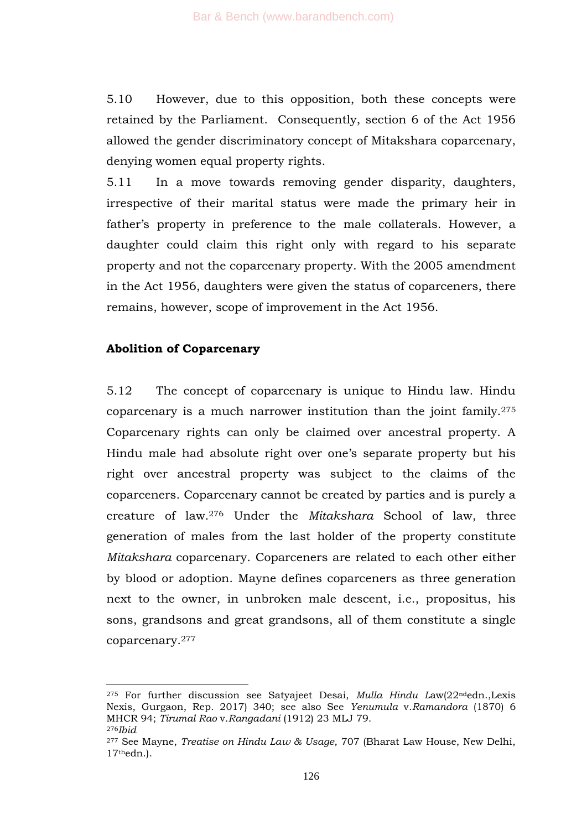5.10 However, due to this opposition, both these concepts were retained by the Parliament. Consequently, section 6 of the Act 1956 allowed the gender discriminatory concept of Mitakshara coparcenary, denying women equal property rights.

5.11 In a move towards removing gender disparity, daughters, irrespective of their marital status were made the primary heir in father's property in preference to the male collaterals. However, a daughter could claim this right only with regard to his separate property and not the coparcenary property. With the 2005 amendment in the Act 1956, daughters were given the status of coparceners, there remains, however, scope of improvement in the Act 1956.

#### **Abolition of Coparcenary**

1

5.12 The concept of coparcenary is unique to Hindu law. Hindu coparcenary is a much narrower institution than the joint family.<sup>275</sup> Coparcenary rights can only be claimed over ancestral property. A Hindu male had absolute right over one's separate property but his right over ancestral property was subject to the claims of the coparceners. Coparcenary cannot be created by parties and is purely a creature of law.<sup>276</sup> Under the *Mitakshara* School of law, three generation of males from the last holder of the property constitute *Mitakshara* coparcenary. Coparceners are related to each other either by blood or adoption. Mayne defines coparceners as three generation next to the owner, in unbroken male descent, i.e., propositus, his sons, grandsons and great grandsons, all of them constitute a single coparcenary.<sup>277</sup>

<sup>275</sup> For further discussion see Satyajeet Desai, *Mulla Hindu L*aw(22ndedn.,Lexis Nexis, Gurgaon, Rep. 2017) 340; see also See *Yenumula* v.*Ramandora* (1870) 6 MHCR 94; *Tirumal Rao* v.*Rangadani* (1912) 23 MLJ 79. <sup>276</sup>*Ibid*

<sup>277</sup> See Mayne, *Treatise on Hindu Law & Usage,* 707 (Bharat Law House, New Delhi,  $17<sup>th</sup>$ edn.).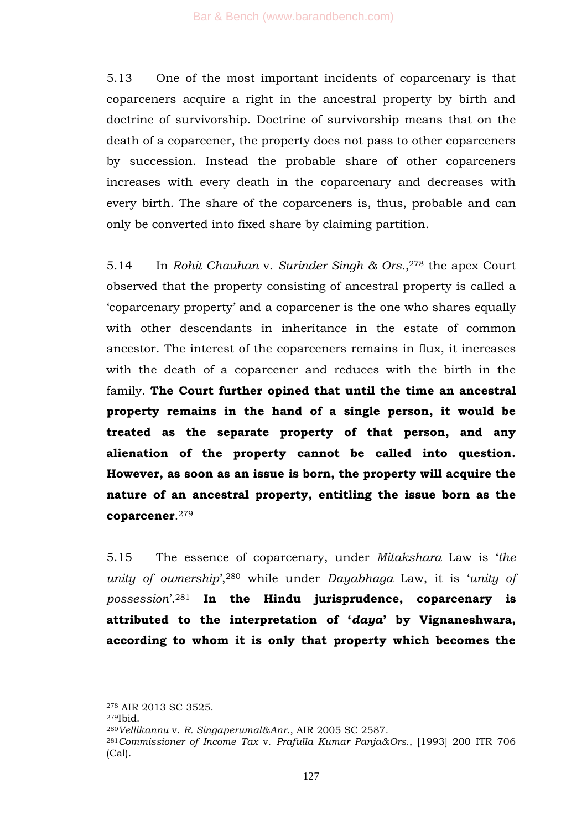5.13 One of the most important incidents of coparcenary is that coparceners acquire a right in the ancestral property by birth and doctrine of survivorship. Doctrine of survivorship means that on the death of a coparcener, the property does not pass to other coparceners by succession. Instead the probable share of other coparceners increases with every death in the coparcenary and decreases with every birth. The share of the coparceners is, thus, probable and can only be converted into fixed share by claiming partition.

5.14 In *Rohit Chauhan* v. *Surinder Singh & Ors.*, <sup>278</sup> the apex Court observed that the property consisting of ancestral property is called a ‗coparcenary property' and a coparcener is the one who shares equally with other descendants in inheritance in the estate of common ancestor. The interest of the coparceners remains in flux, it increases with the death of a coparcener and reduces with the birth in the family. **The Court further opined that until the time an ancestral property remains in the hand of a single person, it would be treated as the separate property of that person, and any alienation of the property cannot be called into question. However, as soon as an issue is born, the property will acquire the nature of an ancestral property, entitling the issue born as the coparcener**. 279

5.15 The essence of coparcenary, under *Mitakshara* Law is ‗*the unity of ownership*',<sup>280</sup> while under *Dayabhaga Law*, it is '*unity of possession*'.<sup>281</sup> **In the Hindu jurisprudence, coparcenary is attributed to the interpretation of "***daya***" by Vignaneshwara, according to whom it is only that property which becomes the** 

<sup>278</sup> AIR 2013 SC 3525.

<sup>279</sup>Ibid.

<sup>280</sup>*Vellikannu* v. *R. Singaperumal&Anr*., AIR 2005 SC 2587.

<sup>281</sup>*Commissioner of Income Tax* v. *Prafulla Kumar Panja&Ors.*, [1993] 200 ITR 706 (Cal).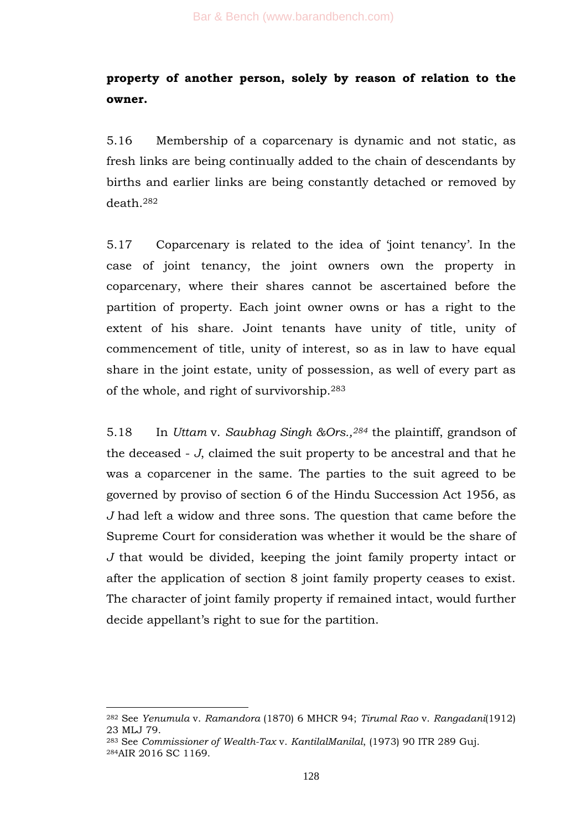# **property of another person, solely by reason of relation to the owner.**

5.16 Membership of a coparcenary is dynamic and not static, as fresh links are being continually added to the chain of descendants by births and earlier links are being constantly detached or removed by death.<sup>282</sup>

5.17 Coparcenary is related to the idea of 'joint tenancy'. In the case of joint tenancy, the joint owners own the property in coparcenary, where their shares cannot be ascertained before the partition of property. Each joint owner owns or has a right to the extent of his share. Joint tenants have unity of title, unity of commencement of title, unity of interest, so as in law to have equal share in the joint estate, unity of possession, as well of every part as of the whole, and right of survivorship.<sup>283</sup>

5.18 In *Uttam* v. *Saubhag Singh &Ors.,<sup>284</sup>* the plaintiff, grandson of the deceased - *J*, claimed the suit property to be ancestral and that he was a coparcener in the same. The parties to the suit agreed to be governed by proviso of section 6 of the Hindu Succession Act 1956, as *J* had left a widow and three sons. The question that came before the Supreme Court for consideration was whether it would be the share of *J* that would be divided, keeping the joint family property intact or after the application of section 8 joint family property ceases to exist. The character of joint family property if remained intact, would further decide appellant's right to sue for the partition.

<sup>282</sup> See *Yenumula* v. *Ramandora* (1870) 6 MHCR 94; *Tirumal Rao* v. *Rangadani*(1912) 23 MLJ 79.

<sup>283</sup> See *Commissioner of Wealth-Tax* v. *KantilalManilal*, (1973) 90 ITR 289 Guj. <sup>284</sup>AIR 2016 SC 1169.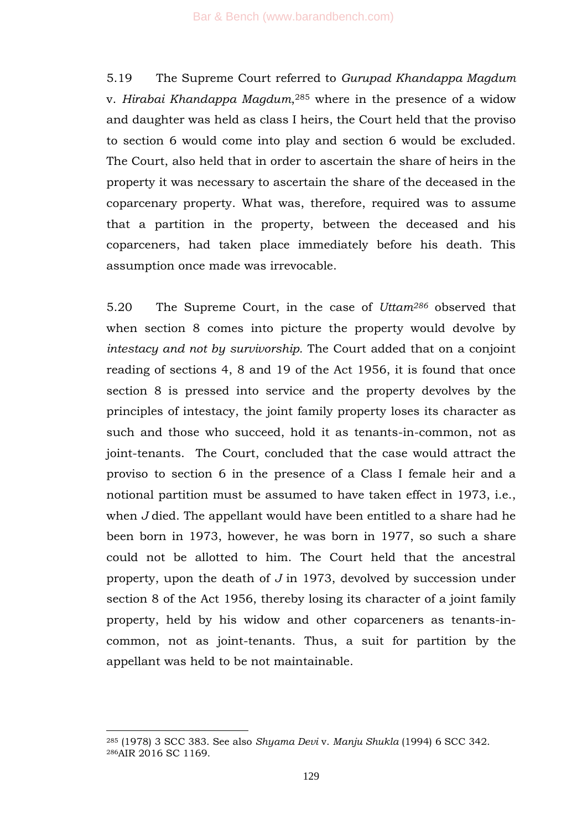5.19 The Supreme Court referred to *Gurupad Khandappa Magdum* v. *Hirabai Khandappa Magdum*, <sup>285</sup> where in the presence of a widow and daughter was held as class I heirs, the Court held that the proviso to section 6 would come into play and section 6 would be excluded. The Court, also held that in order to ascertain the share of heirs in the property it was necessary to ascertain the share of the deceased in the coparcenary property. What was, therefore, required was to assume that a partition in the property, between the deceased and his coparceners, had taken place immediately before his death. This assumption once made was irrevocable.

5.20 The Supreme Court, in the case of *Uttam<sup>286</sup>* observed that when section 8 comes into picture the property would devolve by *intestacy and not by survivorship.* The Court added that on a conjoint reading of sections 4, 8 and 19 of the Act 1956, it is found that once section 8 is pressed into service and the property devolves by the principles of intestacy, the joint family property loses its character as such and those who succeed, hold it as tenants-in-common, not as joint-tenants. The Court, concluded that the case would attract the proviso to section 6 in the presence of a Class I female heir and a notional partition must be assumed to have taken effect in 1973, i.e., when *J* died. The appellant would have been entitled to a share had he been born in 1973, however, he was born in 1977, so such a share could not be allotted to him. The Court held that the ancestral property, upon the death of *J* in 1973, devolved by succession under section 8 of the Act 1956, thereby losing its character of a joint family property, held by his widow and other coparceners as tenants-incommon, not as joint-tenants. Thus, a suit for partition by the appellant was held to be not maintainable.

<sup>285</sup> (1978) 3 SCC 383. See also *Shyama Devi* v. *Manju Shukla* (1994) 6 SCC 342. <sup>286</sup>AIR 2016 SC 1169.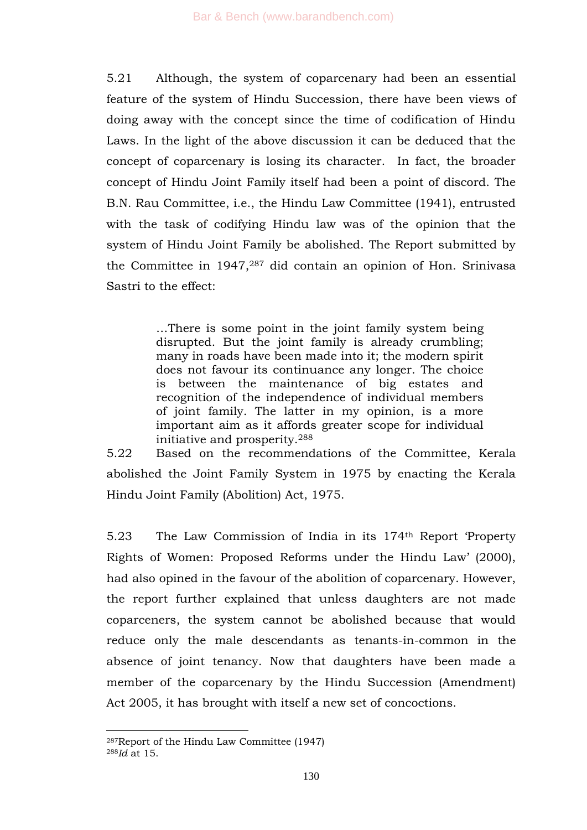5.21 Although, the system of coparcenary had been an essential feature of the system of Hindu Succession, there have been views of doing away with the concept since the time of codification of Hindu Laws. In the light of the above discussion it can be deduced that the concept of coparcenary is losing its character. In fact, the broader concept of Hindu Joint Family itself had been a point of discord. The B.N. Rau Committee, i.e., the Hindu Law Committee (1941), entrusted with the task of codifying Hindu law was of the opinion that the system of Hindu Joint Family be abolished. The Report submitted by the Committee in 1947,<sup>287</sup> did contain an opinion of Hon. Srinivasa Sastri to the effect:

> …There is some point in the joint family system being disrupted. But the joint family is already crumbling; many in roads have been made into it; the modern spirit does not favour its continuance any longer. The choice is between the maintenance of big estates and recognition of the independence of individual members of joint family. The latter in my opinion, is a more important aim as it affords greater scope for individual initiative and prosperity.<sup>288</sup>

5.22 Based on the recommendations of the Committee, Kerala abolished the Joint Family System in 1975 by enacting the Kerala Hindu Joint Family (Abolition) Act, 1975.

5.23 The Law Commission of India in its 174<sup>th</sup> Report Property Rights of Women: Proposed Reforms under the Hindu Law' (2000), had also opined in the favour of the abolition of coparcenary. However, the report further explained that unless daughters are not made coparceners, the system cannot be abolished because that would reduce only the male descendants as tenants-in-common in the absence of joint tenancy. Now that daughters have been made a member of the coparcenary by the Hindu Succession (Amendment) Act 2005, it has brought with itself a new set of concoctions.

<sup>-</sup><sup>287</sup>Report of the Hindu Law Committee (1947)

<sup>288</sup>*Id* at 15.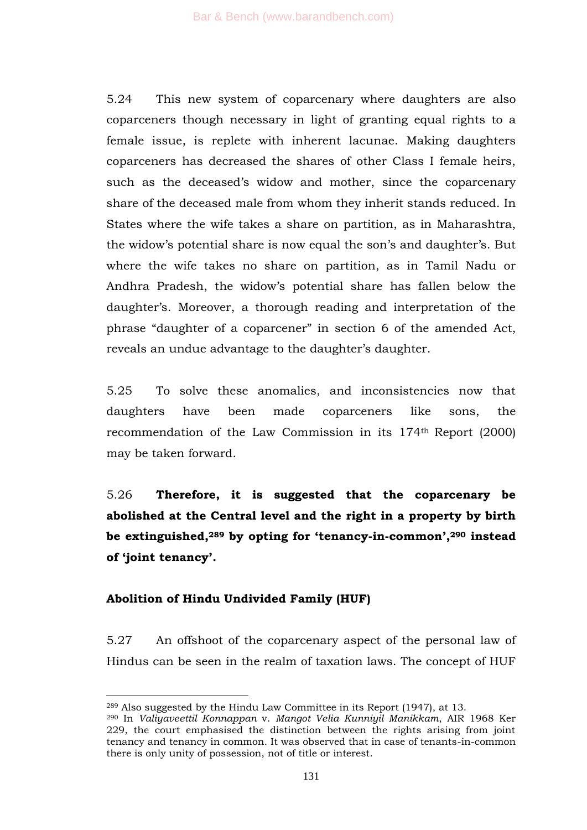5.24 This new system of coparcenary where daughters are also coparceners though necessary in light of granting equal rights to a female issue, is replete with inherent lacunae. Making daughters coparceners has decreased the shares of other Class I female heirs, such as the deceased's widow and mother, since the coparcenary share of the deceased male from whom they inherit stands reduced. In States where the wife takes a share on partition, as in Maharashtra, the widow's potential share is now equal the son's and daughter's. But where the wife takes no share on partition, as in Tamil Nadu or Andhra Pradesh, the widow's potential share has fallen below the daughter's. Moreover, a thorough reading and interpretation of the phrase "daughter of a coparcener" in section 6 of the amended Act, reveals an undue advantage to the daughter's daughter.

5.25 To solve these anomalies, and inconsistencies now that daughters have been made coparceners like sons, the recommendation of the Law Commission in its 174th Report (2000) may be taken forward.

5.26 **Therefore, it is suggested that the coparcenary be abolished at the Central level and the right in a property by birth be extinguished,<sup>289</sup> by opting for "tenancy-in-common",<sup>290</sup> instead of "joint tenancy".** 

# **Abolition of Hindu Undivided Family (HUF)**

-

5.27 An offshoot of the coparcenary aspect of the personal law of Hindus can be seen in the realm of taxation laws. The concept of HUF

<sup>289</sup> Also suggested by the Hindu Law Committee in its Report (1947), at 13.

<sup>290</sup> In *Valiyaveettil Konnappan* v. *Mangot Velia Kunniyil Manikkam*, AIR 1968 Ker 229, the court emphasised the distinction between the rights arising from joint tenancy and tenancy in common. It was observed that in case of tenants-in-common there is only unity of possession, not of title or interest.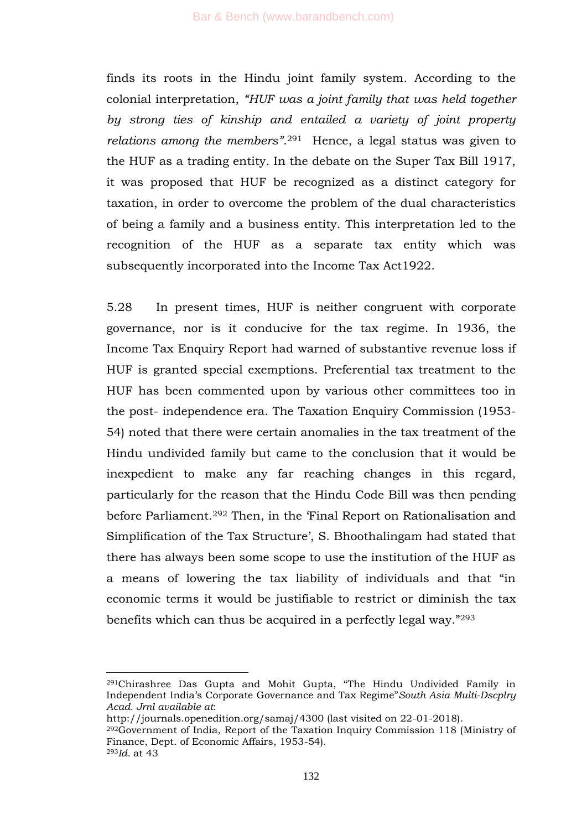finds its roots in the Hindu joint family system. According to the colonial interpretation, *"HUF was a joint family that was held together by strong ties of kinship and entailed a variety of joint property relations among the members"*. <sup>291</sup> Hence, a legal status was given to the HUF as a trading entity. In the debate on the Super Tax Bill 1917, it was proposed that HUF be recognized as a distinct category for taxation, in order to overcome the problem of the dual characteristics of being a family and a business entity. This interpretation led to the recognition of the HUF as a separate tax entity which was subsequently incorporated into the Income Tax Act1922.

5.28 In present times, HUF is neither congruent with corporate governance, nor is it conducive for the tax regime. In 1936, the Income Tax Enquiry Report had warned of substantive revenue loss if HUF is granted special exemptions. Preferential tax treatment to the HUF has been commented upon by various other committees too in the post- independence era. The Taxation Enquiry Commission (1953- 54) noted that there were certain anomalies in the tax treatment of the Hindu undivided family but came to the conclusion that it would be inexpedient to make any far reaching changes in this regard, particularly for the reason that the Hindu Code Bill was then pending before Parliament.<sup>292</sup> Then, in the 'Final Report on Rationalisation and Simplification of the Tax Structure', S. Bhoothalingam had stated that there has always been some scope to use the institution of the HUF as a means of lowering the tax liability of individuals and that "in economic terms it would be justifiable to restrict or diminish the tax benefits which can thus be acquired in a perfectly legal way."293

<sup>&</sup>lt;sup>291</sup>Chirashree Das Gupta and Mohit Gupta, "The Hindu Undivided Family in Independent India's Corporate Governance and Tax Regime<sup>"</sup> South Asia Multi-Dscplry *Acad. Jrnl available at*:

http://journals.openedition.org/samaj/4300 (last visited on 22-01-2018).

<sup>292</sup>Government of India, Report of the Taxation Inquiry Commission 118 (Ministry of Finance, Dept. of Economic Affairs, 1953-54).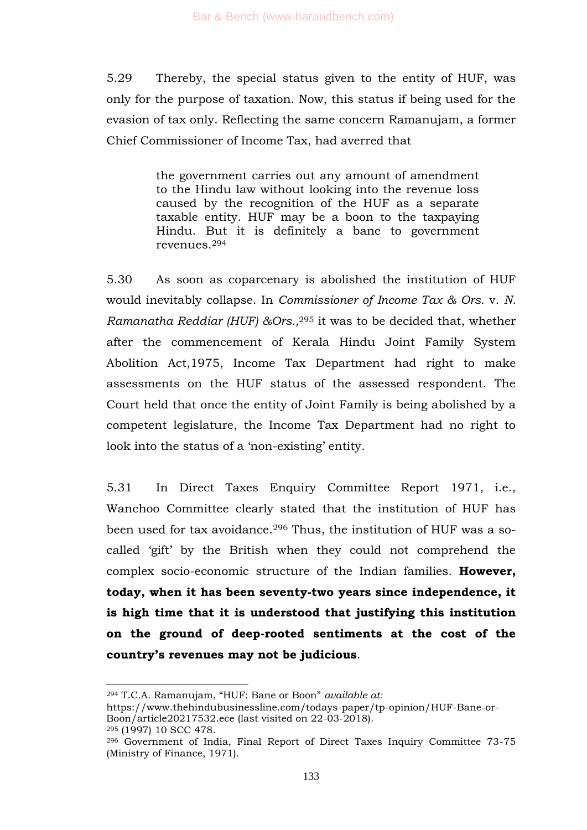5.29 Thereby, the special status given to the entity of HUF, was only for the purpose of taxation. Now, this status if being used for the evasion of tax only. Reflecting the same concern Ramanujam, a former Chief Commissioner of Income Tax, had averred that

> the government carries out any amount of amendment to the Hindu law without looking into the revenue loss caused by the recognition of the HUF as a separate taxable entity. HUF may be a boon to the taxpaying Hindu. But it is definitely a bane to government revenues.<sup>294</sup>

5.30 As soon as coparcenary is abolished the institution of HUF would inevitably collapse. In *Commissioner of Income Tax & Ors.* v. *N. Ramanatha Reddiar (HUF) &Ors.,*<sup>295</sup> it was to be decided that, whether after the commencement of Kerala Hindu Joint Family System Abolition Act,1975, Income Tax Department had right to make assessments on the HUF status of the assessed respondent. The Court held that once the entity of Joint Family is being abolished by a competent legislature, the Income Tax Department had no right to look into the status of a 'non-existing' entity.

5.31 In Direct Taxes Enquiry Committee Report 1971, i.e., Wanchoo Committee clearly stated that the institution of HUF has been used for tax avoidance.<sup>296</sup> Thus, the institution of HUF was a socalled 'gift' by the British when they could not comprehend the complex socio-economic structure of the Indian families. **However, today, when it has been seventy-two years since independence, it is high time that it is understood that justifying this institution on the ground of deep-rooted sentiments at the cost of the country"s revenues may not be judicious**.

https://www.thehindubusinessline.com/todays-paper/tp-opinion/HUF-Bane-or-Boon/article20217532.ece (last visited on 22-03-2018).

<sup>295</sup> (1997) 10 SCC 478.

<sup>&</sup>lt;sup>294</sup> T.C.A. Ramanujam, "HUF: Bane or Boon" *available at:* 

<sup>296</sup> Government of India, Final Report of Direct Taxes Inquiry Committee 73-75 (Ministry of Finance, 1971).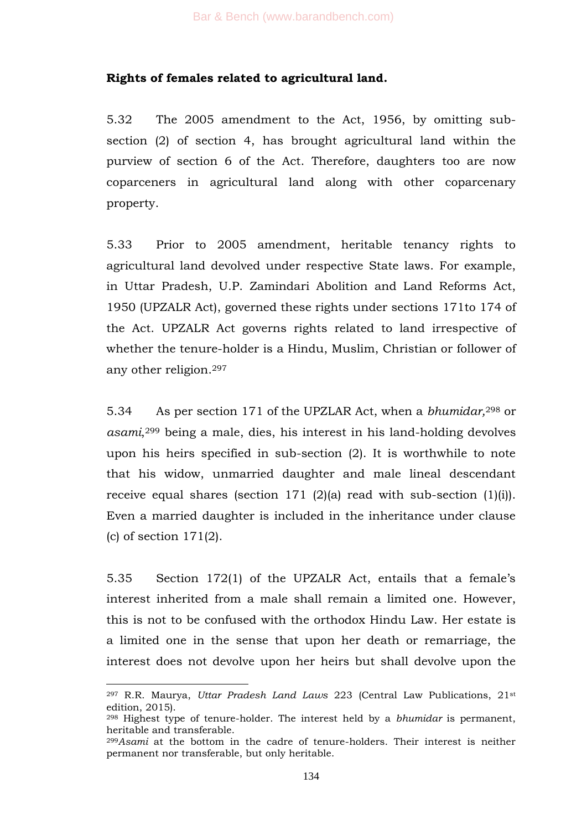### **Rights of females related to agricultural land.**

5.32 The 2005 amendment to the Act, 1956, by omitting subsection (2) of section 4, has brought agricultural land within the purview of section 6 of the Act. Therefore, daughters too are now coparceners in agricultural land along with other coparcenary property.

5.33 Prior to 2005 amendment, heritable tenancy rights to agricultural land devolved under respective State laws. For example, in Uttar Pradesh, U.P. Zamindari Abolition and Land Reforms Act, 1950 (UPZALR Act), governed these rights under sections 171to 174 of the Act. UPZALR Act governs rights related to land irrespective of whether the tenure-holder is a Hindu, Muslim, Christian or follower of any other religion.<sup>297</sup>

5.34 As per section 171 of the UPZLAR Act, when a *bhumidar,*<sup>298</sup> or *asami*, <sup>299</sup> being a male, dies, his interest in his land-holding devolves upon his heirs specified in sub-section (2). It is worthwhile to note that his widow, unmarried daughter and male lineal descendant receive equal shares (section 171 (2)(a) read with sub-section (1)(i)). Even a married daughter is included in the inheritance under clause  $(c)$  of section  $171(2)$ .

5.35 Section 172(1) of the UPZALR Act, entails that a female's interest inherited from a male shall remain a limited one. However, this is not to be confused with the orthodox Hindu Law. Her estate is a limited one in the sense that upon her death or remarriage, the interest does not devolve upon her heirs but shall devolve upon the

<sup>297</sup> R.R. Maurya, *Uttar Pradesh Land Laws* 223 (Central Law Publications, 21st edition, 2015).

<sup>298</sup> Highest type of tenure-holder. The interest held by a *bhumidar* is permanent, heritable and transferable.

<sup>299</sup>*Asami* at the bottom in the cadre of tenure-holders. Their interest is neither permanent nor transferable, but only heritable.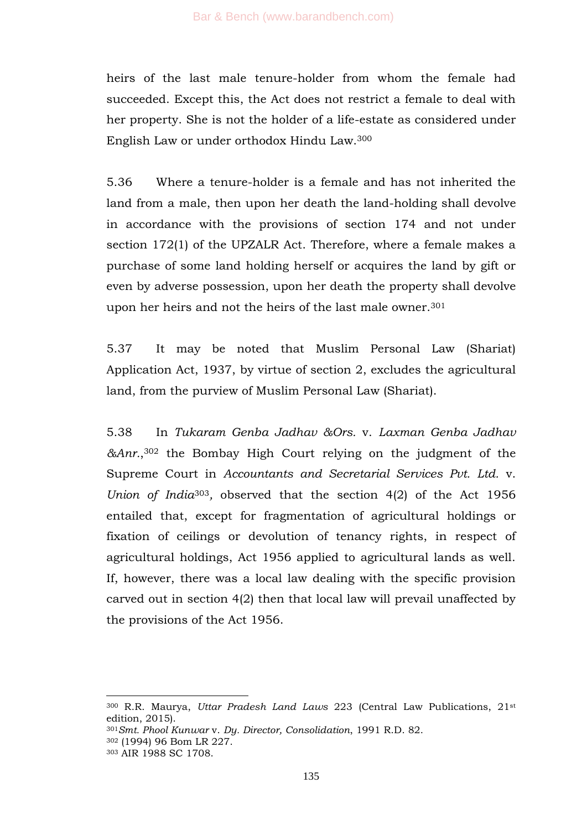heirs of the last male tenure-holder from whom the female had succeeded. Except this, the Act does not restrict a female to deal with her property. She is not the holder of a life-estate as considered under English Law or under orthodox Hindu Law.<sup>300</sup>

5.36 Where a tenure-holder is a female and has not inherited the land from a male, then upon her death the land-holding shall devolve in accordance with the provisions of section 174 and not under section 172(1) of the UPZALR Act. Therefore, where a female makes a purchase of some land holding herself or acquires the land by gift or even by adverse possession, upon her death the property shall devolve upon her heirs and not the heirs of the last male owner.<sup>301</sup>

5.37 It may be noted that Muslim Personal Law (Shariat) Application Act, 1937, by virtue of section 2, excludes the agricultural land, from the purview of Muslim Personal Law (Shariat).

5.38 In *Tukaram Genba Jadhav &Ors.* v. *Laxman Genba Jadhav &Anr.*, <sup>302</sup> the Bombay High Court relying on the judgment of the Supreme Court in *Accountants and Secretarial Services Pvt. Ltd.* v. *Union of India*303*,* observed that the section 4(2) of the Act 1956 entailed that, except for fragmentation of agricultural holdings or fixation of ceilings or devolution of tenancy rights, in respect of agricultural holdings, Act 1956 applied to agricultural lands as well. If, however, there was a local law dealing with the specific provision carved out in section 4(2) then that local law will prevail unaffected by the provisions of the Act 1956.

<sup>300</sup> R.R. Maurya, *Uttar Pradesh Land Laws* 223 (Central Law Publications, 21st edition, 2015).

<sup>301</sup>*Smt. Phool Kunwar* v. *Dy. Director, Consolidation*, 1991 R.D. 82.

<sup>302</sup> (1994) 96 Bom LR 227.

<sup>303</sup> AIR 1988 SC 1708.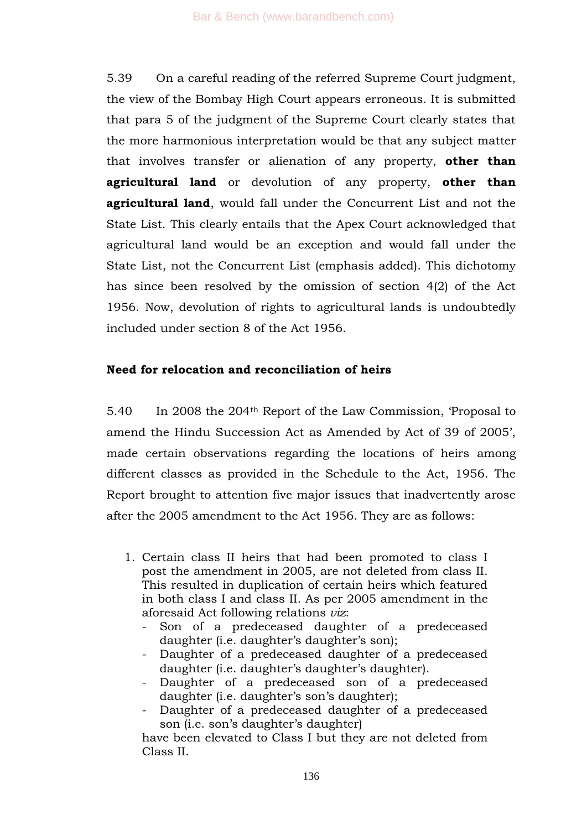5.39 On a careful reading of the referred Supreme Court judgment, the view of the Bombay High Court appears erroneous. It is submitted that para 5 of the judgment of the Supreme Court clearly states that the more harmonious interpretation would be that any subject matter that involves transfer or alienation of any property, **other than agricultural land** or devolution of any property, **other than agricultural land**, would fall under the Concurrent List and not the State List. This clearly entails that the Apex Court acknowledged that agricultural land would be an exception and would fall under the State List, not the Concurrent List (emphasis added). This dichotomy has since been resolved by the omission of section 4(2) of the Act 1956. Now, devolution of rights to agricultural lands is undoubtedly included under section 8 of the Act 1956.

# **Need for relocation and reconciliation of heirs**

5.40 In 2008 the 204<sup>th</sup> Report of the Law Commission, 'Proposal to amend the Hindu Succession Act as Amended by Act of 39 of 2005', made certain observations regarding the locations of heirs among different classes as provided in the Schedule to the Act, 1956. The Report brought to attention five major issues that inadvertently arose after the 2005 amendment to the Act 1956. They are as follows:

- 1. Certain class II heirs that had been promoted to class I post the amendment in 2005, are not deleted from class II. This resulted in duplication of certain heirs which featured in both class I and class II. As per 2005 amendment in the aforesaid Act following relations *viz*:
	- Son of a predeceased daughter of a predeceased daughter (i.e. daughter's daughter's son);
	- Daughter of a predeceased daughter of a predeceased daughter (i.e. daughter's daughter's daughter).
	- Daughter of a predeceased son of a predeceased daughter (i.e. daughter's son's daughter);
	- Daughter of a predeceased daughter of a predeceased son (i.e. son's daughter's daughter)

have been elevated to Class I but they are not deleted from Class II.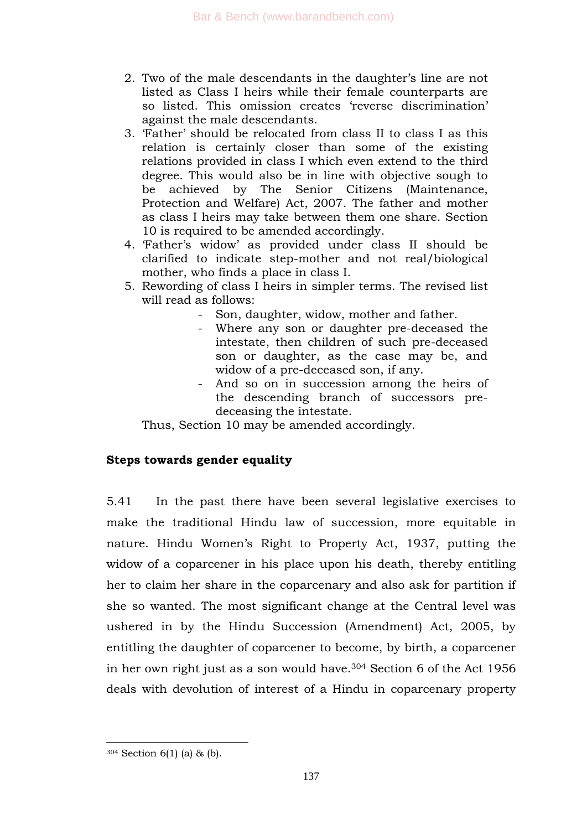- 2. Two of the male descendants in the daughter's line are not listed as Class I heirs while their female counterparts are so listed. This omission creates 'reverse discrimination' against the male descendants.
- 3. ‗Father' should be relocated from class II to class I as this relation is certainly closer than some of the existing relations provided in class I which even extend to the third degree. This would also be in line with objective sough to be achieved by The Senior Citizens (Maintenance, Protection and Welfare) Act, 2007. The father and mother as class I heirs may take between them one share. Section 10 is required to be amended accordingly.
- 4. ‗Father's widow' as provided under class II should be clarified to indicate step-mother and not real/biological mother, who finds a place in class I.
- 5. Rewording of class I heirs in simpler terms. The revised list will read as follows:
	- Son, daughter, widow, mother and father.
	- Where any son or daughter pre-deceased the intestate, then children of such pre-deceased son or daughter, as the case may be, and widow of a pre-deceased son, if any.
	- And so on in succession among the heirs of the descending branch of successors predeceasing the intestate.

Thus, Section 10 may be amended accordingly.

# **Steps towards gender equality**

5.41 In the past there have been several legislative exercises to make the traditional Hindu law of succession, more equitable in nature. Hindu Women's Right to Property Act, 1937, putting the widow of a coparcener in his place upon his death, thereby entitling her to claim her share in the coparcenary and also ask for partition if she so wanted. The most significant change at the Central level was ushered in by the Hindu Succession (Amendment) Act, 2005, by entitling the daughter of coparcener to become, by birth, a coparcener in her own right just as a son would have.<sup>304</sup> Section 6 of the Act 1956 deals with devolution of interest of a Hindu in coparcenary property

<sup>304</sup> Section 6(1) (a) & (b).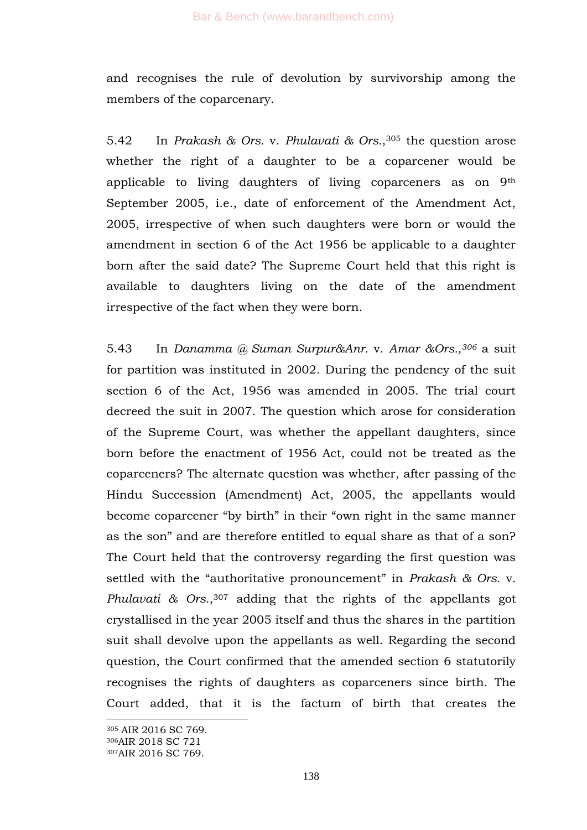and recognises the rule of devolution by survivorship among the members of the coparcenary.

5.42 In *Prakash & Ors.* v. *Phulavati & Ors.*, <sup>305</sup> the question arose whether the right of a daughter to be a coparcener would be applicable to living daughters of living coparceners as on 9th September 2005, i.e., date of enforcement of the Amendment Act, 2005, irrespective of when such daughters were born or would the amendment in section 6 of the Act 1956 be applicable to a daughter born after the said date? The Supreme Court held that this right is available to daughters living on the date of the amendment irrespective of the fact when they were born.

5.43 In *Danamma @ Suman Surpur&Anr.* v. *Amar &Ors.,<sup>306</sup>* a suit for partition was instituted in 2002. During the pendency of the suit section 6 of the Act, 1956 was amended in 2005. The trial court decreed the suit in 2007. The question which arose for consideration of the Supreme Court, was whether the appellant daughters, since born before the enactment of 1956 Act, could not be treated as the coparceners? The alternate question was whether, after passing of the Hindu Succession (Amendment) Act, 2005, the appellants would become coparcener "by birth" in their "own right in the same manner as the son" and are therefore entitled to equal share as that of a son? The Court held that the controversy regarding the first question was settled with the "authoritative pronouncement" in *Prakash & Ors.* v. *Phulavati & Ors.*, <sup>307</sup> adding that the rights of the appellants got crystallised in the year 2005 itself and thus the shares in the partition suit shall devolve upon the appellants as well. Regarding the second question, the Court confirmed that the amended section 6 statutorily recognises the rights of daughters as coparceners since birth. The Court added, that it is the factum of birth that creates the

<sup>305</sup> AIR 2016 SC 769.

<sup>306</sup>AIR 2018 SC 721

<sup>307</sup>AIR 2016 SC 769.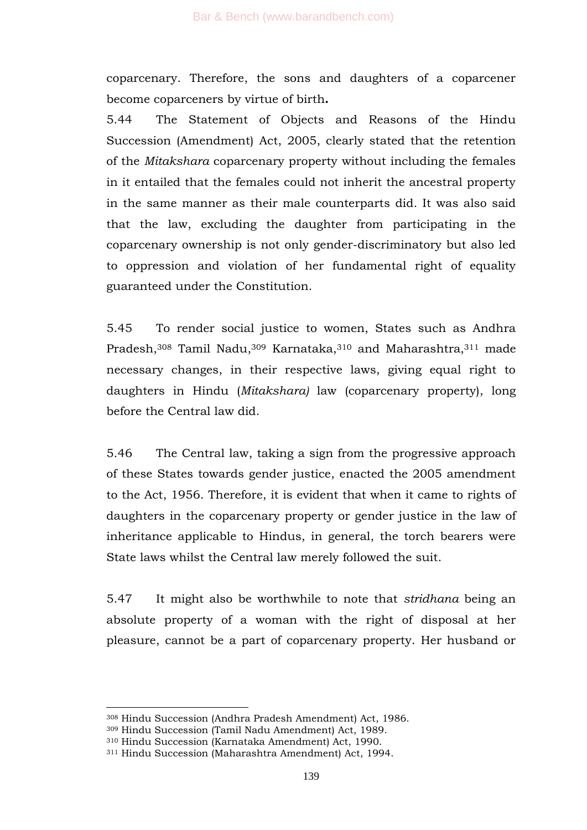coparcenary. Therefore, the sons and daughters of a coparcener become coparceners by virtue of birth**.**

5.44 The Statement of Objects and Reasons of the Hindu Succession (Amendment) Act, 2005, clearly stated that the retention of the *Mitakshara* coparcenary property without including the females in it entailed that the females could not inherit the ancestral property in the same manner as their male counterparts did. It was also said that the law, excluding the daughter from participating in the coparcenary ownership is not only gender-discriminatory but also led to oppression and violation of her fundamental right of equality guaranteed under the Constitution.

5.45 To render social justice to women, States such as Andhra Pradesh,<sup>308</sup> Tamil Nadu,<sup>309</sup> Karnataka,<sup>310</sup> and Maharashtra,<sup>311</sup> made necessary changes, in their respective laws, giving equal right to daughters in Hindu (*Mitakshara)* law (coparcenary property), long before the Central law did.

5.46 The Central law, taking a sign from the progressive approach of these States towards gender justice, enacted the 2005 amendment to the Act, 1956. Therefore, it is evident that when it came to rights of daughters in the coparcenary property or gender justice in the law of inheritance applicable to Hindus, in general, the torch bearers were State laws whilst the Central law merely followed the suit.

5.47 It might also be worthwhile to note that *stridhana* being an absolute property of a woman with the right of disposal at her pleasure, cannot be a part of coparcenary property. Her husband or

<sup>308</sup> Hindu Succession (Andhra Pradesh Amendment) Act, 1986.

<sup>309</sup> Hindu Succession (Tamil Nadu Amendment) Act, 1989.

<sup>310</sup> Hindu Succession (Karnataka Amendment) Act, 1990.

<sup>311</sup> Hindu Succession (Maharashtra Amendment) Act, 1994.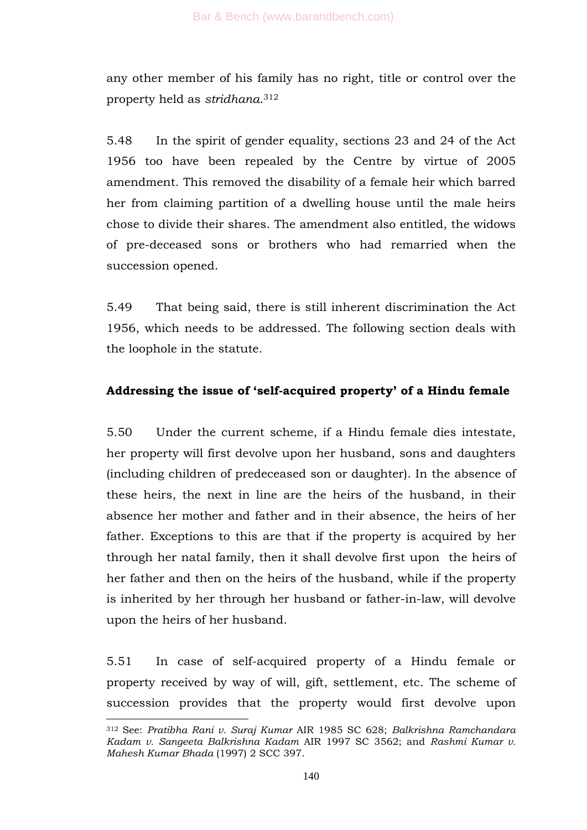any other member of his family has no right, title or control over the property held as *stridhana*. 312

5.48 In the spirit of gender equality, sections 23 and 24 of the Act 1956 too have been repealed by the Centre by virtue of 2005 amendment. This removed the disability of a female heir which barred her from claiming partition of a dwelling house until the male heirs chose to divide their shares. The amendment also entitled, the widows of pre-deceased sons or brothers who had remarried when the succession opened.

5.49 That being said, there is still inherent discrimination the Act 1956, which needs to be addressed. The following section deals with the loophole in the statute.

# **Addressing the issue of "self-acquired property" of a Hindu female**

5.50 Under the current scheme, if a Hindu female dies intestate, her property will first devolve upon her husband, sons and daughters (including children of predeceased son or daughter). In the absence of these heirs, the next in line are the heirs of the husband, in their absence her mother and father and in their absence, the heirs of her father. Exceptions to this are that if the property is acquired by her through her natal family, then it shall devolve first upon the heirs of her father and then on the heirs of the husband, while if the property is inherited by her through her husband or father-in-law, will devolve upon the heirs of her husband.

5.51 In case of self-acquired property of a Hindu female or property received by way of will, gift, settlement, etc. The scheme of succession provides that the property would first devolve upon

<sup>1</sup> <sup>312</sup> See: *Pratibha Rani v. Suraj Kumar* AIR 1985 SC 628; *Balkrishna Ramchandara Kadam v. Sangeeta Balkrishna Kadam* AIR 1997 SC 3562; and *Rashmi Kumar v. Mahesh Kumar Bhada* (1997) 2 SCC 397.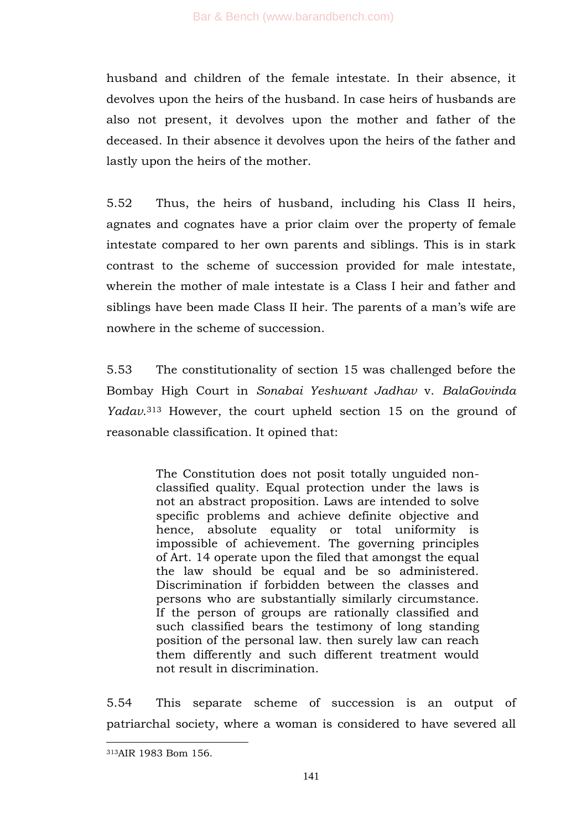husband and children of the female intestate. In their absence, it devolves upon the heirs of the husband. In case heirs of husbands are also not present, it devolves upon the mother and father of the deceased. In their absence it devolves upon the heirs of the father and lastly upon the heirs of the mother.

5.52 Thus, the heirs of husband, including his Class II heirs, agnates and cognates have a prior claim over the property of female intestate compared to her own parents and siblings. This is in stark contrast to the scheme of succession provided for male intestate, wherein the mother of male intestate is a Class I heir and father and siblings have been made Class II heir. The parents of a man's wife are nowhere in the scheme of succession.

5.53 The constitutionality of section 15 was challenged before the Bombay High Court in *Sonabai Yeshwant Jadhav* v. *BalaGovinda Yadav*. <sup>313</sup> However, the court upheld section 15 on the ground of reasonable classification. It opined that:

> The Constitution does not posit totally unguided nonclassified quality. Equal protection under the laws is not an abstract proposition. Laws are intended to solve specific problems and achieve definite objective and hence, absolute equality or total uniformity is impossible of achievement. The governing principles of Art. 14 operate upon the filed that amongst the equal the law should be equal and be so administered. Discrimination if forbidden between the classes and persons who are substantially similarly circumstance. If the person of groups are rationally classified and such classified bears the testimony of long standing position of the personal law. then surely law can reach them differently and such different treatment would not result in discrimination.

5.54 This separate scheme of succession is an output of patriarchal society, where a woman is considered to have severed all

<sup>313</sup>AIR 1983 Bom 156.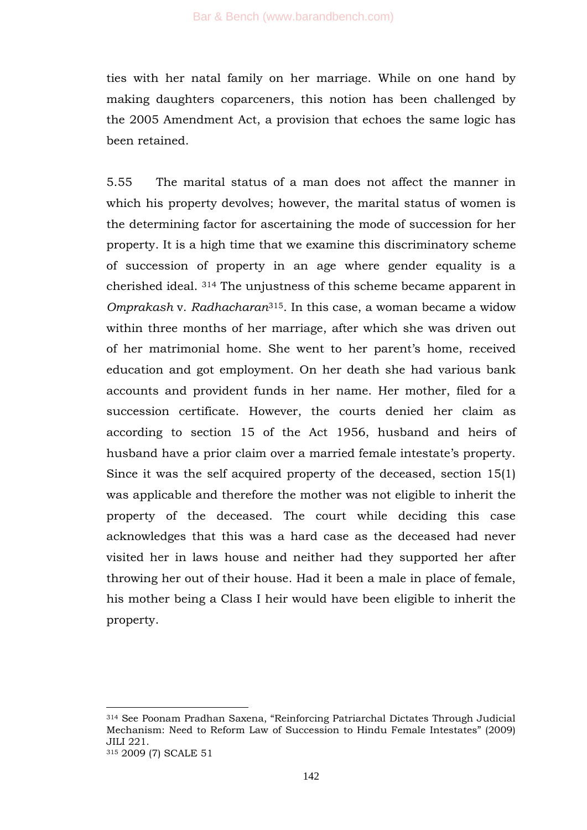ties with her natal family on her marriage. While on one hand by making daughters coparceners, this notion has been challenged by the 2005 Amendment Act, a provision that echoes the same logic has been retained.

5.55 The marital status of a man does not affect the manner in which his property devolves; however, the marital status of women is the determining factor for ascertaining the mode of succession for her property. It is a high time that we examine this discriminatory scheme of succession of property in an age where gender equality is a cherished ideal. <sup>314</sup> The unjustness of this scheme became apparent in *Omprakash* v. *Radhacharan*315. In this case, a woman became a widow within three months of her marriage, after which she was driven out of her matrimonial home. She went to her parent's home, received education and got employment. On her death she had various bank accounts and provident funds in her name. Her mother, filed for a succession certificate. However, the courts denied her claim as according to section 15 of the Act 1956, husband and heirs of husband have a prior claim over a married female intestate's property. Since it was the self acquired property of the deceased, section 15(1) was applicable and therefore the mother was not eligible to inherit the property of the deceased. The court while deciding this case acknowledges that this was a hard case as the deceased had never visited her in laws house and neither had they supported her after throwing her out of their house. Had it been a male in place of female, his mother being a Class I heir would have been eligible to inherit the property.

<sup>314</sup> See Poonam Pradhan Saxena, "Reinforcing Patriarchal Dictates Through Judicial Mechanism: Need to Reform Law of Succession to Hindu Female Intestates" (2009) JILI 221.

<sup>315</sup> 2009 (7) SCALE 51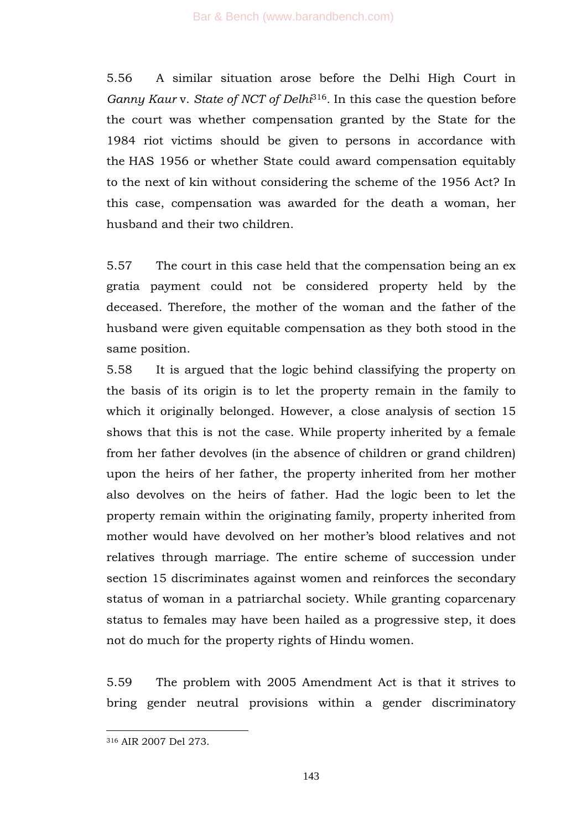5.56 A similar situation arose before the Delhi High Court in *Ganny Kaur* v. *State of NCT of Delhi*316*.* In this case the question before the court was whether compensation granted by the State for the 1984 riot victims should be given to persons in accordance with the HAS 1956 or whether State could award compensation equitably to the next of kin without considering the scheme of the 1956 Act? In this case, compensation was awarded for the death a woman, her husband and their two children.

5.57 The court in this case held that the compensation being an ex gratia payment could not be considered property held by the deceased. Therefore, the mother of the woman and the father of the husband were given equitable compensation as they both stood in the same position.

5.58 It is argued that the logic behind classifying the property on the basis of its origin is to let the property remain in the family to which it originally belonged. However, a close analysis of section 15 shows that this is not the case. While property inherited by a female from her father devolves (in the absence of children or grand children) upon the heirs of her father, the property inherited from her mother also devolves on the heirs of father. Had the logic been to let the property remain within the originating family, property inherited from mother would have devolved on her mother's blood relatives and not relatives through marriage. The entire scheme of succession under section 15 discriminates against women and reinforces the secondary status of woman in a patriarchal society. While granting coparcenary status to females may have been hailed as a progressive step, it does not do much for the property rights of Hindu women.

5.59 The problem with 2005 Amendment Act is that it strives to bring gender neutral provisions within a gender discriminatory

<sup>316</sup> AIR 2007 Del 273.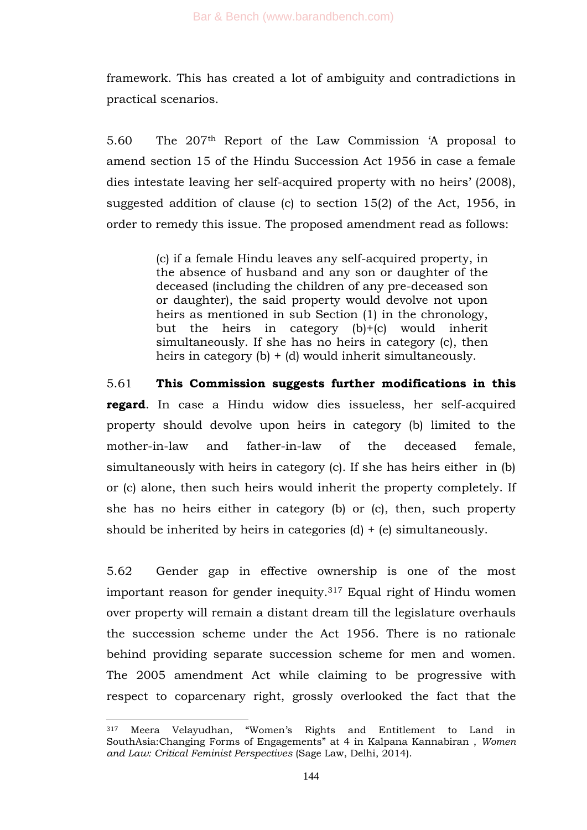framework. This has created a lot of ambiguity and contradictions in practical scenarios.

5.60 The 207th Report of the Law Commission ‗A proposal to amend section 15 of the Hindu Succession Act 1956 in case a female dies intestate leaving her self-acquired property with no heirs' (2008), suggested addition of clause (c) to section 15(2) of the Act, 1956, in order to remedy this issue. The proposed amendment read as follows:

> (c) if a female Hindu leaves any self-acquired property, in the absence of husband and any son or daughter of the deceased (including the children of any pre-deceased son or daughter), the said property would devolve not upon heirs as mentioned in sub Section (1) in the chronology, but the heirs in category (b)+(c) would inherit simultaneously. If she has no heirs in category (c), then heirs in category (b) + (d) would inherit simultaneously.

5.61 **This Commission suggests further modifications in this regard**. In case a Hindu widow dies issueless, her self-acquired property should devolve upon heirs in category (b) limited to the mother-in-law and father-in-law of the deceased female, simultaneously with heirs in category (c). If she has heirs either in (b) or (c) alone, then such heirs would inherit the property completely. If she has no heirs either in category (b) or (c), then, such property should be inherited by heirs in categories  $(d) + (e)$  simultaneously.

5.62 Gender gap in effective ownership is one of the most important reason for gender inequity.<sup>317</sup> Equal right of Hindu women over property will remain a distant dream till the legislature overhauls the succession scheme under the Act 1956. There is no rationale behind providing separate succession scheme for men and women. The 2005 amendment Act while claiming to be progressive with respect to coparcenary right, grossly overlooked the fact that the

<sup>317</sup> Meera Velayudhan, "Women's Rights and Entitlement to Land in SouthAsia:Changing Forms of Engagements" at 4 in Kalpana Kannabiran, Women *and Law: Critical Feminist Perspectives* (Sage Law, Delhi, 2014).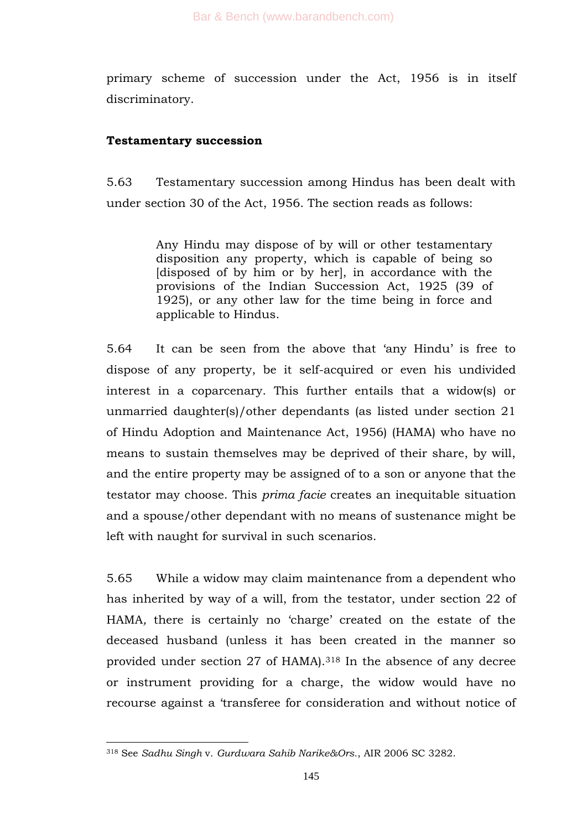primary scheme of succession under the Act, 1956 is in itself discriminatory.

# **Testamentary succession**

5.63 Testamentary succession among Hindus has been dealt with under section 30 of the Act, 1956. The section reads as follows:

> Any Hindu may dispose of by will or other testamentary disposition any property, which is capable of being so [disposed of by him or by her], in accordance with the provisions of the Indian Succession Act, 1925 (39 of 1925), or any other law for the time being in force and applicable to Hindus.

5.64 It can be seen from the above that ‗any Hindu' is free to dispose of any property, be it self-acquired or even his undivided interest in a coparcenary. This further entails that a widow(s) or unmarried daughter(s)/other dependants (as listed under section 21 of Hindu Adoption and Maintenance Act, 1956) (HAMA) who have no means to sustain themselves may be deprived of their share, by will, and the entire property may be assigned of to a son or anyone that the testator may choose. This *prima facie* creates an inequitable situation and a spouse/other dependant with no means of sustenance might be left with naught for survival in such scenarios.

5.65 While a widow may claim maintenance from a dependent who has inherited by way of a will, from the testator, under section 22 of HAMA, there is certainly no 'charge' created on the estate of the deceased husband (unless it has been created in the manner so provided under section 27 of HAMA).<sup>318</sup> In the absence of any decree or instrument providing for a charge, the widow would have no recourse against a 'transferee for consideration and without notice of

<sup>318</sup> See *Sadhu Singh* v. *Gurdwara Sahib Narike&Ors.*, AIR 2006 SC 3282.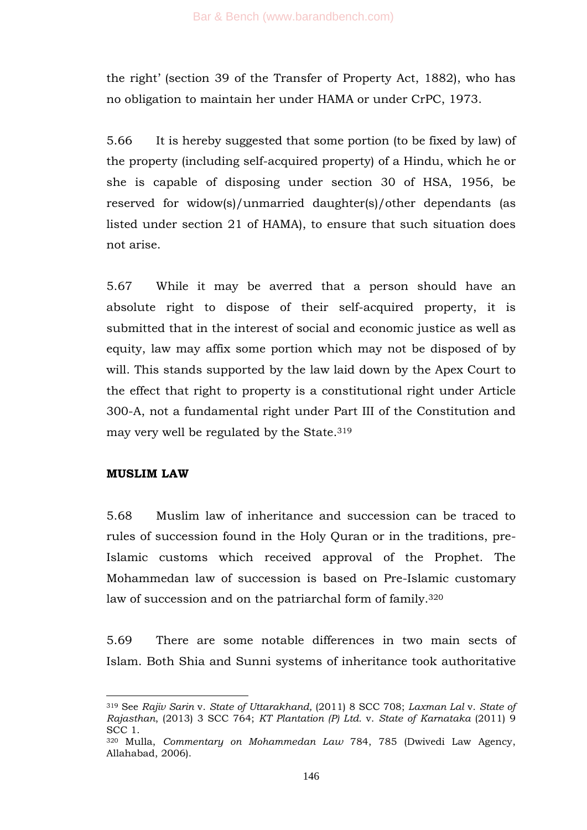the right' (section 39 of the Transfer of Property Act, 1882), who has no obligation to maintain her under HAMA or under CrPC, 1973.

5.66 It is hereby suggested that some portion (to be fixed by law) of the property (including self-acquired property) of a Hindu, which he or she is capable of disposing under section 30 of HSA, 1956, be reserved for widow(s)/unmarried daughter(s)/other dependants (as listed under section 21 of HAMA), to ensure that such situation does not arise.

5.67 While it may be averred that a person should have an absolute right to dispose of their self-acquired property, it is submitted that in the interest of social and economic justice as well as equity, law may affix some portion which may not be disposed of by will. This stands supported by the law laid down by the Apex Court to the effect that right to property is a constitutional right under Article 300-A, not a fundamental right under Part III of the Constitution and may very well be regulated by the State.<sup>319</sup>

## **MUSLIM LAW**

-

5.68 Muslim law of inheritance and succession can be traced to rules of succession found in the Holy Quran or in the traditions, pre-Islamic customs which received approval of the Prophet. The Mohammedan law of succession is based on Pre-Islamic customary law of succession and on the patriarchal form of family.<sup>320</sup>

5.69 There are some notable differences in two main sects of Islam. Both Shia and Sunni systems of inheritance took authoritative

<sup>319</sup> See *Rajiv Sarin* v. *State of Uttarakhand,* (2011) 8 SCC 708; *Laxman Lal* v. *State of Rajasthan*, (2013) 3 SCC 764; *KT Plantation (P) Ltd.* v. *State of Karnataka* (2011) 9 SCC 1.

<sup>320</sup> Mulla, *Commentary on Mohammedan Law* 784, 785 (Dwivedi Law Agency, Allahabad, 2006).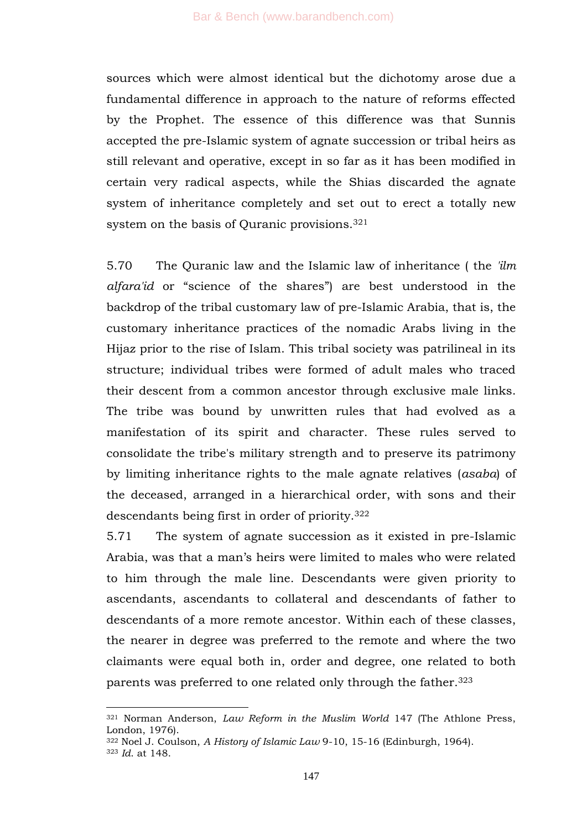sources which were almost identical but the dichotomy arose due a fundamental difference in approach to the nature of reforms effected by the Prophet. The essence of this difference was that Sunnis accepted the pre-Islamic system of agnate succession or tribal heirs as still relevant and operative, except in so far as it has been modified in certain very radical aspects, while the Shias discarded the agnate system of inheritance completely and set out to erect a totally new system on the basis of Quranic provisions.<sup>321</sup>

5.70 The Quranic law and the Islamic law of inheritance ( the *'ilm alfara'id* or "science of the shares") are best understood in the backdrop of the tribal customary law of pre-Islamic Arabia, that is, the customary inheritance practices of the nomadic Arabs living in the Hijaz prior to the rise of Islam. This tribal society was patrilineal in its structure; individual tribes were formed of adult males who traced their descent from a common ancestor through exclusive male links. The tribe was bound by unwritten rules that had evolved as a manifestation of its spirit and character. These rules served to consolidate the tribe's military strength and to preserve its patrimony by limiting inheritance rights to the male agnate relatives (*asaba*) of the deceased, arranged in a hierarchical order, with sons and their descendants being first in order of priority.<sup>322</sup>

5.71 The system of agnate succession as it existed in pre-Islamic Arabia, was that a man's heirs were limited to males who were related to him through the male line. Descendants were given priority to ascendants, ascendants to collateral and descendants of father to descendants of a more remote ancestor. Within each of these classes, the nearer in degree was preferred to the remote and where the two claimants were equal both in, order and degree, one related to both parents was preferred to one related only through the father.<sup>323</sup>

<sup>321</sup> Norman Anderson, *Law Reform in the Muslim World* 147 (The Athlone Press, London, 1976).

<sup>322</sup> Noel J. Coulson, *A History of Islamic Law* 9-10, 15-16 (Edinburgh, 1964).

<sup>323</sup> *Id*. at 148.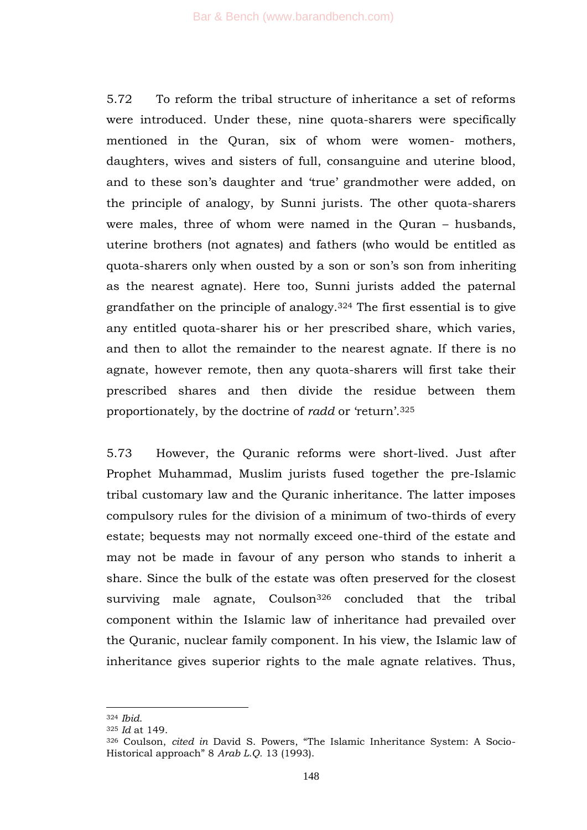5.72 To reform the tribal structure of inheritance a set of reforms were introduced. Under these, nine quota-sharers were specifically mentioned in the Quran, six of whom were women- mothers, daughters, wives and sisters of full, consanguine and uterine blood, and to these son's daughter and 'true' grandmother were added, on the principle of analogy, by Sunni jurists. The other quota-sharers were males, three of whom were named in the Quran – husbands, uterine brothers (not agnates) and fathers (who would be entitled as quota-sharers only when ousted by a son or son's son from inheriting as the nearest agnate). Here too, Sunni jurists added the paternal grandfather on the principle of analogy.<sup>324</sup> The first essential is to give any entitled quota-sharer his or her prescribed share, which varies, and then to allot the remainder to the nearest agnate. If there is no agnate, however remote, then any quota-sharers will first take their prescribed shares and then divide the residue between them proportionately, by the doctrine of *radd* or 'return'.<sup>325</sup>

5.73 However, the Quranic reforms were short-lived. Just after Prophet Muhammad, Muslim jurists fused together the pre-Islamic tribal customary law and the Quranic inheritance. The latter imposes compulsory rules for the division of a minimum of two-thirds of every estate; bequests may not normally exceed one-third of the estate and may not be made in favour of any person who stands to inherit a share. Since the bulk of the estate was often preserved for the closest surviving male agnate, Coulson<sup>326</sup> concluded that the tribal component within the Islamic law of inheritance had prevailed over the Quranic, nuclear family component. In his view, the Islamic law of inheritance gives superior rights to the male agnate relatives. Thus,

<sup>324</sup> *Ibid*.

<sup>325</sup> *Id* at 149.

<sup>&</sup>lt;sup>326</sup> Coulson, *cited in* David S. Powers, "The Islamic Inheritance System: A Socio-Historical approach‖ 8 *Arab L.Q.* 13 (1993).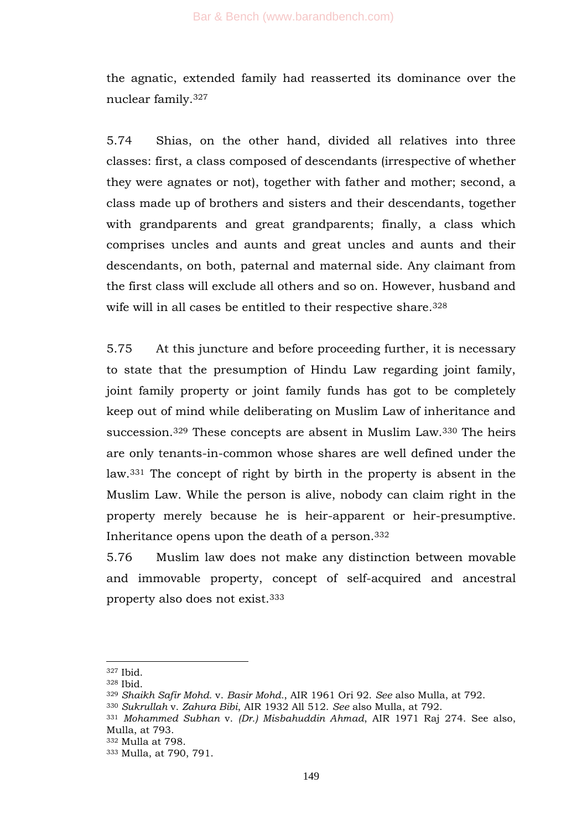the agnatic, extended family had reasserted its dominance over the nuclear family.<sup>327</sup>

5.74 Shias, on the other hand, divided all relatives into three classes: first, a class composed of descendants (irrespective of whether they were agnates or not), together with father and mother; second, a class made up of brothers and sisters and their descendants, together with grandparents and great grandparents; finally, a class which comprises uncles and aunts and great uncles and aunts and their descendants, on both, paternal and maternal side. Any claimant from the first class will exclude all others and so on. However, husband and wife will in all cases be entitled to their respective share.<sup>328</sup>

5.75 At this juncture and before proceeding further, it is necessary to state that the presumption of Hindu Law regarding joint family, joint family property or joint family funds has got to be completely keep out of mind while deliberating on Muslim Law of inheritance and succession.<sup>329</sup> These concepts are absent in Muslim Law.<sup>330</sup> The heirs are only tenants-in-common whose shares are well defined under the law.<sup>331</sup> The concept of right by birth in the property is absent in the Muslim Law. While the person is alive, nobody can claim right in the property merely because he is heir-apparent or heir-presumptive. Inheritance opens upon the death of a person.<sup>332</sup>

5.76 Muslim law does not make any distinction between movable and immovable property, concept of self-acquired and ancestral property also does not exist.<sup>333</sup>

<sup>327</sup> Ibid.

<sup>328</sup> Ibid.

<sup>329</sup> *Shaikh Safir Mohd.* v. *Basir Mohd.*, AIR 1961 Ori 92. *See* also Mulla, at 792.

<sup>330</sup> *Sukrullah* v. *Zahura Bibi*, AIR 1932 All 512. *See* also Mulla, at 792.

<sup>331</sup> *Mohammed Subhan* v. *(Dr.) Misbahuddin Ahmad*, AIR 1971 Raj 274. See also, Mulla, at 793.

<sup>332</sup> Mulla at 798.

<sup>333</sup> Mulla, at 790, 791.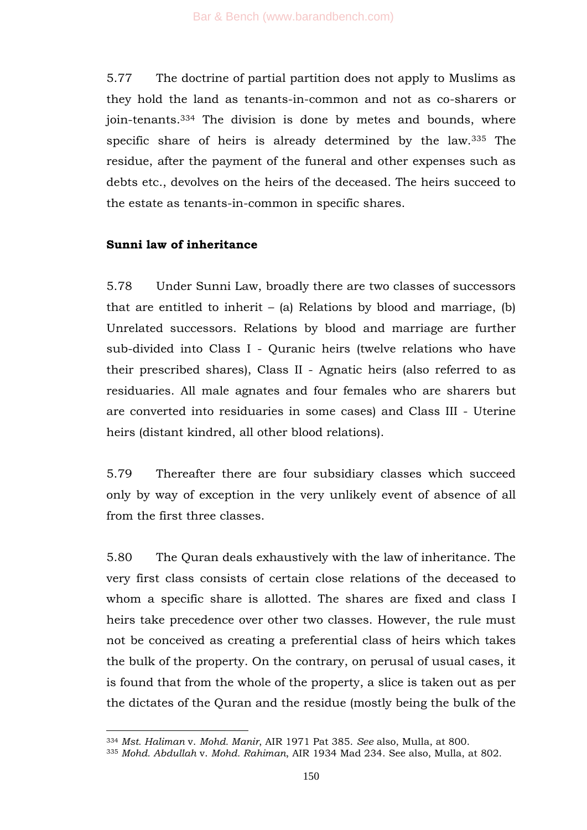5.77 The doctrine of partial partition does not apply to Muslims as they hold the land as tenants-in-common and not as co-sharers or join-tenants.<sup>334</sup> The division is done by metes and bounds, where specific share of heirs is already determined by the law.<sup>335</sup> The residue, after the payment of the funeral and other expenses such as debts etc., devolves on the heirs of the deceased. The heirs succeed to the estate as tenants-in-common in specific shares.

## **Sunni law of inheritance**

-

5.78 Under Sunni Law, broadly there are two classes of successors that are entitled to inherit – (a) Relations by blood and marriage, (b) Unrelated successors. Relations by blood and marriage are further sub-divided into Class I - Quranic heirs (twelve relations who have their prescribed shares), Class II - Agnatic heirs (also referred to as residuaries. All male agnates and four females who are sharers but are converted into residuaries in some cases) and Class III - Uterine heirs (distant kindred, all other blood relations).

5.79 Thereafter there are four subsidiary classes which succeed only by way of exception in the very unlikely event of absence of all from the first three classes.

5.80 The Quran deals exhaustively with the law of inheritance. The very first class consists of certain close relations of the deceased to whom a specific share is allotted. The shares are fixed and class I heirs take precedence over other two classes. However, the rule must not be conceived as creating a preferential class of heirs which takes the bulk of the property. On the contrary, on perusal of usual cases, it is found that from the whole of the property, a slice is taken out as per the dictates of the Quran and the residue (mostly being the bulk of the

<sup>334</sup> *Mst. Haliman* v. *Mohd. Manir*, AIR 1971 Pat 385. *See* also, Mulla, at 800.

<sup>335</sup> *Mohd. Abdullah* v. *Mohd. Rahiman*, AIR 1934 Mad 234. See also, Mulla, at 802.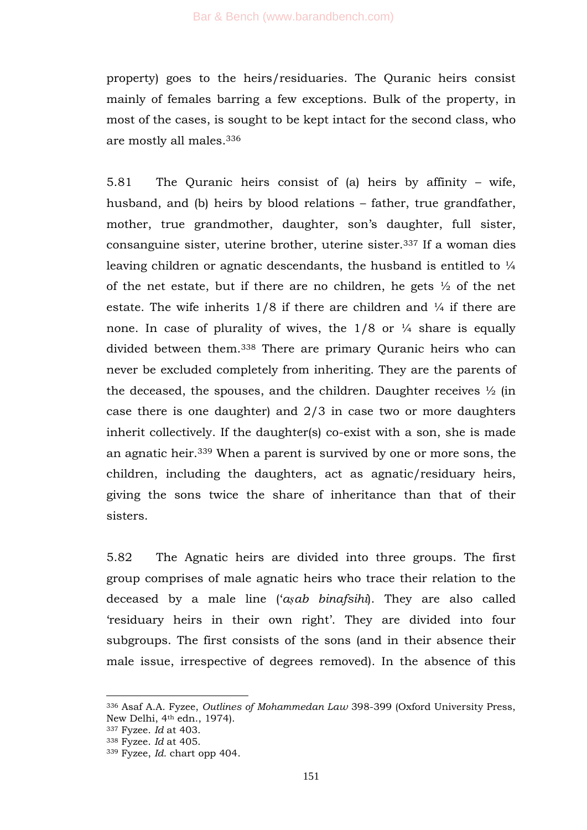property) goes to the heirs/residuaries. The Quranic heirs consist mainly of females barring a few exceptions. Bulk of the property, in most of the cases, is sought to be kept intact for the second class, who are mostly all males.<sup>336</sup>

5.81 The Quranic heirs consist of (a) heirs by affinity – wife, husband, and (b) heirs by blood relations – father, true grandfather, mother, true grandmother, daughter, son's daughter, full sister, consanguine sister, uterine brother, uterine sister.<sup>337</sup> If a woman dies leaving children or agnatic descendants, the husband is entitled to  $\frac{1}{4}$ of the net estate, but if there are no children, he gets ½ of the net estate. The wife inherits 1/8 if there are children and ¼ if there are none. In case of plurality of wives, the  $1/8$  or  $\frac{1}{4}$  share is equally divided between them.<sup>338</sup> There are primary Quranic heirs who can never be excluded completely from inheriting. They are the parents of the deceased, the spouses, and the children. Daughter receives  $\frac{1}{2}$  (in case there is one daughter) and 2/3 in case two or more daughters inherit collectively. If the daughter(s) co-exist with a son, she is made an agnatic heir.<sup>339</sup> When a parent is survived by one or more sons, the children, including the daughters, act as agnatic/residuary heirs, giving the sons twice the share of inheritance than that of their sisters.

5.82 The Agnatic heirs are divided into three groups. The first group comprises of male agnatic heirs who trace their relation to the deceased by a male line (‗*aṣab binafsihi*). They are also called ‗residuary heirs in their own right'. They are divided into four subgroups. The first consists of the sons (and in their absence their male issue, irrespective of degrees removed). In the absence of this

<sup>336</sup> Asaf A.A. Fyzee, *Outlines of Mohammedan Law* 398-399 (Oxford University Press, New Delhi, 4th edn., 1974).

<sup>337</sup> Fyzee. *Id* at 403.

<sup>338</sup> Fyzee. *Id* at 405.

<sup>339</sup> Fyzee, *Id.* chart opp 404.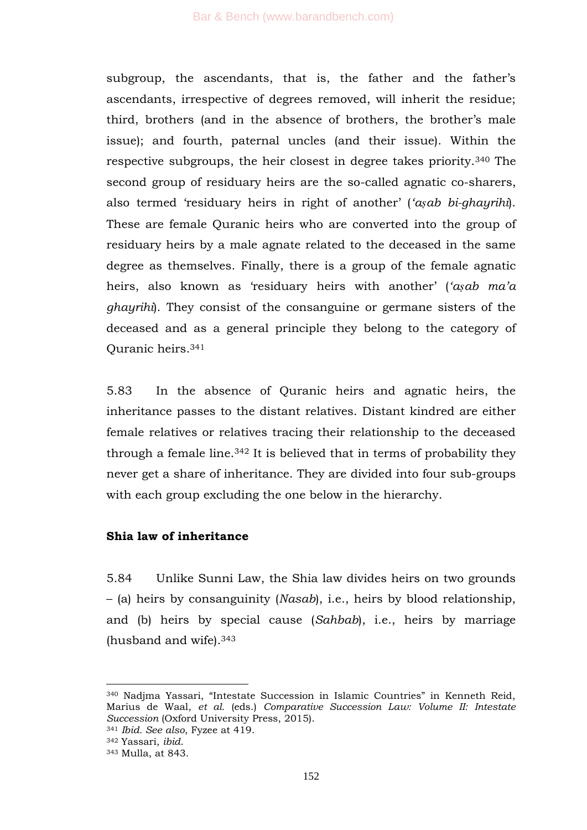subgroup, the ascendants, that is, the father and the father's ascendants, irrespective of degrees removed, will inherit the residue; third, brothers (and in the absence of brothers, the brother's male issue); and fourth, paternal uncles (and their issue). Within the respective subgroups, the heir closest in degree takes priority.<sup>340</sup> The second group of residuary heirs are the so-called agnatic co-sharers, also termed ‗residuary heirs in right of another' (*"aṣab bi-ghayrihi*). These are female Quranic heirs who are converted into the group of residuary heirs by a male agnate related to the deceased in the same degree as themselves. Finally, there is a group of the female agnatic heirs, also known as 'residuary heirs with another' ('a*sab ma'a ghayrihi*). They consist of the consanguine or germane sisters of the deceased and as a general principle they belong to the category of Quranic heirs.<sup>341</sup>

5.83 In the absence of Quranic heirs and agnatic heirs, the inheritance passes to the distant relatives. Distant kindred are either female relatives or relatives tracing their relationship to the deceased through a female line.<sup>342</sup> It is believed that in terms of probability they never get a share of inheritance. They are divided into four sub-groups with each group excluding the one below in the hierarchy.

# **Shia law of inheritance**

5.84 Unlike Sunni Law, the Shia law divides heirs on two grounds – (a) heirs by consanguinity (*Nasab*), i.e., heirs by blood relationship, and (b) heirs by special cause (*Sahbab*), i.e., heirs by marriage (husband and wife).<sup>343</sup>

<sup>340</sup> Nadjma Yassari, "Intestate Succession in Islamic Countries" in Kenneth Reid, Marius de Waal, *et al.* (eds.) *Comparative Succession Law: Volume II: Intestate Succession* (Oxford University Press, 2015).

<sup>341</sup> *Ibid. See also*, Fyzee at 419.

<sup>342</sup> Yassari, *ibid*.

<sup>343</sup> Mulla, at 843.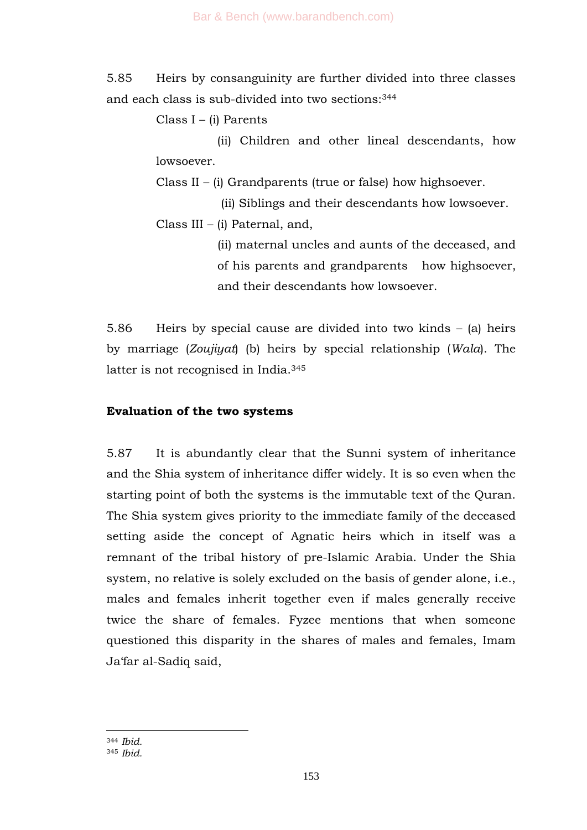5.85 Heirs by consanguinity are further divided into three classes and each class is sub-divided into two sections:<sup>344</sup>

Class I – (i) Parents

 (ii) Children and other lineal descendants, how lowsoever.

Class II – (i) Grandparents (true or false) how highsoever.

 (ii) Siblings and their descendants how lowsoever. Class III – (i) Paternal, and,

> (ii) maternal uncles and aunts of the deceased, and of his parents and grandparents how highsoever, and their descendants how lowsoever.

5.86 Heirs by special cause are divided into two kinds – (a) heirs by marriage (*Zoujiyat*) (b) heirs by special relationship (*Wala*). The latter is not recognised in India.<sup>345</sup>

## **Evaluation of the two systems**

5.87 It is abundantly clear that the Sunni system of inheritance and the Shia system of inheritance differ widely. It is so even when the starting point of both the systems is the immutable text of the Quran. The Shia system gives priority to the immediate family of the deceased setting aside the concept of Agnatic heirs which in itself was a remnant of the tribal history of pre-Islamic Arabia. Under the Shia system, no relative is solely excluded on the basis of gender alone, i.e., males and females inherit together even if males generally receive twice the share of females. Fyzee mentions that when someone questioned this disparity in the shares of males and females, Imam Ja'far al-Sadiq said,

<sup>344</sup> *Ibid.*

<sup>345</sup> *Ibid.*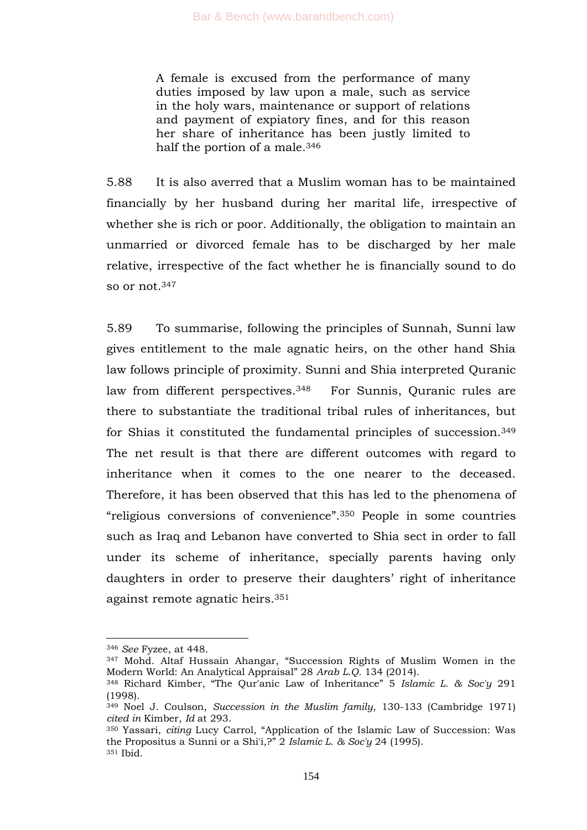A female is excused from the performance of many duties imposed by law upon a male, such as service in the holy wars, maintenance or support of relations and payment of expiatory fines, and for this reason her share of inheritance has been justly limited to half the portion of a male.<sup>346</sup>

5.88 It is also averred that a Muslim woman has to be maintained financially by her husband during her marital life, irrespective of whether she is rich or poor. Additionally, the obligation to maintain an unmarried or divorced female has to be discharged by her male relative, irrespective of the fact whether he is financially sound to do so or not.<sup>347</sup>

5.89 To summarise, following the principles of Sunnah, Sunni law gives entitlement to the male agnatic heirs, on the other hand Shia law follows principle of proximity. Sunni and Shia interpreted Quranic law from different perspectives.<sup>348</sup> For Sunnis, Quranic rules are there to substantiate the traditional tribal rules of inheritances, but for Shias it constituted the fundamental principles of succession.<sup>349</sup> The net result is that there are different outcomes with regard to inheritance when it comes to the one nearer to the deceased. Therefore, it has been observed that this has led to the phenomena of "religious conversions of convenience".<sup>350</sup> People in some countries such as Iraq and Lebanon have converted to Shia sect in order to fall under its scheme of inheritance, specially parents having only daughters in order to preserve their daughters' right of inheritance against remote agnatic heirs.<sup>351</sup>

<sup>346</sup> *See* Fyzee, at 448.

<sup>347</sup> Mohd. Altaf Hussain Ahangar, "Succession Rights of Muslim Women in the Modern World: An Analytical Appraisal" 28 Arab L.Q. 134 (2014).

<sup>&</sup>lt;sup>348</sup> Richard Kimber, "The Qur'anic Law of Inheritance" 5 *Islamic L. & Soc'y* 291 (1998).

<sup>349</sup> Noel J. Coulson, *Succession in the Muslim family*, 130-133 (Cambridge 1971) *cited in* Kimber, *Id* at 293.

<sup>&</sup>lt;sup>350</sup> Yassari, *citing* Lucy Carrol, "Application of the Islamic Law of Succession: Was the Propositus a Sunni or a Shi'i, ?" 2 *Islamic L. & Soc'y* 24 (1995).  $351$  Ibid.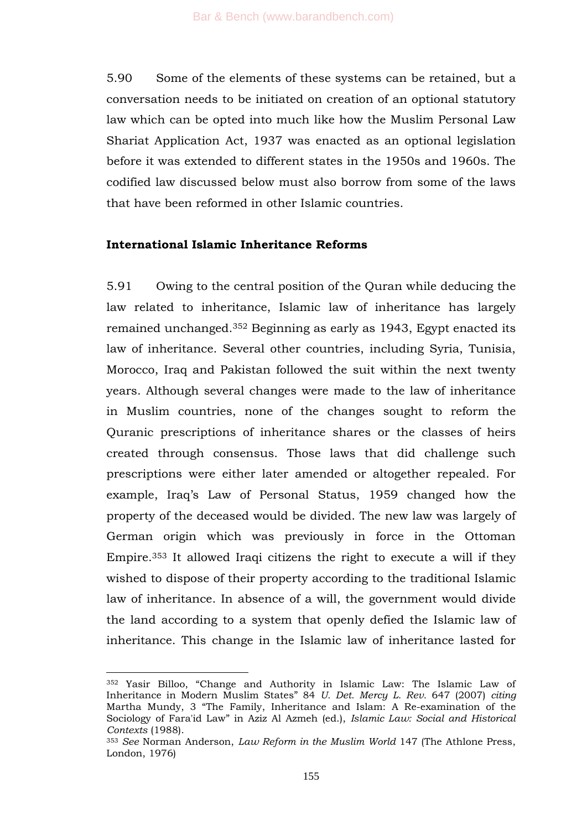5.90 Some of the elements of these systems can be retained, but a conversation needs to be initiated on creation of an optional statutory law which can be opted into much like how the Muslim Personal Law Shariat Application Act, 1937 was enacted as an optional legislation before it was extended to different states in the 1950s and 1960s. The codified law discussed below must also borrow from some of the laws that have been reformed in other Islamic countries.

#### **International Islamic Inheritance Reforms**

5.91 Owing to the central position of the Quran while deducing the law related to inheritance, Islamic law of inheritance has largely remained unchanged.<sup>352</sup> Beginning as early as 1943, Egypt enacted its law of inheritance. Several other countries, including Syria, Tunisia, Morocco, Iraq and Pakistan followed the suit within the next twenty years. Although several changes were made to the law of inheritance in Muslim countries, none of the changes sought to reform the Quranic prescriptions of inheritance shares or the classes of heirs created through consensus. Those laws that did challenge such prescriptions were either later amended or altogether repealed. For example, Iraq's Law of Personal Status, 1959 changed how the property of the deceased would be divided. The new law was largely of German origin which was previously in force in the Ottoman Empire.<sup>353</sup> It allowed Iraqi citizens the right to execute a will if they wished to dispose of their property according to the traditional Islamic law of inheritance. In absence of a will, the government would divide the land according to a system that openly defied the Islamic law of inheritance. This change in the Islamic law of inheritance lasted for

<sup>352</sup> Yasir Billoo, "Change and Authority in Islamic Law: The Islamic Law of Inheritance in Modern Muslim States‖ 84 *U. Det. Mercy L. Rev.* 647 (2007) *citing* Martha Mundy, 3 "The Family, Inheritance and Islam: A Re-examination of the Sociology of Fara'id Law‖ in Aziz Al Azmeh (ed.), *Islamic Law: Social and Historical Contexts* (1988).

<sup>353</sup> *See* Norman Anderson, *Law Reform in the Muslim World* 147 (The Athlone Press, London, 1976)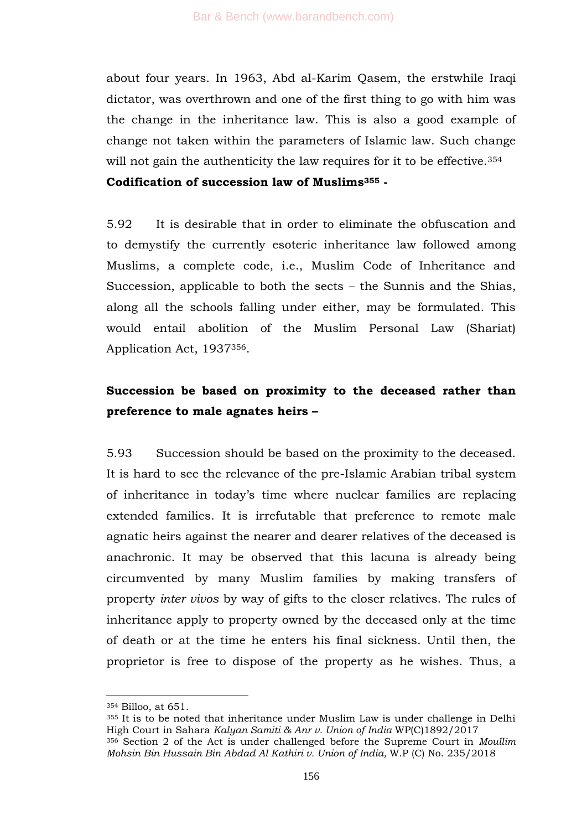about four years. In 1963, Abd al-Karim Qasem, the erstwhile Iraqi dictator, was overthrown and one of the first thing to go with him was the change in the inheritance law. This is also a good example of change not taken within the parameters of Islamic law. Such change will not gain the authenticity the law requires for it to be effective.<sup>354</sup>

**Codification of succession law of Muslims<sup>355</sup> -**

5.92 It is desirable that in order to eliminate the obfuscation and to demystify the currently esoteric inheritance law followed among Muslims, a complete code, i.e., Muslim Code of Inheritance and Succession, applicable to both the sects – the Sunnis and the Shias, along all the schools falling under either, may be formulated. This would entail abolition of the Muslim Personal Law (Shariat) Application Act, 1937356.

# **Succession be based on proximity to the deceased rather than preference to male agnates heirs –**

5.93 Succession should be based on the proximity to the deceased. It is hard to see the relevance of the pre-Islamic Arabian tribal system of inheritance in today's time where nuclear families are replacing extended families. It is irrefutable that preference to remote male agnatic heirs against the nearer and dearer relatives of the deceased is anachronic. It may be observed that this lacuna is already being circumvented by many Muslim families by making transfers of property *inter vivos* by way of gifts to the closer relatives. The rules of inheritance apply to property owned by the deceased only at the time of death or at the time he enters his final sickness. Until then, the proprietor is free to dispose of the property as he wishes. Thus, a

<sup>354</sup> Billoo, at 651.

<sup>355</sup> It is to be noted that inheritance under Muslim Law is under challenge in Delhi High Court in Sahara *Kalyan Samiti & Anr v. Union of India* WP(C)1892/2017 <sup>356</sup> Section 2 of the Act is under challenged before the Supreme Court in *Moullim Mohsin Bin Hussain Bin Abdad Al Kathiri v. Union of India,* W.P (C) No. 235/2018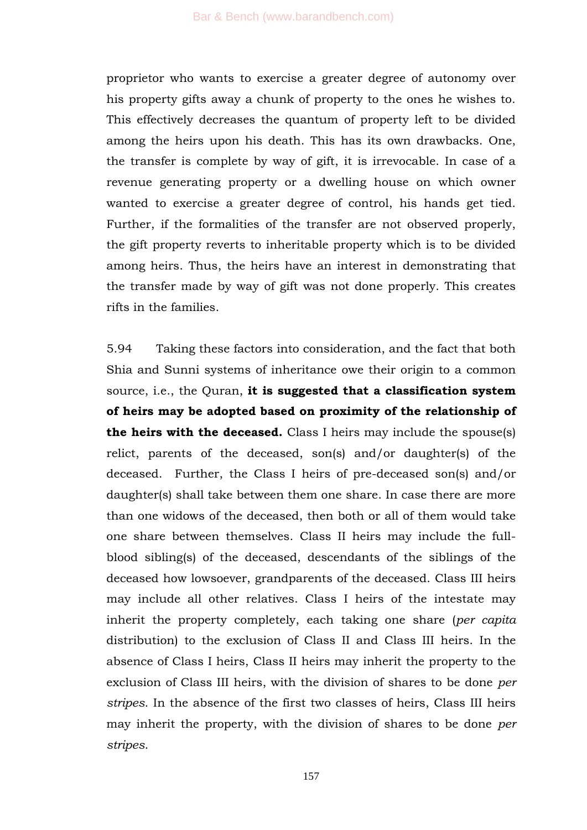proprietor who wants to exercise a greater degree of autonomy over his property gifts away a chunk of property to the ones he wishes to. This effectively decreases the quantum of property left to be divided among the heirs upon his death. This has its own drawbacks. One, the transfer is complete by way of gift, it is irrevocable. In case of a revenue generating property or a dwelling house on which owner wanted to exercise a greater degree of control, his hands get tied. Further, if the formalities of the transfer are not observed properly, the gift property reverts to inheritable property which is to be divided among heirs. Thus, the heirs have an interest in demonstrating that the transfer made by way of gift was not done properly. This creates rifts in the families.

5.94 Taking these factors into consideration, and the fact that both Shia and Sunni systems of inheritance owe their origin to a common source, i.e., the Quran, **it is suggested that a classification system of heirs may be adopted based on proximity of the relationship of the heirs with the deceased.** Class I heirs may include the spouse(s) relict, parents of the deceased, son(s) and/or daughter(s) of the deceased. Further, the Class I heirs of pre-deceased son(s) and/or daughter(s) shall take between them one share. In case there are more than one widows of the deceased, then both or all of them would take one share between themselves. Class II heirs may include the fullblood sibling(s) of the deceased, descendants of the siblings of the deceased how lowsoever, grandparents of the deceased. Class III heirs may include all other relatives. Class I heirs of the intestate may inherit the property completely, each taking one share (*per capita* distribution) to the exclusion of Class II and Class III heirs. In the absence of Class I heirs, Class II heirs may inherit the property to the exclusion of Class III heirs, with the division of shares to be done *per stripes*. In the absence of the first two classes of heirs, Class III heirs may inherit the property, with the division of shares to be done *per stripes*.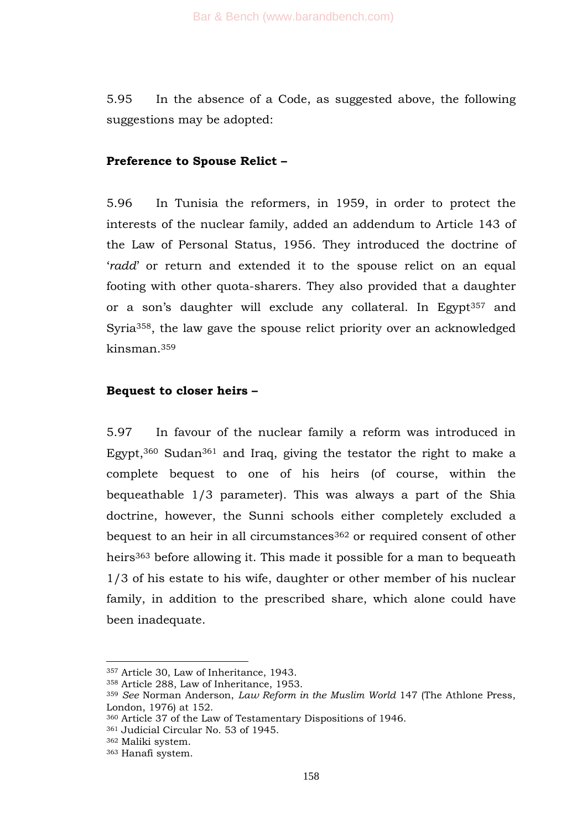5.95 In the absence of a Code, as suggested above, the following suggestions may be adopted:

## **Preference to Spouse Relict –**

5.96 In Tunisia the reformers, in 1959, in order to protect the interests of the nuclear family, added an addendum to Article 143 of the Law of Personal Status, 1956. They introduced the doctrine of ‗*radd*' or return and extended it to the spouse relict on an equal footing with other quota-sharers. They also provided that a daughter or a son's daughter will exclude any collateral. In Egypt<sup>357</sup> and Syria358, the law gave the spouse relict priority over an acknowledged kinsman.<sup>359</sup>

#### **Bequest to closer heirs –**

5.97 In favour of the nuclear family a reform was introduced in Egypt,<sup>360</sup> Sudan<sup>361</sup> and Iraq, giving the testator the right to make a complete bequest to one of his heirs (of course, within the bequeathable 1/3 parameter). This was always a part of the Shia doctrine, however, the Sunni schools either completely excluded a bequest to an heir in all circumstances<sup>362</sup> or required consent of other heirs<sup>363</sup> before allowing it. This made it possible for a man to bequeath 1/3 of his estate to his wife, daughter or other member of his nuclear family, in addition to the prescribed share, which alone could have been inadequate.

<sup>357</sup> Article 30, Law of Inheritance, 1943.

<sup>358</sup> Article 288, Law of Inheritance, 1953.

<sup>359</sup> *See* Norman Anderson, *Law Reform in the Muslim World* 147 (The Athlone Press, London, 1976) at 152.

<sup>360</sup> Article 37 of the Law of Testamentary Dispositions of 1946.

<sup>361</sup> Judicial Circular No. 53 of 1945.

<sup>362</sup> Maliki system.

<sup>363</sup> Hanafi system.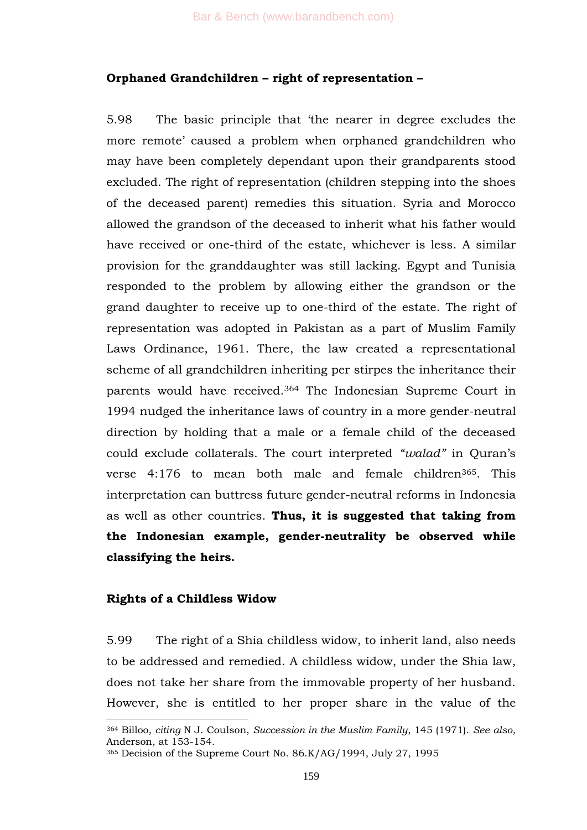## **Orphaned Grandchildren – right of representation –**

5.98 The basic principle that 'the nearer in degree excludes the more remote' caused a problem when orphaned grandchildren who may have been completely dependant upon their grandparents stood excluded. The right of representation (children stepping into the shoes of the deceased parent) remedies this situation. Syria and Morocco allowed the grandson of the deceased to inherit what his father would have received or one-third of the estate, whichever is less. A similar provision for the granddaughter was still lacking. Egypt and Tunisia responded to the problem by allowing either the grandson or the grand daughter to receive up to one-third of the estate. The right of representation was adopted in Pakistan as a part of Muslim Family Laws Ordinance, 1961. There, the law created a representational scheme of all grandchildren inheriting per stirpes the inheritance their parents would have received.<sup>364</sup> The Indonesian Supreme Court in 1994 nudged the inheritance laws of country in a more gender-neutral direction by holding that a male or a female child of the deceased could exclude collaterals. The court interpreted *"walad"* in Quran's verse 4:176 to mean both male and female children365. This interpretation can buttress future gender-neutral reforms in Indonesia as well as other countries. **Thus, it is suggested that taking from the Indonesian example, gender-neutrality be observed while classifying the heirs.** 

## **Rights of a Childless Widow**

1

5.99 The right of a Shia childless widow, to inherit land, also needs to be addressed and remedied. A childless widow, under the Shia law, does not take her share from the immovable property of her husband. However, she is entitled to her proper share in the value of the

<sup>364</sup> Billoo, *citing* N J. Coulson, *Succession in the Muslim Family*, 145 (1971). *See also*, Anderson, at 153-154.

<sup>365</sup> Decision of the Supreme Court No. 86.K/AG/1994, July 27, 1995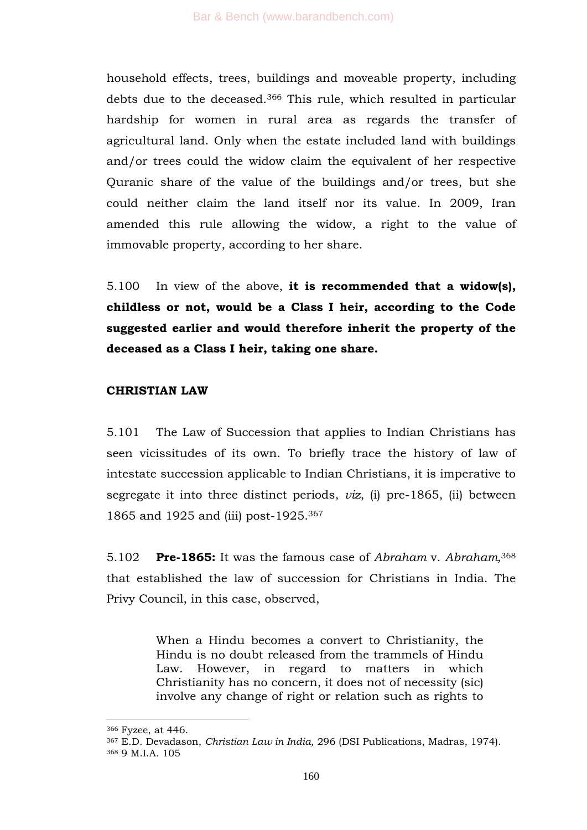household effects, trees, buildings and moveable property, including debts due to the deceased.<sup>366</sup> This rule, which resulted in particular hardship for women in rural area as regards the transfer of agricultural land. Only when the estate included land with buildings and/or trees could the widow claim the equivalent of her respective Quranic share of the value of the buildings and/or trees, but she could neither claim the land itself nor its value. In 2009, Iran amended this rule allowing the widow, a right to the value of immovable property, according to her share.

5.100 In view of the above, **it is recommended that a widow(s), childless or not, would be a Class I heir, according to the Code suggested earlier and would therefore inherit the property of the deceased as a Class I heir, taking one share.**

#### **CHRISTIAN LAW**

5.101 The Law of Succession that applies to Indian Christians has seen vicissitudes of its own. To briefly trace the history of law of intestate succession applicable to Indian Christians, it is imperative to segregate it into three distinct periods, *viz*, (i) pre-1865, (ii) between 1865 and 1925 and (iii) post-1925.<sup>367</sup>

5.102 **Pre-1865:** It was the famous case of *Abraham* v. *Abraham,* 368 that established the law of succession for Christians in India. The Privy Council, in this case, observed,

> When a Hindu becomes a convert to Christianity, the Hindu is no doubt released from the trammels of Hindu Law. However, in regard to matters in which Christianity has no concern, it does not of necessity (sic) involve any change of right or relation such as rights to

<sup>366</sup> Fyzee, at 446.

<sup>367</sup> E.D. Devadason, *Christian Law in India,* 296 (DSI Publications, Madras, 1974). <sup>368</sup> 9 M.I.A. 105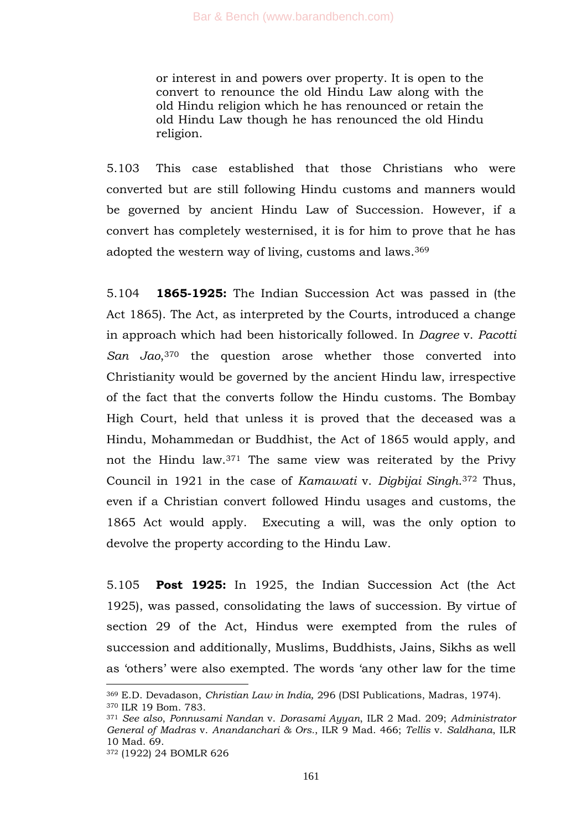or interest in and powers over property. It is open to the convert to renounce the old Hindu Law along with the old Hindu religion which he has renounced or retain the old Hindu Law though he has renounced the old Hindu religion.

5.103 This case established that those Christians who were converted but are still following Hindu customs and manners would be governed by ancient Hindu Law of Succession. However, if a convert has completely westernised, it is for him to prove that he has adopted the western way of living, customs and laws.<sup>369</sup>

5.104 **1865-1925:** The Indian Succession Act was passed in (the Act 1865). The Act, as interpreted by the Courts, introduced a change in approach which had been historically followed. In *Dagree* v. *Pacotti San Jao*, <sup>370</sup> the question arose whether those converted into Christianity would be governed by the ancient Hindu law, irrespective of the fact that the converts follow the Hindu customs. The Bombay High Court, held that unless it is proved that the deceased was a Hindu, Mohammedan or Buddhist, the Act of 1865 would apply, and not the Hindu law.<sup>371</sup> The same view was reiterated by the Privy Council in 1921 in the case of *Kamawati* v. *Digbijai Singh*. <sup>372</sup> Thus, even if a Christian convert followed Hindu usages and customs, the 1865 Act would apply. Executing a will, was the only option to devolve the property according to the Hindu Law.

5.105 **Post 1925:** In 1925, the Indian Succession Act (the Act 1925), was passed, consolidating the laws of succession. By virtue of section 29 of the Act, Hindus were exempted from the rules of succession and additionally, Muslims, Buddhists, Jains, Sikhs as well as 'others' were also exempted. The words 'any other law for the time

<sup>369</sup> E.D. Devadason, *Christian Law in India,* 296 (DSI Publications, Madras, 1974). <sup>370</sup> ILR 19 Bom. 783.

<sup>371</sup> *See also*, *Ponnusami Nandan* v. *Dorasami Ayyan*, ILR 2 Mad. 209; *Administrator General of Madras* v. *Anandanchari & Ors.*, ILR 9 Mad. 466; *Tellis* v. *Saldhana*, ILR 10 Mad. 69.

<sup>372</sup> (1922) 24 BOMLR 626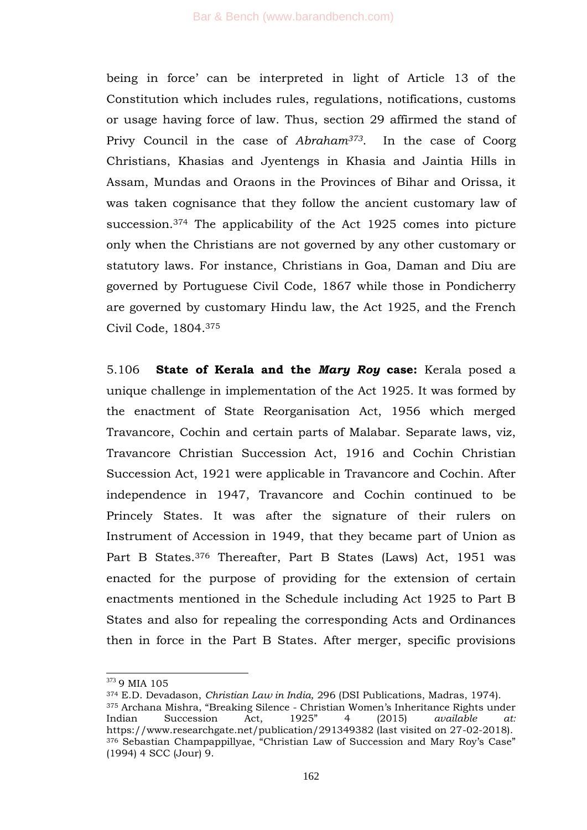being in force' can be interpreted in light of Article 13 of the Constitution which includes rules, regulations, notifications, customs or usage having force of law. Thus, section 29 affirmed the stand of Privy Council in the case of *Abraham373*. In the case of Coorg Christians, Khasias and Jyentengs in Khasia and Jaintia Hills in Assam, Mundas and Oraons in the Provinces of Bihar and Orissa, it was taken cognisance that they follow the ancient customary law of succession.<sup>374</sup> The applicability of the Act 1925 comes into picture only when the Christians are not governed by any other customary or statutory laws. For instance, Christians in Goa, Daman and Diu are governed by Portuguese Civil Code, 1867 while those in Pondicherry are governed by customary Hindu law, the Act 1925, and the French Civil Code, 1804.<sup>375</sup>

5.106 **State of Kerala and the** *Mary Roy* **case:** Kerala posed a unique challenge in implementation of the Act 1925. It was formed by the enactment of State Reorganisation Act, 1956 which merged Travancore, Cochin and certain parts of Malabar. Separate laws, viz, Travancore Christian Succession Act, 1916 and Cochin Christian Succession Act, 1921 were applicable in Travancore and Cochin. After independence in 1947, Travancore and Cochin continued to be Princely States. It was after the signature of their rulers on Instrument of Accession in 1949, that they became part of Union as Part B States.<sup>376</sup> Thereafter, Part B States (Laws) Act, 1951 was enacted for the purpose of providing for the extension of certain enactments mentioned in the Schedule including Act 1925 to Part B States and also for repealing the corresponding Acts and Ordinances then in force in the Part B States. After merger, specific provisions

<sup>373 9</sup> MIA 105

<sup>374</sup> E.D. Devadason, *Christian Law in India,* 296 (DSI Publications, Madras, 1974). 375 Archana Mishra, "Breaking Silence - Christian Women's Inheritance Rights under Indian Succession Act, 1925<sup>"</sup> 4 (2015) *available at:* https://www.researchgate.net/publication/291349382 (last visited on 27-02-2018). 376 Sebastian Champappillyae, "Christian Law of Succession and Mary Roy's Case" (1994) 4 SCC (Jour) 9.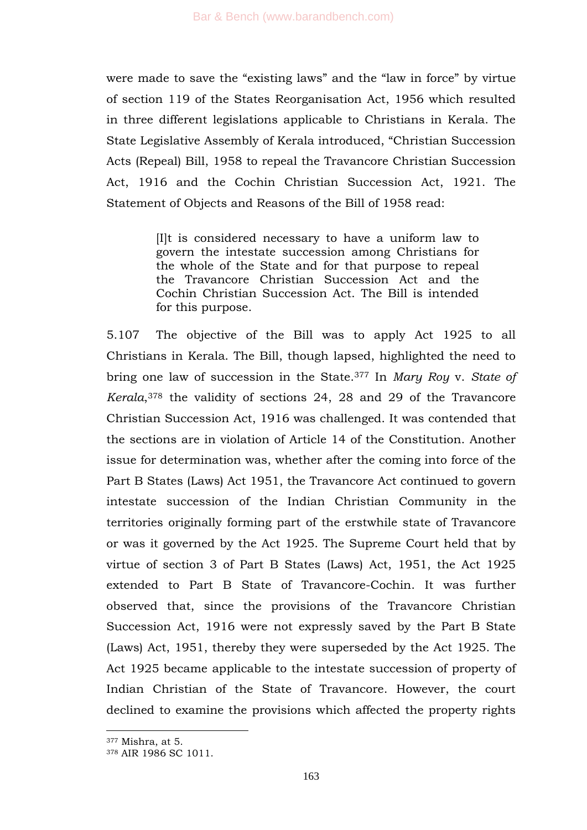were made to save the "existing laws" and the "law in force" by virtue of section 119 of the States Reorganisation Act, 1956 which resulted in three different legislations applicable to Christians in Kerala. The State Legislative Assembly of Kerala introduced, "Christian Succession Acts (Repeal) Bill, 1958 to repeal the Travancore Christian Succession Act, 1916 and the Cochin Christian Succession Act, 1921. The Statement of Objects and Reasons of the Bill of 1958 read:

> [I]t is considered necessary to have a uniform law to govern the intestate succession among Christians for the whole of the State and for that purpose to repeal the Travancore Christian Succession Act and the Cochin Christian Succession Act. The Bill is intended for this purpose.

5.107 The objective of the Bill was to apply Act 1925 to all Christians in Kerala. The Bill, though lapsed, highlighted the need to bring one law of succession in the State.<sup>377</sup> In *Mary Roy* v. *State of Kerala*, <sup>378</sup> the validity of sections 24, 28 and 29 of the Travancore Christian Succession Act, 1916 was challenged. It was contended that the sections are in violation of Article 14 of the Constitution. Another issue for determination was, whether after the coming into force of the Part B States (Laws) Act 1951, the Travancore Act continued to govern intestate succession of the Indian Christian Community in the territories originally forming part of the erstwhile state of Travancore or was it governed by the Act 1925. The Supreme Court held that by virtue of section 3 of Part B States (Laws) Act, 1951, the Act 1925 extended to Part B State of Travancore-Cochin. It was further observed that, since the provisions of the Travancore Christian Succession Act, 1916 were not expressly saved by the Part B State (Laws) Act, 1951, thereby they were superseded by the Act 1925. The Act 1925 became applicable to the intestate succession of property of Indian Christian of the State of Travancore. However, the court declined to examine the provisions which affected the property rights

<sup>377</sup> Mishra, at 5.

<sup>378</sup> AIR 1986 SC 1011.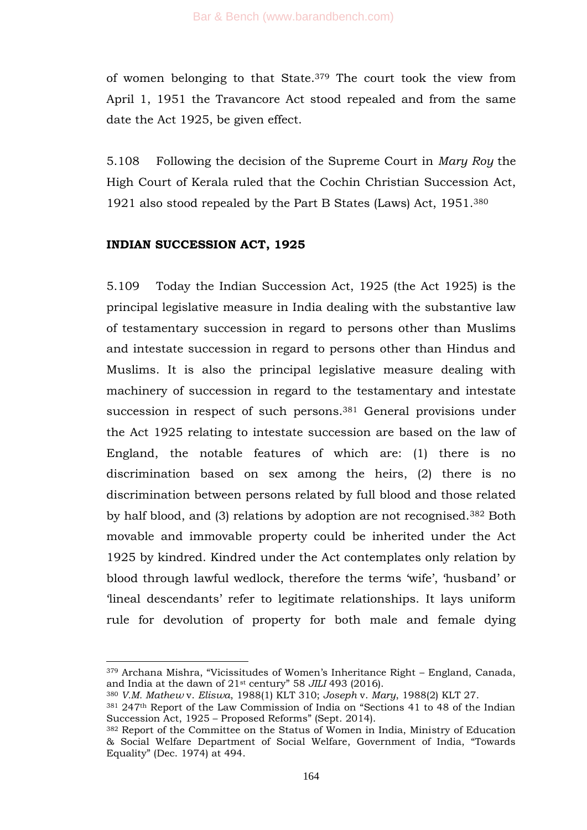of women belonging to that State.<sup>379</sup> The court took the view from April 1, 1951 the Travancore Act stood repealed and from the same date the Act 1925, be given effect.

5.108 Following the decision of the Supreme Court in *Mary Roy* the High Court of Kerala ruled that the Cochin Christian Succession Act, 1921 also stood repealed by the Part B States (Laws) Act, 1951.<sup>380</sup>

#### **INDIAN SUCCESSION ACT, 1925**

-

5.109 Today the Indian Succession Act, 1925 (the Act 1925) is the principal legislative measure in India dealing with the substantive law of testamentary succession in regard to persons other than Muslims and intestate succession in regard to persons other than Hindus and Muslims. It is also the principal legislative measure dealing with machinery of succession in regard to the testamentary and intestate succession in respect of such persons.<sup>381</sup> General provisions under the Act 1925 relating to intestate succession are based on the law of England, the notable features of which are: (1) there is no discrimination based on sex among the heirs, (2) there is no discrimination between persons related by full blood and those related by half blood, and (3) relations by adoption are not recognised.<sup>382</sup> Both movable and immovable property could be inherited under the Act 1925 by kindred. Kindred under the Act contemplates only relation by blood through lawful wedlock, therefore the terms 'wife', 'husband' or ‗lineal descendants' refer to legitimate relationships. It lays uniform rule for devolution of property for both male and female dying

 $379$  Archana Mishra, "Vicissitudes of Women's Inheritance Right – England, Canada, and India at the dawn of 21<sup>st</sup> century" 58 *JILI* 493 (2016).

<sup>380</sup> *V.M. Mathew* v. *Eliswa*, 1988(1) KLT 310; *Joseph* v. *Mary*, 1988(2) KLT 27.

<sup>381 247&</sup>lt;sup>th</sup> Report of the Law Commission of India on "Sections 41 to 48 of the Indian Succession Act, 1925 – Proposed Reforms" (Sept. 2014).

<sup>382</sup> Report of the Committee on the Status of Women in India, Ministry of Education & Social Welfare Department of Social Welfare, Government of India, "Towards Equality" (Dec. 1974) at 494.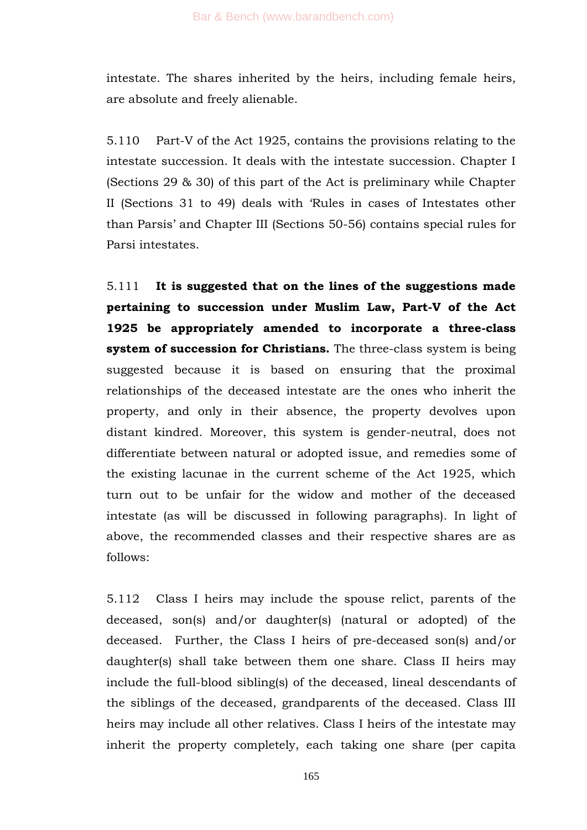intestate. The shares inherited by the heirs, including female heirs, are absolute and freely alienable.

5.110 Part-V of the Act 1925, contains the provisions relating to the intestate succession. It deals with the intestate succession. Chapter I (Sections 29 & 30) of this part of the Act is preliminary while Chapter II (Sections 31 to 49) deals with 'Rules in cases of Intestates other than Parsis' and Chapter III (Sections 50-56) contains special rules for Parsi intestates.

5.111 **It is suggested that on the lines of the suggestions made pertaining to succession under Muslim Law, Part-V of the Act 1925 be appropriately amended to incorporate a three-class system of succession for Christians.** The three-class system is being suggested because it is based on ensuring that the proximal relationships of the deceased intestate are the ones who inherit the property, and only in their absence, the property devolves upon distant kindred. Moreover, this system is gender-neutral, does not differentiate between natural or adopted issue, and remedies some of the existing lacunae in the current scheme of the Act 1925, which turn out to be unfair for the widow and mother of the deceased intestate (as will be discussed in following paragraphs). In light of above, the recommended classes and their respective shares are as follows:

5.112 Class I heirs may include the spouse relict, parents of the deceased, son(s) and/or daughter(s) (natural or adopted) of the deceased. Further, the Class I heirs of pre-deceased son(s) and/or daughter(s) shall take between them one share. Class II heirs may include the full-blood sibling(s) of the deceased, lineal descendants of the siblings of the deceased, grandparents of the deceased. Class III heirs may include all other relatives. Class I heirs of the intestate may inherit the property completely, each taking one share (per capita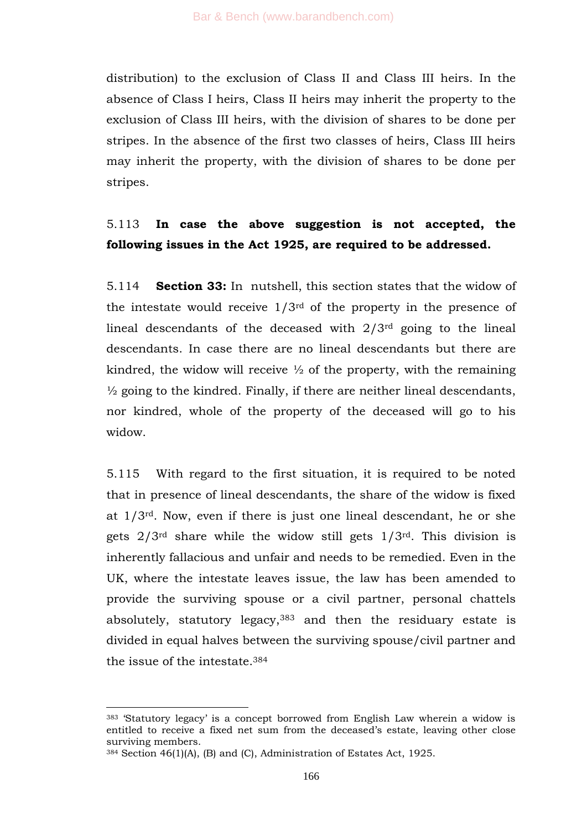distribution) to the exclusion of Class II and Class III heirs. In the absence of Class I heirs, Class II heirs may inherit the property to the exclusion of Class III heirs, with the division of shares to be done per stripes. In the absence of the first two classes of heirs, Class III heirs may inherit the property, with the division of shares to be done per stripes.

# 5.113 **In case the above suggestion is not accepted, the following issues in the Act 1925, are required to be addressed.**

5.114 **Section 33:** In nutshell, this section states that the widow of the intestate would receive 1/3rd of the property in the presence of lineal descendants of the deceased with  $2/3<sup>rd</sup>$  going to the lineal descendants. In case there are no lineal descendants but there are kindred, the widow will receive  $\frac{1}{2}$  of the property, with the remaining  $\frac{1}{2}$  going to the kindred. Finally, if there are neither lineal descendants, nor kindred, whole of the property of the deceased will go to his widow.

5.115 With regard to the first situation, it is required to be noted that in presence of lineal descendants, the share of the widow is fixed at 1/3rd. Now, even if there is just one lineal descendant, he or she gets 2/3rd share while the widow still gets 1/3rd. This division is inherently fallacious and unfair and needs to be remedied. Even in the UK, where the intestate leaves issue, the law has been amended to provide the surviving spouse or a civil partner, personal chattels absolutely, statutory legacy,<sup>383</sup> and then the residuary estate is divided in equal halves between the surviving spouse/civil partner and the issue of the intestate.<sup>384</sup>

<sup>383</sup> ‗Statutory legacy' is a concept borrowed from English Law wherein a widow is entitled to receive a fixed net sum from the deceased's estate, leaving other close surviving members.

<sup>384</sup> Section 46(1)(A), (B) and (C), Administration of Estates Act, 1925.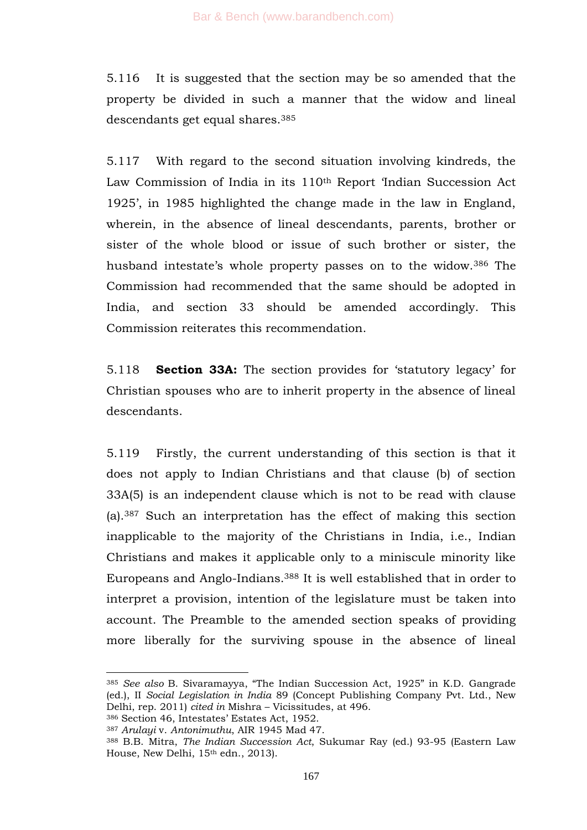5.116 It is suggested that the section may be so amended that the property be divided in such a manner that the widow and lineal descendants get equal shares.<sup>385</sup>

5.117 With regard to the second situation involving kindreds, the Law Commission of India in its 110<sup>th</sup> Report 'Indian Succession Act 1925', in 1985 highlighted the change made in the law in England, wherein, in the absence of lineal descendants, parents, brother or sister of the whole blood or issue of such brother or sister, the husband intestate's whole property passes on to the widow.<sup>386</sup> The Commission had recommended that the same should be adopted in India, and section 33 should be amended accordingly. This Commission reiterates this recommendation.

5.118 **Section 33A:** The section provides for ‗statutory legacy' for Christian spouses who are to inherit property in the absence of lineal descendants.

5.119 Firstly, the current understanding of this section is that it does not apply to Indian Christians and that clause (b) of section 33A(5) is an independent clause which is not to be read with clause (a).<sup>387</sup> Such an interpretation has the effect of making this section inapplicable to the majority of the Christians in India, i.e., Indian Christians and makes it applicable only to a miniscule minority like Europeans and Anglo-Indians.<sup>388</sup> It is well established that in order to interpret a provision, intention of the legislature must be taken into account. The Preamble to the amended section speaks of providing more liberally for the surviving spouse in the absence of lineal

<sup>&</sup>lt;sup>385</sup> See also B. Sivaramayya, "The Indian Succession Act, 1925" in K.D. Gangrade (ed.), II *Social Legislation in India* 89 (Concept Publishing Company Pvt. Ltd., New Delhi, rep. 2011) *cited in* Mishra – Vicissitudes, at 496.

<sup>386</sup> Section 46, Intestates' Estates Act, 1952.

<sup>387</sup> *Arulayi* v. *Antonimuthu*, AIR 1945 Mad 47.

<sup>388</sup> B.B. Mitra, *The Indian Succession Act*, Sukumar Ray (ed.) 93-95 (Eastern Law House, New Delhi, 15th edn., 2013).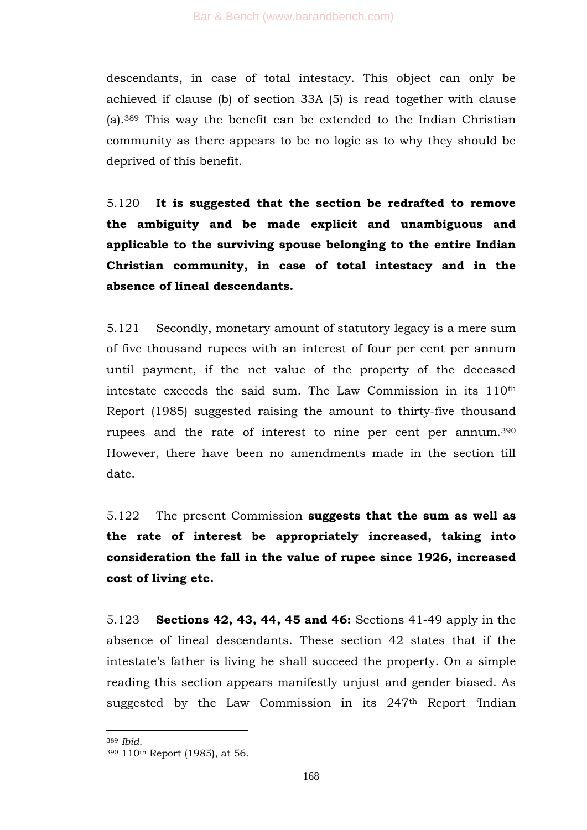descendants, in case of total intestacy. This object can only be achieved if clause (b) of section 33A (5) is read together with clause (a).<sup>389</sup> This way the benefit can be extended to the Indian Christian community as there appears to be no logic as to why they should be deprived of this benefit.

5.120 **It is suggested that the section be redrafted to remove the ambiguity and be made explicit and unambiguous and applicable to the surviving spouse belonging to the entire Indian Christian community, in case of total intestacy and in the absence of lineal descendants.**

5.121 Secondly, monetary amount of statutory legacy is a mere sum of five thousand rupees with an interest of four per cent per annum until payment, if the net value of the property of the deceased intestate exceeds the said sum. The Law Commission in its 110th Report (1985) suggested raising the amount to thirty-five thousand rupees and the rate of interest to nine per cent per annum.<sup>390</sup> However, there have been no amendments made in the section till date.

5.122 The present Commission **suggests that the sum as well as the rate of interest be appropriately increased, taking into consideration the fall in the value of rupee since 1926, increased cost of living etc.**

5.123 **Sections 42, 43, 44, 45 and 46:** Sections 41-49 apply in the absence of lineal descendants. These section 42 states that if the intestate's father is living he shall succeed the property. On a simple reading this section appears manifestly unjust and gender biased. As suggested by the Law Commission in its  $247<sup>th</sup>$  Report 'Indian

<sup>389</sup> *Ibid.*

<sup>390</sup> 110th Report (1985), at 56.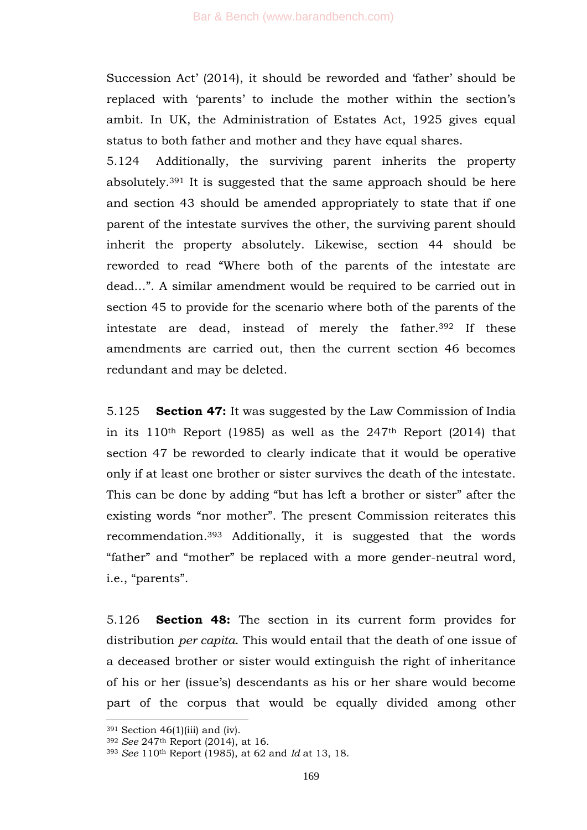Succession Act' (2014), it should be reworded and 'father' should be replaced with 'parents' to include the mother within the section's ambit. In UK, the Administration of Estates Act, 1925 gives equal status to both father and mother and they have equal shares.

5.124 Additionally, the surviving parent inherits the property absolutely.<sup>391</sup> It is suggested that the same approach should be here and section 43 should be amended appropriately to state that if one parent of the intestate survives the other, the surviving parent should inherit the property absolutely. Likewise, section 44 should be reworded to read "Where both of the parents of the intestate are dead...". A similar amendment would be required to be carried out in section 45 to provide for the scenario where both of the parents of the intestate are dead, instead of merely the father.<sup>392</sup> If these amendments are carried out, then the current section 46 becomes redundant and may be deleted.

5.125 **Section 47:** It was suggested by the Law Commission of India in its  $110<sup>th</sup>$  Report (1985) as well as the 247<sup>th</sup> Report (2014) that section 47 be reworded to clearly indicate that it would be operative only if at least one brother or sister survives the death of the intestate. This can be done by adding "but has left a brother or sister" after the existing words "nor mother". The present Commission reiterates this recommendation.<sup>393</sup> Additionally, it is suggested that the words "father" and "mother" be replaced with a more gender-neutral word, i.e., "parents".

5.126 **Section 48:** The section in its current form provides for distribution *per capita*. This would entail that the death of one issue of a deceased brother or sister would extinguish the right of inheritance of his or her (issue's) descendants as his or her share would become part of the corpus that would be equally divided among other

 $391$  Section 46(1)(iii) and (iv).

<sup>392</sup> *See* 247th Report (2014), at 16.

<sup>393</sup> *See* 110th Report (1985), at 62 and *Id* at 13, 18.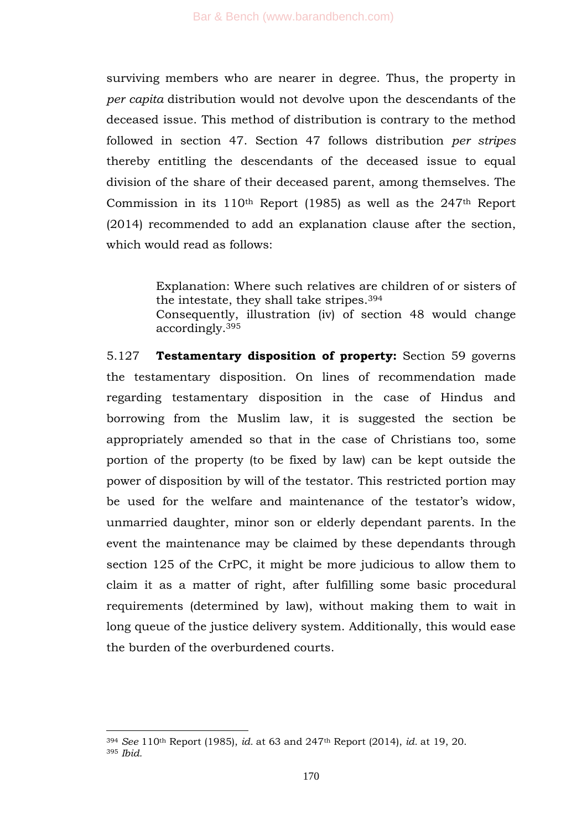surviving members who are nearer in degree. Thus, the property in *per capita* distribution would not devolve upon the descendants of the deceased issue. This method of distribution is contrary to the method followed in section 47. Section 47 follows distribution *per stripes* thereby entitling the descendants of the deceased issue to equal division of the share of their deceased parent, among themselves. The Commission in its 110th Report (1985) as well as the 247th Report (2014) recommended to add an explanation clause after the section, which would read as follows:

> Explanation: Where such relatives are children of or sisters of the intestate, they shall take stripes.<sup>394</sup>

> Consequently, illustration (iv) of section 48 would change accordingly.<sup>395</sup>

5.127 **Testamentary disposition of property:** Section 59 governs the testamentary disposition. On lines of recommendation made regarding testamentary disposition in the case of Hindus and borrowing from the Muslim law, it is suggested the section be appropriately amended so that in the case of Christians too, some portion of the property (to be fixed by law) can be kept outside the power of disposition by will of the testator. This restricted portion may be used for the welfare and maintenance of the testator's widow, unmarried daughter, minor son or elderly dependant parents. In the event the maintenance may be claimed by these dependants through section 125 of the CrPC, it might be more judicious to allow them to claim it as a matter of right, after fulfilling some basic procedural requirements (determined by law), without making them to wait in long queue of the justice delivery system. Additionally, this would ease the burden of the overburdened courts.

<sup>394</sup> *See* 110th Report (1985), *id.* at 63 and 247th Report (2014), *id.* at 19, 20. <sup>395</sup> *Ibid.*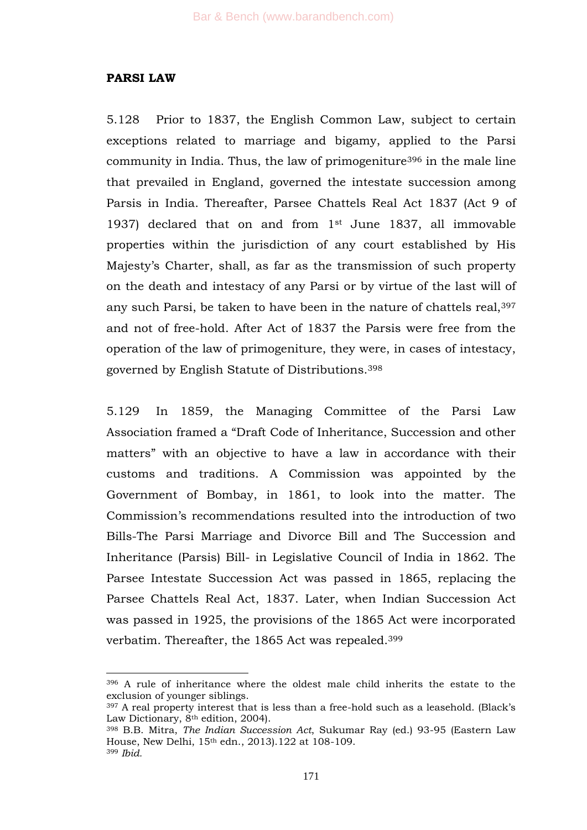## **PARSI LAW**

1

5.128 Prior to 1837, the English Common Law, subject to certain exceptions related to marriage and bigamy, applied to the Parsi community in India. Thus, the law of primogeniture<sup>396</sup> in the male line that prevailed in England, governed the intestate succession among Parsis in India. Thereafter, Parsee Chattels Real Act 1837 (Act 9 of 1937) declared that on and from 1st June 1837, all immovable properties within the jurisdiction of any court established by His Majesty's Charter, shall, as far as the transmission of such property on the death and intestacy of any Parsi or by virtue of the last will of any such Parsi, be taken to have been in the nature of chattels real,<sup>397</sup> and not of free-hold. After Act of 1837 the Parsis were free from the operation of the law of primogeniture, they were, in cases of intestacy, governed by English Statute of Distributions.<sup>398</sup>

5.129 In 1859, the Managing Committee of the Parsi Law Association framed a "Draft Code of Inheritance, Succession and other matters" with an objective to have a law in accordance with their customs and traditions. A Commission was appointed by the Government of Bombay, in 1861, to look into the matter. The Commission's recommendations resulted into the introduction of two Bills-The Parsi Marriage and Divorce Bill and The Succession and Inheritance (Parsis) Bill- in Legislative Council of India in 1862. The Parsee Intestate Succession Act was passed in 1865, replacing the Parsee Chattels Real Act, 1837. Later, when Indian Succession Act was passed in 1925, the provisions of the 1865 Act were incorporated verbatim. Thereafter, the 1865 Act was repealed.<sup>399</sup>

<sup>396</sup> A rule of inheritance where the oldest male child inherits the estate to the exclusion of younger siblings.

<sup>397</sup> A real property interest that is less than a free-hold such as a leasehold. (Black's Law Dictionary,  $8<sup>th</sup>$  edition, 2004).

<sup>398</sup> B.B. Mitra, *The Indian Succession Act*, Sukumar Ray (ed.) 93-95 (Eastern Law House, New Delhi, 15th edn., 2013).122 at 108-109. <sup>399</sup> *Ibid.*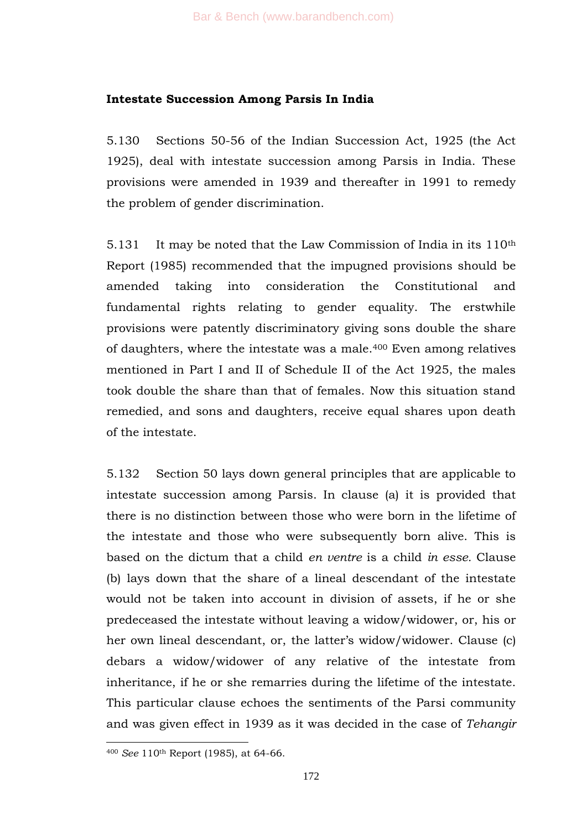#### **Intestate Succession Among Parsis In India**

5.130 Sections 50-56 of the Indian Succession Act, 1925 (the Act 1925), deal with intestate succession among Parsis in India. These provisions were amended in 1939 and thereafter in 1991 to remedy the problem of gender discrimination.

5.131 It may be noted that the Law Commission of India in its 110<sup>th</sup> Report (1985) recommended that the impugned provisions should be amended taking into consideration the Constitutional and fundamental rights relating to gender equality. The erstwhile provisions were patently discriminatory giving sons double the share of daughters, where the intestate was a male.<sup>400</sup> Even among relatives mentioned in Part I and II of Schedule II of the Act 1925, the males took double the share than that of females. Now this situation stand remedied, and sons and daughters, receive equal shares upon death of the intestate.

5.132 Section 50 lays down general principles that are applicable to intestate succession among Parsis. In clause (a) it is provided that there is no distinction between those who were born in the lifetime of the intestate and those who were subsequently born alive. This is based on the dictum that a child *en ventre* is a child *in esse.* Clause (b) lays down that the share of a lineal descendant of the intestate would not be taken into account in division of assets, if he or she predeceased the intestate without leaving a widow/widower, or, his or her own lineal descendant, or, the latter's widow/widower. Clause (c) debars a widow/widower of any relative of the intestate from inheritance, if he or she remarries during the lifetime of the intestate. This particular clause echoes the sentiments of the Parsi community and was given effect in 1939 as it was decided in the case of *Tehangir*

<sup>400</sup> *See* 110th Report (1985), at 64-66.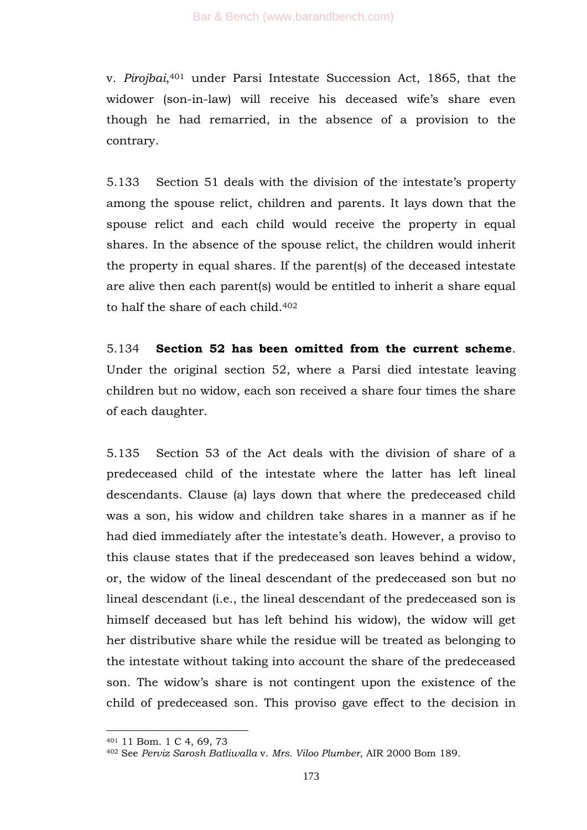v. *Pirojbai*, <sup>401</sup> under Parsi Intestate Succession Act, 1865, that the widower (son-in-law) will receive his deceased wife's share even though he had remarried, in the absence of a provision to the contrary.

5.133 Section 51 deals with the division of the intestate's property among the spouse relict, children and parents. It lays down that the spouse relict and each child would receive the property in equal shares. In the absence of the spouse relict, the children would inherit the property in equal shares. If the parent(s) of the deceased intestate are alive then each parent(s) would be entitled to inherit a share equal to half the share of each child.<sup>402</sup>

5.134 **Section 52 has been omitted from the current scheme**. Under the original section 52, where a Parsi died intestate leaving children but no widow, each son received a share four times the share of each daughter.

5.135 Section 53 of the Act deals with the division of share of a predeceased child of the intestate where the latter has left lineal descendants. Clause (a) lays down that where the predeceased child was a son, his widow and children take shares in a manner as if he had died immediately after the intestate's death. However, a proviso to this clause states that if the predeceased son leaves behind a widow, or, the widow of the lineal descendant of the predeceased son but no lineal descendant (i.e., the lineal descendant of the predeceased son is himself deceased but has left behind his widow), the widow will get her distributive share while the residue will be treated as belonging to the intestate without taking into account the share of the predeceased son. The widow's share is not contingent upon the existence of the child of predeceased son. This proviso gave effect to the decision in

<sup>401</sup> 11 Bom. 1 C 4, 69, 73

<sup>402</sup> See *Perviz Sarosh Batliwalla* v. *Mrs. Viloo Plumber*, AIR 2000 Bom 189.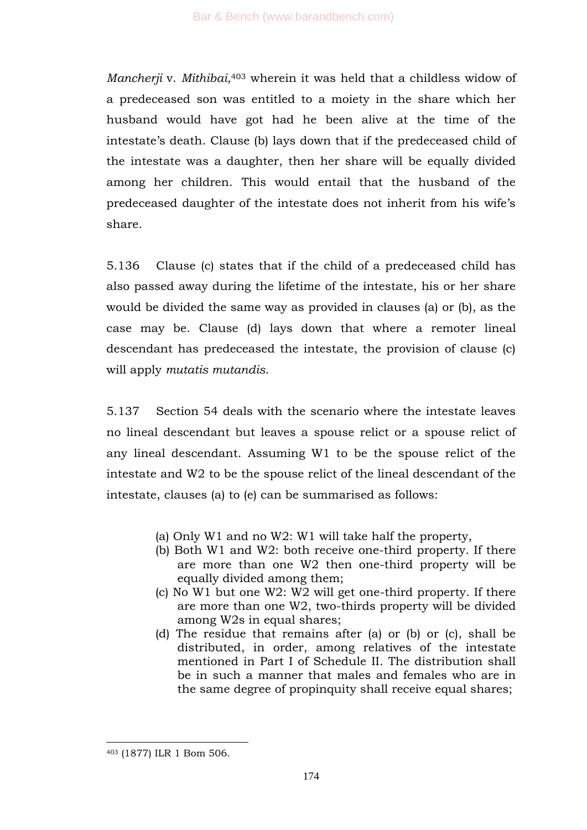*Mancherji* v. *Mithibai*, <sup>403</sup> wherein it was held that a childless widow of a predeceased son was entitled to a moiety in the share which her husband would have got had he been alive at the time of the intestate's death. Clause (b) lays down that if the predeceased child of the intestate was a daughter, then her share will be equally divided among her children. This would entail that the husband of the predeceased daughter of the intestate does not inherit from his wife's share.

5.136 Clause (c) states that if the child of a predeceased child has also passed away during the lifetime of the intestate, his or her share would be divided the same way as provided in clauses (a) or (b), as the case may be. Clause (d) lays down that where a remoter lineal descendant has predeceased the intestate, the provision of clause (c) will apply *mutatis mutandis*.

5.137 Section 54 deals with the scenario where the intestate leaves no lineal descendant but leaves a spouse relict or a spouse relict of any lineal descendant. Assuming W1 to be the spouse relict of the intestate and W2 to be the spouse relict of the lineal descendant of the intestate, clauses (a) to (e) can be summarised as follows:

- (a) Only W1 and no W2: W1 will take half the property,
- (b) Both W1 and W2: both receive one-third property. If there are more than one W2 then one-third property will be equally divided among them;
- (c) No W1 but one W2: W2 will get one-third property. If there are more than one W2, two-thirds property will be divided among W2s in equal shares;
- (d) The residue that remains after (a) or (b) or (c), shall be distributed, in order, among relatives of the intestate mentioned in Part I of Schedule II. The distribution shall be in such a manner that males and females who are in the same degree of propinquity shall receive equal shares;

<sup>403</sup> (1877) ILR 1 Bom 506.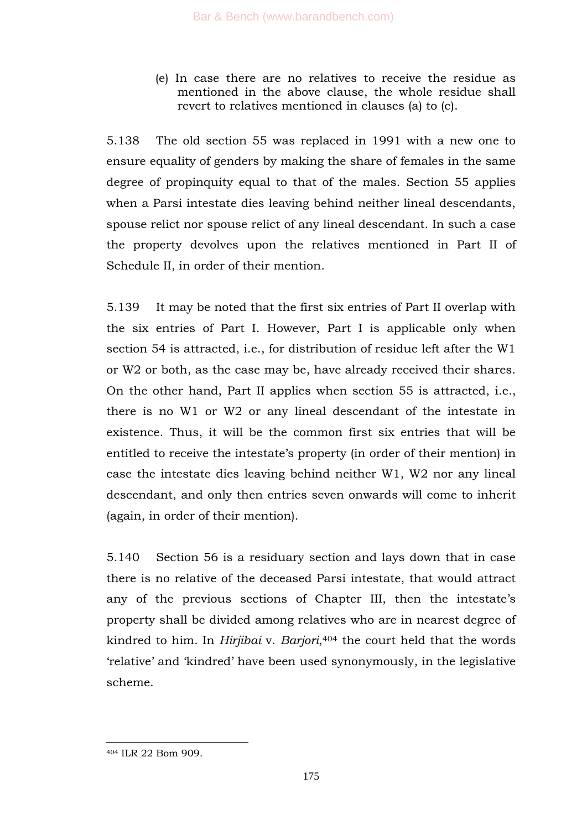(e) In case there are no relatives to receive the residue as mentioned in the above clause, the whole residue shall revert to relatives mentioned in clauses (a) to (c).

5.138 The old section 55 was replaced in 1991 with a new one to ensure equality of genders by making the share of females in the same degree of propinquity equal to that of the males. Section 55 applies when a Parsi intestate dies leaving behind neither lineal descendants, spouse relict nor spouse relict of any lineal descendant. In such a case the property devolves upon the relatives mentioned in Part II of Schedule II, in order of their mention.

5.139 It may be noted that the first six entries of Part II overlap with the six entries of Part I. However, Part I is applicable only when section 54 is attracted, i.e., for distribution of residue left after the W1 or W2 or both, as the case may be, have already received their shares. On the other hand, Part II applies when section 55 is attracted, i.e., there is no W1 or W2 or any lineal descendant of the intestate in existence. Thus, it will be the common first six entries that will be entitled to receive the intestate's property (in order of their mention) in case the intestate dies leaving behind neither W1, W2 nor any lineal descendant, and only then entries seven onwards will come to inherit (again, in order of their mention).

5.140 Section 56 is a residuary section and lays down that in case there is no relative of the deceased Parsi intestate, that would attract any of the previous sections of Chapter III, then the intestate's property shall be divided among relatives who are in nearest degree of kindred to him. In *Hirjibai* v. *Barjori*, <sup>404</sup> the court held that the words ‗relative' and ‗kindred' have been used synonymously, in the legislative scheme.

<sup>404</sup> ILR 22 Bom 909.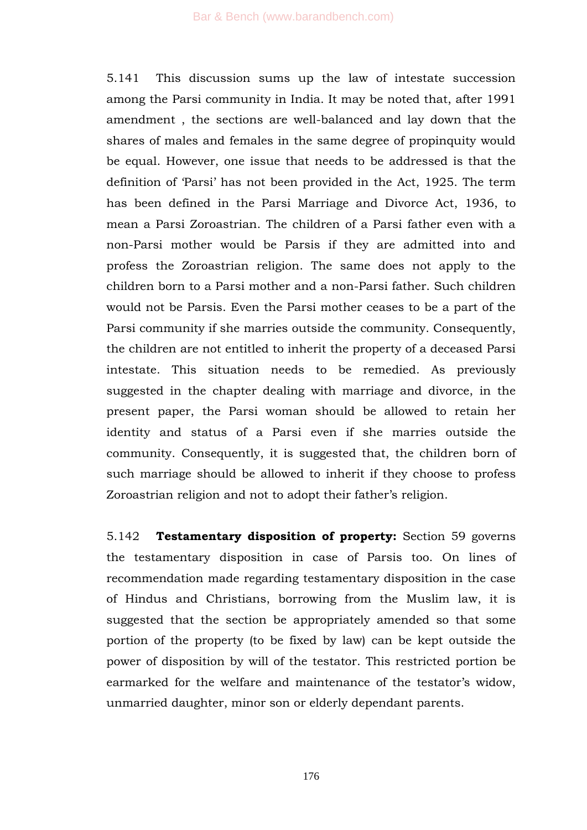5.141 This discussion sums up the law of intestate succession among the Parsi community in India. It may be noted that, after 1991 amendment , the sections are well-balanced and lay down that the shares of males and females in the same degree of propinquity would be equal. However, one issue that needs to be addressed is that the definition of 'Parsi' has not been provided in the Act, 1925. The term has been defined in the Parsi Marriage and Divorce Act, 1936, to mean a Parsi Zoroastrian. The children of a Parsi father even with a non-Parsi mother would be Parsis if they are admitted into and profess the Zoroastrian religion. The same does not apply to the children born to a Parsi mother and a non-Parsi father. Such children would not be Parsis. Even the Parsi mother ceases to be a part of the Parsi community if she marries outside the community. Consequently, the children are not entitled to inherit the property of a deceased Parsi intestate. This situation needs to be remedied. As previously suggested in the chapter dealing with marriage and divorce, in the present paper, the Parsi woman should be allowed to retain her identity and status of a Parsi even if she marries outside the community. Consequently, it is suggested that, the children born of such marriage should be allowed to inherit if they choose to profess Zoroastrian religion and not to adopt their father's religion.

5.142 **Testamentary disposition of property:** Section 59 governs the testamentary disposition in case of Parsis too. On lines of recommendation made regarding testamentary disposition in the case of Hindus and Christians, borrowing from the Muslim law, it is suggested that the section be appropriately amended so that some portion of the property (to be fixed by law) can be kept outside the power of disposition by will of the testator. This restricted portion be earmarked for the welfare and maintenance of the testator's widow, unmarried daughter, minor son or elderly dependant parents.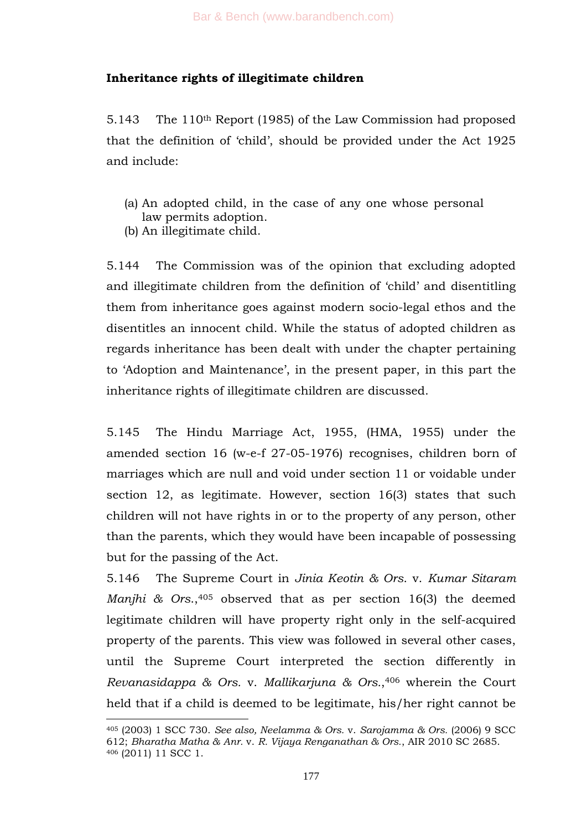# **Inheritance rights of illegitimate children**

5.143 The 110th Report (1985) of the Law Commission had proposed that the definition of 'child', should be provided under the Act 1925 and include:

- (a) An adopted child, in the case of any one whose personal law permits adoption.
- (b) An illegitimate child.

5.144 The Commission was of the opinion that excluding adopted and illegitimate children from the definition of 'child' and disentitling them from inheritance goes against modern socio-legal ethos and the disentitles an innocent child. While the status of adopted children as regards inheritance has been dealt with under the chapter pertaining to ‗Adoption and Maintenance', in the present paper, in this part the inheritance rights of illegitimate children are discussed.

5.145 The Hindu Marriage Act, 1955, (HMA, 1955) under the amended section 16 (w-e-f 27-05-1976) recognises, children born of marriages which are null and void under section 11 or voidable under section 12, as legitimate. However, section 16(3) states that such children will not have rights in or to the property of any person, other than the parents, which they would have been incapable of possessing but for the passing of the Act.

5.146 The Supreme Court in *Jinia Keotin & Ors*. v. *Kumar Sitaram Manjhi & Ors*., <sup>405</sup> observed that as per section 16(3) the deemed legitimate children will have property right only in the self-acquired property of the parents. This view was followed in several other cases, until the Supreme Court interpreted the section differently in *Revanasidappa & Ors.* v. *Mallikarjuna & Ors.*, <sup>406</sup> wherein the Court held that if a child is deemed to be legitimate, his/her right cannot be

<sup>1</sup> <sup>405</sup> (2003) 1 SCC 730. *See also, Neelamma & Ors.* v. *Sarojamma & Ors.* (2006) 9 SCC 612; *Bharatha Matha & Anr.* v. *R. Vijaya Renganathan & Ors.*, AIR 2010 SC 2685. <sup>406</sup> (2011) 11 SCC 1.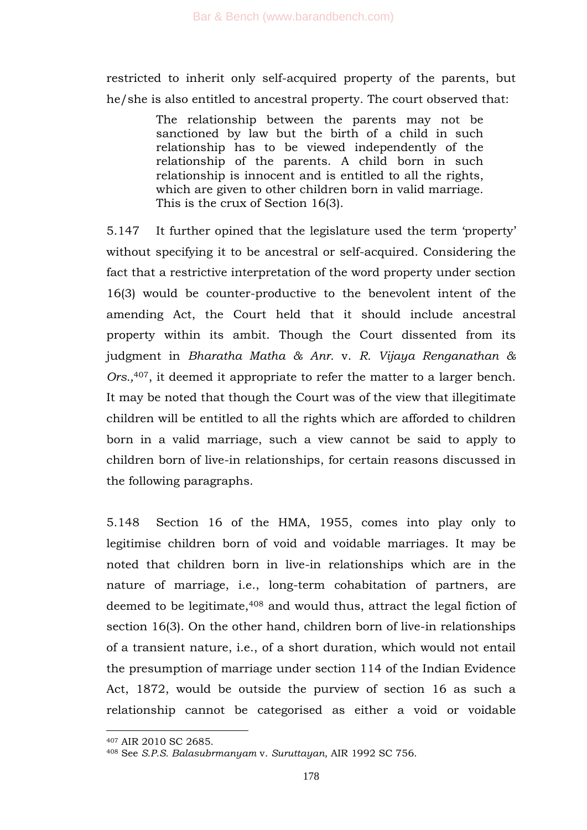restricted to inherit only self-acquired property of the parents, but he/she is also entitled to ancestral property. The court observed that:

> The relationship between the parents may not be sanctioned by law but the birth of a child in such relationship has to be viewed independently of the relationship of the parents. A child born in such relationship is innocent and is entitled to all the rights, which are given to other children born in valid marriage. This is the crux of Section 16(3).

5.147 It further opined that the legislature used the term 'property' without specifying it to be ancestral or self-acquired. Considering the fact that a restrictive interpretation of the word property under section 16(3) would be counter-productive to the benevolent intent of the amending Act, the Court held that it should include ancestral property within its ambit. Though the Court dissented from its judgment in *Bharatha Matha & Anr.* v. *R. Vijaya Renganathan & Ors.,*407, it deemed it appropriate to refer the matter to a larger bench. It may be noted that though the Court was of the view that illegitimate children will be entitled to all the rights which are afforded to children born in a valid marriage, such a view cannot be said to apply to children born of live-in relationships, for certain reasons discussed in the following paragraphs.

5.148 Section 16 of the HMA, 1955, comes into play only to legitimise children born of void and voidable marriages. It may be noted that children born in live-in relationships which are in the nature of marriage, i.e., long-term cohabitation of partners, are deemed to be legitimate,<sup>408</sup> and would thus, attract the legal fiction of section 16(3). On the other hand, children born of live-in relationships of a transient nature, i.e., of a short duration, which would not entail the presumption of marriage under section 114 of the Indian Evidence Act, 1872, would be outside the purview of section 16 as such a relationship cannot be categorised as either a void or voidable

-

<sup>407</sup> AIR 2010 SC 2685.

<sup>408</sup> See *S.P.S. Balasubrmanyam* v. *Suruttayan*, AIR 1992 SC 756.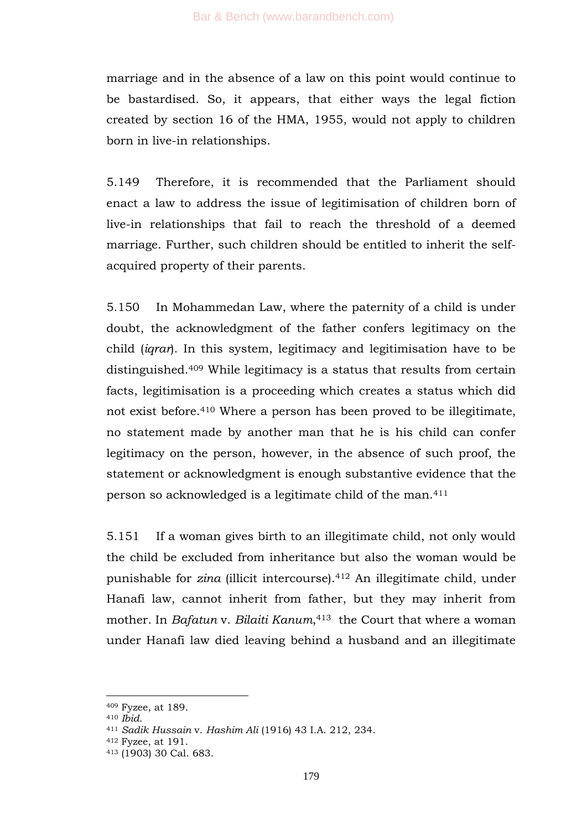marriage and in the absence of a law on this point would continue to be bastardised. So, it appears, that either ways the legal fiction created by section 16 of the HMA, 1955, would not apply to children born in live-in relationships.

5.149 Therefore, it is recommended that the Parliament should enact a law to address the issue of legitimisation of children born of live-in relationships that fail to reach the threshold of a deemed marriage. Further, such children should be entitled to inherit the selfacquired property of their parents.

5.150 In Mohammedan Law, where the paternity of a child is under doubt, the acknowledgment of the father confers legitimacy on the child (*iqrar*). In this system, legitimacy and legitimisation have to be distinguished.<sup>409</sup> While legitimacy is a status that results from certain facts, legitimisation is a proceeding which creates a status which did not exist before.<sup>410</sup> Where a person has been proved to be illegitimate, no statement made by another man that he is his child can confer legitimacy on the person, however, in the absence of such proof, the statement or acknowledgment is enough substantive evidence that the person so acknowledged is a legitimate child of the man.<sup>411</sup>

5.151 If a woman gives birth to an illegitimate child, not only would the child be excluded from inheritance but also the woman would be punishable for *zina* (illicit intercourse).<sup>412</sup> An illegitimate child, under Hanafi law, cannot inherit from father, but they may inherit from mother. In *Bafatun* v. *Bilaiti Kanum*, <sup>413</sup> the Court that where a woman under Hanafi law died leaving behind a husband and an illegitimate

-

<sup>409</sup> Fyzee, at 189.

<sup>410</sup> *Ibid*.

<sup>411</sup> *Sadik Hussain* v. *Hashim Ali* (1916) 43 I.A. 212, 234.

<sup>412</sup> Fyzee, at 191.

<sup>413</sup> (1903) 30 Cal. 683.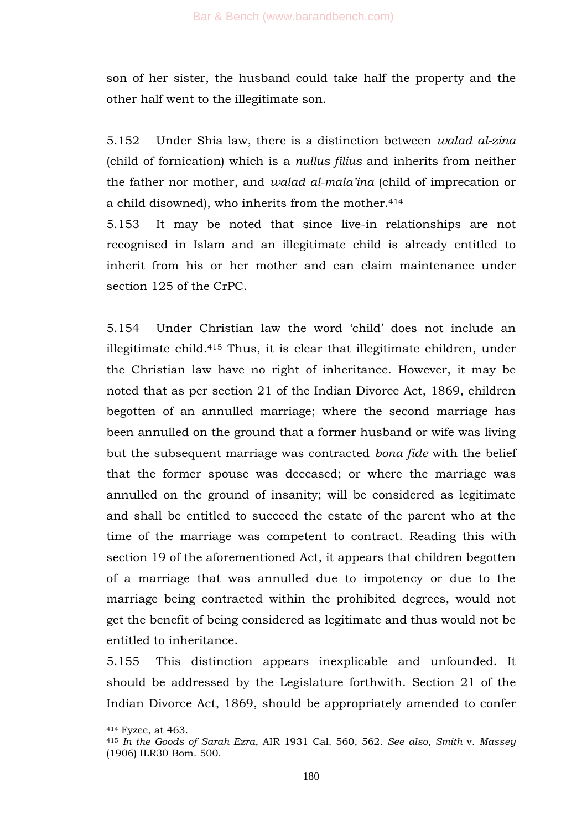son of her sister, the husband could take half the property and the other half went to the illegitimate son.

5.152 Under Shia law, there is a distinction between *walad al-zina* (child of fornication) which is a *nullus filius* and inherits from neither the father nor mother, and *walad al-mala"ina* (child of imprecation or a child disowned), who inherits from the mother.<sup>414</sup>

5.153 It may be noted that since live-in relationships are not recognised in Islam and an illegitimate child is already entitled to inherit from his or her mother and can claim maintenance under section 125 of the CrPC.

5.154 Under Christian law the word ‗child' does not include an illegitimate child.<sup>415</sup> Thus, it is clear that illegitimate children, under the Christian law have no right of inheritance. However, it may be noted that as per section 21 of the Indian Divorce Act, 1869, children begotten of an annulled marriage; where the second marriage has been annulled on the ground that a former husband or wife was living but the subsequent marriage was contracted *bona fide* with the belief that the former spouse was deceased; or where the marriage was annulled on the ground of insanity; will be considered as legitimate and shall be entitled to succeed the estate of the parent who at the time of the marriage was competent to contract. Reading this with section 19 of the aforementioned Act, it appears that children begotten of a marriage that was annulled due to impotency or due to the marriage being contracted within the prohibited degrees, would not get the benefit of being considered as legitimate and thus would not be entitled to inheritance.

5.155 This distinction appears inexplicable and unfounded. It should be addressed by the Legislature forthwith. Section 21 of the Indian Divorce Act, 1869, should be appropriately amended to confer

1

<sup>414</sup> Fyzee, at 463.

<sup>415</sup> *In the Goods of Sarah Ezra*, AIR 1931 Cal. 560, 562. *See also*, *Smith* v. *Massey* (1906) ILR30 Bom. 500.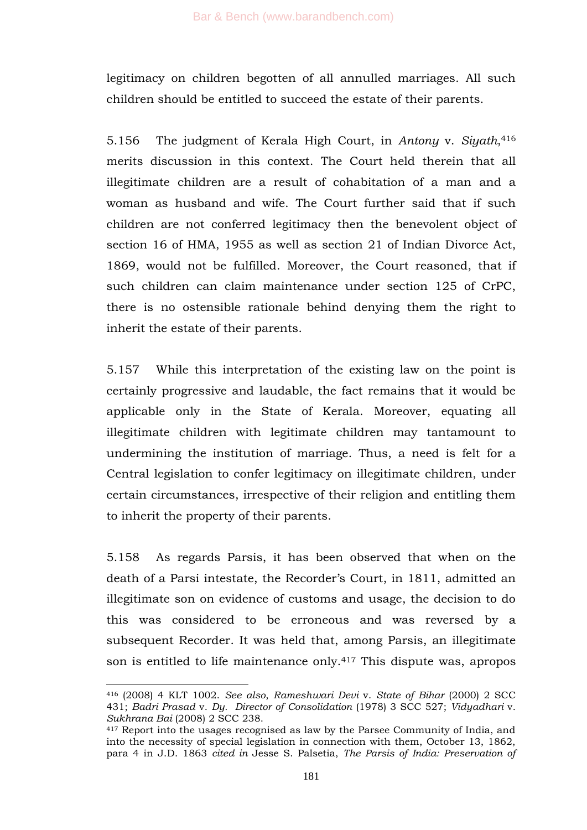legitimacy on children begotten of all annulled marriages. All such children should be entitled to succeed the estate of their parents.

5.156 The judgment of Kerala High Court, in *Antony* v. *Siyath*, 416 merits discussion in this context. The Court held therein that all illegitimate children are a result of cohabitation of a man and a woman as husband and wife. The Court further said that if such children are not conferred legitimacy then the benevolent object of section 16 of HMA, 1955 as well as section 21 of Indian Divorce Act, 1869, would not be fulfilled. Moreover, the Court reasoned, that if such children can claim maintenance under section 125 of CrPC, there is no ostensible rationale behind denying them the right to inherit the estate of their parents.

5.157 While this interpretation of the existing law on the point is certainly progressive and laudable, the fact remains that it would be applicable only in the State of Kerala. Moreover, equating all illegitimate children with legitimate children may tantamount to undermining the institution of marriage. Thus, a need is felt for a Central legislation to confer legitimacy on illegitimate children, under certain circumstances, irrespective of their religion and entitling them to inherit the property of their parents.

5.158 As regards Parsis, it has been observed that when on the death of a Parsi intestate, the Recorder's Court, in 1811, admitted an illegitimate son on evidence of customs and usage, the decision to do this was considered to be erroneous and was reversed by a subsequent Recorder. It was held that, among Parsis, an illegitimate son is entitled to life maintenance only.<sup>417</sup> This dispute was, apropos

1

<sup>416</sup> (2008) 4 KLT 1002. *See also*, *Rameshwari Devi* v. *State of Bihar* (2000) 2 SCC 431; *Badri Prasad* v. *Dy. Director of Consolidation* (1978) 3 SCC 527; *Vidyadhari* v. *Sukhrana Bai* (2008) 2 SCC 238.

<sup>417</sup> Report into the usages recognised as law by the Parsee Community of India, and into the necessity of special legislation in connection with them, October 13, 1862, para 4 in J.D. 1863 *cited in* Jesse S. Palsetia, *The Parsis of India: Preservation of*